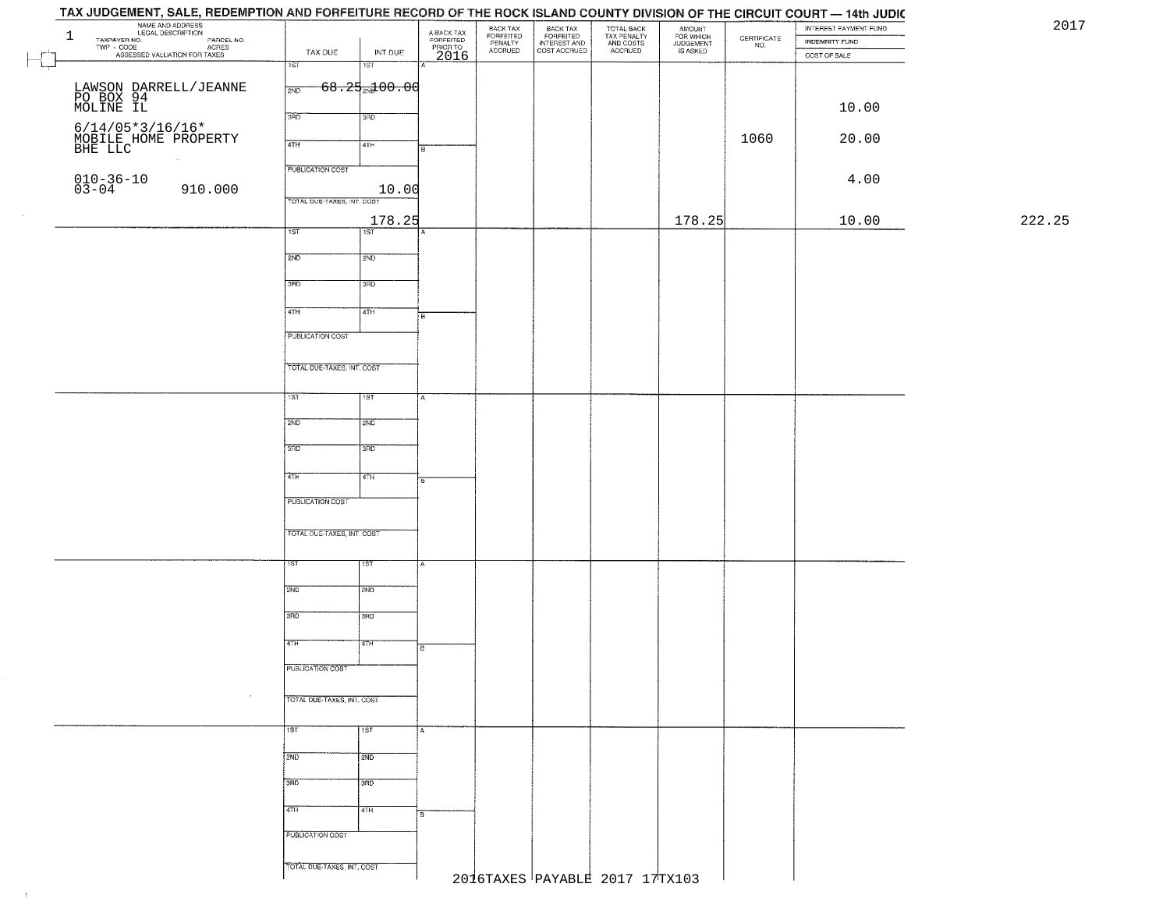| TAX JUDGEMENT, SALE, REDEMPTION AND FORFEITURE RECORD OF THE ROCK ISLAND COUNTY DIVISION OF THE CIRCUIT COURT — 14th JUDIC |                            |                                     |                                             |                                             |                                                       |                                                   |                                              |                                                                 |                                         | 201    |
|----------------------------------------------------------------------------------------------------------------------------|----------------------------|-------------------------------------|---------------------------------------------|---------------------------------------------|-------------------------------------------------------|---------------------------------------------------|----------------------------------------------|-----------------------------------------------------------------|-----------------------------------------|--------|
| NAME AND ADDRESS<br>LEGAL DESCRIPTION<br>TAXPAYER NO.<br>$\mathbf{1}$                                                      |                            |                                     |                                             |                                             |                                                       |                                                   |                                              | $\begin{array}{c} \text{CERTIFICATE} \\ \text{NO.} \end{array}$ | INTEREST PAYMENT FUND<br>INDEMNITY FUND |        |
| TAXPAYER NO. LEGAL DESCRIPTION PARCEL NO.<br>TWP - CODE ACRES<br>ASSESSED VALUATION FOR TAXES                              | TAX DUE                    | INT DUE                             | A-BACK TAX<br>FORFEITED<br>PRIOR TO<br>2016 | BACK TAX<br>FORFEITED<br>PENALTY<br>ACCRUED | BACK TAX<br>FORFEITED<br>INTEREST AND<br>COST ACCRUED | TOTAL BACK<br>TAX PENALTY<br>AND COSTS<br>ACCRUED | AMOUNT<br>FOR WHICH<br>JUDGEMENT<br>IS ASKED |                                                                 | COST OF SALE                            |        |
|                                                                                                                            | 1ST                        | $\overline{151}$                    |                                             |                                             |                                                       |                                                   |                                              |                                                                 |                                         |        |
|                                                                                                                            |                            |                                     |                                             |                                             |                                                       |                                                   |                                              |                                                                 |                                         |        |
|                                                                                                                            | 2ND                        | <del>68.25<sub>21</sub>100.00</del> |                                             |                                             |                                                       |                                                   |                                              |                                                                 |                                         |        |
| LAWSON DARRELL/JEANNE<br>PO BOX 94<br>MOLINE IL                                                                            |                            |                                     |                                             |                                             |                                                       |                                                   |                                              |                                                                 | 10.00                                   |        |
|                                                                                                                            | 3RD                        | 3RD                                 |                                             |                                             |                                                       |                                                   |                                              |                                                                 |                                         |        |
| 6/14/05*3/16/16*<br>MOBILE HOME PROPERTY<br>BHE LLC                                                                        |                            |                                     |                                             |                                             |                                                       |                                                   |                                              | 1060                                                            | 20.00                                   |        |
|                                                                                                                            | 4TH                        | 4TH                                 |                                             |                                             |                                                       |                                                   |                                              |                                                                 |                                         |        |
|                                                                                                                            | <b>PUBLICATION COST</b>    |                                     |                                             |                                             |                                                       |                                                   |                                              |                                                                 |                                         |        |
|                                                                                                                            |                            |                                     |                                             |                                             |                                                       |                                                   |                                              |                                                                 | 4.00                                    |        |
| $010 - 36 - 10$<br>$03 - 04$<br>910.000                                                                                    |                            | 10.00                               |                                             |                                             |                                                       |                                                   |                                              |                                                                 |                                         |        |
|                                                                                                                            | TOTAL DUE-TAXES, INT. COST |                                     |                                             |                                             |                                                       |                                                   |                                              |                                                                 |                                         |        |
|                                                                                                                            |                            | 178.25                              |                                             |                                             |                                                       |                                                   | 178.25                                       |                                                                 | 10.00                                   | 222.25 |
|                                                                                                                            | 1ST                        | $\overline{1ST}$                    |                                             |                                             |                                                       |                                                   |                                              |                                                                 |                                         |        |
|                                                                                                                            | 2ND                        | 2ND                                 |                                             |                                             |                                                       |                                                   |                                              |                                                                 |                                         |        |
|                                                                                                                            |                            |                                     |                                             |                                             |                                                       |                                                   |                                              |                                                                 |                                         |        |
|                                                                                                                            | 3RD                        | 3RD                                 |                                             |                                             |                                                       |                                                   |                                              |                                                                 |                                         |        |
|                                                                                                                            |                            |                                     |                                             |                                             |                                                       |                                                   |                                              |                                                                 |                                         |        |
|                                                                                                                            | $\sqrt{47H}$               | 4TH                                 | 'nв                                         |                                             |                                                       |                                                   |                                              |                                                                 |                                         |        |
|                                                                                                                            |                            |                                     |                                             |                                             |                                                       |                                                   |                                              |                                                                 |                                         |        |
|                                                                                                                            | PUBLICATION COST           |                                     |                                             |                                             |                                                       |                                                   |                                              |                                                                 |                                         |        |
|                                                                                                                            |                            |                                     |                                             |                                             |                                                       |                                                   |                                              |                                                                 |                                         |        |
|                                                                                                                            | TOTAL DUE-TAXES, INT. COST |                                     |                                             |                                             |                                                       |                                                   |                                              |                                                                 |                                         |        |
|                                                                                                                            |                            |                                     |                                             |                                             |                                                       |                                                   |                                              |                                                                 |                                         |        |
|                                                                                                                            | 1ST.                       | 1ST                                 |                                             |                                             |                                                       |                                                   |                                              |                                                                 |                                         |        |
|                                                                                                                            | 2ND                        | 2ND                                 |                                             |                                             |                                                       |                                                   |                                              |                                                                 |                                         |        |
|                                                                                                                            |                            |                                     |                                             |                                             |                                                       |                                                   |                                              |                                                                 |                                         |        |
|                                                                                                                            | 3 <sub>BD</sub>            | 3RD                                 |                                             |                                             |                                                       |                                                   |                                              |                                                                 |                                         |        |
|                                                                                                                            |                            |                                     |                                             |                                             |                                                       |                                                   |                                              |                                                                 |                                         |        |
|                                                                                                                            | 4TH                        | 4TH                                 | Гē                                          |                                             |                                                       |                                                   |                                              |                                                                 |                                         |        |
|                                                                                                                            |                            |                                     |                                             |                                             |                                                       |                                                   |                                              |                                                                 |                                         |        |
|                                                                                                                            | PUBLICATION COST           |                                     |                                             |                                             |                                                       |                                                   |                                              |                                                                 |                                         |        |
|                                                                                                                            |                            |                                     |                                             |                                             |                                                       |                                                   |                                              |                                                                 |                                         |        |
|                                                                                                                            | TOTAL OUE-TAXES, INT. COST |                                     |                                             |                                             |                                                       |                                                   |                                              |                                                                 |                                         |        |
|                                                                                                                            |                            |                                     |                                             |                                             |                                                       |                                                   |                                              |                                                                 |                                         |        |
|                                                                                                                            | 1ST                        | उड़ा                                |                                             |                                             |                                                       |                                                   |                                              |                                                                 |                                         |        |
|                                                                                                                            | 2ND                        | 2ND                                 |                                             |                                             |                                                       |                                                   |                                              |                                                                 |                                         |        |
|                                                                                                                            |                            |                                     |                                             |                                             |                                                       |                                                   |                                              |                                                                 |                                         |        |
|                                                                                                                            | 3RD                        | 3BD                                 |                                             |                                             |                                                       |                                                   |                                              |                                                                 |                                         |        |
|                                                                                                                            |                            |                                     |                                             |                                             |                                                       |                                                   |                                              |                                                                 |                                         |        |
|                                                                                                                            | 4TH                        | 47H                                 | в                                           |                                             |                                                       |                                                   |                                              |                                                                 |                                         |        |
|                                                                                                                            |                            |                                     |                                             |                                             |                                                       |                                                   |                                              |                                                                 |                                         |        |
|                                                                                                                            | PUBLICATION COST           |                                     |                                             |                                             |                                                       |                                                   |                                              |                                                                 |                                         |        |
|                                                                                                                            |                            |                                     |                                             |                                             |                                                       |                                                   |                                              |                                                                 |                                         |        |
|                                                                                                                            | TOTAL DUE-TAXES, INT. COST |                                     |                                             |                                             |                                                       |                                                   |                                              |                                                                 |                                         |        |
|                                                                                                                            |                            |                                     |                                             |                                             |                                                       |                                                   |                                              |                                                                 |                                         |        |
|                                                                                                                            | 757                        | 1ST                                 | A                                           |                                             |                                                       |                                                   |                                              |                                                                 |                                         |        |
|                                                                                                                            | 2ND                        |                                     |                                             |                                             |                                                       |                                                   |                                              |                                                                 |                                         |        |
|                                                                                                                            |                            | 2ND                                 |                                             |                                             |                                                       |                                                   |                                              |                                                                 |                                         |        |
|                                                                                                                            | 3RD                        | 3 <sub>RD</sub>                     |                                             |                                             |                                                       |                                                   |                                              |                                                                 |                                         |        |
|                                                                                                                            |                            |                                     |                                             |                                             |                                                       |                                                   |                                              |                                                                 |                                         |        |
|                                                                                                                            | 4TH                        | 4TH                                 |                                             |                                             |                                                       |                                                   |                                              |                                                                 |                                         |        |
|                                                                                                                            |                            |                                     |                                             |                                             |                                                       |                                                   |                                              |                                                                 |                                         |        |
|                                                                                                                            | PUBLICATION COST           |                                     |                                             |                                             |                                                       |                                                   |                                              |                                                                 |                                         |        |
|                                                                                                                            |                            |                                     |                                             |                                             |                                                       |                                                   |                                              |                                                                 |                                         |        |
|                                                                                                                            | TOTAL DUE-TAXES, INT. COST |                                     |                                             |                                             |                                                       |                                                   |                                              |                                                                 |                                         |        |
|                                                                                                                            |                            |                                     |                                             |                                             |                                                       | 2016TAXES PAYABLE 2017 17TX103                    |                                              |                                                                 |                                         |        |
|                                                                                                                            |                            |                                     |                                             |                                             |                                                       |                                                   |                                              |                                                                 |                                         |        |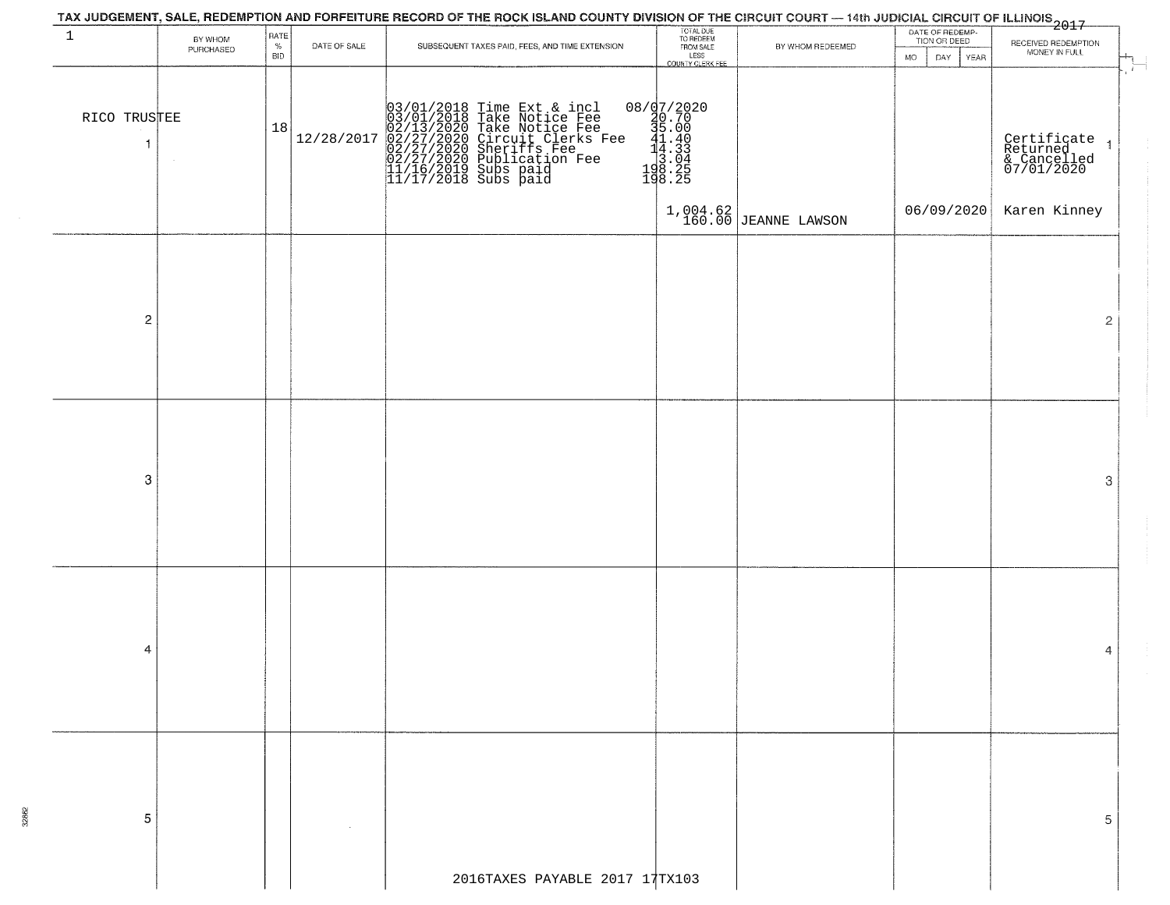| $\mathbf{1}$      | BY WHOM<br>PURCHASED | RATE<br>$\%$<br><b>BID</b> | DATE OF SALE | SUBSEQUENT TAXES PAID, FEES, AND TIME EXTENSION                                                                                                                                                                                             | TOTAL DUE<br>TO REDEEM<br>FROM SALE<br>LESS<br>COUNTY CLERK FEE                                                                                  | BY WHOM REDEEMED         | DATE OF REDEMP-<br>TION OR DEED<br><b>MO</b><br>DAY<br><b>YEAR</b> | RECEIVED REDEMPTION<br>MONEY IN FULL                                                    |
|-------------------|----------------------|----------------------------|--------------|---------------------------------------------------------------------------------------------------------------------------------------------------------------------------------------------------------------------------------------------|--------------------------------------------------------------------------------------------------------------------------------------------------|--------------------------|--------------------------------------------------------------------|-----------------------------------------------------------------------------------------|
| RICO TRUSTEE<br>1 |                      | 18                         | 12/28/2017   | $03/01/2018$ Time Ext & incl<br>$03/01/2018$ Take Notice Fee<br>$02/13/2020$ Take Notice Fee<br>$02/27/2020$ Circuit Clerks Fee<br>$02/27/2020$ Sublication Fee<br>$02/27/2020$ Publication Fee<br>$11/16/2019$ Subs paid<br>$11/17/2018$ S | $[0.873] \begin{array}{l} 0.777 \\ 20.70 \\ 3.00 \\ 41.40 \\ 14.43 \\ 3.04 \\ 1.43 \\ 3.04 \\ 1.43 \\ 3.04 \\ 1.48 \\ 2.5 \\ 198.25 \end{array}$ |                          |                                                                    | $\sim$ $\sim$<br>Certificate<br>Returned<br>& Cancelled<br>07/01/2020<br>$\overline{1}$ |
|                   |                      |                            |              |                                                                                                                                                                                                                                             |                                                                                                                                                  | $1,004.62$ JEANNE LAWSON | 06/09/2020                                                         | Karen Kinney                                                                            |
| $\overline{2}$    |                      |                            |              |                                                                                                                                                                                                                                             |                                                                                                                                                  |                          |                                                                    | $\overline{2}$                                                                          |
| 3                 |                      |                            |              |                                                                                                                                                                                                                                             |                                                                                                                                                  |                          |                                                                    | $\rm 3$                                                                                 |
|                   |                      |                            |              |                                                                                                                                                                                                                                             |                                                                                                                                                  |                          |                                                                    |                                                                                         |
| 4                 |                      |                            |              |                                                                                                                                                                                                                                             |                                                                                                                                                  |                          |                                                                    | 4                                                                                       |
|                   |                      |                            |              |                                                                                                                                                                                                                                             |                                                                                                                                                  |                          |                                                                    |                                                                                         |
| 5                 |                      |                            |              |                                                                                                                                                                                                                                             |                                                                                                                                                  |                          |                                                                    | 5.                                                                                      |
|                   |                      |                            |              | 2016TAXES PAYABLE 2017 17TX103                                                                                                                                                                                                              |                                                                                                                                                  |                          |                                                                    |                                                                                         |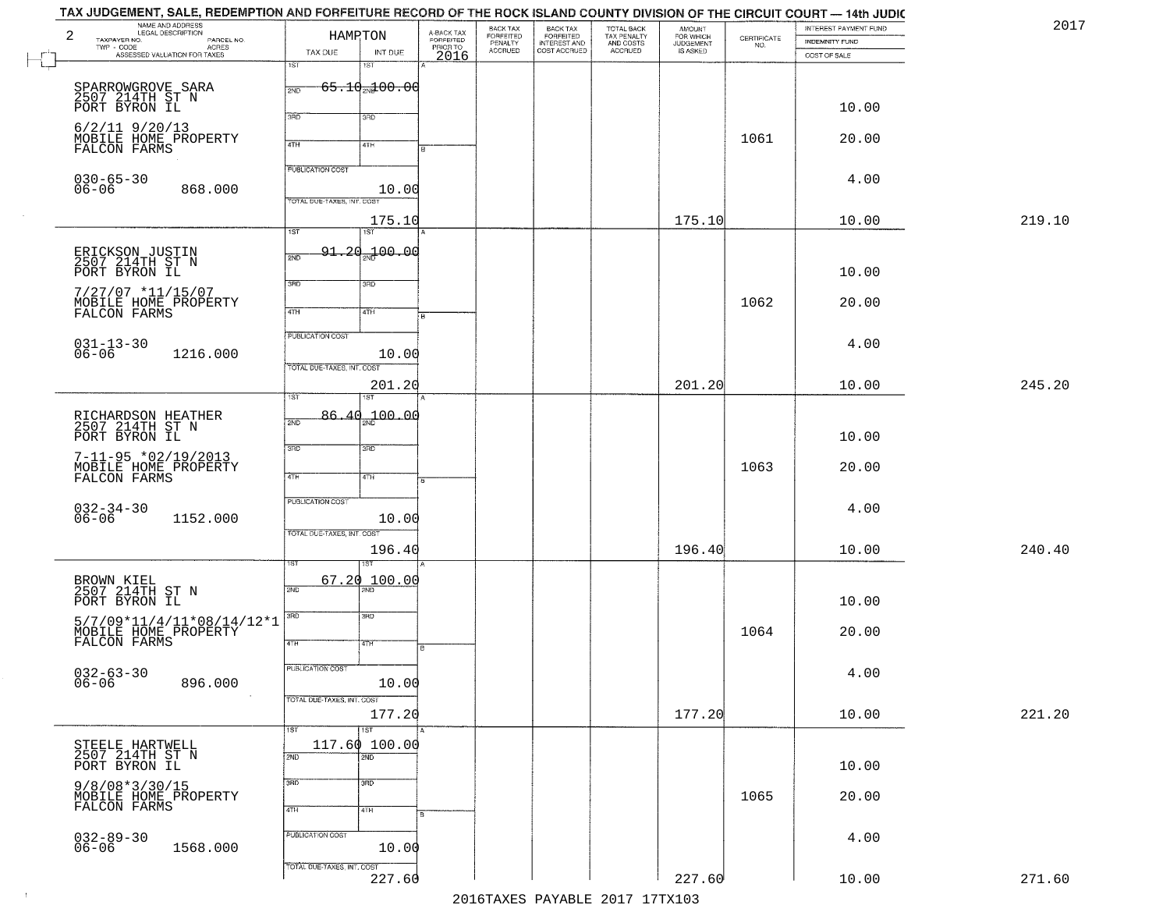| TAX JUDGEMENT, SALE, REDEMPTION AND FORFEITURE RECORD OF THE ROCK ISLAND COUNTY DIVISION OF THE CIRCUIT COURT — 14th JUDIC<br>NAME AND ADDRESS<br>LEGAL DESCRIPTION<br>2<br>TAXPAYER NO.<br>PARCEL NO. | HAMPTON                                               |                                     |                                             | BACK TAX                        | BACK TAX<br>FORFEITED<br>INTEREST AND<br>COST ACCRUED | TOTAL BACK<br>TAX PENALTY<br>AND COSTS<br>ACCRUED | <b>AMOUNT</b>                      | $\begin{array}{c} \text{CERTIFICATE} \\ \text{NO.} \end{array}$ | INTEREST PAYMENT FUND          | 2017   |
|--------------------------------------------------------------------------------------------------------------------------------------------------------------------------------------------------------|-------------------------------------------------------|-------------------------------------|---------------------------------------------|---------------------------------|-------------------------------------------------------|---------------------------------------------------|------------------------------------|-----------------------------------------------------------------|--------------------------------|--------|
| - CODE<br>ACRES<br>ASSESSED VALUATION FOR TAXES<br>$\texttt{TWP}$ - $\texttt{CODE}$                                                                                                                    | TAX DUE<br>1ST                                        | INT DUE<br>1ST                      | A-BACK TAX<br>FORFEITED<br>PRIOR TO<br>2016 | FORFEITED<br>PENALTY<br>ACCRUED |                                                       |                                                   | FOR WHICH<br>JUDGEMENT<br>IS ASKED |                                                                 | INDEMNITY FUND<br>COST OF SALE |        |
| SPARROWGROVE SARA<br>2507 214TH ST N<br>PORT BYRON IL                                                                                                                                                  | 2ND                                                   | <del>65.10<sub>20</sub>100.00</del> |                                             |                                 |                                                       |                                                   |                                    |                                                                 | 10.00                          |        |
| $6/2/11$ 9/20/13<br>MOBILE HOME PROPERTY<br>FALCON FARMS                                                                                                                                               | 3RD<br>4TH                                            | 3RD<br>41H                          |                                             |                                 |                                                       |                                                   |                                    | 1061                                                            | 20.00                          |        |
| $030 - 65 - 30$<br>$06 - 06$<br>868.000                                                                                                                                                                | <b>PUBLICATION COST</b><br>TOTAL DUE-TAXES, INT. COST | 10.00                               |                                             |                                 |                                                       |                                                   |                                    |                                                                 | 4.00                           |        |
|                                                                                                                                                                                                        | 1ST                                                   | 175.10<br>1ST                       |                                             |                                 |                                                       |                                                   | 175.10                             |                                                                 | 10.00                          | 219.10 |
| ERICKSON JUSTIN<br>2507 214TH ST N<br>PORT BYRON IL                                                                                                                                                    | $91 - 20$<br>2ND                                      | 00.00 <del>س</del>                  |                                             |                                 |                                                       |                                                   |                                    |                                                                 | 10.00                          |        |
| $7/27/07$ *11/15/07<br>MOBILE HOME PROPERTY<br>FALCON FARMS                                                                                                                                            | 3RD<br>47H                                            | 3RD<br>4TH                          |                                             |                                 |                                                       |                                                   |                                    | 1062                                                            | 20.00                          |        |
| $031 - 13 - 30$<br>06-06<br>1216.000                                                                                                                                                                   | PUBLICATION COST<br>TOTAL DUE-TAXES, INT. COST        | 10.00                               |                                             |                                 |                                                       |                                                   |                                    |                                                                 | 4.00                           |        |
|                                                                                                                                                                                                        | 1ST                                                   | 201.20                              |                                             |                                 |                                                       |                                                   | 201.20                             |                                                                 | 10.00                          | 245.20 |
| RICHARDSON HEATHER<br>2507 214TH ST N<br>PORT BYRON IL                                                                                                                                                 | 2ND                                                   | $86.40 - 00.00$                     |                                             |                                 |                                                       |                                                   |                                    |                                                                 | 10.00                          |        |
| $7 - 11 - 95 * 02 / 19 / 2013$<br>MOBILE HOME PROPERTY<br>FALCON FARMS                                                                                                                                 | 3RD<br>4TH                                            | 3 <sub>3</sub><br>4TH               |                                             |                                 |                                                       |                                                   |                                    | 1063                                                            | 20.00                          |        |
| $032 - 34 - 30$<br>06-06<br>1152.000                                                                                                                                                                   | <b>PUBLICATION COST</b><br>TOTAL OUE-TAXES, INT. COST | 10.00                               |                                             |                                 |                                                       |                                                   |                                    |                                                                 | 4.00                           |        |
|                                                                                                                                                                                                        |                                                       | 196.40<br>ख़ा                       |                                             |                                 |                                                       |                                                   | 196.40                             |                                                                 | 10.00                          | 240.40 |
| BROWN KIEL<br>2507 214TH ST N<br>PORT BYRON IL                                                                                                                                                         | 67.20<br>2ND                                          | 100.00                              |                                             |                                 |                                                       |                                                   |                                    |                                                                 | 10.00                          |        |
| $\begin{array}{l} 5/7/09*11/4/11*08/14/12*1 \\ \text{MOBILE HOME PROPERTIES}\\ \text{FALCON FARMS} \end{array}$                                                                                        | 3RD<br>4TH                                            | 3BD<br>4TH                          |                                             |                                 |                                                       |                                                   |                                    | 1064                                                            | 20.00                          |        |
| $032 - 63 - 30$<br>06-06<br>896.000<br>$\sim 100$                                                                                                                                                      | PUBLICATION COST                                      | 10.00                               |                                             |                                 |                                                       |                                                   |                                    |                                                                 | 4.00                           |        |
|                                                                                                                                                                                                        | TOTAL DUE-TAXES, INT. COST<br>1ST                     | 177.20<br>1ST                       |                                             |                                 |                                                       |                                                   | 177.20                             |                                                                 | 10.00                          | 221.20 |
| STEELE HARTWELL<br>2507 214TH ST N<br>PORT BYRON IL                                                                                                                                                    | 117.60 100.00<br>2ND                                  | $\overline{2ND}$                    |                                             |                                 |                                                       |                                                   |                                    |                                                                 | 10.00                          |        |
| 9/8/08*3/30/15<br>MOBILE HOME PROPERTY<br>FALCON FARMS                                                                                                                                                 | 3RD<br>4TH                                            | 3BD<br>4TH                          |                                             |                                 |                                                       |                                                   |                                    | 1065                                                            | 20.00                          |        |
| $032 - 89 - 30$<br>06-06<br>1568.000                                                                                                                                                                   | PUBLICATION COST                                      | 10.00                               |                                             |                                 |                                                       |                                                   |                                    |                                                                 | 4.00                           |        |
|                                                                                                                                                                                                        | TOTAL DUE-TAXES, INT. COST                            | 227.60                              |                                             |                                 |                                                       | 2016 TAVEC DAVARIE 2017 17 TAV102                 | 227.60                             |                                                                 | 10.00                          | 271.60 |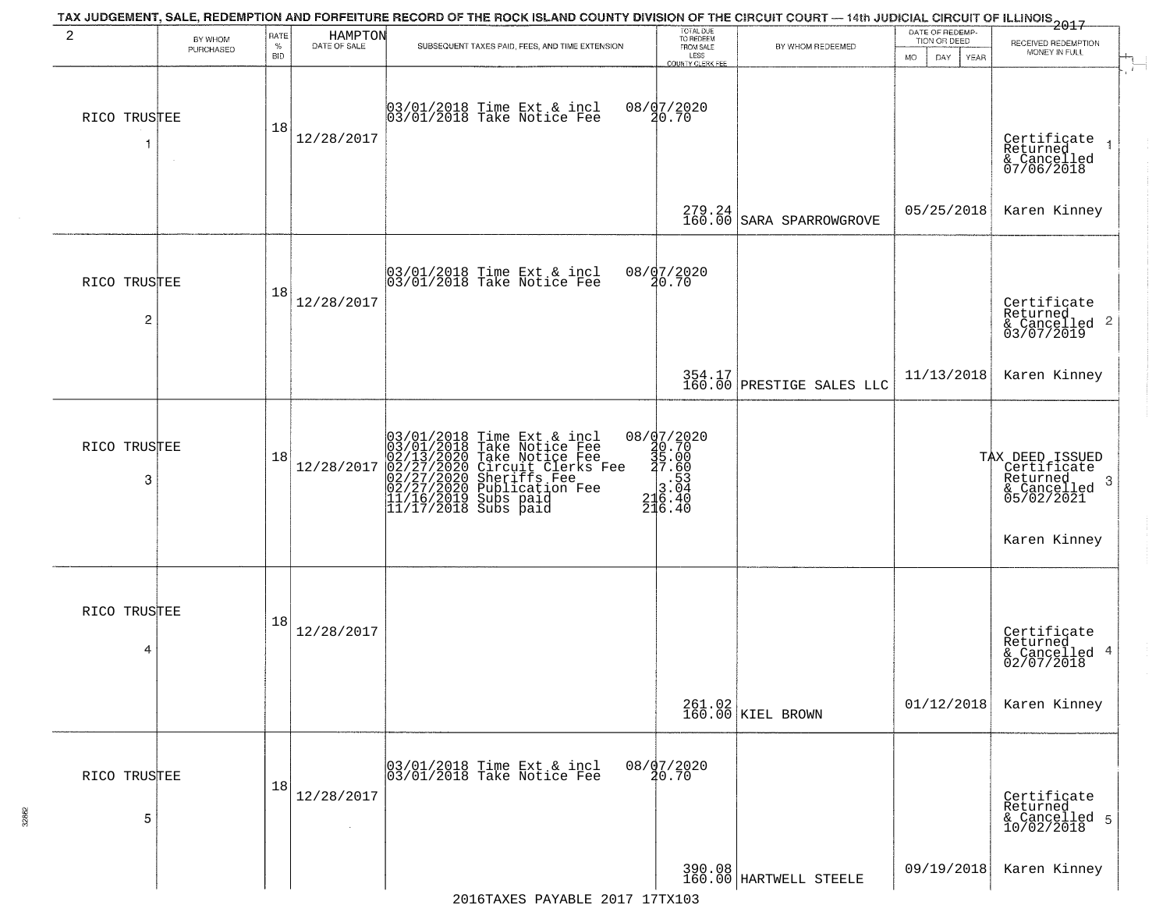| 2                 | BY WHOM<br>PURCHASED | RATE<br>$\%$<br><b>BID</b> | HAMPTON<br>DATE OF SALE | TAX JUDGEMENT, SALE, REDEMPTION AND FORFEITURE RECORD OF THE ROCK ISLAND COUNTY DIVISION OF THE CIRCUIT COURT - 14th JUDICIAL CIRCUIT OF ILLINOIS 2017<br>SUBSEQUENT TAXES PAID, FEES, AND TIME EXTENSION                           | TOTAL DUE<br>TO REDEEM<br>FROM SALE<br>LESS<br>COUNTY CLERK FEE                                           | BY WHOM REDEEMED                    | DATE OF REDEMP.<br>TION OR DEED<br>MO.<br>DAY.<br>YEAR | RECEIVED REDEMPTION<br>MONEY IN FULL                                                                 |
|-------------------|----------------------|----------------------------|-------------------------|-------------------------------------------------------------------------------------------------------------------------------------------------------------------------------------------------------------------------------------|-----------------------------------------------------------------------------------------------------------|-------------------------------------|--------------------------------------------------------|------------------------------------------------------------------------------------------------------|
| RICO TRUSTEE      |                      | 18                         | 12/28/2017              | 03/01/2018 Time Ext & incl<br>03/01/2018 Take Notice Fee                                                                                                                                                                            | 08/d7/2020<br>20.70                                                                                       |                                     |                                                        | Certificate<br>Returned<br>& Cancelled<br>07/06/2018                                                 |
|                   |                      |                            |                         |                                                                                                                                                                                                                                     | 279.24<br>160.00                                                                                          | SARA SPARROWGROVE                   | 05/25/2018                                             | Karen Kinney                                                                                         |
| RICO TRUSTEE<br>2 |                      | 18                         | 12/28/2017              | 03/01/2018 Time Ext & incl<br>03/01/2018 Take Notice Fee                                                                                                                                                                            | 08/07/2020<br>20.70                                                                                       |                                     |                                                        | Certificate<br>Returned<br>& Cancelled 2<br>03/07/2019                                               |
|                   |                      |                            |                         |                                                                                                                                                                                                                                     |                                                                                                           | 354.17<br>160.00 PRESTIGE SALES LLC | 11/13/2018                                             | Karen Kinney                                                                                         |
| RICO TRUSTEE<br>3 |                      | 18                         | 12/28/2017              | 03/01/2018 Time Ext & incl<br>03/01/2018 Take Notice Fee<br>02/13/2020 Take Notice Fee<br>02/27/2020 Circuit Clerks Fee<br>02/27/2020 Sublication Fee<br>02/27/2020 Publication Fee<br>11/16/2019 Subs paid<br>11/17/2018 Subs paid | ${\footnotesize \begin{matrix} 08/97/2020\\ 40.70\\ 35.00\\ 27.60\\ 3.04\\ 216.40\\ 216.40 \end{matrix}}$ |                                     |                                                        | TAX DEED ISSUED<br>Certificate<br>Returned<br>$\cdot$ 3<br>& Cancelled<br>05/02/2021<br>Karen Kinney |
| RICO TRUSTEE<br>4 |                      | 18                         | 12/28/2017              |                                                                                                                                                                                                                                     |                                                                                                           |                                     |                                                        | Certificate<br>Returned<br>& Cancelled 4<br>02/07/2018                                               |
|                   |                      |                            |                         |                                                                                                                                                                                                                                     |                                                                                                           | 261.02<br>160.00 KIEL BROWN         | 01/12/2018                                             | Karen Kinney                                                                                         |
| RICO TRUSTEE<br>5 |                      | 18                         | 12/28/2017              | 03/01/2018 Time Ext & incl<br>03/01/2018 Take Notice Fee                                                                                                                                                                            | 08/07/2020<br>20.70                                                                                       |                                     |                                                        | Certificate<br>Returned<br>& Cancelled 5<br>10/02/2018                                               |
|                   |                      |                            |                         |                                                                                                                                                                                                                                     |                                                                                                           | 390.08<br>160.00 HARTWELL STEELE    | 09/19/2018                                             | Karen Kinney                                                                                         |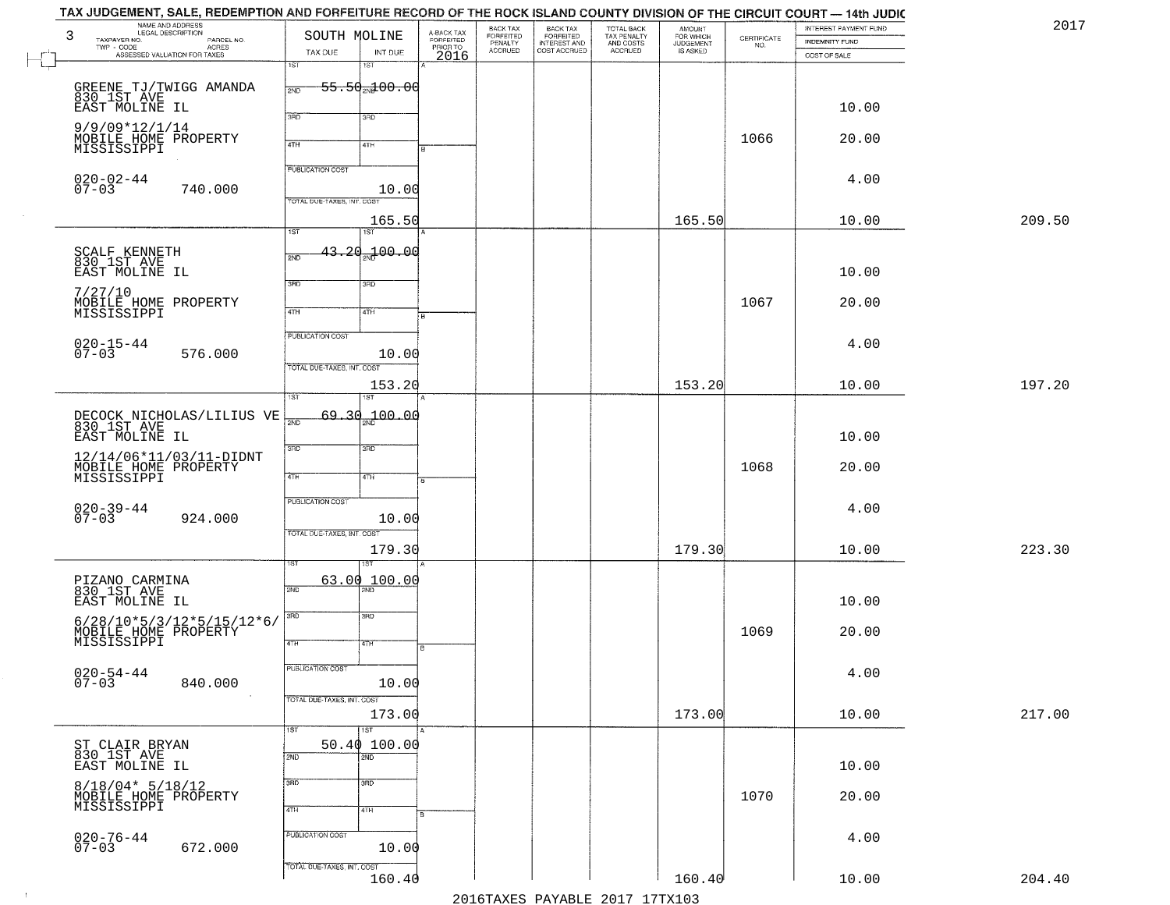| TAX JUDGEMENT, SALE, REDEMPTION AND FORFEITURE RECORD OF THE ROCK ISLAND COUNTY DIVISION OF THE CIRCUIT COURT — 14th JUDIC |                             |                            |                         |                              |                                                       |                                                   |                                    |                    |                       |        |
|----------------------------------------------------------------------------------------------------------------------------|-----------------------------|----------------------------|-------------------------|------------------------------|-------------------------------------------------------|---------------------------------------------------|------------------------------------|--------------------|-----------------------|--------|
| NAME AND ADDRESS<br>LEGAL DESCRIPTION<br>3                                                                                 | SOUTH MOLINE                |                            | A-BACK TAX<br>FORFEITED | BACK TAX<br><b>FORFEITED</b> |                                                       |                                                   | <b>AMOUNT</b>                      |                    | INTEREST PAYMENT FUND | 2017   |
| TAXPAYER NO.<br>PARCEL NO.<br>TWP - CODE<br>- CODE ACRES<br>ASSESSED VALUATION FOR TAXES                                   |                             |                            |                         | PENALTY<br><b>ACCRUED</b>    | BACK TAX<br>FORFEITED<br>INTEREST AND<br>COST ACCRUED | TOTAL BACK<br>TAX PENALTY<br>AND COSTS<br>ACCRUED | FOR WHICH<br>JUDGEMENT<br>IS ASKED | CERTIFICATE<br>NO. | <b>INDEMNITY FUND</b> |        |
|                                                                                                                            | TAX DUE<br>$\overline{1ST}$ | INT DUE<br>15T             | PRIORTO                 |                              |                                                       |                                                   |                                    |                    | COST OF SALE          |        |
|                                                                                                                            |                             |                            |                         |                              |                                                       |                                                   |                                    |                    |                       |        |
| GREENE TJ/TWIGG AMANDA<br>830 1ST AVE                                                                                      | 2ND                         | <del>55.50 M 00.00</del>   |                         |                              |                                                       |                                                   |                                    |                    |                       |        |
| EAST MOLINE IL                                                                                                             |                             |                            |                         |                              |                                                       |                                                   |                                    |                    | 10.00                 |        |
|                                                                                                                            | 3RD                         | 3RD                        |                         |                              |                                                       |                                                   |                                    |                    |                       |        |
| $9/9/09*12/1/14$                                                                                                           |                             |                            |                         |                              |                                                       |                                                   |                                    |                    |                       |        |
| MOBILE HOME PROPERTY<br>MISSISSIPPI                                                                                        | 4TH                         | 4TH                        |                         |                              |                                                       |                                                   |                                    | 1066               | 20.00                 |        |
|                                                                                                                            |                             |                            |                         |                              |                                                       |                                                   |                                    |                    |                       |        |
|                                                                                                                            | <b>PUBLICATION COST</b>     |                            |                         |                              |                                                       |                                                   |                                    |                    | 4.00                  |        |
| $020 - 02 - 44$<br>07-03<br>740.000                                                                                        |                             | 10.00                      |                         |                              |                                                       |                                                   |                                    |                    |                       |        |
|                                                                                                                            | TOTAL DUE-TAXES, INT. COST  |                            |                         |                              |                                                       |                                                   |                                    |                    |                       |        |
|                                                                                                                            |                             | 165.50                     |                         |                              |                                                       |                                                   | 165.50                             |                    | 10.00                 | 209.50 |
|                                                                                                                            | $\overline{1ST}$            | $\overline{1ST}$           |                         |                              |                                                       |                                                   |                                    |                    |                       |        |
|                                                                                                                            |                             | 43.20 <sub>2N</sub> 100.00 |                         |                              |                                                       |                                                   |                                    |                    |                       |        |
| SCALF KENNETH<br>830 1ST AVE                                                                                               | 2ND                         |                            |                         |                              |                                                       |                                                   |                                    |                    |                       |        |
| EAST MOLINE IL                                                                                                             | 3RD                         | 3RD                        |                         |                              |                                                       |                                                   |                                    |                    | 10.00                 |        |
| 7/27/10                                                                                                                    |                             |                            |                         |                              |                                                       |                                                   |                                    |                    |                       |        |
| MOBILE HOME PROPERTY<br>MISSISSIPPI                                                                                        | $\overline{47H}$            | 4TH                        |                         |                              |                                                       |                                                   |                                    | 1067               | 20.00                 |        |
|                                                                                                                            |                             |                            |                         |                              |                                                       |                                                   |                                    |                    |                       |        |
|                                                                                                                            | PUBLICATION COST            |                            |                         |                              |                                                       |                                                   |                                    |                    | 4.00                  |        |
| $020 - 15 - 44$<br>07-03<br>576.000                                                                                        |                             | 10.00                      |                         |                              |                                                       |                                                   |                                    |                    |                       |        |
|                                                                                                                            | TOTAL DUE-TAXES, INT. COST  |                            |                         |                              |                                                       |                                                   |                                    |                    |                       |        |
|                                                                                                                            |                             | 153.20                     |                         |                              |                                                       |                                                   | 153.20                             |                    | 10.00                 | 197.20 |
|                                                                                                                            | 1ST                         | ST                         |                         |                              |                                                       |                                                   |                                    |                    |                       |        |
|                                                                                                                            | $\overline{2ND}$            | $69.30 - 20.00$            |                         |                              |                                                       |                                                   |                                    |                    |                       |        |
| DECOCK NICHOLAS/LILIUS VE 830_1ST AVE                                                                                      |                             |                            |                         |                              |                                                       |                                                   |                                    |                    |                       |        |
| EAST MOLINE IL                                                                                                             | 3RD                         | 3BD                        |                         |                              |                                                       |                                                   |                                    |                    | 10.00                 |        |
| 12/14/06*11/03/11-DIDNT                                                                                                    |                             |                            |                         |                              |                                                       |                                                   |                                    |                    |                       |        |
| MOBILE HOME PROPERTY<br>MISSISSIPPI                                                                                        | 4TH                         | 4TH                        |                         |                              |                                                       |                                                   |                                    | 1068               | 20.00                 |        |
|                                                                                                                            |                             |                            |                         |                              |                                                       |                                                   |                                    |                    |                       |        |
|                                                                                                                            | <b>PUBLICATION COST</b>     |                            |                         |                              |                                                       |                                                   |                                    |                    | 4.00                  |        |
| $020 - 39 - 44$<br>07-03<br>924.000                                                                                        |                             | 10.00                      |                         |                              |                                                       |                                                   |                                    |                    |                       |        |
|                                                                                                                            | TOTAL OUE-TAXES, INT. COST  |                            |                         |                              |                                                       |                                                   |                                    |                    |                       |        |
|                                                                                                                            |                             | 179.30                     |                         |                              |                                                       |                                                   | 179.30                             |                    | 10.00                 | 223.30 |
|                                                                                                                            |                             | ख़                         |                         |                              |                                                       |                                                   |                                    |                    |                       |        |
| PIZANO CARMINA<br>830 1ST AVE                                                                                              | 63.00                       | 100.00                     |                         |                              |                                                       |                                                   |                                    |                    |                       |        |
| EAST MOLINE IL                                                                                                             | 2ND                         |                            |                         |                              |                                                       |                                                   |                                    |                    | 10.00                 |        |
|                                                                                                                            | 3RD                         | 3RD                        |                         |                              |                                                       |                                                   |                                    |                    |                       |        |
| $6/28/10*5/3/12*5/15/12*6/$                                                                                                |                             |                            |                         |                              |                                                       |                                                   |                                    |                    |                       |        |
| MOBILE HOME PROPERTY                                                                                                       | 4TH                         | 4TH                        |                         |                              |                                                       |                                                   |                                    | 1069               | 20.00                 |        |
|                                                                                                                            |                             |                            |                         |                              |                                                       |                                                   |                                    |                    |                       |        |
|                                                                                                                            | PUBLICATION COST            |                            |                         |                              |                                                       |                                                   |                                    |                    | 4.00                  |        |
| 020-54-44<br>07-03<br>840.000                                                                                              |                             | 10.00                      |                         |                              |                                                       |                                                   |                                    |                    |                       |        |
|                                                                                                                            | TOTAL DUE-TAXES, INT. COST  |                            |                         |                              |                                                       |                                                   |                                    |                    |                       |        |
|                                                                                                                            |                             | 173.00                     |                         |                              |                                                       |                                                   | 173.00                             |                    | 10.00                 | 217.00 |
|                                                                                                                            | 1ST                         | $\overline{1ST}$           |                         |                              |                                                       |                                                   |                                    |                    |                       |        |
| ST CLAIR BRYAN<br>830 IST AVE                                                                                              |                             | 50.40100.00                |                         |                              |                                                       |                                                   |                                    |                    |                       |        |
| EAST MOLINE IL                                                                                                             | 2ND                         | 2ND                        |                         |                              |                                                       |                                                   |                                    |                    | 10.00                 |        |
|                                                                                                                            | 3RD                         | $\overline{3}$ RD          |                         |                              |                                                       |                                                   |                                    |                    |                       |        |
| $8/18/04* 5/18/12$                                                                                                         |                             |                            |                         |                              |                                                       |                                                   |                                    | 1070               | 20.00                 |        |
| MOBILE HOME PROPERTY<br>MISSISSIPPI                                                                                        | 4TH                         | 4TH                        |                         |                              |                                                       |                                                   |                                    |                    |                       |        |
|                                                                                                                            |                             |                            |                         |                              |                                                       |                                                   |                                    |                    |                       |        |
| $020 - 76 - 44$<br>07-03                                                                                                   | PUBLICATION COST            |                            |                         |                              |                                                       |                                                   |                                    |                    | 4.00                  |        |
| 672.000                                                                                                                    |                             | 10.00                      |                         |                              |                                                       |                                                   |                                    |                    |                       |        |
|                                                                                                                            | TOTAL DUE-TAXES, INT. COST  |                            |                         |                              |                                                       |                                                   |                                    |                    |                       |        |
|                                                                                                                            |                             | 160.40                     |                         |                              |                                                       |                                                   | 160.40                             |                    | 10.00                 | 204.40 |
|                                                                                                                            |                             |                            |                         |                              |                                                       | 2016 TAVEC DAVARIE 2017 17 TAV102                 |                                    |                    |                       |        |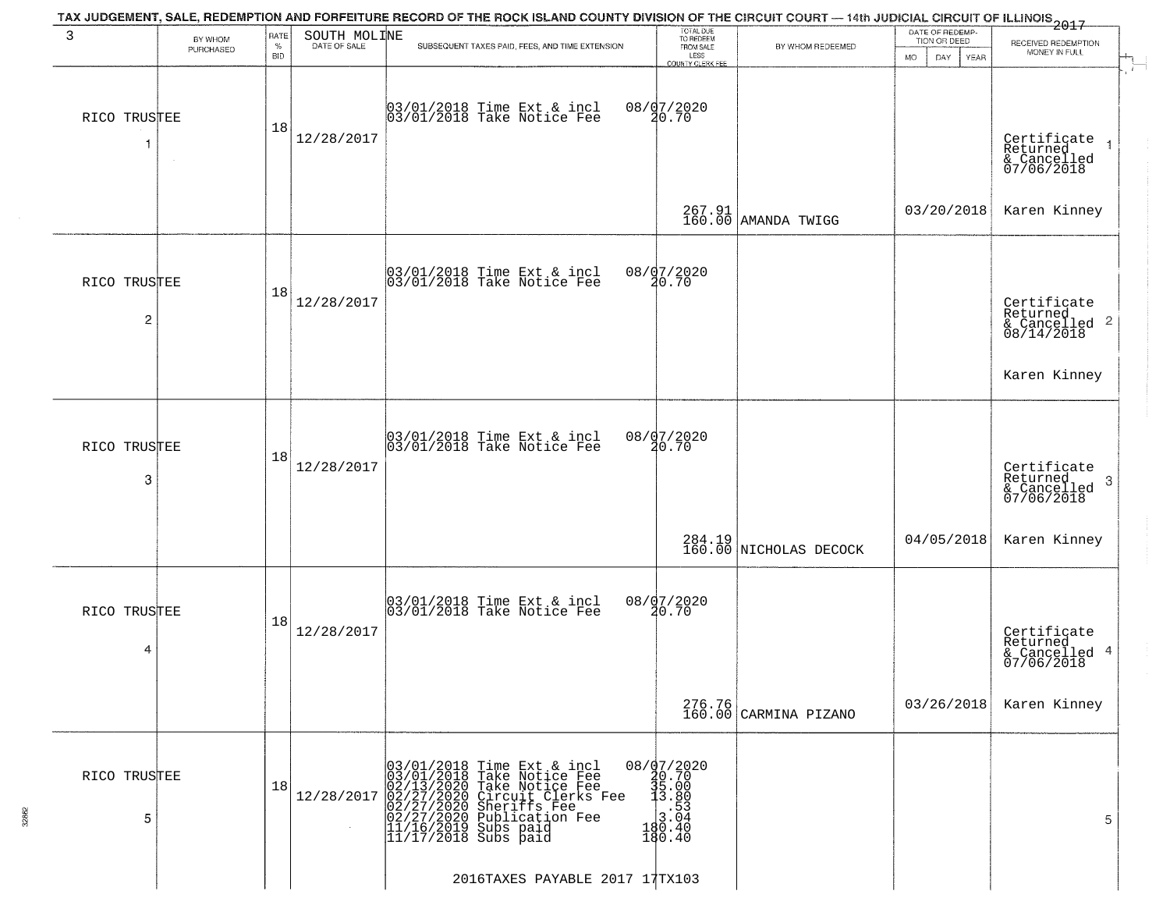| 3                              | BY WHOM<br>PURCHASED | RATE<br>$\%$<br><b>BID</b> | SOUTH MOLINE<br>DATE OF SALE | TAX JUDGEMENT, SALE, REDEMPTION AND FORFEITURE RECORD OF THE ROCK ISLAND COUNTY DIVISION OF THE CIRCUIT COURT — 14th JUDICIAL CIRCUIT OF ILLINOIS 2017<br>SUBSEQUENT TAXES PAID, FEES, AND TIME EXTENSION                        | TOTAL DUE<br>TO REDEEM<br>FROM SALE<br>LESS<br>COUNTY CLERK FEE          | BY WHOM REDEEMED                 | DATE OF REDEMP-<br>TION OR DEED<br><b>MO</b><br>DAY<br><b>YEAR</b> | RECEIVED REDEMPTION<br>MONEY IN FULL                               |
|--------------------------------|----------------------|----------------------------|------------------------------|----------------------------------------------------------------------------------------------------------------------------------------------------------------------------------------------------------------------------------|--------------------------------------------------------------------------|----------------------------------|--------------------------------------------------------------------|--------------------------------------------------------------------|
| RICO TRUSTEE                   |                      | 18                         | 12/28/2017                   | 03/01/2018 Time Ext & incl<br>03/01/2018 Take Notice Fee                                                                                                                                                                         | 08/07/2020<br>20.70                                                      |                                  |                                                                    | Certificate<br>Returned<br>& Cancelled<br>07/06/2018               |
|                                |                      |                            |                              |                                                                                                                                                                                                                                  |                                                                          | 267.91<br>160.00 AMANDA TWIGG    | 03/20/2018                                                         | Karen Kinney                                                       |
| RICO TRUSTEE<br>$\overline{c}$ |                      | 18                         | 12/28/2017                   | 03/01/2018 Time Ext & incl<br>03/01/2018 Take Notice Fee                                                                                                                                                                         | 08/07/2020<br>20.70                                                      |                                  |                                                                    | Certificate<br>Returned<br>$\frac{1}{6}$ Cancelled 2<br>08/14/2018 |
|                                |                      |                            |                              |                                                                                                                                                                                                                                  |                                                                          |                                  |                                                                    | Karen Kinney                                                       |
| RICO TRUSTEE<br>3              |                      | 18                         | 12/28/2017                   | 03/01/2018 Time Ext & incl<br>03/01/2018 Take Notice Fee                                                                                                                                                                         | 08/07/2020<br>20.70                                                      |                                  |                                                                    | Certificate<br>Returned<br>3<br>& Cancelled<br>07/06/2018          |
|                                |                      |                            |                              |                                                                                                                                                                                                                                  |                                                                          | 284.19<br>160.00 NICHOLAS DECOCK | 04/05/2018                                                         | Karen Kinney                                                       |
| RICO TRUSTEE<br>4              |                      | 18                         | 12/28/2017                   | 03/01/2018 Time Ext & incl<br>03/01/2018 Take Notice Fee                                                                                                                                                                         | 08/07/2020<br>20.70                                                      |                                  |                                                                    | Certificate<br>Returned<br>& Cancelled 4<br>07/06/2018             |
|                                |                      |                            |                              |                                                                                                                                                                                                                                  |                                                                          | 276.76<br>160.00 CARMINA PIZANO  | 03/26/2018                                                         | Karen Kinney                                                       |
| RICO TRUSTEE<br>5              |                      | 18                         | 12/28/2017                   | 03/01/2018 Time Ext & incl<br>03/01/2018 Take Notice Fee<br>02/13/2020 Take Notice Fee<br>02/27/2020 Circuit Clerks Fee<br>02/27/2020 Sheriffs Fee<br>02/27/2020 Publication Fee<br>11/16/2019 Subs paid<br>11/17/2018 Subs paid | 08/07/2020<br>30.70<br>35.00<br>3.80<br>3.04<br>3.04<br>480.40<br>180.40 |                                  |                                                                    | 5                                                                  |
|                                |                      |                            |                              | 2016TAXES PAYABLE 2017 17TX103                                                                                                                                                                                                   |                                                                          |                                  |                                                                    |                                                                    |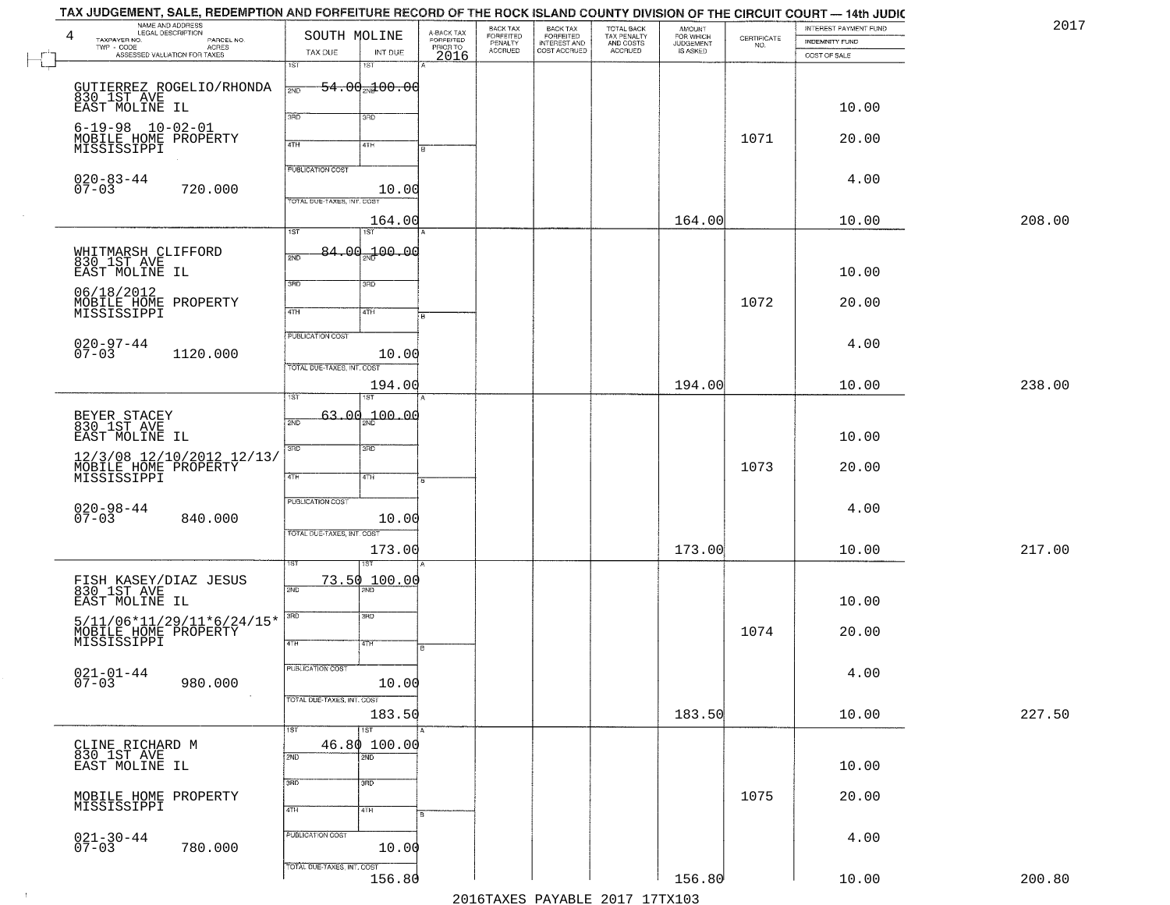| TAX JUDGEMENT, SALE, REDEMPTION AND FORFEITURE RECORD OF THE ROCK ISLAND COUNTY DIVISION OF THE CIRCUIT COURT — 14th JUDIC<br>NAME AND ADDRESS<br>LEGAL DESCRIPTION<br>4 | SOUTH MOLINE               |                            | A-BACK TAX<br>FORFEITED | BACK TAX                        |                                                       |                                                   | <b>AMOUNT</b>                      |                                                                 | INTEREST PAYMENT FUND                 | 2017   |
|--------------------------------------------------------------------------------------------------------------------------------------------------------------------------|----------------------------|----------------------------|-------------------------|---------------------------------|-------------------------------------------------------|---------------------------------------------------|------------------------------------|-----------------------------------------------------------------|---------------------------------------|--------|
| TAXPAYER NO.<br>PARCEL NO.<br>TWP - CODE<br>- CODE ACRES<br>ASSESSED VALUATION FOR TAXES                                                                                 | TAX DUE                    | INT DUE                    | PRIOR TO<br>2016        | FORFEITED<br>PENALTY<br>ACCRUED | BACK TAX<br>FORFEITED<br>INTEREST AND<br>COST ACCRUED | TOTAL BACK<br>TAX PENALTY<br>AND COSTS<br>ACCRUED | FOR WHICH<br>JUDGEMENT<br>IS ASKED | $\begin{array}{c} \text{CERTIFICATE} \\ \text{NO.} \end{array}$ | <b>INDEMNITY FUND</b><br>COST OF SALE |        |
|                                                                                                                                                                          | 1ST                        | 18T                        |                         |                                 |                                                       |                                                   |                                    |                                                                 |                                       |        |
| GUTIERREZ ROGELIO/RHONDA<br>830 IST AVE                                                                                                                                  | 2ND                        | $-54.00 - 00.00$           |                         |                                 |                                                       |                                                   |                                    |                                                                 |                                       |        |
| EAST MOLINE IL                                                                                                                                                           | 3BD                        | 3BD                        |                         |                                 |                                                       |                                                   |                                    |                                                                 | 10.00                                 |        |
| $6 - 19 - 98$ $10 - 02 - 01$<br>MOBILE HOME PROPERTY                                                                                                                     |                            |                            |                         |                                 |                                                       |                                                   |                                    | 1071                                                            | 20.00                                 |        |
| MISSISSIPPI                                                                                                                                                              | 4TH                        | 4TH                        |                         |                                 |                                                       |                                                   |                                    |                                                                 |                                       |        |
| $020 - 83 - 44$                                                                                                                                                          | <b>PUBLICATION COST</b>    |                            |                         |                                 |                                                       |                                                   |                                    |                                                                 | 4.00                                  |        |
| $07 - 03$<br>720.000                                                                                                                                                     | TOTAL DUE-TAXES, INT. COST | 10.00                      |                         |                                 |                                                       |                                                   |                                    |                                                                 |                                       |        |
|                                                                                                                                                                          | $\overline{\text{1ST}}$    | 164.00<br>1ST <sup>-</sup> |                         |                                 |                                                       |                                                   | 164.00                             |                                                                 | 10.00                                 | 208.00 |
|                                                                                                                                                                          |                            | 84.00.100.00               |                         |                                 |                                                       |                                                   |                                    |                                                                 |                                       |        |
| WHITMARSH CLIFFORD<br>830 1ST AVE<br>EAST MOLINE IL                                                                                                                      | 2ND                        |                            |                         |                                 |                                                       |                                                   |                                    |                                                                 | 10.00                                 |        |
| 06/18/2012                                                                                                                                                               | 3RD                        | 3RD                        |                         |                                 |                                                       |                                                   |                                    |                                                                 |                                       |        |
| MOBILE HOME PROPERTY<br>MISSISSIPPI                                                                                                                                      | $\overline{47H}$           | 4TH                        |                         |                                 |                                                       |                                                   |                                    | 1072                                                            | 20.00                                 |        |
|                                                                                                                                                                          | PUBLICATION COST           |                            |                         |                                 |                                                       |                                                   |                                    |                                                                 | 4.00                                  |        |
| $020 - 97 - 44$<br>07-03<br>1120.000                                                                                                                                     |                            | 10.00                      |                         |                                 |                                                       |                                                   |                                    |                                                                 |                                       |        |
|                                                                                                                                                                          | TOTAL DUE-TAXES, INT. COST | 194.00                     |                         |                                 |                                                       |                                                   | 194.00                             |                                                                 | 10.00                                 | 238.00 |
|                                                                                                                                                                          | ST                         |                            |                         |                                 |                                                       |                                                   |                                    |                                                                 |                                       |        |
| BEYER STACEY<br>830 1ST AVE                                                                                                                                              | 2ND                        | 63.00 <sub>m</sub> 100.00  |                         |                                 |                                                       |                                                   |                                    |                                                                 |                                       |        |
| EAST MOLINE IL<br>12/3/08 12/10/2012 12/13/                                                                                                                              | 3BD                        | 3 <sub>BD</sub>            |                         |                                 |                                                       |                                                   |                                    |                                                                 | 10.00                                 |        |
| MOBILE HOME PROPERTY<br>MISSISSIPPI                                                                                                                                      | 4TH                        | 4TH                        |                         |                                 |                                                       |                                                   |                                    | 1073                                                            | 20.00                                 |        |
|                                                                                                                                                                          | <b>PUBLICATION COST</b>    |                            |                         |                                 |                                                       |                                                   |                                    |                                                                 |                                       |        |
| 020-98-44<br>07-03<br>840.000                                                                                                                                            |                            | 10.00                      |                         |                                 |                                                       |                                                   |                                    |                                                                 | 4.00                                  |        |
|                                                                                                                                                                          | TOTAL OUE-TAXES, INT. COST |                            |                         |                                 |                                                       |                                                   |                                    |                                                                 |                                       |        |
|                                                                                                                                                                          |                            | 173.00<br>लि               |                         |                                 |                                                       |                                                   | 173.00                             |                                                                 | 10.00                                 | 217.00 |
| FISH KASEY/DIAZ JESUS<br>830 1ST AVE                                                                                                                                     | 73.50<br>2ND               | 100.00                     |                         |                                 |                                                       |                                                   |                                    |                                                                 |                                       |        |
| EAST MOLINE IL                                                                                                                                                           | 3RD                        | 3BD                        |                         |                                 |                                                       |                                                   |                                    |                                                                 | 10.00                                 |        |
| $5/11/06*11/29/11*6/24/15*$<br>MOBILE HOME PROPERTY<br>MISSISSIPPI                                                                                                       |                            |                            |                         |                                 |                                                       |                                                   |                                    | 1074                                                            | 20.00                                 |        |
|                                                                                                                                                                          | 4TH                        | याम                        |                         |                                 |                                                       |                                                   |                                    |                                                                 |                                       |        |
| $021 - 01 - 44$<br>07-03<br>980.000                                                                                                                                      | PUBLICATION COST           | 10.00                      |                         |                                 |                                                       |                                                   |                                    |                                                                 | 4.00                                  |        |
|                                                                                                                                                                          | TOTAL DUE-TAXES, INT. COST |                            |                         |                                 |                                                       |                                                   |                                    |                                                                 |                                       |        |
|                                                                                                                                                                          |                            | 183.50                     |                         |                                 |                                                       |                                                   | 183.50                             |                                                                 | 10.00                                 | 227.50 |
| CLINE RICHARD M<br>830 1ST AVE                                                                                                                                           | 1ST                        | 1ST<br>46.80 100.00        |                         |                                 |                                                       |                                                   |                                    |                                                                 |                                       |        |
| EAST MOLINE IL                                                                                                                                                           | 2ND                        | 2ND                        |                         |                                 |                                                       |                                                   |                                    |                                                                 | 10.00                                 |        |
|                                                                                                                                                                          | 3BD                        | 3 <sub>RD</sub>            |                         |                                 |                                                       |                                                   |                                    | 1075                                                            | 20.00                                 |        |
| MOBILE HOME PROPERTY<br>MISSISSIPPI                                                                                                                                      | 4TH                        | 4TH                        |                         |                                 |                                                       |                                                   |                                    |                                                                 |                                       |        |
|                                                                                                                                                                          | PUBLICATION COST           |                            |                         |                                 |                                                       |                                                   |                                    |                                                                 | 4.00                                  |        |
| $021 - 30 - 44$<br>07-03<br>780.000                                                                                                                                      |                            | 10.00                      |                         |                                 |                                                       |                                                   |                                    |                                                                 |                                       |        |
|                                                                                                                                                                          | TOTAL DUE-TAXES, INT. COST | 156.80                     |                         |                                 |                                                       |                                                   | 156.80                             |                                                                 | 10.00                                 | 200.80 |
|                                                                                                                                                                          |                            |                            |                         |                                 |                                                       | 2016TAXES PAYABLE 2017 17TX103                    |                                    |                                                                 |                                       |        |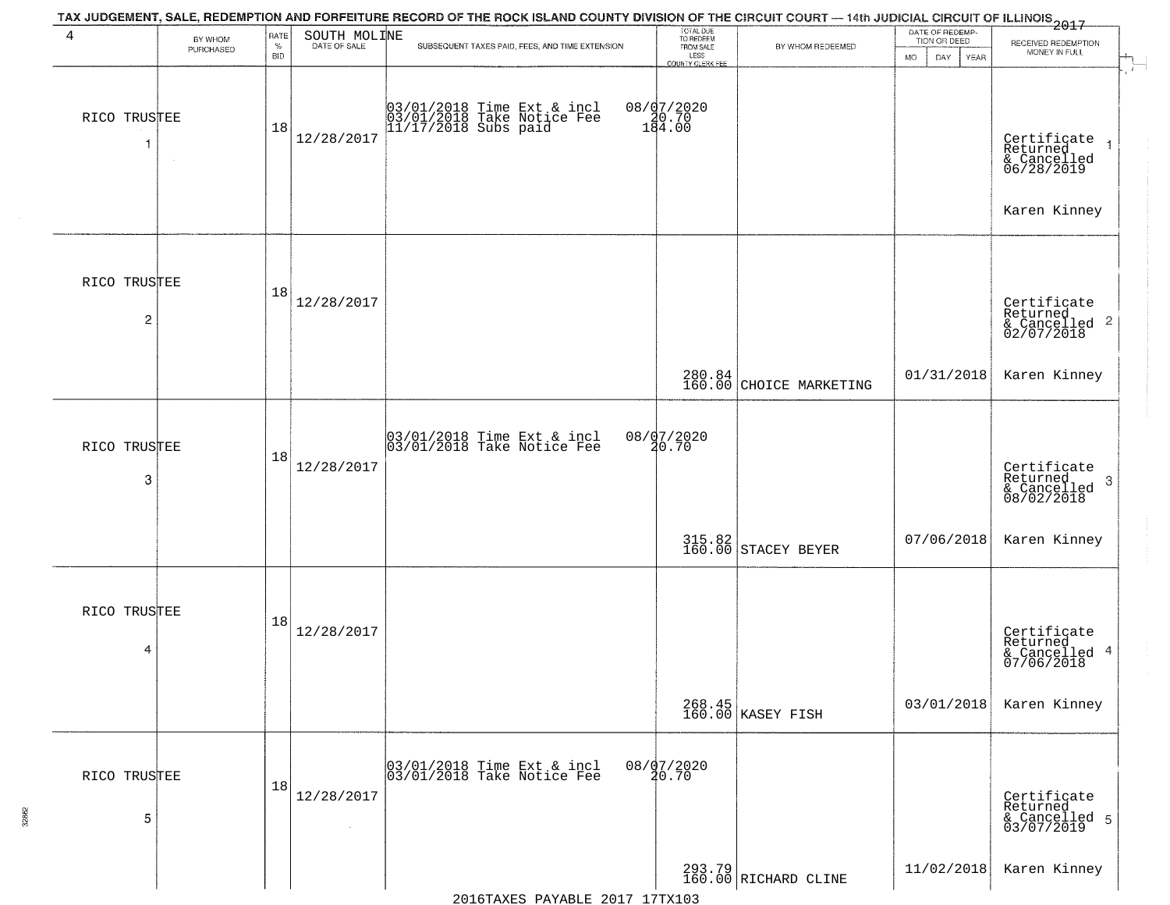| 4                 | BY WHOM<br>PURCHASED | <b>RATE</b><br>$\%$<br><b>BID</b> | SOUTH MOLINE | TAX JUDGEMENT, SALE, REDEMPTION AND FORFEITURE RECORD OF THE ROCK ISLAND COUNTY DIVISION OF THE CIRCUIT COURT — 14th JUDICIAL CIRCUIT OF ILLINOIS 2017<br>SUBSEQUENT TAXES PAID, FEES, AND TIME EXTENSION | TOTAL DUE<br>TO REDEEM<br>FROM SALE<br>LESS<br>COUNTY CLERK FEE | BY WHOM REDEEMED                  | DATE OF REDEMP-<br>TION OR DEED<br><b>MO</b><br>DAY<br><b>YEAR</b> | RECEIVED REDEMPTION<br>MONEY IN FULL                                 |
|-------------------|----------------------|-----------------------------------|--------------|-----------------------------------------------------------------------------------------------------------------------------------------------------------------------------------------------------------|-----------------------------------------------------------------|-----------------------------------|--------------------------------------------------------------------|----------------------------------------------------------------------|
| RICO TRUSTEE      |                      | 18                                | 12/28/2017   | 03/01/2018 Time Ext & incl<br>03/01/2018 Take Notice Fee<br>11/17/2018 Subs paid                                                                                                                          | 08/07/2020<br>10.70<br>184.00                                   |                                   |                                                                    | Certificate<br>Returned<br>& Cancelled<br>06/28/2019                 |
|                   |                      |                                   |              |                                                                                                                                                                                                           |                                                                 |                                   |                                                                    | Karen Kinney                                                         |
| RICO TRUSTEE<br>2 |                      | 18                                | 12/28/2017   |                                                                                                                                                                                                           |                                                                 |                                   |                                                                    | Certificate<br>Returned<br>& Cancelled 2<br>02/07/2018               |
|                   |                      |                                   |              |                                                                                                                                                                                                           |                                                                 | 280.84<br>160.00 CHOICE MARKETING | 01/31/2018                                                         | Karen Kinney                                                         |
| RICO TRUSTEE<br>3 |                      | 18                                | 12/28/2017   | 03/01/2018 Time Ext & incl<br>03/01/2018 Take Notice Fee                                                                                                                                                  | 08/07/2020<br>20.70                                             |                                   |                                                                    | Certificate<br>Returned<br>$\mathbf{3}$<br>& Cancelled<br>08/02/2018 |
|                   |                      |                                   |              |                                                                                                                                                                                                           |                                                                 | 315.82<br>160.00 STACEY BEYER     | 07/06/2018                                                         | Karen Kinney                                                         |
| RICO TRUSTEE<br>4 |                      | 18                                | 12/28/2017   |                                                                                                                                                                                                           |                                                                 |                                   |                                                                    | Certificate<br>Returned<br>& Cancelled 4<br>07/06/2018               |
|                   |                      |                                   |              |                                                                                                                                                                                                           |                                                                 | 268.45<br>160.00 KASEY FISH       | 03/01/2018                                                         | Karen Kinney                                                         |
| RICO TRUSTEE<br>5 |                      | 18                                | 12/28/2017   | 03/01/2018 Time Ext & incl<br>03/01/2018 Take Notice Fee                                                                                                                                                  | 08/07/2020<br>20.70                                             |                                   |                                                                    | Certificate<br>Returned<br>& Cancelled 5<br>03/07/2019               |
|                   |                      |                                   |              |                                                                                                                                                                                                           |                                                                 | 293.79<br>160.00 RICHARD CLINE    | 11/02/2018                                                         | Karen Kinney                                                         |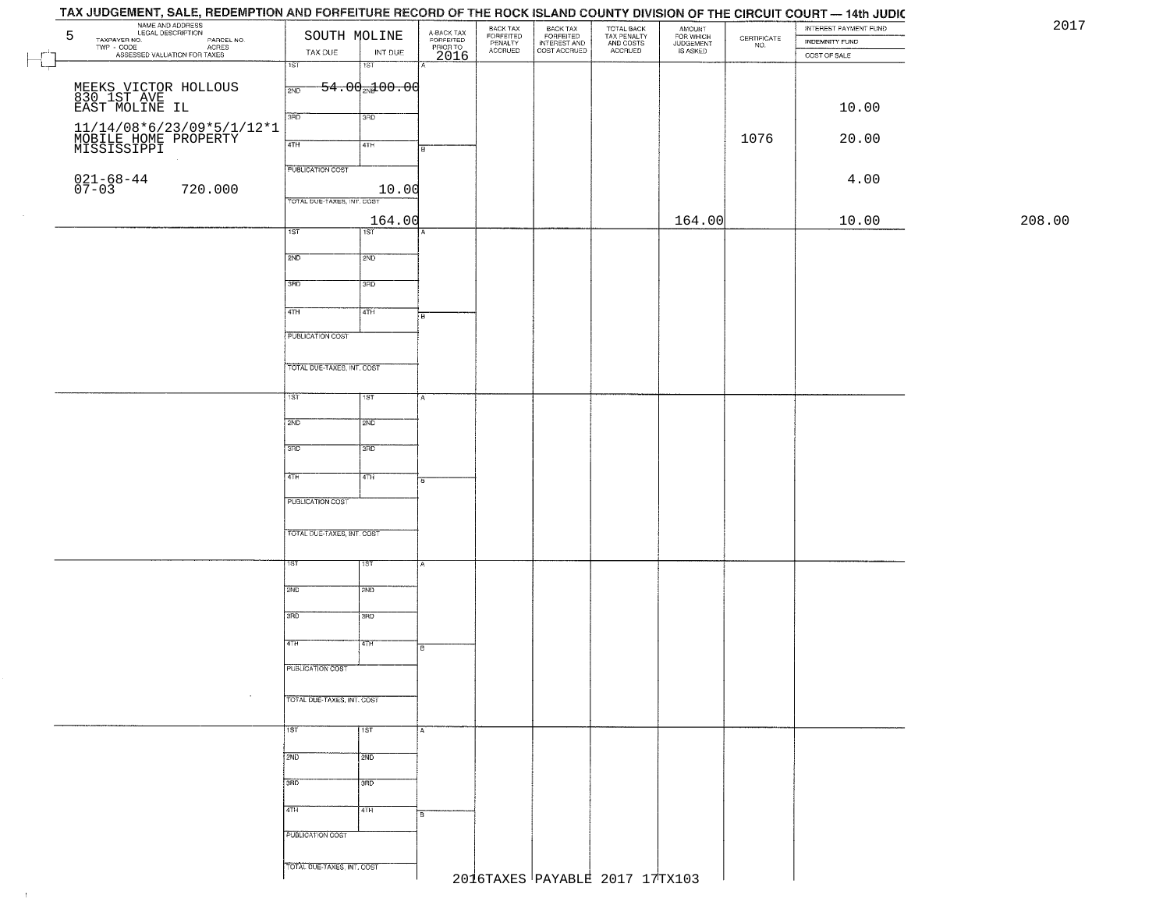## TAX JUDGEMENT, SALE, REDEMPTION AND FORFEITURE RECORD OF THE ROCK ISLAND COUNTY DIVISION OF THE CIRCUIT COURT - 14th JUDIC NAME AND ADDRESS<br>
TAXPAYER NO. LEGAL DESCRIPTION<br>
TWP - CODE CONCILIATION OR AGREE NO.<br>
ASSESSED VALUATION FOR TAXES TAX DUE INT DUE 2017BACK TAX<br>FORFEITED<br>INTEREST AND TOTAL BACK<br>TAX PENALTY<br>AND COSTS AMOUNT<br>FOR WHICH<br>JUDGEMENT<br>IS ASKED BACK TAX INTEREST PAYMENT FUND FORFEITED<br>PENALTY<br>ACCRUED  $\begin{array}{c} \text{CEPTIFICATE} \\ \text{NO.} \end{array}$ INDEMNITY FUND ACRES TAX DUE INT DUE COST ACCRUED ACCRUED COST OF SALE 2016  $\overline{\phantom{a}}$ ाडा 'ST  $54.00 \times 00.00$ MEEKS VICTOR HOLLOUS  $\frac{1}{200}$ 830 1ST AVE EAST MOLINE IL 10.00 11/14/08\*6/23/09\*5/1/12\*1<br>MOBILE HOME PROPERTY<br>MISSISSIPPI 1076 | 20.00 | 20.00 | 20.00 | 20.00 | 20.00 | 20.00 | 20.00 | 20.00 | 20.00 | 20 **PUBLICATION COST** 021-68-44<br>07-03 720.000 10.00 4.00 TOTAL DUE-TAXES INT COST 164.00 164.00 10.00 208.00 $\overline{1ST}$ 1ST<sup>1</sup>  $2ND$ 12ND 3RD 3RD 4TH ৰিয়া **FUBLICATION COST** TOTAL DUE-TAXES, INT. COST TST ST  $2ND$ **SMD**  $3BD$ 3RD  $4TH$  $4TH$ PUBLICATION COST TOTAL OUE-TAXES, INT. COST 2ND **T2ND** 3RD tarao 4TH īΤH PUBLICATION COST TOTAL DUE-TAXES, INT. COST 1ST 1ST  $2ND$  $\frac{1}{2ND}$ 3RD **JAD** 4TH 4TH **PUBLICATION COST** TOTAL DUE-TAXES, INT. COST 2016TAXES PAYABLE 2017 17TX103

 $\pm 1$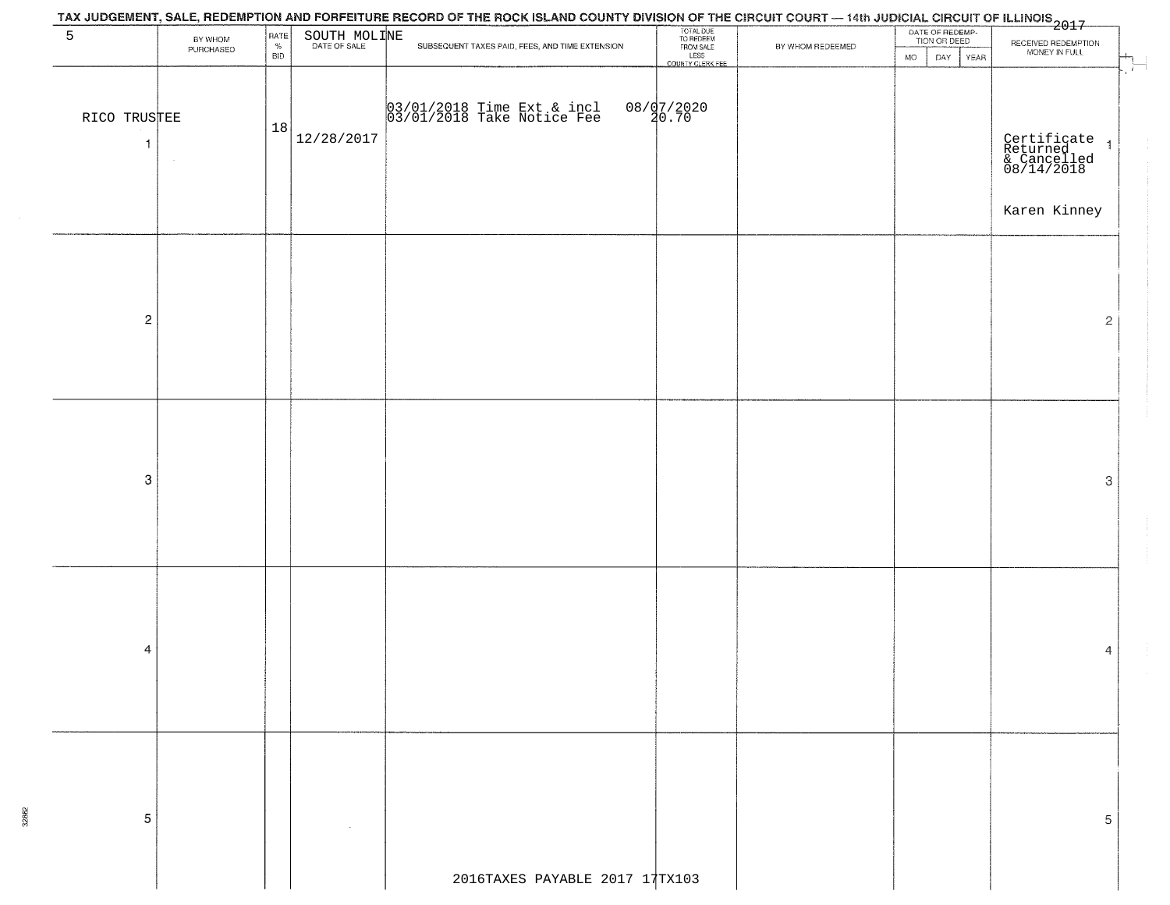|                              |                      |                                                  |              | TAX JUDGEMENT, SALE, REDEMPTION AND FORFEITURE RECORD OF THE ROCK ISLAND COUNTY DIVISION OF THE CIRCUIT COURT — 14th JUDICIAL CIRCUIT OF ILLINOIS<br>1991/1997 - 1992 - 1993 |                                                                 |                  |                                 |                                                        |
|------------------------------|----------------------|--------------------------------------------------|--------------|------------------------------------------------------------------------------------------------------------------------------------------------------------------------------|-----------------------------------------------------------------|------------------|---------------------------------|--------------------------------------------------------|
| 5                            | BY WHOM<br>PURCHASED | $\begin{array}{c} \text{RATE} \\ \% \end{array}$ | SOUTH MOLINE | SUBSEQUENT TAXES PAID, FEES, AND TIME EXTENSION                                                                                                                              | TOTAL DUE<br>TO REDEEM<br>FROM SALE<br>LESS<br>COUNTY CLERK FEE | BY WHOM REDEEMED | DATE OF REDEMP-<br>TION OR DEED | RECEIVED REDEMPTION<br>MONEY IN FULL                   |
|                              |                      | BID                                              |              |                                                                                                                                                                              |                                                                 |                  | DAY<br>YEAR<br><b>MO</b>        | $\overline{\phantom{a}}$                               |
| RICO TRUSTEE<br>$\mathbf{1}$ |                      | 18                                               | 12/28/2017   | 03/01/2018 Time Ext & incl<br>03/01/2018 Take Notice Fee                                                                                                                     | 08/07/2020<br>20.70                                             |                  |                                 | Certificate<br>Returned 1<br>& Cancelled<br>08/14/2018 |
|                              |                      |                                                  |              |                                                                                                                                                                              |                                                                 |                  |                                 |                                                        |
|                              |                      |                                                  |              |                                                                                                                                                                              |                                                                 |                  |                                 | Karen Kinney                                           |
|                              |                      |                                                  |              |                                                                                                                                                                              |                                                                 |                  |                                 |                                                        |
|                              |                      |                                                  |              |                                                                                                                                                                              |                                                                 |                  |                                 |                                                        |
| $\overline{\mathbf{c}}$      |                      |                                                  |              |                                                                                                                                                                              |                                                                 |                  |                                 | $\overline{2}$                                         |
|                              |                      |                                                  |              |                                                                                                                                                                              |                                                                 |                  |                                 |                                                        |
|                              |                      |                                                  |              |                                                                                                                                                                              |                                                                 |                  |                                 |                                                        |
|                              |                      |                                                  |              |                                                                                                                                                                              |                                                                 |                  |                                 |                                                        |
|                              |                      |                                                  |              |                                                                                                                                                                              |                                                                 |                  |                                 |                                                        |
| $\mbox{3}$                   |                      |                                                  |              |                                                                                                                                                                              |                                                                 |                  |                                 | 3                                                      |
|                              |                      |                                                  |              |                                                                                                                                                                              |                                                                 |                  |                                 |                                                        |
|                              |                      |                                                  |              |                                                                                                                                                                              |                                                                 |                  |                                 |                                                        |
|                              |                      |                                                  |              |                                                                                                                                                                              |                                                                 |                  |                                 |                                                        |
|                              |                      |                                                  |              |                                                                                                                                                                              |                                                                 |                  |                                 |                                                        |
|                              |                      |                                                  |              |                                                                                                                                                                              |                                                                 |                  |                                 |                                                        |
| 4                            |                      |                                                  |              |                                                                                                                                                                              |                                                                 |                  |                                 | 4                                                      |
|                              |                      |                                                  |              |                                                                                                                                                                              |                                                                 |                  |                                 |                                                        |
|                              |                      |                                                  |              |                                                                                                                                                                              |                                                                 |                  |                                 |                                                        |
|                              |                      |                                                  |              |                                                                                                                                                                              |                                                                 |                  |                                 |                                                        |
|                              |                      |                                                  |              |                                                                                                                                                                              |                                                                 |                  |                                 |                                                        |
| 5                            |                      |                                                  |              |                                                                                                                                                                              |                                                                 |                  |                                 | 5                                                      |
|                              |                      |                                                  |              |                                                                                                                                                                              |                                                                 |                  |                                 |                                                        |
|                              |                      |                                                  |              | 2016TAXES PAYABLE 2017 17TX103                                                                                                                                               |                                                                 |                  |                                 |                                                        |
|                              |                      |                                                  |              |                                                                                                                                                                              |                                                                 |                  |                                 |                                                        |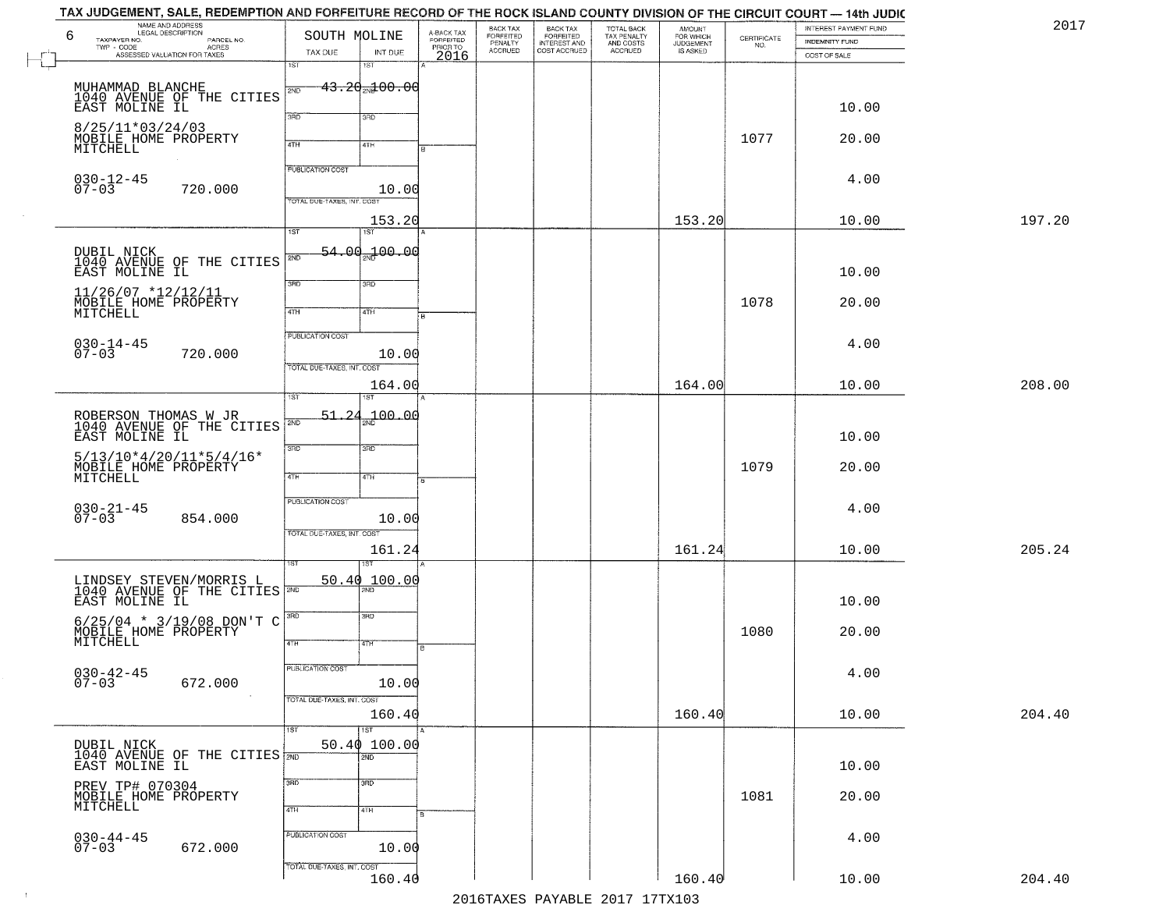| TAX JUDGEMENT, SALE, REDEMPTION AND FORFEITURE RECORD OF THE ROCK ISLAND COUNTY DIVISION OF THE CIRCUIT COURT — 14th JUDIC<br>NAME AND ADDRESS<br>LEGAL DESCRIPTION |                                            |                |                                     | BACK TAX                        | <b>BACK TAX</b>                           |                                                   | <b>AMOUNT</b>                      |                                                                 | INTEREST PAYMENT FUND | 2017   |
|---------------------------------------------------------------------------------------------------------------------------------------------------------------------|--------------------------------------------|----------------|-------------------------------------|---------------------------------|-------------------------------------------|---------------------------------------------------|------------------------------------|-----------------------------------------------------------------|-----------------------|--------|
| 6<br>TAXPAYER NO.<br>PARCEL NO.<br>- CODE<br>ACRES<br>ASSESSED VALUATION FOR TAXES<br>$TWP - CODE$                                                                  | SOUTH MOLINE<br>TAX DUE                    | INT DUE        | A-BACK TAX<br>FORFEITED<br>PRIOR TO | FORFEITED<br>PENALTY<br>ACCRUED | FORFEITED<br>INTEREST AND<br>COST ACCRUED | TOTAL BACK<br>TAX PENALTY<br>AND COSTS<br>ACCRUED | FOR WHICH<br>JUDGEMENT<br>IS ASKED | $\begin{array}{c} \text{CERTIFICATE} \\ \text{NO.} \end{array}$ | INDEMNITY FUND        |        |
|                                                                                                                                                                     | 1ST<br>1ST                                 |                | 2016                                |                                 |                                           |                                                   |                                    |                                                                 | COST OF SALE          |        |
| MUHAMMAD BLANCHE<br>1040 AVENUE OF THE CITIES<br>EAST MOLINE IL                                                                                                     | <del>43.20<sub>20</sub>100.00</del><br>2ND |                |                                     |                                 |                                           |                                                   |                                    |                                                                 |                       |        |
|                                                                                                                                                                     | 3RD<br>3RD                                 |                |                                     |                                 |                                           |                                                   |                                    |                                                                 | 10.00                 |        |
| 8/25/11*03/24/03<br>MOBILE HOME PROPERTY<br>MITCHELL                                                                                                                | 4TH<br>4TH                                 |                |                                     |                                 |                                           |                                                   |                                    | 1077                                                            | 20.00                 |        |
| $030 - 12 - 45$<br>$07 - 03$<br>720.000                                                                                                                             | <b>PUBLICATION COST</b>                    | 10.00          |                                     |                                 |                                           |                                                   |                                    |                                                                 | 4.00                  |        |
|                                                                                                                                                                     | TOTAL DUE-TAXES, INT. COST                 |                |                                     |                                 |                                           |                                                   |                                    |                                                                 |                       |        |
|                                                                                                                                                                     | 1ST<br>1ST                                 | 153.20         |                                     |                                 |                                           |                                                   | 153.20                             |                                                                 | 10.00                 | 197.20 |
| DUBIL NICK<br>1040 AVENUE OF THE CITIES<br>EAST MOLINE IL                                                                                                           | 54.00<br>2ND                               | <u>가 00.00</u> |                                     |                                 |                                           |                                                   |                                    |                                                                 | 10.00                 |        |
| $11/26/07$ *12/12/11<br>MOBILE HOME PROPERTY                                                                                                                        | 3RD<br>3RD                                 |                |                                     |                                 |                                           |                                                   |                                    | 1078                                                            | 20.00                 |        |
| MITCHELL                                                                                                                                                            | 47H<br>4TH<br><b>PUBLICATION COST</b>      |                |                                     |                                 |                                           |                                                   |                                    |                                                                 |                       |        |
| $030 - 14 - 45$<br>07-03<br>720.000                                                                                                                                 | TOTAL DUE-TAXES, INT. COST                 | 10.00          |                                     |                                 |                                           |                                                   |                                    |                                                                 | 4.00                  |        |
|                                                                                                                                                                     | isT<br>1ST                                 | 164.00         |                                     |                                 |                                           |                                                   | 164.00                             |                                                                 | 10.00                 | 208.00 |
| ROBERSON THOMAS W JR<br>1040 AVENUE OF THE CITIES                                                                                                                   | $51 - 24$<br>S/ID                          | 100.00         |                                     |                                 |                                           |                                                   |                                    |                                                                 |                       |        |
| EAST MOLINE IL                                                                                                                                                      | 3RD<br>3 <sub>3</sub>                      |                |                                     |                                 |                                           |                                                   |                                    |                                                                 | 10.00                 |        |
| $5/13/10*4/20/11*5/4/16*$<br>MOBILE HOME PROPERTY<br>MITCHELL                                                                                                       | 4TH<br>4TH                                 |                |                                     |                                 |                                           |                                                   |                                    | 1079                                                            | 20.00                 |        |
| $030 - 21 - 45$<br>07-03<br>854.000                                                                                                                                 | <b>PUBLICATION COST</b>                    | 10.00          |                                     |                                 |                                           |                                                   |                                    |                                                                 | 4.00                  |        |
|                                                                                                                                                                     | TOTAL OUE-TAXES, INT. COST                 | 161.24         |                                     |                                 |                                           |                                                   | 161.24                             |                                                                 | 10.00                 | 205.24 |
|                                                                                                                                                                     | ख़                                         |                |                                     |                                 |                                           |                                                   |                                    |                                                                 |                       |        |
| LINDSEY STEVEN/MORRIS L<br>1040 AVENUE OF THE CITIES<br>EAST MOLINE IL                                                                                              | 50.40                                      | 100.00         |                                     |                                 |                                           |                                                   |                                    |                                                                 | 10.00                 |        |
| $6/25/04$ * 3/19/08 DON'T C<br>MOBILE HOME PROPERTY                                                                                                                 | 3BD<br>3RD<br>4TH<br>4TH                   |                |                                     |                                 |                                           |                                                   |                                    | 1080                                                            | 20.00                 |        |
|                                                                                                                                                                     | PUBLICATION COST                           |                |                                     |                                 |                                           |                                                   |                                    |                                                                 |                       |        |
| $030 - 42 - 45$<br>07-03<br>672.000                                                                                                                                 | TOTAL DUE-TAXES, INT. COST                 | 10.00          |                                     |                                 |                                           |                                                   |                                    |                                                                 | 4.00                  |        |
|                                                                                                                                                                     | 1ST<br>1ST                                 | 160.40         |                                     |                                 |                                           |                                                   | 160.40                             |                                                                 | 10.00                 | 204.40 |
| DUBIL NICK<br>1040 AVENUE OF THE CITIES 2ND                                                                                                                         | 50.40 100.00<br>$\overline{2ND}$           |                |                                     |                                 |                                           |                                                   |                                    |                                                                 |                       |        |
| EAST MOLINE IL                                                                                                                                                      | 3RD<br>3 <sub>BD</sub>                     |                |                                     |                                 |                                           |                                                   |                                    |                                                                 | 10.00                 |        |
| PREV TP# 070304<br>MOBILE HOME PROPERTY<br>MITCHELL                                                                                                                 | 4TH<br>4TH                                 |                |                                     |                                 |                                           |                                                   |                                    | 1081                                                            | 20.00                 |        |
| $030 - 44 - 45$<br>07-03                                                                                                                                            | PUBLICATION COST                           |                |                                     |                                 |                                           |                                                   |                                    |                                                                 | 4.00                  |        |
| 672.000                                                                                                                                                             | TOTAL DUE-TAXES, INT. COST                 | 10.00          |                                     |                                 |                                           |                                                   |                                    |                                                                 |                       |        |
|                                                                                                                                                                     |                                            | 160.40         |                                     |                                 |                                           | 2016 TAVEC DAVARIE 2017 17 TAV102                 | 160.40                             |                                                                 | 10.00                 | 204.40 |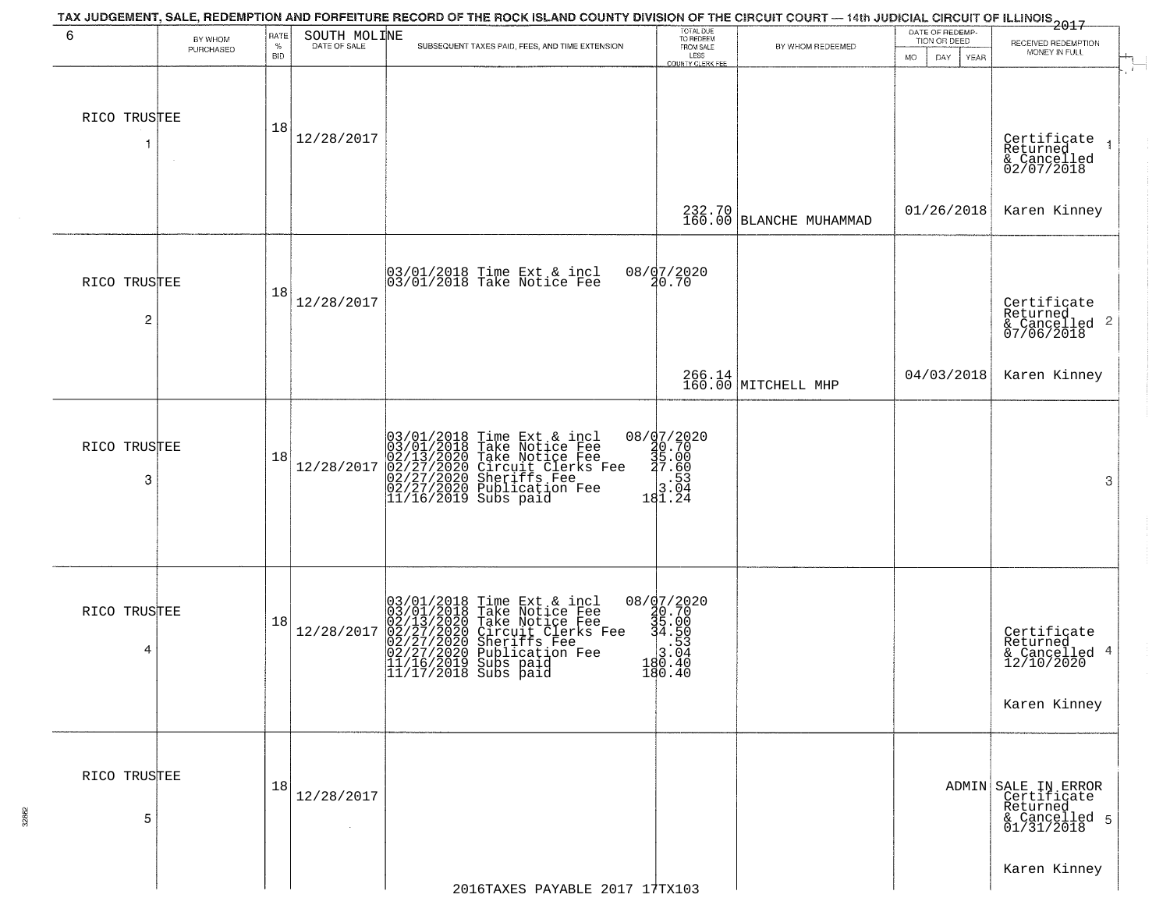|                   |                      |              |                      | TAX JUDGEMENT, SALE, REDEMPTION AND FORFEITURE RECORD OF THE ROCK ISLAND COUNTY DIVISION OF THE CIRCUIT COURT — 14th JUDICIAL CIRCUIT OF ILLINOIS 2017                                                                                                                                                                            | TOTAL DUE<br>TO REDEEM                                                                           |                                   | DATE OF REDEMP-          |                                                                               |
|-------------------|----------------------|--------------|----------------------|-----------------------------------------------------------------------------------------------------------------------------------------------------------------------------------------------------------------------------------------------------------------------------------------------------------------------------------|--------------------------------------------------------------------------------------------------|-----------------------------------|--------------------------|-------------------------------------------------------------------------------|
| 6                 | BY WHOM<br>PURCHASED | RATE<br>$\%$ | SOUTH MOLINE         | SUBSEQUENT TAXES PAID, FEES, AND TIME EXTENSION                                                                                                                                                                                                                                                                                   | FROM SALE                                                                                        | BY WHOM REDEEMED                  | TION OR DEED             | RECEIVED REDEMPTION<br>MONEY IN FULL                                          |
|                   |                      | <b>BID</b>   |                      |                                                                                                                                                                                                                                                                                                                                   | LESS<br>COUNTY CLERK FEE                                                                         |                                   | <b>MO</b><br>DAY<br>YEAR |                                                                               |
| RICO TRUSTEE<br>1 |                      | 18           | 12/28/2017           |                                                                                                                                                                                                                                                                                                                                   |                                                                                                  |                                   |                          | Certificate<br>Returned<br>& Cancelled<br>02/07/2018                          |
|                   |                      |              |                      |                                                                                                                                                                                                                                                                                                                                   |                                                                                                  | 232.70<br>160.00 BLANCHE MUHAMMAD | 01/26/2018               | Karen Kinney                                                                  |
| RICO TRUSTEE      |                      | 18           | 12/28/2017           | 03/01/2018 Time Ext & incl<br>03/01/2018 Take Notice Fee                                                                                                                                                                                                                                                                          | 08/07/2020<br>20.70                                                                              |                                   |                          |                                                                               |
| 2                 |                      |              |                      |                                                                                                                                                                                                                                                                                                                                   |                                                                                                  |                                   |                          | Certificate<br>Returned<br>& Cancelled <sup>2</sup><br>07/06/2018             |
|                   |                      |              |                      |                                                                                                                                                                                                                                                                                                                                   |                                                                                                  | 266.14<br>160.00 MITCHELL MHP     | 04/03/2018               | Karen Kinney                                                                  |
| RICO TRUSTEE<br>3 |                      | 18           | 12/28/2017           | 03/01/2018 Time Ext & incl<br>03/01/2018 Take Notice Fee<br>02/13/2020 Take Notice Fee<br>02/27/2020 Circuit Clerks Fee<br>02/27/2020 Sheriffs Fee<br>02/27/2020 Publication Fee<br>11/16/2019 Subs paid                                                                                                                          | $\begin{array}{r} 08 / \frac{07}{2020} \\ 40.70 \\ 35.00 \\ 27.60 \\ 3.04 \\ 181.24 \end{array}$ |                                   |                          | 3                                                                             |
| RICO TRUSTEE      |                      |              |                      |                                                                                                                                                                                                                                                                                                                                   |                                                                                                  |                                   |                          |                                                                               |
| 4                 |                      | 18           | 12/28/2017           | 03/01/2018 Time Ext &<br>03/01/2018 Take Notic<br>02/13/2020 Take Notic<br>02/27/2020 Circuit Cl<br>02/27/2020 Sublicatic<br>02/27/2020 Publicatic<br>11/16/2019 Subs paid<br>11/17/2018 Subs paid<br>Time Ext & incl<br>Take Notice Fee<br>Take Notice Fee<br>Circuit Clerks Fee<br>Sheriffs Fee<br>Publication Fee<br>Subs paid | $08 / \frac{17}{20.70}$<br>$35.00$<br>$34.50$<br>.53<br>$180.40$<br>180.40<br>180.40             |                                   |                          | Certificate<br>Returned<br>& Cancelled 4<br>12/10/2020                        |
|                   |                      |              |                      |                                                                                                                                                                                                                                                                                                                                   |                                                                                                  |                                   |                          | Karen Kinney                                                                  |
| RICO TRUSTEE<br>5 |                      | 18           | 12/28/2017<br>$\sim$ |                                                                                                                                                                                                                                                                                                                                   |                                                                                                  |                                   |                          | ADMIN SALE IN ERROR<br>Certificate<br>Returned<br>& Cancelled 5<br>01/31/2018 |
|                   |                      |              |                      | 2016TAXES PAVARLE 2017 17TX103                                                                                                                                                                                                                                                                                                    |                                                                                                  |                                   |                          | Karen Kinney                                                                  |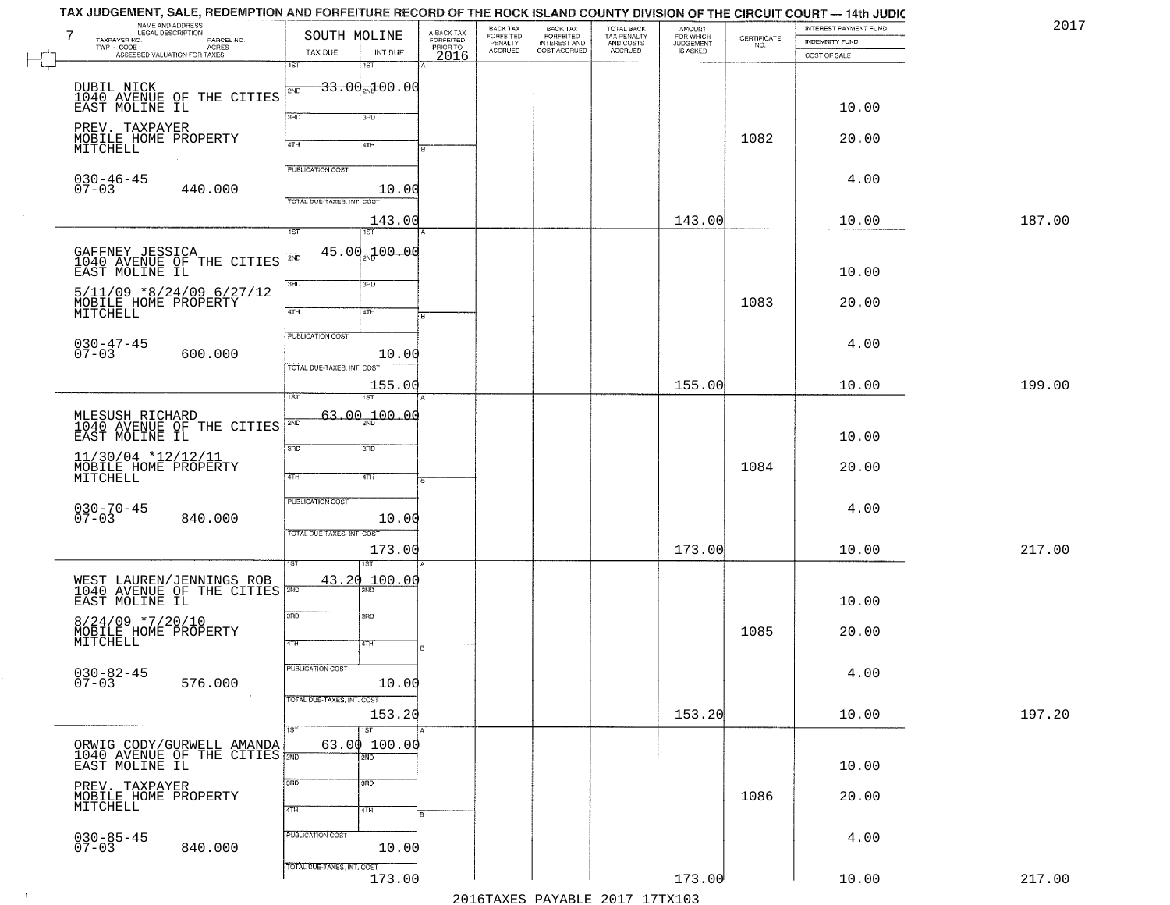|        | INTEREST PAYMENT FUND |                                                                 | AMOUNT<br>FOR WHICH          |                                                   |                                                       | BACK TAX<br>FORFEITED     |                                     | SOUTH MOLINE               |                            | LEGAL DESCRIPTION                                     | 7<br>TAXPAYER NO.                      |
|--------|-----------------------|-----------------------------------------------------------------|------------------------------|---------------------------------------------------|-------------------------------------------------------|---------------------------|-------------------------------------|----------------------------|----------------------------|-------------------------------------------------------|----------------------------------------|
|        | <b>INDEMNITY FUND</b> | $\begin{array}{c} \text{CERTIFICATE} \\ \text{NO.} \end{array}$ | <b>JUDGEMENT</b><br>IS ASKED | TOTAL BACK<br>TAX PENALTY<br>AND COSTS<br>ACCRUED | BACK TAX<br>FORFEITED<br>INTEREST AND<br>COST ACCRUED | PENALTY<br><b>ACCRUED</b> | A-BACK TAX<br>FORFEITED<br>PRIOR TO | INT DUE                    | TAX DUE                    | PARCEL NO.<br>ACRES<br>ASSESSED VALUATION FOR TAXES   | TWP - CODE                             |
|        | COST OF SALE          |                                                                 |                              |                                                   |                                                       |                           | 2016                                | 1ST                        | 1ST                        |                                                       |                                        |
|        |                       |                                                                 |                              |                                                   |                                                       |                           |                                     |                            |                            |                                                       |                                        |
|        |                       |                                                                 |                              |                                                   |                                                       |                           |                                     | $-33.00 - 00.00$           | 2ND                        |                                                       | DUBIL NICK                             |
|        | 10.00                 |                                                                 |                              |                                                   |                                                       |                           |                                     |                            |                            | 1040 AVENUE OF THE CITIES<br>EAST MOLINE IL           |                                        |
|        |                       |                                                                 |                              |                                                   |                                                       |                           |                                     | 3BD                        | 3RD                        |                                                       |                                        |
|        | 20.00                 | 1082                                                            |                              |                                                   |                                                       |                           |                                     |                            |                            |                                                       | PREV. TAXPAYER<br>MOBILE HOME PROPERTY |
|        |                       |                                                                 |                              |                                                   |                                                       |                           |                                     | 4TH                        | 4TH                        |                                                       | MITCHELL                               |
|        |                       |                                                                 |                              |                                                   |                                                       |                           |                                     |                            | <b>PUBLICATION COST</b>    |                                                       |                                        |
|        | 4.00                  |                                                                 |                              |                                                   |                                                       |                           |                                     |                            |                            |                                                       | $030 - 46 - 45$                        |
|        |                       |                                                                 |                              |                                                   |                                                       |                           |                                     | 10.00                      |                            | 440.000                                               | $07 - 03$                              |
|        |                       |                                                                 |                              |                                                   |                                                       |                           |                                     |                            | TOTAL DUE-TAXES, INT. COST |                                                       |                                        |
| 187.00 | 10.00                 |                                                                 | 143.00                       |                                                   |                                                       |                           |                                     | 143.00                     |                            |                                                       |                                        |
|        |                       |                                                                 |                              |                                                   |                                                       |                           |                                     | IST                        | 1ST                        |                                                       |                                        |
|        |                       |                                                                 |                              |                                                   |                                                       |                           |                                     | 45.00 <sub>2N0</sub> 00.00 |                            |                                                       |                                        |
|        |                       |                                                                 |                              |                                                   |                                                       |                           |                                     |                            | 2ND                        | GAFFNEY JESSICA<br>1040 AVENUE OF THE CITIES          |                                        |
|        | 10.00                 |                                                                 |                              |                                                   |                                                       |                           |                                     | 3RD                        | 3RD                        |                                                       | EAST MOLINE IL                         |
|        |                       |                                                                 |                              |                                                   |                                                       |                           |                                     |                            |                            | $5/11/09$ *8/24/09 6/27/12                            |                                        |
|        | 20.00                 | 1083                                                            |                              |                                                   |                                                       |                           |                                     | 4TH                        | 47H                        |                                                       | MOBILE HOME PROPERTY<br>MITCHELL       |
|        |                       |                                                                 |                              |                                                   |                                                       |                           |                                     |                            |                            |                                                       |                                        |
|        |                       |                                                                 |                              |                                                   |                                                       |                           |                                     |                            | PUBLICATION COST           |                                                       |                                        |
|        | 4.00                  |                                                                 |                              |                                                   |                                                       |                           |                                     | 10.00                      |                            | 600.000                                               | $030 - 47 - 45$<br>07-03               |
|        |                       |                                                                 |                              |                                                   |                                                       |                           |                                     |                            | TOTAL DUE-TAXES, INT. COST |                                                       |                                        |
| 199.00 | 10.00                 |                                                                 | 155.00                       |                                                   |                                                       |                           |                                     | 155.00                     |                            |                                                       |                                        |
|        |                       |                                                                 |                              |                                                   |                                                       |                           |                                     | ST                         |                            |                                                       |                                        |
|        |                       |                                                                 |                              |                                                   |                                                       |                           |                                     | 00.0d سم                   | 63.00                      |                                                       |                                        |
|        |                       |                                                                 |                              |                                                   |                                                       |                           |                                     |                            | SVD                        | MLESUSH RICHARD<br>1040 AVENUE OF THE CITIES          |                                        |
|        | 10.00                 |                                                                 |                              |                                                   |                                                       |                           |                                     |                            |                            |                                                       | EAST MOLINE IL                         |
|        |                       |                                                                 |                              |                                                   |                                                       |                           |                                     | 3 <sub>BD</sub>            | 3RD                        |                                                       | 11/30/04 *12/12/11                     |
|        | 20.00                 | 1084                                                            |                              |                                                   |                                                       |                           |                                     |                            |                            |                                                       | MOBILE HOME PROPERTY<br>MITCHELL       |
|        |                       |                                                                 |                              |                                                   |                                                       |                           |                                     | 4TH                        | 4TH                        |                                                       |                                        |
|        |                       |                                                                 |                              |                                                   |                                                       |                           |                                     |                            | <b>PUBLICATION COST</b>    |                                                       |                                        |
|        | 4.00                  |                                                                 |                              |                                                   |                                                       |                           |                                     |                            |                            |                                                       | $030 - 70 - 45$<br>07-03               |
|        |                       |                                                                 |                              |                                                   |                                                       |                           |                                     | 10.00                      |                            | 840.000                                               |                                        |
|        |                       |                                                                 |                              |                                                   |                                                       |                           |                                     |                            | TOTAL OUE-TAXES, INT. COST |                                                       |                                        |
| 217.00 | 10.00                 |                                                                 | 173.00                       |                                                   |                                                       |                           |                                     | 173.00                     |                            |                                                       |                                        |
|        |                       |                                                                 |                              |                                                   |                                                       |                           |                                     |                            |                            |                                                       |                                        |
|        |                       |                                                                 |                              |                                                   |                                                       |                           |                                     | 100.00                     | 43.20<br>2ND               | WEST LAUREN/JENNINGS ROB<br>1040 AVENUE OF THE CITIES |                                        |
|        | 10.00                 |                                                                 |                              |                                                   |                                                       |                           |                                     |                            |                            |                                                       | EAST MOLINE IL                         |
|        |                       |                                                                 |                              |                                                   |                                                       |                           |                                     | 3BD                        | 3RD                        |                                                       |                                        |
|        | 20.00                 | 1085                                                            |                              |                                                   |                                                       |                           |                                     |                            |                            |                                                       | $8/24/09$ *7/20/10                     |
|        |                       |                                                                 |                              |                                                   |                                                       |                           | I B                                 | 47H                        | 4TH                        |                                                       | MOBILE HOME PROPERTY<br>MITCHELL       |
|        |                       |                                                                 |                              |                                                   |                                                       |                           |                                     |                            |                            |                                                       |                                        |
|        | 4.00                  |                                                                 |                              |                                                   |                                                       |                           |                                     |                            | <b>PUBLICATION COST</b>    |                                                       |                                        |
|        |                       |                                                                 |                              |                                                   |                                                       |                           |                                     | 10.00                      |                            | 576.000                                               | $030 - 82 - 45$<br>07-03               |
|        |                       |                                                                 |                              |                                                   |                                                       |                           |                                     |                            | TOTAL DUE-TAXES, INT. COST |                                                       |                                        |
| 197.20 | 10.00                 |                                                                 | 153.20                       |                                                   |                                                       |                           |                                     | 153.20                     |                            |                                                       |                                        |
|        |                       |                                                                 |                              |                                                   |                                                       |                           |                                     | 1ST                        | 1ST <sup>1</sup>           |                                                       |                                        |
|        |                       |                                                                 |                              |                                                   |                                                       |                           |                                     | 63.00100.00                |                            | ORWIG CODY/GURWELL AMANDA                             |                                        |
|        |                       |                                                                 |                              |                                                   |                                                       |                           |                                     | 2ND                        |                            | 1040 AVENUE OF THE CITIES 2ND EAST MOLINE IL          |                                        |
|        | 10.00                 |                                                                 |                              |                                                   |                                                       |                           |                                     |                            |                            |                                                       |                                        |
|        |                       |                                                                 |                              |                                                   |                                                       |                           |                                     | 3 <sub>BD</sub>            | 3RD                        |                                                       | PREV. TAXPAYER<br>MOBILE HOME PROPERTY |
|        | 20.00                 | 1086                                                            |                              |                                                   |                                                       |                           |                                     |                            |                            |                                                       | MITCHELL                               |
|        |                       |                                                                 |                              |                                                   |                                                       |                           |                                     | 4TH                        | 4TH                        |                                                       |                                        |
|        |                       |                                                                 |                              |                                                   |                                                       |                           |                                     |                            | PUBLICATION COST           |                                                       |                                        |
|        | 4.00                  |                                                                 |                              |                                                   |                                                       |                           |                                     | 10.00                      |                            | 840.000                                               | $030 - 85 - 45$<br>07-03               |
|        |                       |                                                                 |                              |                                                   |                                                       |                           |                                     |                            |                            |                                                       |                                        |
|        |                       |                                                                 |                              |                                                   |                                                       |                           |                                     |                            | TOTAL DUE-TAXES, INT. COST |                                                       |                                        |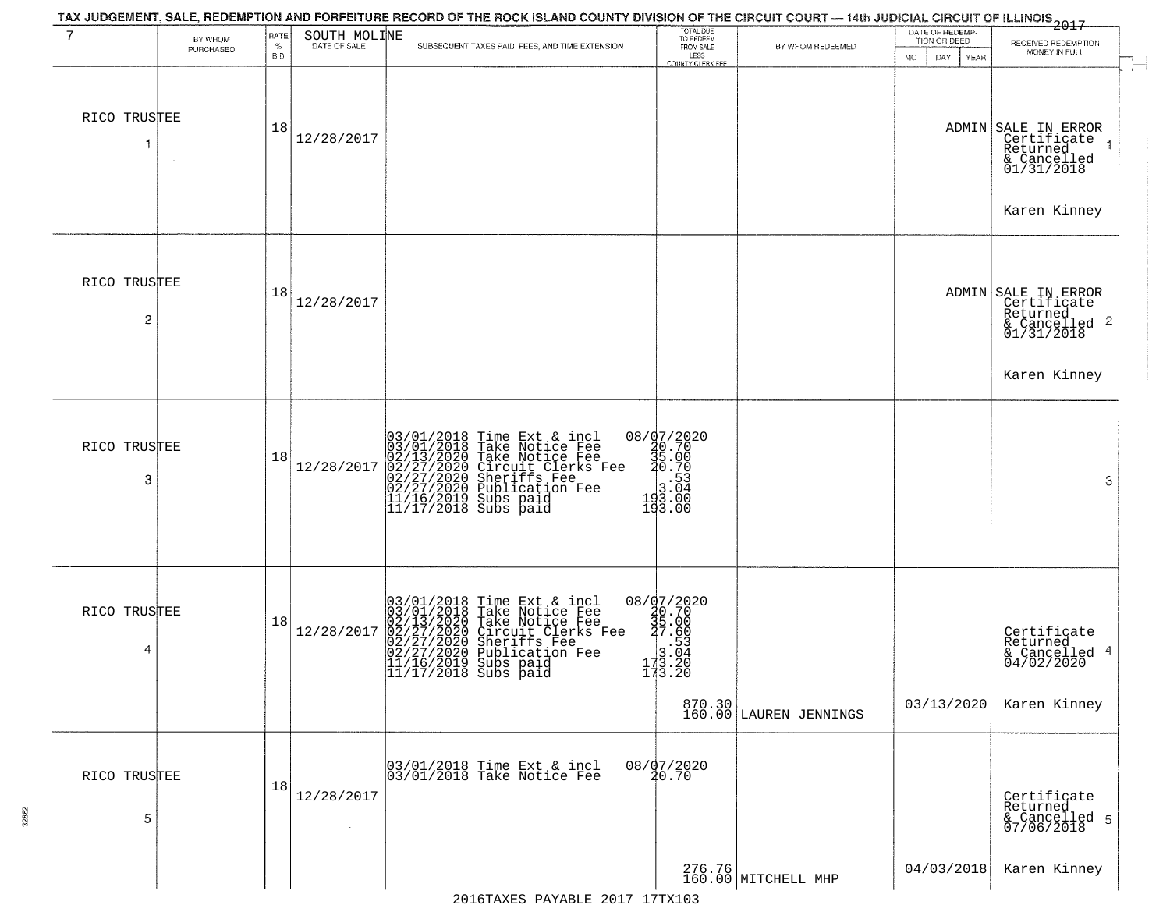| 7                              | BY WHOM<br>PURCHASED | RATE<br>$\%$<br><b>BID</b> | SOUTH MOLINE<br>DATE OF SALE | SUBSEQUENT TAXES PAID, FEES, AND TIME EXTENSION                                                                                                                                                                                       | TOTAL DUE<br>TO REDEEM<br>FROM SALE<br>LESS<br><b>COUNTY CLERK FEE</b>                                                                                                                                                                                                                                                                                    | BY WHOM REDEEMED                 | DATE OF REDEMP-<br>TION OR DEED<br>MO.<br>DAY.<br>YEAR | 2017<br>RECEIVED REDEMPTION<br>MONEY IN FULL                                                              |
|--------------------------------|----------------------|----------------------------|------------------------------|---------------------------------------------------------------------------------------------------------------------------------------------------------------------------------------------------------------------------------------|-----------------------------------------------------------------------------------------------------------------------------------------------------------------------------------------------------------------------------------------------------------------------------------------------------------------------------------------------------------|----------------------------------|--------------------------------------------------------|-----------------------------------------------------------------------------------------------------------|
| RICO TRUSTEE                   |                      | 18                         | 12/28/2017                   |                                                                                                                                                                                                                                       |                                                                                                                                                                                                                                                                                                                                                           |                                  |                                                        | ADMIN SALE IN ERROR<br>Certificate<br>Returned<br>& Cancelled<br>01/31/2018<br>Karen Kinney               |
| RICO TRUSTEE<br>$\overline{c}$ |                      | 18                         | 12/28/2017                   |                                                                                                                                                                                                                                       |                                                                                                                                                                                                                                                                                                                                                           |                                  |                                                        | ADMIN SALE IN ERROR<br>Certificate<br>Returned<br>$\frac{1}{2}$ Cancelled 2<br>01/31/2018<br>Karen Kinney |
| RICO TRUSTEE<br>3              |                      | 18                         | 12/28/2017                   | 03/01/2018 Time Ext & incl<br>03/01/2018 Take Notice Fee<br>02/13/2020 Take Notice Fee<br>02/27/2020 Circuit Clerks Fee<br>02/27/2020 Sublication Fee<br>02/27/2020 Publication Fee<br>11/16/2019 Subs paid<br>11/17/2018 Subs paid   | $\begin{array}{r} 08 \ / \frac{97}{2020} \\ 40.70 \\ 35.00 \\ -2.53 \\ -1.53 \\ -1.04 \\ -1.04 \\ -1.04 \\ -1.04 \\ -1.00 \\ -1.00 \\ -1.00 \\ -1.00 \\ -1.00 \\ -1.00 \\ -1.00 \\ -1.00 \\ -1.00 \\ -1.00 \\ -1.00 \\ -1.00 \\ -1.00 \\ -1.00 \\ -1.00 \\ -1.00 \\ -1.00 \\ -1.00 \\ -1.00 \\ -1.00 \\ -1.00 \\ -1.00 \\ -1.00 \\ -1.00 \\ -1$<br>193.00 |                                  |                                                        | 3                                                                                                         |
| RICO TRUSTEE<br>4              |                      | 18                         | 12/28/2017                   | $03/01/2018$ Time Ext & incl<br>03/01/2018 Take Notice Fee<br>02/13/2020 Take Notice Fee<br>02/27/2020 Circuit Clerks Fee<br>02/27/2020 Sublication Fee<br>02/27/2020 Publication Fee<br>11/16/2019 Subs paid<br>11/17/2018 Subs paid | $20.7008 / 1.7008 / 1.7008 / 1.5088$<br>$20.7008 / 1.6088$<br>$20.7008 / 1.5348$<br>$20.7048$<br>173.20<br>173.20                                                                                                                                                                                                                                         | 870.30<br>160.00 LAUREN JENNINGS | 03/13/2020                                             | Certificate<br>Returned<br>& Cancelled 4<br>04/02/2020<br>Karen Kinney                                    |
| RICO TRUSTEE<br>5              |                      | 18                         | 12/28/2017                   | 03/01/2018 Time Ext & incl<br>03/01/2018 Take Notice Fee                                                                                                                                                                              | $08/\frac{97}{20.70}$                                                                                                                                                                                                                                                                                                                                     | 276.76<br>160.00 MITCHELL MHP    | 04/03/2018                                             | Certificate<br>Returned<br>& Cancelled 5<br>07/06/2018<br>Karen Kinney                                    |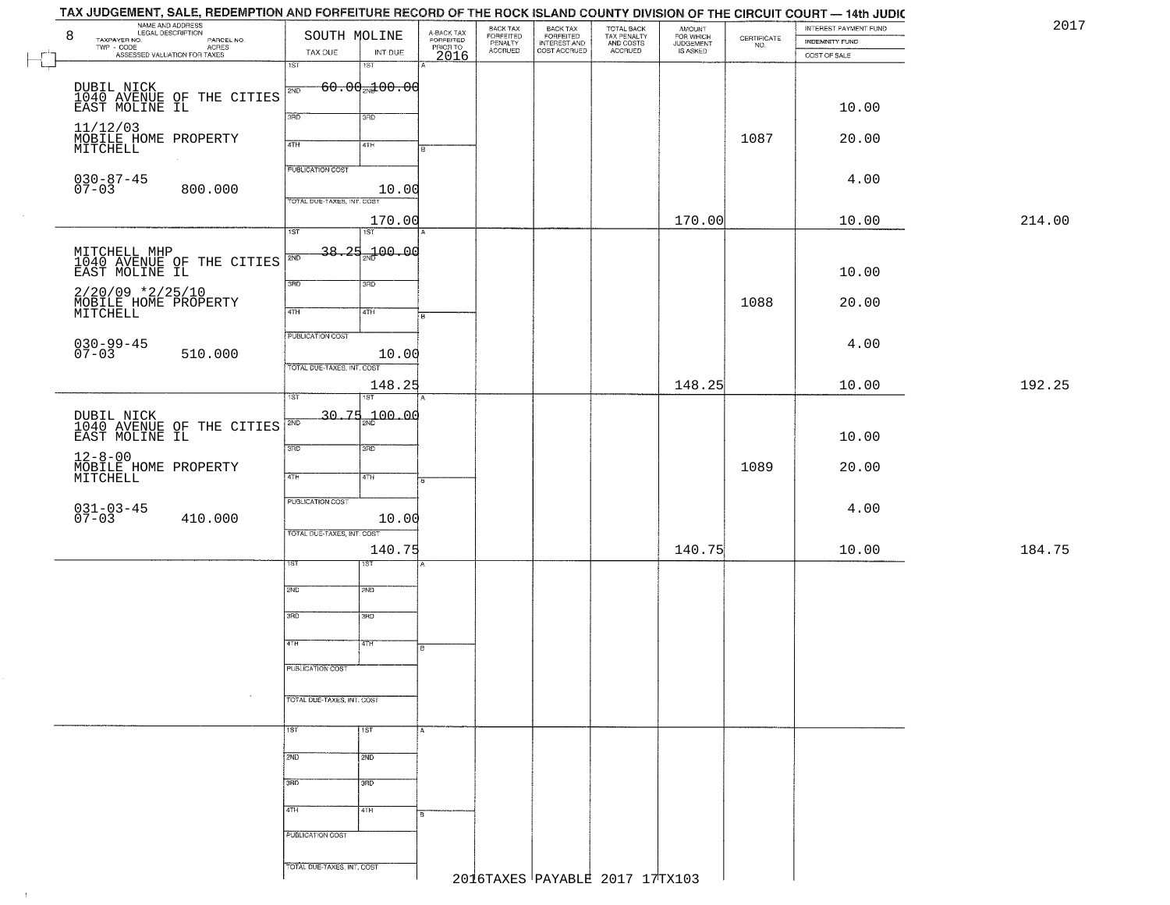|        | TAX JUDGEMENT, SALE, REDEMPTION AND FORFEITURE RECORD OF THE ROCK ISLAND COUNTY DIVISION OF THE CIRCUIT COURT — 14th JUDIC<br>NAME AND ADDRESS<br>8 | SOUTH MOLINE               |                                |                                     | BACK TAX<br>FORFEITED<br>PENALTY |                                                       |                                                   |                                              |                                                                 | INTEREST PAYMENT FUND | 2017   |
|--------|-----------------------------------------------------------------------------------------------------------------------------------------------------|----------------------------|--------------------------------|-------------------------------------|----------------------------------|-------------------------------------------------------|---------------------------------------------------|----------------------------------------------|-----------------------------------------------------------------|-----------------------|--------|
|        | TAXPAYER NO.<br>PARCEL NO.<br>ACRES                                                                                                                 | TAX DUE                    |                                | A-BACK TAX<br>FORFEITED<br>PRIOR TO | <b>ACCRUED</b>                   | BACK TAX<br>FORFEITED<br>INTEREST AND<br>COST ACCRUED | TOTAL BACK<br>TAX PENALTY<br>AND COSTS<br>ACCRUED | AMOUNT<br>FOR WHICH<br>JUDGEMENT<br>IS ASKED | $\begin{array}{c} \text{CEPTIFICATE} \\ \text{NO.} \end{array}$ | <b>INDEMNITY FUND</b> |        |
| $\Box$ | ASSESSED VALUATION FOR TAXES                                                                                                                        | 1ST                        | INT DUE<br>$1S$ T              | 2016                                |                                  |                                                       |                                                   |                                              |                                                                 | COST OF SALE          |        |
|        |                                                                                                                                                     |                            | $60.00$ <sub>2N</sub> $100.00$ |                                     |                                  |                                                       |                                                   |                                              |                                                                 |                       |        |
|        | DUBIL NICK<br>1040 AVENUE OF THE CITIES<br>EAST MOLINE IL                                                                                           | 2ND                        |                                |                                     |                                  |                                                       |                                                   |                                              |                                                                 |                       |        |
|        |                                                                                                                                                     | 3BD                        | 3RD                            |                                     |                                  |                                                       |                                                   |                                              |                                                                 | 10.00                 |        |
|        | 11/12/03<br>MOBILE HOME PROPERTY                                                                                                                    |                            |                                |                                     |                                  |                                                       |                                                   |                                              | 1087                                                            | 20.00                 |        |
|        | MITCHELL                                                                                                                                            | 4TH                        | 4TH                            |                                     |                                  |                                                       |                                                   |                                              |                                                                 |                       |        |
|        |                                                                                                                                                     | <b>PUBLICATION COST</b>    |                                |                                     |                                  |                                                       |                                                   |                                              |                                                                 |                       |        |
|        | $030 - 87 - 45$<br>07-03<br>800.000                                                                                                                 |                            | 10.00                          |                                     |                                  |                                                       |                                                   |                                              |                                                                 | 4.00                  |        |
|        |                                                                                                                                                     | TOTAL DUE-TAXES, INT. COST |                                |                                     |                                  |                                                       |                                                   |                                              |                                                                 |                       |        |
|        |                                                                                                                                                     | $\overline{1ST}$           | 170.00<br>1ST                  |                                     |                                  |                                                       |                                                   | 170.00                                       |                                                                 | 10.00                 | 214.00 |
|        |                                                                                                                                                     |                            |                                |                                     |                                  |                                                       |                                                   |                                              |                                                                 |                       |        |
|        | MITCHELL MHP<br>1040 AVENUE OF THE CITIES                                                                                                           | 2ND                        | 38.25 <sub>25</sub> 100.00     |                                     |                                  |                                                       |                                                   |                                              |                                                                 |                       |        |
|        | EAST MOLINE IL                                                                                                                                      | 3RD                        | 3RD                            |                                     |                                  |                                                       |                                                   |                                              |                                                                 | 10.00                 |        |
|        | $2/20/09$ *2/25/10                                                                                                                                  |                            |                                |                                     |                                  |                                                       |                                                   |                                              | 1088                                                            | 20.00                 |        |
|        | MOBILE HOME PROPERTY<br>MITCHELL                                                                                                                    | $\overline{47H}$           | 4TH                            | $\overline{B}$                      |                                  |                                                       |                                                   |                                              |                                                                 |                       |        |
|        |                                                                                                                                                     | <b>PUBLICATION COST</b>    |                                |                                     |                                  |                                                       |                                                   |                                              |                                                                 |                       |        |
|        | $030 - 99 - 45$<br>07-03<br>510.000                                                                                                                 |                            | 10.00                          |                                     |                                  |                                                       |                                                   |                                              |                                                                 | 4.00                  |        |
|        |                                                                                                                                                     | TOTAL DUE-TAXES, INT. COST |                                |                                     |                                  |                                                       |                                                   |                                              |                                                                 |                       |        |
|        |                                                                                                                                                     |                            | 148.25                         |                                     |                                  |                                                       |                                                   | 148.25                                       |                                                                 | 10.00                 | 192.25 |
|        |                                                                                                                                                     | 1ST                        | 1ST                            |                                     |                                  |                                                       |                                                   |                                              |                                                                 |                       |        |
|        | DUBIL NICK<br>1040 AVENUE OF THE CITIES<br>EAST MOLINE IL                                                                                           | 2ND                        | $30.75 - 100.00$               |                                     |                                  |                                                       |                                                   |                                              |                                                                 |                       |        |
|        |                                                                                                                                                     | 3 <sub>BD</sub>            | 3RD                            |                                     |                                  |                                                       |                                                   |                                              |                                                                 | 10.00                 |        |
|        | $12 - 8 - 00$                                                                                                                                       |                            |                                |                                     |                                  |                                                       |                                                   |                                              | 1089                                                            | 20.00                 |        |
|        | MOBILE HOME PROPERTY<br>MITCHELL                                                                                                                    | 4TH                        | 4TH                            |                                     |                                  |                                                       |                                                   |                                              |                                                                 |                       |        |
|        |                                                                                                                                                     | <b>PUBLICATION COST</b>    |                                |                                     |                                  |                                                       |                                                   |                                              |                                                                 |                       |        |
|        | $031 - 03 - 45$<br>07-03<br>410.000                                                                                                                 |                            | 10.00                          |                                     |                                  |                                                       |                                                   |                                              |                                                                 | 4.00                  |        |
|        |                                                                                                                                                     | TOTAL OUE-TAXES, INT. COST |                                |                                     |                                  |                                                       |                                                   |                                              |                                                                 |                       |        |
|        |                                                                                                                                                     |                            | 140.75                         |                                     |                                  |                                                       |                                                   | 140.75                                       |                                                                 | 10.00                 | 184.75 |
|        |                                                                                                                                                     | sт                         | १९४                            |                                     |                                  |                                                       |                                                   |                                              |                                                                 |                       |        |
|        |                                                                                                                                                     | 2ND                        | 2ND                            |                                     |                                  |                                                       |                                                   |                                              |                                                                 |                       |        |
|        |                                                                                                                                                     | 3RD                        |                                |                                     |                                  |                                                       |                                                   |                                              |                                                                 |                       |        |
|        |                                                                                                                                                     |                            | $\overline{3BD}$               |                                     |                                  |                                                       |                                                   |                                              |                                                                 |                       |        |
|        |                                                                                                                                                     | 4TH                        | 4TH                            | в                                   |                                  |                                                       |                                                   |                                              |                                                                 |                       |        |
|        |                                                                                                                                                     | PUBLICATION COST           |                                |                                     |                                  |                                                       |                                                   |                                              |                                                                 |                       |        |
|        |                                                                                                                                                     |                            |                                |                                     |                                  |                                                       |                                                   |                                              |                                                                 |                       |        |
|        | $\sim$                                                                                                                                              | TOTAL DUE-TAXES, INT. COST |                                |                                     |                                  |                                                       |                                                   |                                              |                                                                 |                       |        |
|        |                                                                                                                                                     |                            |                                |                                     |                                  |                                                       |                                                   |                                              |                                                                 |                       |        |
|        |                                                                                                                                                     | 1ST                        | 1ST                            |                                     |                                  |                                                       |                                                   |                                              |                                                                 |                       |        |
|        |                                                                                                                                                     | 2ND                        | 2ND                            |                                     |                                  |                                                       |                                                   |                                              |                                                                 |                       |        |
|        |                                                                                                                                                     |                            |                                |                                     |                                  |                                                       |                                                   |                                              |                                                                 |                       |        |
|        |                                                                                                                                                     | 3RD                        | 3RD                            |                                     |                                  |                                                       |                                                   |                                              |                                                                 |                       |        |
|        |                                                                                                                                                     | 4TH                        | 4TH                            |                                     |                                  |                                                       |                                                   |                                              |                                                                 |                       |        |
|        |                                                                                                                                                     |                            |                                |                                     |                                  |                                                       |                                                   |                                              |                                                                 |                       |        |
|        |                                                                                                                                                     | PUBLICATION COST           |                                |                                     |                                  |                                                       |                                                   |                                              |                                                                 |                       |        |
|        |                                                                                                                                                     | TOTAL DUE-TAXES, INT. COST |                                |                                     |                                  |                                                       |                                                   |                                              |                                                                 |                       |        |
|        |                                                                                                                                                     |                            |                                |                                     |                                  |                                                       | 2016TAXES PAYABLE 2017 17TX103                    |                                              |                                                                 |                       |        |

 $\sim 4\%$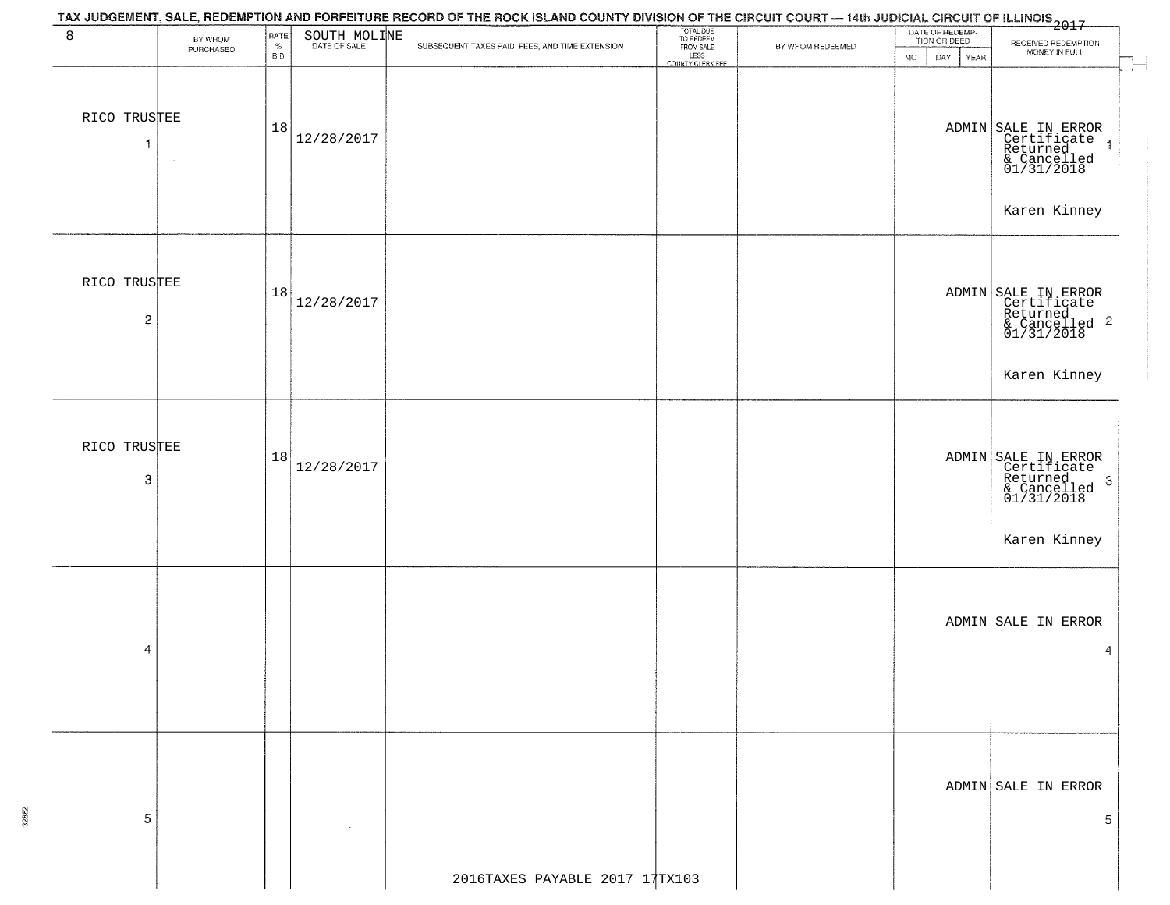|                                |                      |                            |              | TAX JUDGEMENT, SALE, REDEMPTION AND FORFEITURE RECORD OF THE ROCK ISLAND COUNTY DIVISION OF THE CIRCUIT COURT — 14th JUDICIAL CIRCUIT OF ILLINOIS<br>2017 - And Carl County of Management County of Management County of Carl Cou |                                                                 |                  |                                                             |                                                                                                               |
|--------------------------------|----------------------|----------------------------|--------------|-----------------------------------------------------------------------------------------------------------------------------------------------------------------------------------------------------------------------------------|-----------------------------------------------------------------|------------------|-------------------------------------------------------------|---------------------------------------------------------------------------------------------------------------|
| 8                              | BY WHOM<br>PURCHASED | RATE<br>$\%$<br><b>BID</b> | SOUTH MOLINE | SUBSEQUENT TAXES PAID, FEES, AND TIME EXTENSION                                                                                                                                                                                   | TOTAL DUE<br>TO REDEEM<br>FROM SALE<br>LESS<br>COUNTY CLERK FEE | BY WHOM REDEEMED | DATE OF REDEMP-<br>TION OR DEED<br><b>MO</b><br>DAY<br>YEAR | RECEIVED REDEMPTION<br>MONEY IN FULL                                                                          |
| RICO TRUSTEE<br>-1             | $\sim$               | 18                         | 12/28/2017   |                                                                                                                                                                                                                                   |                                                                 |                  |                                                             | $\overline{1}$<br>ADMIN SALE IN ERROR<br>Certificate<br>Returned<br>& Cancelled<br>01/31/2018<br>Karen Kinney |
| RICO TRUSTEE<br>$\overline{2}$ |                      | 18                         | 12/28/2017   |                                                                                                                                                                                                                                   |                                                                 |                  |                                                             | ADMIN SALE IN ERROR<br>Certificate<br>Returned<br>& Cancelled 2<br>01/31/2018<br>Karen Kinney                 |
| RICO TRUSTEE<br>3              |                      | 18                         | 12/28/2017   |                                                                                                                                                                                                                                   |                                                                 |                  |                                                             | ADMIN SALE IN ERROR<br>Certificate<br>Returned<br>& Cancelled<br>01/31/2018<br>$\cdot$ 3<br>Karen Kinney      |
| 4                              |                      |                            |              |                                                                                                                                                                                                                                   |                                                                 |                  |                                                             | ADMIN SALE IN ERROR<br>4                                                                                      |
| 5                              |                      |                            |              |                                                                                                                                                                                                                                   |                                                                 |                  |                                                             | ADMIN SALE IN ERROR<br>5                                                                                      |
|                                |                      |                            |              | 2016TAXES PAYABLE 2017 17TX103                                                                                                                                                                                                    |                                                                 |                  |                                                             |                                                                                                               |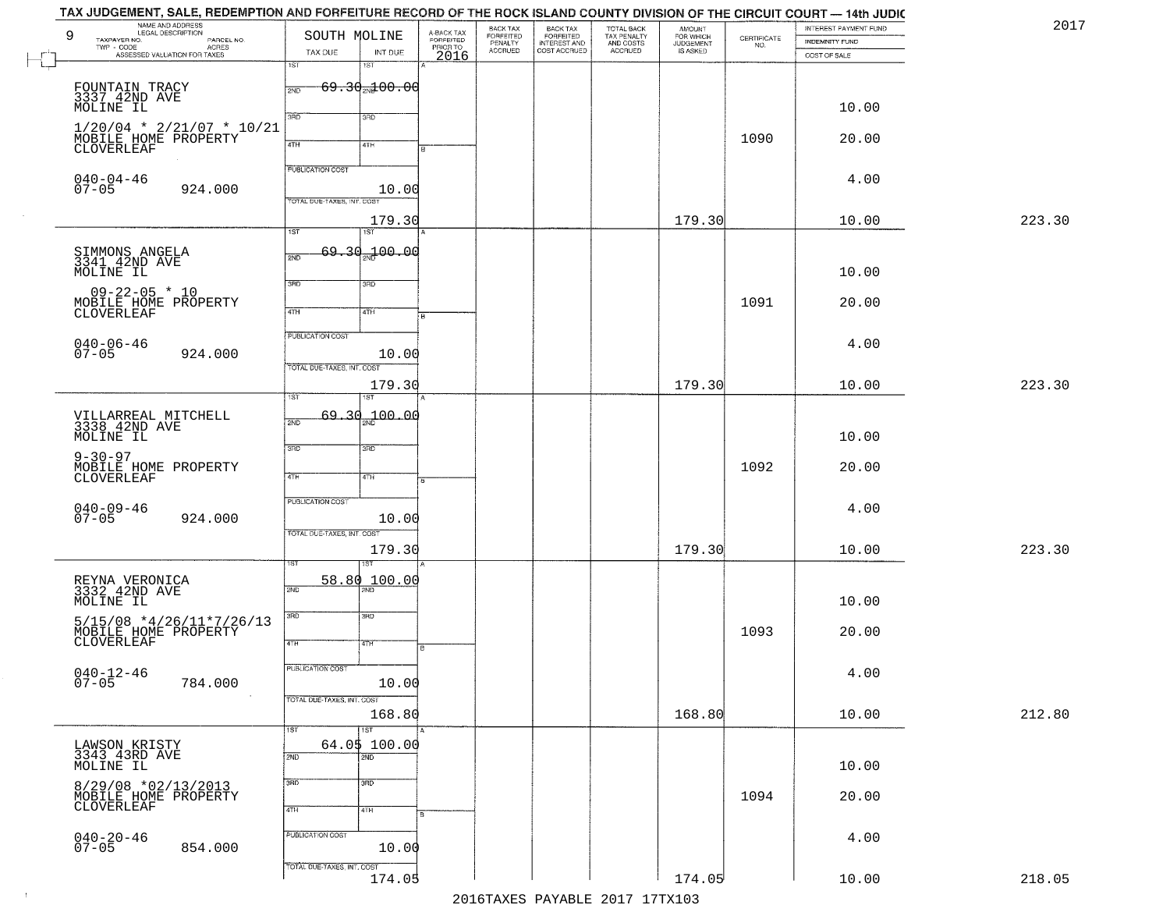|        | INTEREST PAYMENT FUND |                    | <b>AMOUNT</b>                      |                                        |                                                       |                                  |                                     |                            | SOUTH MOLINE               | LEGAL DESCRIPTION                                | 9                                           |
|--------|-----------------------|--------------------|------------------------------------|----------------------------------------|-------------------------------------------------------|----------------------------------|-------------------------------------|----------------------------|----------------------------|--------------------------------------------------|---------------------------------------------|
|        | <b>INDEMNITY FUND</b> | CERTIFICATE<br>NO. | FOR WHICH<br>JUDGEMENT<br>IS ASKED | TOTAL BACK<br>TAX PENALTY<br>AND COSTS | BACK TAX<br>FORFEITED<br>INTEREST AND<br>COST ACCRUED | BACK TAX<br>FORFEITED<br>PENALTY | A-BACK TAX<br>FORFEITED<br>PRIOR TO |                            |                            | PARCEL NO.<br>ACRES                              | TAXPAYER NO.<br>TWP - CODE                  |
|        | COST OF SALE          |                    |                                    | ACCRUED                                |                                                       | <b>ACCRUED</b>                   | 2016                                | INT DUE                    | TAX DUE                    | ASSESSED VALUATION FOR TAXES                     |                                             |
|        |                       |                    |                                    |                                        |                                                       |                                  |                                     | 1ST                        | 1ST                        |                                                  |                                             |
|        |                       |                    |                                    |                                        |                                                       |                                  |                                     | $69.30$ $100.00$           | 2ND                        | FOUNTAIN TRACY<br>3337_42ND AVE                  |                                             |
|        |                       |                    |                                    |                                        |                                                       |                                  |                                     |                            |                            |                                                  |                                             |
|        | 10.00                 |                    |                                    |                                        |                                                       |                                  |                                     | 3BD                        | 3BD                        |                                                  | MOLINE IL                                   |
|        |                       |                    |                                    |                                        |                                                       |                                  |                                     |                            |                            | $1/20/04$ * 2/21/07 * 10/21                      |                                             |
|        | 20.00                 | 1090               |                                    |                                        |                                                       |                                  |                                     | 4TH                        | 4TH                        | MOBILE HOME PROPERTY                             | CLOVERLEAF                                  |
|        |                       |                    |                                    |                                        |                                                       |                                  |                                     |                            |                            |                                                  |                                             |
|        |                       |                    |                                    |                                        |                                                       |                                  |                                     |                            | <b>PUBLICATION COST</b>    |                                                  |                                             |
|        | 4.00                  |                    |                                    |                                        |                                                       |                                  |                                     | 10.00                      |                            | 924.000                                          | $040 - 04 - 46$<br>$07 - 05$                |
|        |                       |                    |                                    |                                        |                                                       |                                  |                                     |                            | TOTAL DUE-TAXES, INT. COST |                                                  |                                             |
|        |                       |                    |                                    |                                        |                                                       |                                  |                                     |                            |                            |                                                  |                                             |
| 223.30 | 10.00                 |                    | 179.30                             |                                        |                                                       |                                  |                                     | 179.30<br><b>IST</b>       | 1ST                        |                                                  |                                             |
|        |                       |                    |                                    |                                        |                                                       |                                  |                                     |                            |                            |                                                  |                                             |
|        |                       |                    |                                    |                                        |                                                       |                                  |                                     | 00.00 <del>س</del>         | $69 - 30$<br>2ND           | SIMMONS ANGELA<br>3341 42ND AVE                  |                                             |
|        | 10.00                 |                    |                                    |                                        |                                                       |                                  |                                     |                            |                            |                                                  | MOLINE IL                                   |
|        |                       |                    |                                    |                                        |                                                       |                                  |                                     | 3RD                        | 3RD                        |                                                  |                                             |
|        |                       |                    |                                    |                                        |                                                       |                                  |                                     |                            |                            | $09 - 22 - 05$ * 10                              |                                             |
|        | 20.00                 | 1091               |                                    |                                        |                                                       |                                  |                                     | 4TH                        | 47H                        | MOBILE HOME PROPERTY<br>CLOVERLEAF               |                                             |
|        |                       |                    |                                    |                                        |                                                       |                                  |                                     |                            |                            |                                                  |                                             |
|        |                       |                    |                                    |                                        |                                                       |                                  |                                     |                            | PUBLICATION COST           |                                                  |                                             |
|        | 4.00                  |                    |                                    |                                        |                                                       |                                  |                                     | 10.00                      |                            | 924.000                                          | $040 - 06 - 46$<br>$07 - 05$                |
|        |                       |                    |                                    |                                        |                                                       |                                  |                                     |                            | TOTAL DUE-TAXES, INT. COST |                                                  |                                             |
| 223.30 | 10.00                 |                    | 179.30                             |                                        |                                                       |                                  |                                     | 179.30                     |                            |                                                  |                                             |
|        |                       |                    |                                    |                                        |                                                       |                                  |                                     | <b>ST</b>                  |                            |                                                  |                                             |
|        |                       |                    |                                    |                                        |                                                       |                                  |                                     |                            |                            |                                                  |                                             |
|        |                       |                    |                                    |                                        |                                                       |                                  |                                     | 69.30 <sub>00</sub> 100.00 | 2ND                        | VILLARREAL MITCHELL<br>3338 42ND AVE             |                                             |
|        | 10.00                 |                    |                                    |                                        |                                                       |                                  |                                     |                            |                            |                                                  | MOLINE IL                                   |
|        |                       |                    |                                    |                                        |                                                       |                                  |                                     | 3RD                        | 3RD                        |                                                  |                                             |
|        | 20.00                 | 1092               |                                    |                                        |                                                       |                                  |                                     |                            |                            | MOBILE HOME PROPERTY                             | $9 - 30 - 97$                               |
|        |                       |                    |                                    |                                        |                                                       |                                  |                                     | 4TH                        | 4TH                        |                                                  | CLOVERLEAF                                  |
|        |                       |                    |                                    |                                        |                                                       |                                  |                                     |                            |                            |                                                  |                                             |
|        | 4.00                  |                    |                                    |                                        |                                                       |                                  |                                     |                            | <b>PUBLICATION COST</b>    |                                                  |                                             |
|        |                       |                    |                                    |                                        |                                                       |                                  |                                     | 10.00                      |                            | 924.000                                          | $040 - 09 - 46$<br>07-05                    |
|        |                       |                    |                                    |                                        |                                                       |                                  |                                     |                            | TOTAL OUE-TAXES, INT. COST |                                                  |                                             |
| 223.30 | 10.00                 |                    | 179.30                             |                                        |                                                       |                                  |                                     | 179.30                     |                            |                                                  |                                             |
|        |                       |                    |                                    |                                        |                                                       |                                  |                                     |                            |                            |                                                  |                                             |
|        |                       |                    |                                    |                                        |                                                       |                                  |                                     | 100.00                     | 58.80                      |                                                  |                                             |
|        |                       |                    |                                    |                                        |                                                       |                                  |                                     |                            | 2ND                        | REYNA VERONICA<br>3332 42ND AVE                  |                                             |
|        | 10.00                 |                    |                                    |                                        |                                                       |                                  |                                     |                            |                            |                                                  | MOLINE IL                                   |
|        |                       |                    |                                    |                                        |                                                       |                                  |                                     | 3BD                        | 3BD                        |                                                  |                                             |
|        | 20.00                 | 1093               |                                    |                                        |                                                       |                                  |                                     |                            |                            | 5/15/08 *4/26/11*7/26/13<br>MOBILE HOME PROPERTY |                                             |
|        |                       |                    |                                    |                                        |                                                       |                                  | 厄                                   | 47H                        | 4TH                        |                                                  | CLOVERLEAF                                  |
|        |                       |                    |                                    |                                        |                                                       |                                  |                                     |                            |                            |                                                  |                                             |
|        | 4.00                  |                    |                                    |                                        |                                                       |                                  |                                     |                            | PUBLICATION COST           |                                                  | $040 - 12 - 46$<br>07-05                    |
|        |                       |                    |                                    |                                        |                                                       |                                  |                                     | 10.00                      |                            | 784.000                                          |                                             |
|        |                       |                    |                                    |                                        |                                                       |                                  |                                     |                            | TOTAL DUE-TAXES, INT. COST | $\sim$ 100 $\mu$                                 |                                             |
| 212.80 | 10.00                 |                    | 168.80                             |                                        |                                                       |                                  |                                     | 168.80                     |                            |                                                  |                                             |
|        |                       |                    |                                    |                                        |                                                       |                                  |                                     | $\overline{\text{1ST}}$    | 1ST                        |                                                  |                                             |
|        |                       |                    |                                    |                                        |                                                       |                                  |                                     | 64.05 100.00               |                            |                                                  |                                             |
|        |                       |                    |                                    |                                        |                                                       |                                  |                                     | 2ND                        | 2ND                        |                                                  | LAWSON KRISTY<br>3343 43RD AVE<br>MOLINE IL |
|        | 10.00                 |                    |                                    |                                        |                                                       |                                  |                                     |                            |                            |                                                  |                                             |
|        |                       |                    |                                    |                                        |                                                       |                                  |                                     | 3 <sub>BD</sub>            | 3RD                        |                                                  |                                             |
|        | 20.00                 | 1094               |                                    |                                        |                                                       |                                  |                                     |                            |                            | 8/29/08 *02/13/2013<br>MOBILE HOME PROPERTY      |                                             |
|        |                       |                    |                                    |                                        |                                                       |                                  |                                     | 4TH                        | 4TH                        |                                                  | CLOVERLEAF                                  |
|        |                       |                    |                                    |                                        |                                                       |                                  |                                     |                            |                            |                                                  |                                             |
|        | 4.00                  |                    |                                    |                                        |                                                       |                                  |                                     |                            | PUBLICATION COST           |                                                  | $040 - 20 - 46$<br>07-05                    |
|        |                       |                    |                                    |                                        |                                                       |                                  |                                     | 10.00                      |                            | 854.000                                          |                                             |
|        |                       |                    |                                    |                                        |                                                       |                                  |                                     |                            | TOTAL DUE-TAXES, INT. COST |                                                  |                                             |
| 218.05 | 10.00                 |                    | 174.05                             |                                        |                                                       |                                  |                                     | 174.05                     |                            |                                                  |                                             |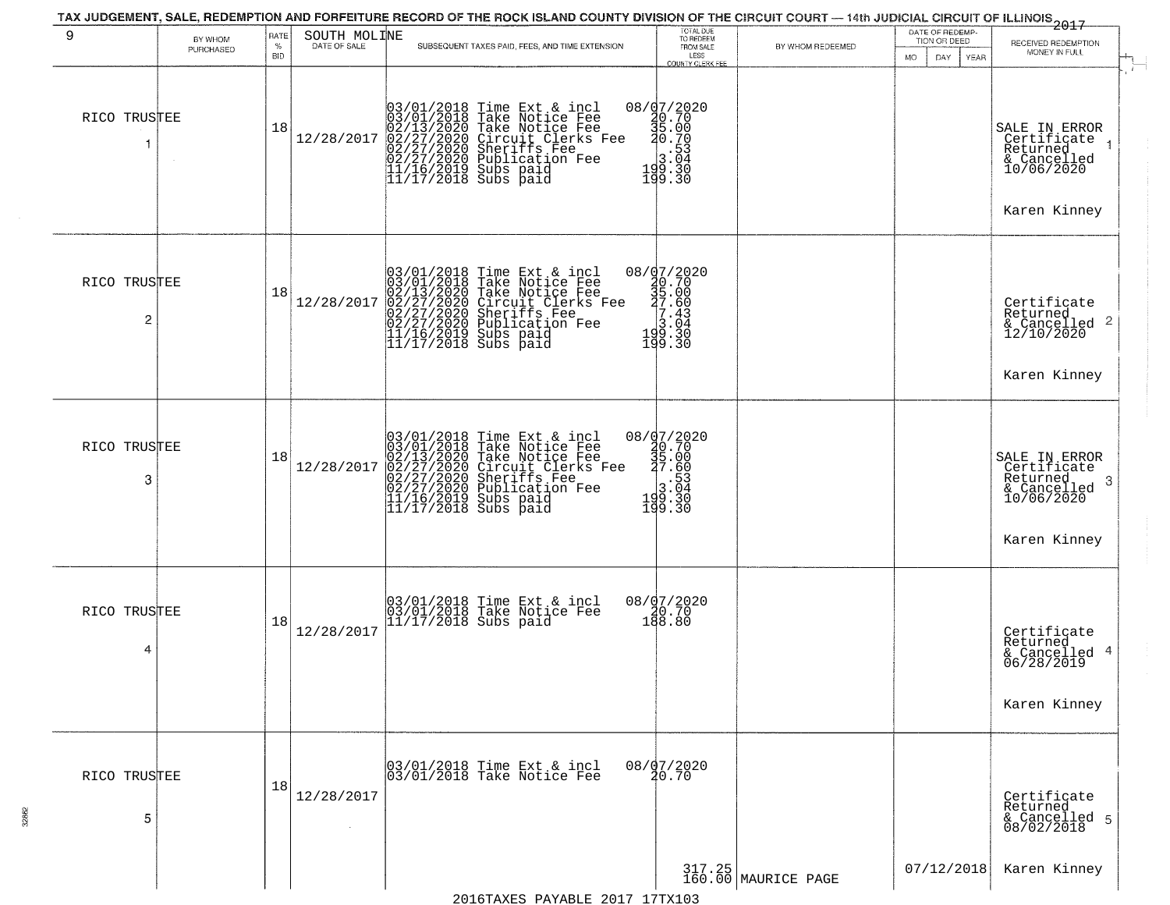| 9                 | BY WHOM<br>PURCHASED | RATE<br>$\%$<br><b>BID</b> | SOUTH MOLINE | SUBSEQUENT TAXES PAID, FEES, AND TIME EXTENSION                                                                                                                                                         | TOTAL DUE<br>TO REDEEM<br>FROM SALE<br>LESS<br>COUNTY CLERK FEE                                                              | BY WHOM REDEEMED              | DATE OF REDEMP-<br>TION OR DEED<br>MO.<br>DAY.<br>YEAR | 2017<br>RECEIVED REDEMPTION<br>MONEY IN FULL                                               |  |
|-------------------|----------------------|----------------------------|--------------|---------------------------------------------------------------------------------------------------------------------------------------------------------------------------------------------------------|------------------------------------------------------------------------------------------------------------------------------|-------------------------------|--------------------------------------------------------|--------------------------------------------------------------------------------------------|--|
| RICO TRUSTEE      |                      | 18                         | 12/28/2017   | $03/01/2018$ Time Ext & incl<br>03/01/2018 Take Notice Fee<br>02/13/2020 Take Notice Fee<br>02/27/2020 Circuit Clerks Fee<br>02/27/2020 Sublication Fee<br>11/16/2019 Subs paid<br>11/17/2018 Subs paid | $08 / \frac{1}{9}$<br>0.70<br>35.00<br>30.70<br>$\begin{array}{r} 18.53 \\ -3.04 \\ 199.30 \\ -199.30 \end{array}$<br>199.30 |                               |                                                        | SALE IN ERROR<br>Certificate<br>Returned<br>& Cancelled<br>10/06/2020<br>Karen Kinney      |  |
| RICO TRUSTEE<br>2 |                      | 18                         | 12/28/2017   | $03/01/2018$ Time Ext & incl<br>03/01/2018 Take Notice Fee<br>02/13/2020 Take Notice Fee<br>02/27/2020 Circuit Clerks Fee<br>02/27/2020 Sublication Fee<br>11/16/2019 Subs paid<br>11/17/2018 Subs paid | 08/07/2020<br>30.70<br>35.00<br>37.43<br>3.04<br>199.30<br>199.30                                                            |                               |                                                        | Certificate<br>Returned<br>$\frac{12}{2}$ Cancelled 2<br>12/10/2020<br>Karen Kinney        |  |
| RICO TRUSTEE<br>3 |                      | 18                         | 12/28/2017   | $03/01/2018$ Time Ext & incl<br>03/01/2018 Take Notice Fee<br>02/13/2020 Take Notice Fee<br>02/27/2020 Circuit Clerks Fee<br>02/27/2020 Sublication Fee<br>11/16/2019 Subs paid<br>11/17/2018 Subs paid | $[0.8737.2020\n30.70\n35.00\n37.60\n3.04\n19.30\n19.30$                                                                      |                               |                                                        | SALE IN ERROR<br>Certificate<br>Returned<br>3<br>& Cancelled<br>10/06/2020<br>Karen Kinney |  |
| RICO TRUSTEE<br>4 |                      | 18                         | 12/28/2017   | 03/01/2018 Time Ext & incl<br>03/01/2018 Take Notice Fee<br>11/17/2018 Subs paid                                                                                                                        | 08/07/2020<br>08/0.70<br>188.80                                                                                              |                               |                                                        | Certificate<br>Returned<br>& Cancelled 4<br>06/28/2019<br>Karen Kinney                     |  |
| RICO TRUSTEE<br>5 |                      | 18                         | 12/28/2017   | 03/01/2018 Time Ext & incl<br>03/01/2018 Take Notice Fee                                                                                                                                                | 08/07/2020<br>20.70                                                                                                          |                               |                                                        | Certificate<br>Returned<br>& Cancelled 5<br>08/02/2018                                     |  |
|                   |                      |                            |              | $0.017$ 17 $m_{\rm H}$                                                                                                                                                                                  |                                                                                                                              | 317.25<br>160.00 MAURICE PAGE | 07/12/2018                                             | Karen Kinney                                                                               |  |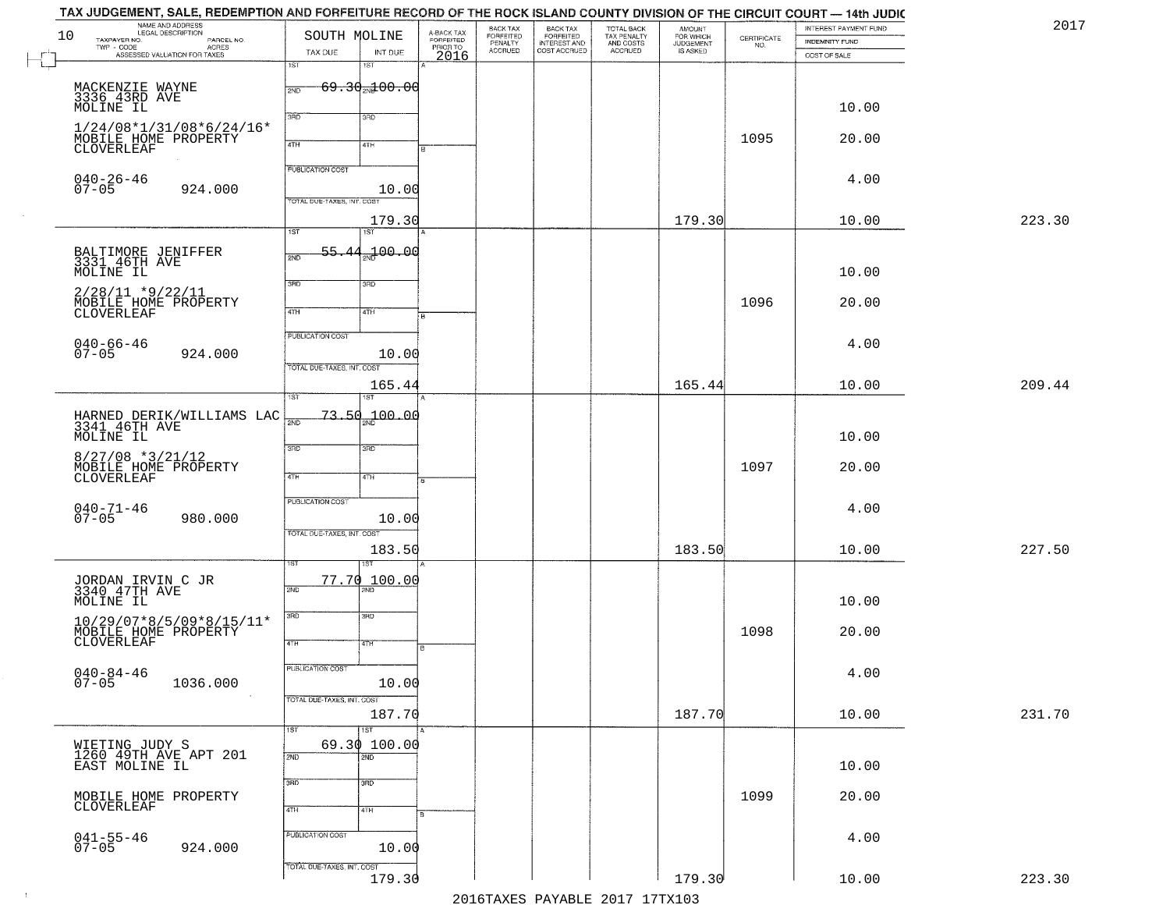|    | TAX JUDGEMENT, SALE, REDEMPTION AND FORFEITURE RECORD OF THE ROCK ISLAND COUNTY DIVISION OF THE CIRCUIT COURT — 14th JUDIC<br>NAME AND ADDRESS<br>LEGAL DESCRIPTION |                            |                                  |                                             | BACK TAX                        |                                                       |                                                   | <b>AMOUNT</b>                      |                                                                 | INTEREST PAYMENT FUND | 2017   |
|----|---------------------------------------------------------------------------------------------------------------------------------------------------------------------|----------------------------|----------------------------------|---------------------------------------------|---------------------------------|-------------------------------------------------------|---------------------------------------------------|------------------------------------|-----------------------------------------------------------------|-----------------------|--------|
| 10 | TAXPAYER NO.<br>PARCEL NO.                                                                                                                                          | SOUTH MOLINE               |                                  |                                             | FORFEITED<br>PENALTY<br>ACCRUED | BACK TAX<br>FORFEITED<br>INTEREST AND<br>COST ACCRUED | TOTAL BACK<br>TAX PENALTY<br>AND COSTS<br>ACCRUED | FOR WHICH<br>JUDGEMENT<br>IS ASKED | $\begin{array}{c} \text{CERTIFICATE} \\ \text{NO.} \end{array}$ | INDEMNITY FUND        |        |
|    | TWP - CODE<br>ASSESSED VALUATION FOR TAXES                                                                                                                          | TAX DUE<br>1ST             | INT DUE<br>1ST                   | A-BACK TAX<br>FORFEITED<br>PRIOR TO<br>2016 |                                 |                                                       |                                                   |                                    |                                                                 | COST OF SALE          |        |
|    |                                                                                                                                                                     |                            |                                  |                                             |                                 |                                                       |                                                   |                                    |                                                                 |                       |        |
|    | MACKENZIE WAYNE<br>3336 43RD AVE                                                                                                                                    | 2ND                        | $69.30_{20}100.00$               |                                             |                                 |                                                       |                                                   |                                    |                                                                 |                       |        |
|    | MOLINE IL                                                                                                                                                           |                            |                                  |                                             |                                 |                                                       |                                                   |                                    |                                                                 | 10.00                 |        |
|    | $1/24/08*1/31/08*6/24/16*$                                                                                                                                          | 3RD                        | 3RD                              |                                             |                                 |                                                       |                                                   |                                    |                                                                 |                       |        |
|    | MOBILE HOME PROPERTY                                                                                                                                                | 4TH                        | 41H                              |                                             |                                 |                                                       |                                                   |                                    | 1095                                                            | 20.00                 |        |
|    | CLOVERLEAF                                                                                                                                                          |                            |                                  |                                             |                                 |                                                       |                                                   |                                    |                                                                 |                       |        |
|    |                                                                                                                                                                     | <b>PUBLICATION COST</b>    |                                  |                                             |                                 |                                                       |                                                   |                                    |                                                                 | 4.00                  |        |
|    | $040 - 26 - 46$<br>07-05<br>924.000                                                                                                                                 |                            | 10.00                            |                                             |                                 |                                                       |                                                   |                                    |                                                                 |                       |        |
|    |                                                                                                                                                                     | TOTAL DUE-TAXES, INT. COST |                                  |                                             |                                 |                                                       |                                                   |                                    |                                                                 |                       |        |
|    |                                                                                                                                                                     | 1ST                        | 179.30<br>1ST                    |                                             |                                 |                                                       |                                                   | 179.30                             |                                                                 | 10.00                 | 223.30 |
|    |                                                                                                                                                                     | 55.44                      |                                  |                                             |                                 |                                                       |                                                   |                                    |                                                                 |                       |        |
|    | BALTIMORE JENIFFER<br>3331 46TH AVE                                                                                                                                 | 2ND                        |                                  |                                             |                                 |                                                       |                                                   |                                    |                                                                 |                       |        |
|    | MOLINE IL                                                                                                                                                           | 3RD                        | 3RD                              |                                             |                                 |                                                       |                                                   |                                    |                                                                 | 10.00                 |        |
|    | $2/28/11$ *9/22/11                                                                                                                                                  |                            |                                  |                                             |                                 |                                                       |                                                   |                                    |                                                                 |                       |        |
|    | MOBILE HOME PROPERTY<br>CLOVERLEAF                                                                                                                                  | 47H                        | 4TH                              |                                             |                                 |                                                       |                                                   |                                    | 1096                                                            | 20.00                 |        |
|    |                                                                                                                                                                     | PUBLICATION COST           |                                  |                                             |                                 |                                                       |                                                   |                                    |                                                                 |                       |        |
|    | $040 - 66 - 46$<br>07-05                                                                                                                                            |                            |                                  |                                             |                                 |                                                       |                                                   |                                    |                                                                 | 4.00                  |        |
|    | 924.000                                                                                                                                                             | TOTAL DUE-TAXES, INT. COST | 10.00                            |                                             |                                 |                                                       |                                                   |                                    |                                                                 |                       |        |
|    |                                                                                                                                                                     |                            | 165.44                           |                                             |                                 |                                                       |                                                   | 165.44                             |                                                                 | 10.00                 | 209.44 |
|    |                                                                                                                                                                     | 1ST                        |                                  |                                             |                                 |                                                       |                                                   |                                    |                                                                 |                       |        |
|    |                                                                                                                                                                     | $\overline{2ND}$           | $73.50 - 00.00$                  |                                             |                                 |                                                       |                                                   |                                    |                                                                 |                       |        |
|    | HARNED DERIK/WILLIAMS LAC<br>3341 46TH AVE<br>MOLINE IL                                                                                                             |                            |                                  |                                             |                                 |                                                       |                                                   |                                    |                                                                 | 10.00                 |        |
|    |                                                                                                                                                                     | 3RD                        | 3BD                              |                                             |                                 |                                                       |                                                   |                                    |                                                                 |                       |        |
|    | $8/27/08$ *3/21/12<br>MOBILE HOME PROPERTY                                                                                                                          |                            |                                  |                                             |                                 |                                                       |                                                   |                                    | 1097                                                            | 20.00                 |        |
|    | CLOVERLEAF                                                                                                                                                          | 4TH                        | 4TH                              |                                             |                                 |                                                       |                                                   |                                    |                                                                 |                       |        |
|    |                                                                                                                                                                     | <b>PUBLICATION COST</b>    |                                  |                                             |                                 |                                                       |                                                   |                                    |                                                                 |                       |        |
|    | $040 - 71 - 46$<br>07-05<br>980.000                                                                                                                                 |                            | 10.00                            |                                             |                                 |                                                       |                                                   |                                    |                                                                 | 4.00                  |        |
|    |                                                                                                                                                                     | TOTAL OUE-TAXES, INT. COST |                                  |                                             |                                 |                                                       |                                                   |                                    |                                                                 |                       |        |
|    |                                                                                                                                                                     |                            | 183.50                           |                                             |                                 |                                                       |                                                   | 183.50                             |                                                                 | 10.00                 | 227.50 |
|    |                                                                                                                                                                     |                            | ख़                               |                                             |                                 |                                                       |                                                   |                                    |                                                                 |                       |        |
|    | JORDAN IRVIN C JR<br>3340 47TH AVE                                                                                                                                  | 2ND                        | 77.70 100.00<br>$\overline{BD}$  |                                             |                                 |                                                       |                                                   |                                    |                                                                 |                       |        |
|    | MOLINE IL                                                                                                                                                           |                            |                                  |                                             |                                 |                                                       |                                                   |                                    |                                                                 | 10.00                 |        |
|    | 10/29/07*8/5/09*8/15/11*                                                                                                                                            | 3RD                        | 3BD                              |                                             |                                 |                                                       |                                                   |                                    |                                                                 |                       |        |
|    | MOBILE HOME PROPERTY                                                                                                                                                |                            |                                  |                                             |                                 |                                                       |                                                   |                                    | 1098                                                            | 20.00                 |        |
|    |                                                                                                                                                                     | 4TH                        | वाम                              |                                             |                                 |                                                       |                                                   |                                    |                                                                 |                       |        |
|    |                                                                                                                                                                     | PUBLICATION COST           |                                  |                                             |                                 |                                                       |                                                   |                                    |                                                                 | 4.00                  |        |
|    | $040 - 84 - 46$<br>07-05<br>1036.000                                                                                                                                |                            | 10.00                            |                                             |                                 |                                                       |                                                   |                                    |                                                                 |                       |        |
|    |                                                                                                                                                                     | TOTAL DUE-TAXES, INT. COST |                                  |                                             |                                 |                                                       |                                                   |                                    |                                                                 |                       |        |
|    |                                                                                                                                                                     |                            | 187.70                           |                                             |                                 |                                                       |                                                   | 187.70                             |                                                                 | 10.00                 | 231.70 |
|    |                                                                                                                                                                     | 1ST                        | $\overline{1}$ ST                |                                             |                                 |                                                       |                                                   |                                    |                                                                 |                       |        |
|    | WIETING JUDY S<br>1260 49TH AVE APT 201                                                                                                                             | 2ND                        | 69.30 100.00<br>$\overline{2ND}$ |                                             |                                 |                                                       |                                                   |                                    |                                                                 |                       |        |
|    | EAST MOLINE IL                                                                                                                                                      |                            |                                  |                                             |                                 |                                                       |                                                   |                                    |                                                                 | 10.00                 |        |
|    |                                                                                                                                                                     | 3RD                        | 3 <sub>BD</sub>                  |                                             |                                 |                                                       |                                                   |                                    |                                                                 |                       |        |
|    | MOBILE HOME PROPERTY<br>CLOVERLEAF                                                                                                                                  | 4TH                        | 4TH                              |                                             |                                 |                                                       |                                                   |                                    | 1099                                                            | 20.00                 |        |
|    |                                                                                                                                                                     |                            |                                  |                                             |                                 |                                                       |                                                   |                                    |                                                                 |                       |        |
|    | $041 - 55 - 46$<br>07-05                                                                                                                                            | PUBLICATION COST           |                                  |                                             |                                 |                                                       |                                                   |                                    |                                                                 | 4.00                  |        |
|    | 924.000                                                                                                                                                             |                            | 10.00                            |                                             |                                 |                                                       |                                                   |                                    |                                                                 |                       |        |
|    |                                                                                                                                                                     | TOTAL DUE-TAXES, INT. COST | 179.30                           |                                             |                                 |                                                       |                                                   | 179.30                             |                                                                 | 10.00                 | 223.30 |
|    |                                                                                                                                                                     |                            |                                  |                                             |                                 |                                                       | 2016 TAVEC DAVARIE 2017 17 TAV102                 |                                    |                                                                 |                       |        |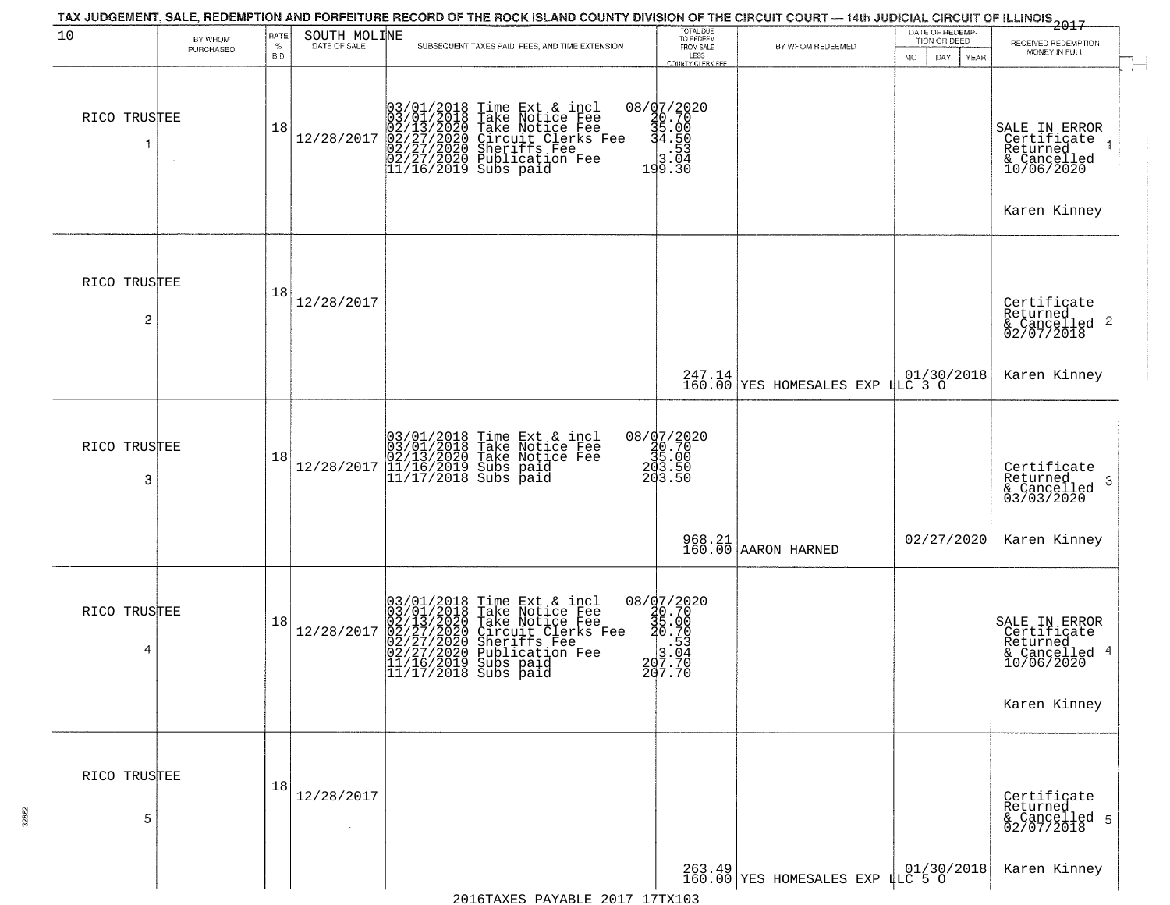| 10                | BY WHOM   | RATE               | SOUTH MOLINE | TAX JUDGEMENT, SALE, REDEMPTION AND FORFEITURE RECORD OF THE ROCK ISLAND COUNTY DIVISION OF THE CIRCUIT COURT — 14th JUDICIAL CIRCUIT OF ILLINOIS 2017                                                                                                                                                                          | TOTAL DUE<br>TO REDEEM<br>FROM SALE                                                          |                                      | DATE OF REDEMP-                            |                                                                                             |
|-------------------|-----------|--------------------|--------------|---------------------------------------------------------------------------------------------------------------------------------------------------------------------------------------------------------------------------------------------------------------------------------------------------------------------------------|----------------------------------------------------------------------------------------------|--------------------------------------|--------------------------------------------|---------------------------------------------------------------------------------------------|
|                   | PURCHASED | $\%$<br><b>BID</b> | DATE OF SALE | SUBSEQUENT TAXES PAID, FEES, AND TIME EXTENSION                                                                                                                                                                                                                                                                                 | LESS                                                                                         | BY WHOM REDEEMED                     | TION OR DEED<br>MO.<br>DAY.<br><b>YEAR</b> | RECEIVED REDEMPTION<br>MONEY IN FULL                                                        |
| RICO TRUSTEE<br>1 |           | 18                 | 12/28/2017   | 03/01/2018 Time Ext & incl<br>03/01/2018 Take Notice Fee<br>02/13/2020 Take Notice Fee<br>02/27/2020 Circuit Clerks Fee<br>02/27/2020 Sheriffs Fee<br>02/27/2020 Publication Fee<br>11/16/2019 Subs paid                                                                                                                        | <b>COUNTY CLERK FEE</b><br>08/07/2020<br>20.70<br>35.00<br>34.50<br>3.53<br>103.94<br>199.30 |                                      |                                            | SALE IN ERROR<br>Certificate<br>Returned<br>& Cancelled<br>10/06/2020<br>Karen Kinney       |
| RICO TRUSTEE<br>2 |           | 18                 | 12/28/2017   |                                                                                                                                                                                                                                                                                                                                 |                                                                                              |                                      |                                            | Certificate<br>Returned<br>$\overline{2}$<br>& Cancelled<br>02/07/2018                      |
|                   |           |                    |              |                                                                                                                                                                                                                                                                                                                                 |                                                                                              | $247.14$<br>160.00 YES HOMESALES EXP | $1.01/30/2018$<br>LLC 3 0                  | Karen Kinney                                                                                |
| RICO TRUSTEE<br>3 |           | 18                 | 12/28/2017   | 03/01/2018 Time Ext & incl<br>03/01/2018 Take Notice Fee<br>02/13/2020 Take Notice Fee<br>01/16/2019 Subs paid<br>11/17/2018 Subs paid                                                                                                                                                                                          | 08/d7/2020<br>20.70<br>35.00<br>203.50<br>203.50                                             |                                      |                                            | Certificate<br>Returned<br>3<br>& Cancelled<br>03/03/2020                                   |
|                   |           |                    |              |                                                                                                                                                                                                                                                                                                                                 |                                                                                              | 968.21<br>160.00 AARON HARNED        | 02/27/2020                                 | Karen Kinney                                                                                |
| RICO TRUSTEE<br>4 |           | 18                 | 12/28/2017   | 03/01/2018 Time Ext &<br>03/01/2018 Take Notic<br>02/13/2020 Take Notic<br>02/27/2020 Circuit Cl<br>02/27/2020 Sheriffs<br>02/27/2020 Publicatic<br>11/16/2019 Subs paid<br>11/17/2018 Subs paid<br>Time Ext & incl<br>Take Notice Fee<br>Take Notice Fee<br>Circuit Clerks Fee<br>Sheriffs Fee<br>Publication Fee<br>Subs paid | $08 / \frac{07}{20.70}$<br>30.70<br>35.00<br>30.70<br>$207.70$<br>$207.70$                   |                                      |                                            | SALE IN ERROR<br>Certificate<br>Returned<br>-4<br>& Cancelled<br>10/06/2020<br>Karen Kinney |
| RICO TRUSTEE<br>5 |           | 18                 | 12/28/2017   |                                                                                                                                                                                                                                                                                                                                 |                                                                                              |                                      |                                            | Certificate<br>Returned<br>& Cancelled 5<br>02/07/2018                                      |
|                   |           |                    |              |                                                                                                                                                                                                                                                                                                                                 |                                                                                              | 263.49 FES HOMESALES EXP 4LC 5 0     |                                            | Karen Kinney                                                                                |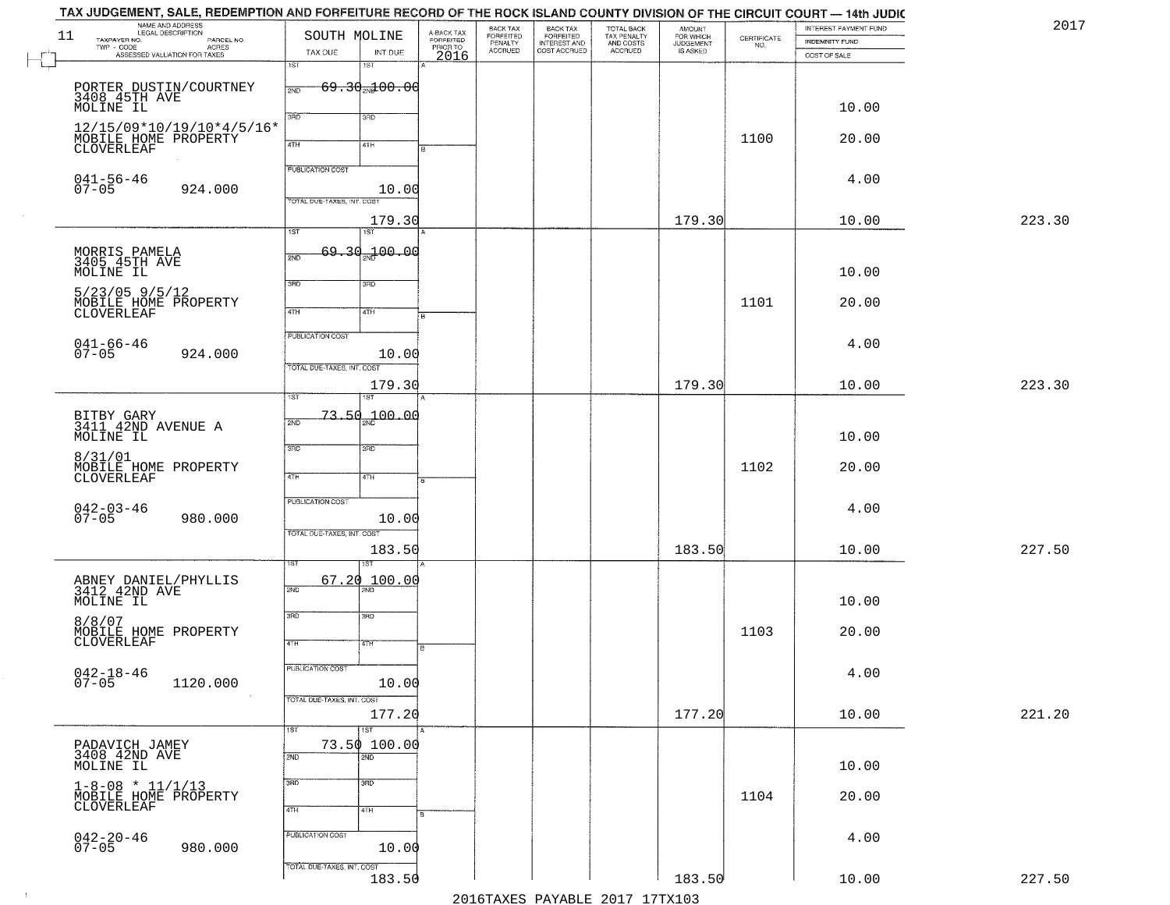| 2017   | INTEREST PAYMENT FUND                 |                                                                 | AMOUNT<br>FOR WHICH<br>JUDGEMENT<br>IS ASKED | TAX JUDGEMENT, SALE, REDEMPTION AND FORFEITURE RECORD OF THE ROCK ISLAND COUNTY DIVISION OF THE CIRCUIT COURT — 14th JUDIC<br>TOTAL BACK<br>TAX PENALTY<br>AND COSTS | BACK TAX<br>FORFEITED<br>INTEREST AND | BACK TAX<br>FORFEITED<br>PENALTY |                                             |                                     | SOUTH MOLINE               | NAME AND ADDRESS<br>LEGAL DESCRIPTION                                                                                                              | 11       |
|--------|---------------------------------------|-----------------------------------------------------------------|----------------------------------------------|----------------------------------------------------------------------------------------------------------------------------------------------------------------------|---------------------------------------|----------------------------------|---------------------------------------------|-------------------------------------|----------------------------|----------------------------------------------------------------------------------------------------------------------------------------------------|----------|
|        | <b>INDEMNITY FUND</b><br>COST OF SALE | $\begin{array}{c} \text{CERTIFICATE} \\ \text{NO.} \end{array}$ |                                              | <b>ACCRUED</b>                                                                                                                                                       | COST ACCRUED                          | <b>ACCRUED</b>                   | A-BACK TAX<br>FORFEITED<br>PRIOR TO<br>2016 | INT DUE                             | TAX DUE                    | TAXPAYER NO.<br>LEGAL DESCRIPTION<br>- CODE PARCEL NO.<br>- CODE ACRES<br>- ASSESSED VALUATION FOR TAXES<br>$\textsf{TWP} \textsf{-}\textsf{CODE}$ |          |
|        |                                       |                                                                 |                                              |                                                                                                                                                                      |                                       |                                  |                                             | 1ST                                 | 1ST                        |                                                                                                                                                    | <b>L</b> |
|        |                                       |                                                                 |                                              |                                                                                                                                                                      |                                       |                                  |                                             | <del>69.30<sub>20</sub>100.00</del> | 2ND                        | PORTER DUSTIN/COURTNEY<br>3408 45TH AVE                                                                                                            |          |
|        | 10.00                                 |                                                                 |                                              |                                                                                                                                                                      |                                       |                                  |                                             | 3RD                                 | 3RD                        | MOLINE IL                                                                                                                                          |          |
|        | 20.00                                 | 1100                                                            |                                              |                                                                                                                                                                      |                                       |                                  |                                             |                                     |                            | 12/15/09*10/19/10*4/5/16*<br>MOBILE HOME PROPERTY                                                                                                  |          |
|        |                                       |                                                                 |                                              |                                                                                                                                                                      |                                       |                                  |                                             | 41H                                 | 4TH                        | CLOVERLEAF                                                                                                                                         |          |
|        | 4.00                                  |                                                                 |                                              |                                                                                                                                                                      |                                       |                                  |                                             |                                     | PUBLICATION COST           |                                                                                                                                                    |          |
|        |                                       |                                                                 |                                              |                                                                                                                                                                      |                                       |                                  |                                             | 10.00                               | TOTAL DUE-TAXES, INT. COST | $041 - 56 - 46$<br>07-05<br>924.000                                                                                                                |          |
| 223.30 | 10.00                                 |                                                                 | 179.30                                       |                                                                                                                                                                      |                                       |                                  |                                             | 179.30                              |                            |                                                                                                                                                    |          |
|        |                                       |                                                                 |                                              |                                                                                                                                                                      |                                       |                                  |                                             | 1ST                                 | 1ST                        |                                                                                                                                                    |          |
|        |                                       |                                                                 |                                              |                                                                                                                                                                      |                                       |                                  |                                             | 69.30 <sub>37</sub> 00.00           | 2ND                        | MORRIS PAMELA<br>3405 45TH AVE                                                                                                                     |          |
|        | 10.00                                 |                                                                 |                                              |                                                                                                                                                                      |                                       |                                  |                                             | 3RD                                 | 3BD                        | MOLINE IL                                                                                                                                          |          |
|        | 20.00                                 | 1101                                                            |                                              |                                                                                                                                                                      |                                       |                                  |                                             | 4TH                                 | $\sqrt{47H}$               | $5/23/05$ 9/5/12<br>MOBILE HOME PROPERTY<br>CLOVERLEAF                                                                                             |          |
|        |                                       |                                                                 |                                              |                                                                                                                                                                      |                                       |                                  |                                             |                                     |                            |                                                                                                                                                    |          |
|        | 4.00                                  |                                                                 |                                              |                                                                                                                                                                      |                                       |                                  |                                             | 10.00                               | PUBLICATION COST           | $041 - 66 - 46$<br>07-05<br>924.000                                                                                                                |          |
|        |                                       |                                                                 |                                              |                                                                                                                                                                      |                                       |                                  |                                             |                                     | TOTAL DUE-TAXES, INT. COST |                                                                                                                                                    |          |
| 223.30 | 10.00                                 |                                                                 | 179.30                                       |                                                                                                                                                                      |                                       |                                  |                                             | 179.30<br>ST                        | 1ST                        |                                                                                                                                                    |          |
|        |                                       |                                                                 |                                              |                                                                                                                                                                      |                                       |                                  |                                             | 700.00                              | 73.50                      |                                                                                                                                                    |          |
|        | 10.00                                 |                                                                 |                                              |                                                                                                                                                                      |                                       |                                  |                                             |                                     | 2ND                        | BITBY GARY<br>3411 42ND AVENUE A<br>MOLINE IL                                                                                                      |          |
|        |                                       |                                                                 |                                              |                                                                                                                                                                      |                                       |                                  |                                             | 3RD                                 | 3RD                        | 8/31/01                                                                                                                                            |          |
|        | 20.00                                 | 1102                                                            |                                              |                                                                                                                                                                      |                                       |                                  |                                             | 4TH                                 | 4TH                        | MOBILE HOME PROPERTY<br><b>CLOVERLEAF</b>                                                                                                          |          |
|        |                                       |                                                                 |                                              |                                                                                                                                                                      |                                       |                                  |                                             |                                     | <b>PUBLICATION COST</b>    |                                                                                                                                                    |          |
|        | 4.00                                  |                                                                 |                                              |                                                                                                                                                                      |                                       |                                  |                                             | 10.00                               |                            | $042 - 03 - 46$<br>07-05<br>980.000                                                                                                                |          |
| 227.50 | 10.00                                 |                                                                 | 183.50                                       |                                                                                                                                                                      |                                       |                                  |                                             |                                     | TOTAL OUE-TAXES, INT. COST |                                                                                                                                                    |          |
|        |                                       |                                                                 |                                              |                                                                                                                                                                      |                                       |                                  |                                             | 183.50                              |                            |                                                                                                                                                    |          |
|        |                                       |                                                                 |                                              |                                                                                                                                                                      |                                       |                                  |                                             | 100.00<br>2ND                       | 67.20<br>2ND               | ABNEY DANIEL/PHYLLIS<br>3412 42ND AVE                                                                                                              |          |
|        | 10.00                                 |                                                                 |                                              |                                                                                                                                                                      |                                       |                                  |                                             |                                     |                            | MOLINE IL                                                                                                                                          |          |
|        | 20.00                                 | 1103                                                            |                                              |                                                                                                                                                                      |                                       |                                  |                                             | 3BD                                 | 3RD                        | 8/8/07<br>MOBILE HOME PROPERTY                                                                                                                     |          |
|        |                                       |                                                                 |                                              |                                                                                                                                                                      |                                       |                                  | ۱B.                                         | 4TH                                 | 4TH                        | CLOVERLEAF                                                                                                                                         |          |
|        | 4.00                                  |                                                                 |                                              |                                                                                                                                                                      |                                       |                                  |                                             |                                     | PUBLICATION COST           | $042 - 18 - 46$<br>07-05                                                                                                                           |          |
|        |                                       |                                                                 |                                              |                                                                                                                                                                      |                                       |                                  |                                             | 10.00                               | TOTAL DUE-TAXES, INT. COST | 1120.000                                                                                                                                           |          |
| 221.20 | 10.00                                 |                                                                 | 177.20                                       |                                                                                                                                                                      |                                       |                                  |                                             | 177.20                              |                            |                                                                                                                                                    |          |
|        |                                       |                                                                 |                                              |                                                                                                                                                                      |                                       |                                  |                                             | 1ST                                 | 1ST                        |                                                                                                                                                    |          |
|        |                                       |                                                                 |                                              |                                                                                                                                                                      |                                       |                                  |                                             | 73.50 100.00<br>$\overline{2ND}$    | 2ND                        | PADAVICH JAMEY<br>3408 42ND AVE<br>MOLINE IL                                                                                                       |          |
|        | 10.00                                 |                                                                 |                                              |                                                                                                                                                                      |                                       |                                  |                                             | 3BD                                 | 3RD                        |                                                                                                                                                    |          |
|        | 20.00                                 | 1104                                                            |                                              |                                                                                                                                                                      |                                       |                                  |                                             |                                     |                            | $1-8-08 * 11/1/13$<br>MOBILE HOME PROPERTY<br>CLOVERLEAF                                                                                           |          |
|        |                                       |                                                                 |                                              |                                                                                                                                                                      |                                       |                                  |                                             | 4TH                                 | 4TH                        |                                                                                                                                                    |          |
|        | 4.00                                  |                                                                 |                                              |                                                                                                                                                                      |                                       |                                  |                                             | 10.00                               | PUBLICATION COST           | $042 - 20 - 46$<br>07-05<br>980.000                                                                                                                |          |
|        |                                       |                                                                 |                                              |                                                                                                                                                                      |                                       |                                  |                                             |                                     | TOTAL DUE-TAXES, INT. COST |                                                                                                                                                    |          |
| 227.50 | 10.00                                 |                                                                 | 183.50                                       |                                                                                                                                                                      |                                       |                                  |                                             | 183.50                              |                            |                                                                                                                                                    |          |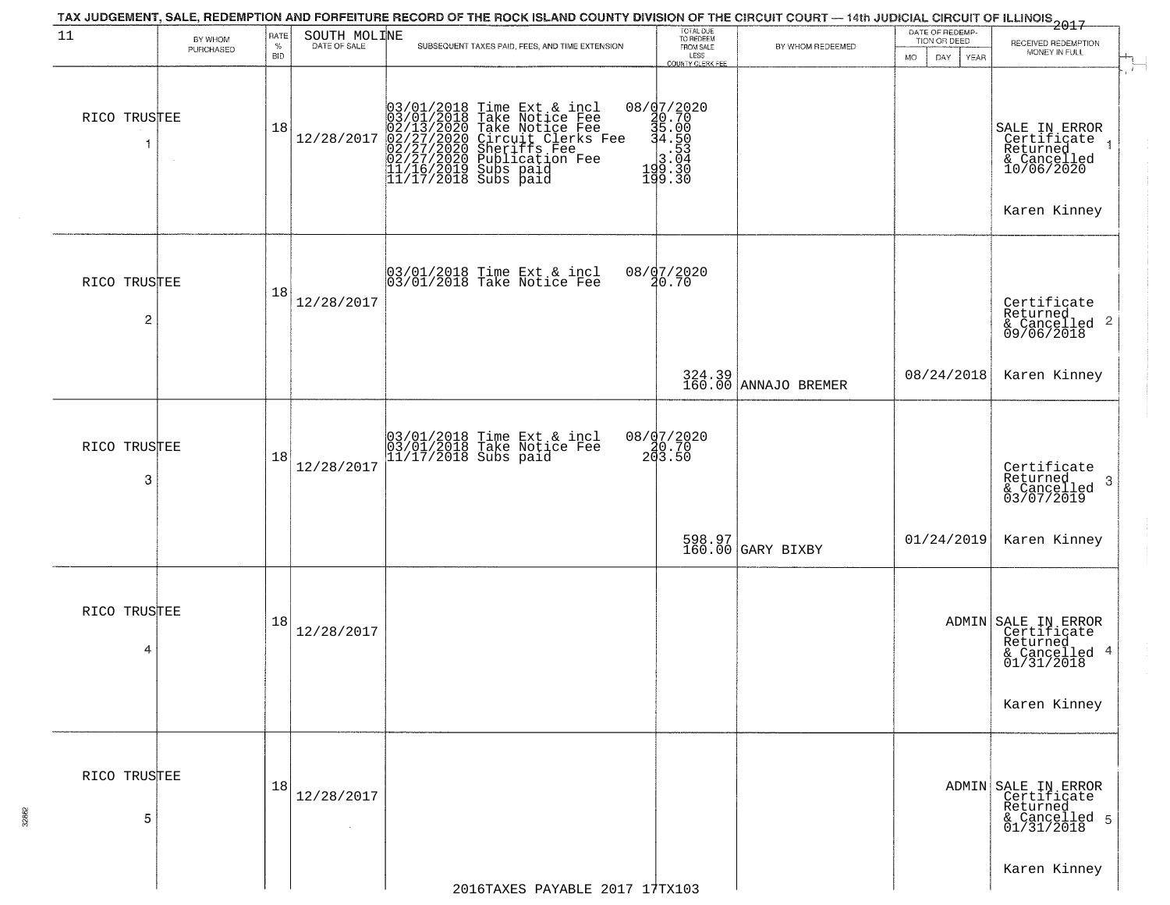|                   | RATE               |                      |              |                                                                                                                                                                                                                                                                                                                                                                                                                                          |                                                                                                                                                                                                                                                                       | DATE OF REDEMP-                                               |                                                                                                                                                                                               |
|-------------------|--------------------|----------------------|--------------|------------------------------------------------------------------------------------------------------------------------------------------------------------------------------------------------------------------------------------------------------------------------------------------------------------------------------------------------------------------------------------------------------------------------------------------|-----------------------------------------------------------------------------------------------------------------------------------------------------------------------------------------------------------------------------------------------------------------------|---------------------------------------------------------------|-----------------------------------------------------------------------------------------------------------------------------------------------------------------------------------------------|
| PURCHASED         | $\%$<br><b>BID</b> |                      |              | LESS                                                                                                                                                                                                                                                                                                                                                                                                                                     | BY WHOM REDEEMED                                                                                                                                                                                                                                                      |                                                               | RECEIVED REDEMPTION<br>MONEY IN FULL                                                                                                                                                          |
| RICO TRUSTEE      | 18                 | 12/28/2017           |              |                                                                                                                                                                                                                                                                                                                                                                                                                                          |                                                                                                                                                                                                                                                                       |                                                               | SALE IN ERROR<br>Certificate<br>Returned<br>& Cancelled<br>10/06/2020<br>Karen Kinney                                                                                                         |
| RICO TRUSTEE<br>2 | 18                 | 12/28/2017           |              |                                                                                                                                                                                                                                                                                                                                                                                                                                          |                                                                                                                                                                                                                                                                       |                                                               | Certificate<br>Returned<br>$\frac{1}{6}$ Cancelled 2<br>09/06/2018                                                                                                                            |
|                   |                    |                      |              |                                                                                                                                                                                                                                                                                                                                                                                                                                          |                                                                                                                                                                                                                                                                       | 08/24/2018                                                    | Karen Kinney                                                                                                                                                                                  |
| RICO TRUSTEE<br>3 | 18                 | 12/28/2017           |              |                                                                                                                                                                                                                                                                                                                                                                                                                                          |                                                                                                                                                                                                                                                                       |                                                               | Certificate<br>Returned<br>3<br>& Cancelled<br>03/07/2019                                                                                                                                     |
|                   |                    |                      |              |                                                                                                                                                                                                                                                                                                                                                                                                                                          |                                                                                                                                                                                                                                                                       | 01/24/2019                                                    | Karen Kinney                                                                                                                                                                                  |
| RICO TRUSTEE<br>4 | 18                 | 12/28/2017           |              |                                                                                                                                                                                                                                                                                                                                                                                                                                          |                                                                                                                                                                                                                                                                       |                                                               | ADMIN SALE IN ERROR<br>Certificate<br>Returned<br>& Cancelled 4<br>01/31/2018<br>Karen Kinney                                                                                                 |
| RICO TRUSTEE<br>5 | 18                 | 12/28/2017<br>$\sim$ |              |                                                                                                                                                                                                                                                                                                                                                                                                                                          |                                                                                                                                                                                                                                                                       |                                                               | ADMIN SALE IN ERROR<br>Certificate<br>Returned<br>& Cancelled 5<br>01/31/2018                                                                                                                 |
|                   | BY WHOM            |                      | SOUTH MOLINE | SUBSEQUENT TAXES PAID, FEES, AND TIME EXTENSION<br>$03/01/2018$ Time Ext & incl<br>03/01/2018 Take Notice Fee<br>02/13/2020 Take Notice Fee<br>02/27/2020 Circuit Clerks Fee<br>02/27/2020 Sublication Fee<br>02/27/2020 Publication Fee<br>11/16/2019 Subs paid<br>11/17/2018 Subs paid<br>03/01/2018 Time Ext & incl<br>03/01/2018 Take Notice Fee<br>03/01/2018 Time Ext & incl<br>03/01/2018 Take Notice Fee<br>11/17/2018 Subs paid | TOTAL DUE<br>TO REDEEM<br>FROM SALE<br><b>COUNTY CLERK FEE</b><br>$[0.873] \begin{array}{l} 0.777 \\ 40.70 \\ 3.00 \\ 4.50 \\ 3.00 \\ 1.9 \\ 1.9 \\ 19 \\ 19 \\ 3.0 \\ 19 \\ 3.0 \\ 19 \\ 3.0 \\ \end{array}$<br>08/07/2020<br>20.70<br>08/07/2020<br>20.70<br>203.50 | 324.39<br>160.00 ANNAJO BREMER<br>598.97<br>160.00 GARY BIXBY | TAX JUDGEMENT, SALE, REDEMPTION AND FORFEITURE RECORD OF THE ROCK ISLAND COUNTY DIVISION OF THE CIRCUIT COURT — 14th JUDICIAL CIRCUIT OF ILLINOIS 2017<br>TION OR DEED<br>MO.<br>YEAR<br>DAY. |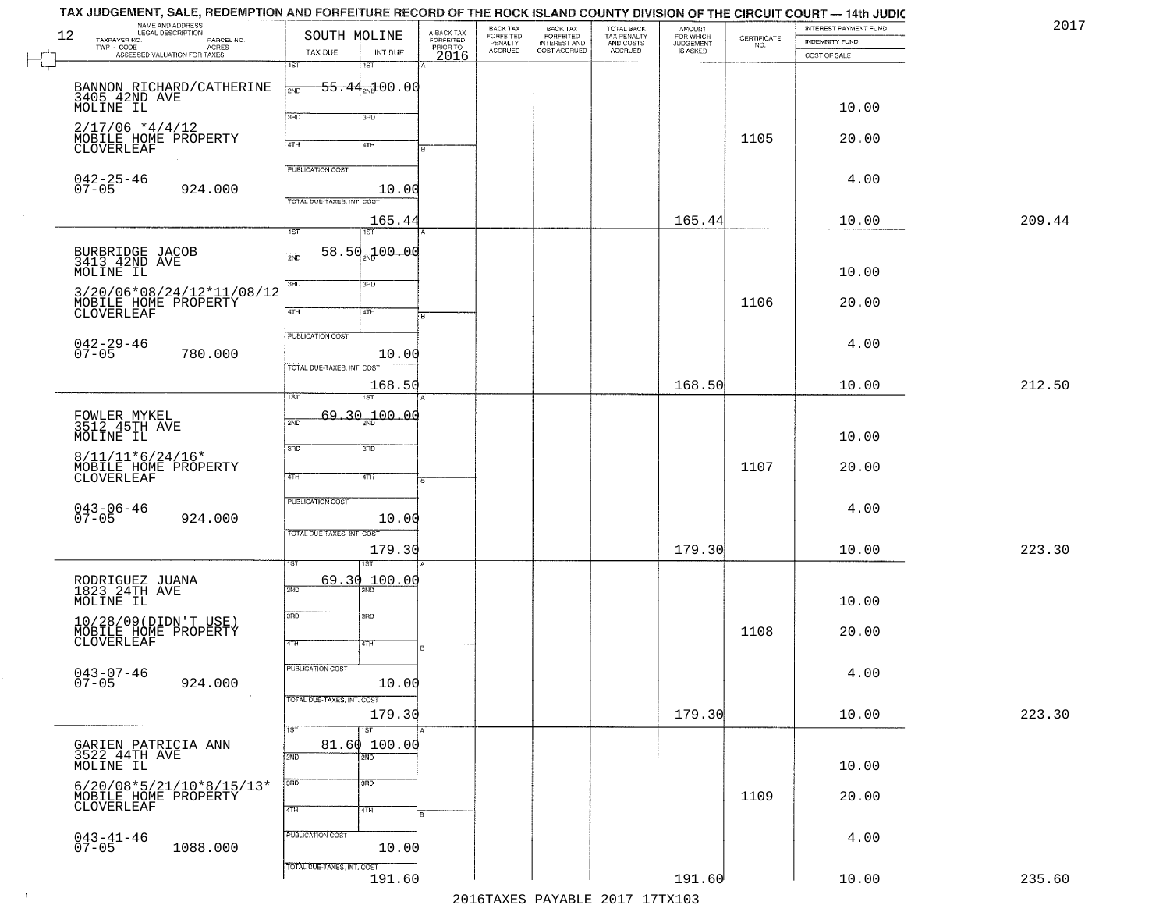| NAME AND ADDRESS<br>LEGAL DESCRIPTION<br>12<br>TAXPAYER NO.<br>PARCEL NO.<br>TWP - CODE<br>ACRES<br>ASSESSED VALUATION FOR TAXES | SOUTH MOLINE<br>TAX DUE<br>1ST                        | INT DUE<br>1ST             | A-BACK TAX<br>FORFEITED<br>PRIOR TO<br>2016 | BACK TAX<br>FORFEITED<br>PENALTY<br>ACCRUED | BACK TAX<br>FORFEITED<br>INTEREST AND<br>COST ACCRUED | TOTAL BACK<br>TAX PENALTY<br>AND COSTS<br>ACCRUED | AMOUNT<br>FOR WHICH<br>JUDGEMENT<br>IS ASKED | <b>CERTIFICATE</b><br>NO. | INTEREST PAYMENT FUND<br>INDEMNITY FUND<br>COST OF SALE | 2017   |
|----------------------------------------------------------------------------------------------------------------------------------|-------------------------------------------------------|----------------------------|---------------------------------------------|---------------------------------------------|-------------------------------------------------------|---------------------------------------------------|----------------------------------------------|---------------------------|---------------------------------------------------------|--------|
| BANNON RICHARD/CATHERINE<br>3405_42ND AVE<br>MOLINE IL                                                                           | 2ND                                                   | <del>55.44.100.00</del>    |                                             |                                             |                                                       |                                                   |                                              |                           | 10.00                                                   |        |
| $2/17/06$ *4/4/12<br>MOBILE HOME PROPERTY<br>CLOVERLEAF                                                                          | 3BD<br>4TH                                            | 3RD<br>4TH                 |                                             |                                             |                                                       |                                                   |                                              | 1105                      | 20.00                                                   |        |
| $042 - 25 - 46$<br>07-05<br>924.000                                                                                              | <b>PUBLICATION COST</b><br>TOTAL DUE-TAXES, INT. COST | 10.00                      |                                             |                                             |                                                       |                                                   |                                              |                           | 4.00                                                    |        |
|                                                                                                                                  | $\overline{\mathsf{IST}}$                             | 165.44<br><b>IST</b>       |                                             |                                             |                                                       |                                                   | 165.44                                       |                           | 10.00                                                   | 209.44 |
| BURBRIDGE JACOB<br>3413 42ND AVE<br>MOLINE IL                                                                                    | 2ND                                                   | <u>58.5d.100.0d</u>        |                                             |                                             |                                                       |                                                   |                                              |                           | 10.00                                                   |        |
| 3/20/06*08/24/12*11/08/12<br>MOBILE HOME PROPERTY<br>CLOVERLEAF                                                                  | 3RD<br>47H                                            | 3RD<br>4TH                 |                                             |                                             |                                                       |                                                   |                                              | 1106                      | 20.00                                                   |        |
| $042 - 29 - 46$<br>07-05<br>780.000                                                                                              | PUBLICATION COST                                      | 10.00                      |                                             |                                             |                                                       |                                                   |                                              |                           | 4.00                                                    |        |
|                                                                                                                                  | TOTAL DUE-TAXES, INT. COST                            | 168.50<br>ST               |                                             |                                             |                                                       |                                                   | 168.50                                       |                           | 10.00                                                   | 212.50 |
| FOWLER MYKEL<br>3512 45TH AVE<br>MOLINE IL                                                                                       | 69,30<br>2ND                                          | 100.00                     |                                             |                                             |                                                       |                                                   |                                              |                           | 10.00                                                   |        |
| $8/11/11*6/24/16*$<br>MOBILE HOME PROPERTY<br>CLOVERLEAF                                                                         | 3RD<br>4TH                                            | 3RD<br>4TH                 |                                             |                                             |                                                       |                                                   |                                              | 1107                      | 20.00                                                   |        |
| $043 - 06 - 46$<br>07-05<br>924.000                                                                                              | <b>PUBLICATION COST</b>                               | 10.00                      |                                             |                                             |                                                       |                                                   |                                              |                           | 4.00                                                    |        |
|                                                                                                                                  | TOTAL OUE-TAXES, INT. COST                            | 179.30                     |                                             |                                             |                                                       |                                                   | 179.30                                       |                           | 10.00                                                   | 223.30 |
| RODRIGUEZ JUANA<br>1823 24TH AVE<br>MOLINE IL                                                                                    | 69.30<br>2ND                                          | 100.00                     |                                             |                                             |                                                       |                                                   |                                              |                           | 10.00                                                   |        |
| 10/28/09 (DIDN'T USE)<br>MOBILE HOME PROPERTY<br>CLOVERLEAF                                                                      | 3RD<br>4TH                                            | 3BD<br>77H                 | l B                                         |                                             |                                                       |                                                   |                                              | 1108                      | 20.00                                                   |        |
| 043-07-46<br>07-05<br>924.000                                                                                                    | PUBLICATION COST                                      | 10.00                      |                                             |                                             |                                                       |                                                   |                                              |                           | 4.00                                                    |        |
|                                                                                                                                  | TOTAL DUE-TAXES, INT. COST                            | 179.30                     |                                             |                                             |                                                       |                                                   | 179.30                                       |                           | 10.00                                                   | 223.30 |
| GARIEN PATRICIA ANN<br>3522 44TH AVE<br>MOLINE IL                                                                                | 1ST<br>2ND                                            | 1ST<br>81.60 100.00<br>2ND |                                             |                                             |                                                       |                                                   |                                              |                           | 10.00                                                   |        |
| $6/20/08*5/21/10*8/15/13*$<br>MOBILE HOME PROPERTY                                                                               | 3RD<br>4TH                                            | 3RD<br>4TH                 |                                             |                                             |                                                       |                                                   |                                              | 1109                      | 20.00                                                   |        |
| $043 - 41 - 46$<br>07-05<br>1088.000                                                                                             | PUBLICATION COST                                      | 10.00                      |                                             |                                             |                                                       |                                                   |                                              |                           | 4.00                                                    |        |
|                                                                                                                                  | TOTAL DUE-TAXES, INT. COST                            | 191.60                     |                                             |                                             |                                                       |                                                   | 191.60                                       |                           | 10.00                                                   | 235.60 |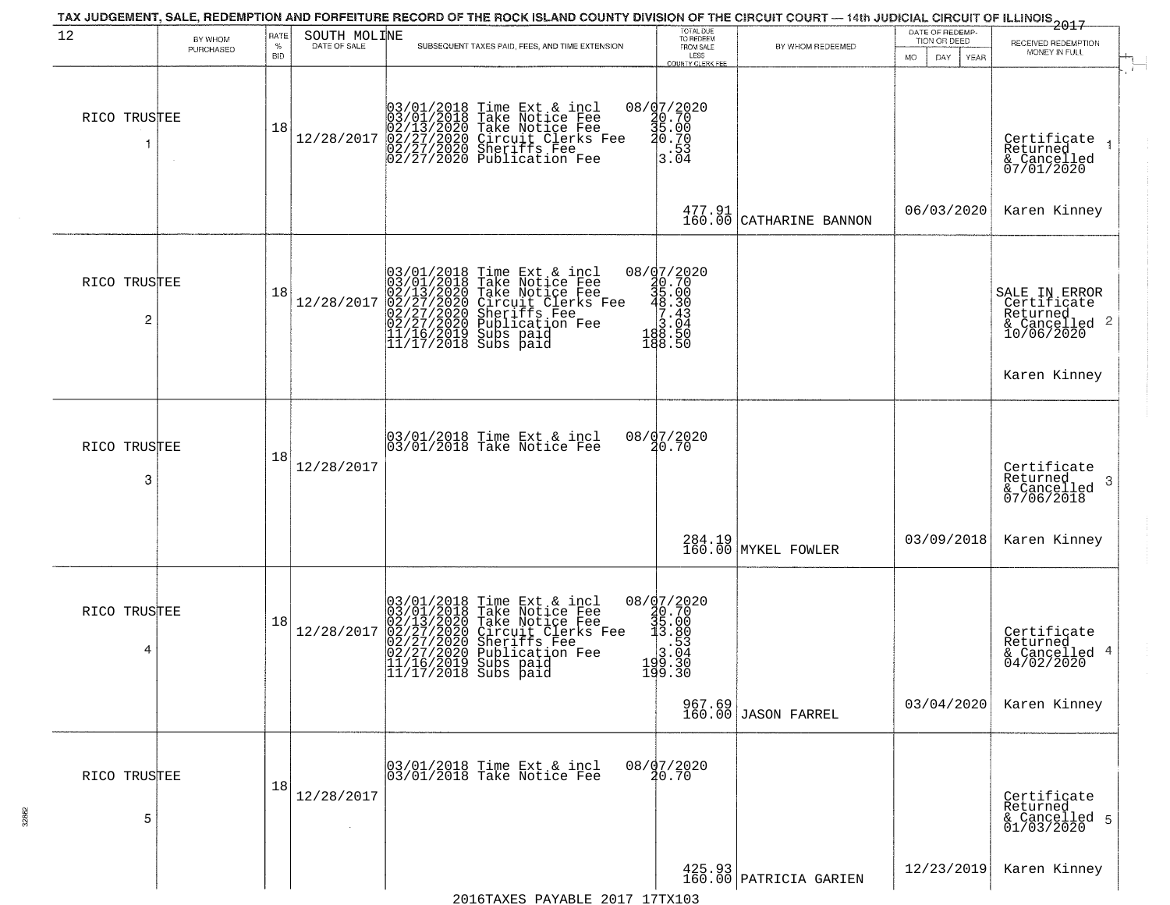| 12                             | BY WHOM   | RATE               | SOUTH MOLINE<br>DATE OF SALE |                                                                                                                                                                                                         | TOTAL DUE<br>TO REDEEM                                                                                                    |                                                                 | DATE OF REDEMP-<br>TION OR DEED | 2017<br>RECEIVED REDEMPTION                                             |
|--------------------------------|-----------|--------------------|------------------------------|---------------------------------------------------------------------------------------------------------------------------------------------------------------------------------------------------------|---------------------------------------------------------------------------------------------------------------------------|-----------------------------------------------------------------|---------------------------------|-------------------------------------------------------------------------|
|                                | PURCHASED | $\%$<br><b>BID</b> |                              | SUBSEQUENT TAXES PAID, FEES, AND TIME EXTENSION                                                                                                                                                         | FROM SALE<br>LESS<br>COUNTY CLERK FEE                                                                                     | BY WHOM REDEEMED                                                | <b>MO</b><br>DAY<br>YEAR        | MONEY IN FULL                                                           |
| RICO TRUSTEE                   |           | 18                 | 12/28/2017                   | 03/01/2018 Time Ext & incl<br>03/01/2018 Take Notice Fee<br>02/13/2020 Take Notice Fee<br>02/27/2020 Circuit Clerks Fee<br>02/27/2020 Sheriffs Fee<br>02/27/2020 Publication Fee                        | 08/d7/2020<br>0.70<br>36.00<br>5.00 e 40.70<br>$\frac{1}{3}$ : 53<br>3.04                                                 |                                                                 |                                 | Certificate<br>Returned<br>& Cancelled<br>07/01/2020                    |
|                                |           |                    |                              |                                                                                                                                                                                                         | $\begin{array}{c} 477.91 \\ 160.00 \end{array}$                                                                           | CATHARINE BANNON                                                | 06/03/2020                      | Karen Kinney                                                            |
| RICO TRUSTEE<br>$\overline{c}$ |           | 18                 | 12/28/2017                   | $03/01/2018$ Time Ext & incl<br>03/01/2018 Take Notice Fee<br>02/13/2020 Take Notice Fee<br>02/27/2020 Circuit Clerks Fee<br>02/27/2020 Sublication Fee<br>11/16/2019 Subs paid<br>11/17/2018 Subs paid | $\begin{array}{r} 08 / \frac{1}{2} 7 / 2020 \\ 30.70 \\ 48.30 \\ -48.30 \\ 7.43 \\ 18.50 \\ 188.50 \\ 188.50 \end{array}$ |                                                                 |                                 | SALE IN ERROR<br>Certificate<br>Returned<br>& Cancelled 2<br>10/06/2020 |
|                                |           |                    |                              |                                                                                                                                                                                                         |                                                                                                                           |                                                                 |                                 | Karen Kinney                                                            |
| RICO TRUSTEE<br>3              |           | 18                 | 12/28/2017                   | 03/01/2018 Time Ext & incl<br>03/01/2018 Take Notice Fee                                                                                                                                                | 08/07/2020<br>20.70                                                                                                       |                                                                 |                                 | Certificate<br>Returned<br>& Cancelled<br>07/06/2018<br>-3              |
|                                |           |                    |                              |                                                                                                                                                                                                         |                                                                                                                           | 284.19<br>160.00 MYKEL FOWLER                                   | 03/09/2018                      | Karen Kinney                                                            |
| RICO TRUSTEE<br>4              |           | 18                 | 12/28/2017                   | $03/01/2018$ Time Ext & incl<br>03/01/2018 Take Notice Fee<br>02/13/2020 Take Notice Fee<br>02/27/2020 Circuit Clerks Fee<br>02/27/2020 Sublication Fee<br>11/16/2019 Subs paid<br>11/17/2018 Subs paid | 08/07/2020<br>20.70<br>35.00<br>3.80<br>$\frac{1}{3}.\overline{63}$<br>199.30<br>199.30                                   |                                                                 |                                 | Certificate<br>Returned<br>& Cancelled 4<br>04/02/2020                  |
|                                |           |                    |                              |                                                                                                                                                                                                         |                                                                                                                           | 967.69<br>160.00 JASON FARREL                                   | 03/04/2020                      | Karen Kinney                                                            |
| RICO TRUSTEE<br>5              |           | 18                 | 12/28/2017                   | 03/01/2018 Time Ext & incl<br>03/01/2018 Take Notice Fee                                                                                                                                                | 08/07/2020<br>20.70                                                                                                       |                                                                 |                                 | Certificate<br>Returned<br>& Cancelled 5<br>01/03/2020                  |
|                                |           |                    |                              | $2016$ TAYES DAVARLE $2017$ 17TY103                                                                                                                                                                     |                                                                                                                           | $\begin{array}{c} 425.93 \\ 160.00 \end{array}$ PATRICIA GARIEN | 12/23/2019                      | Karen Kinney                                                            |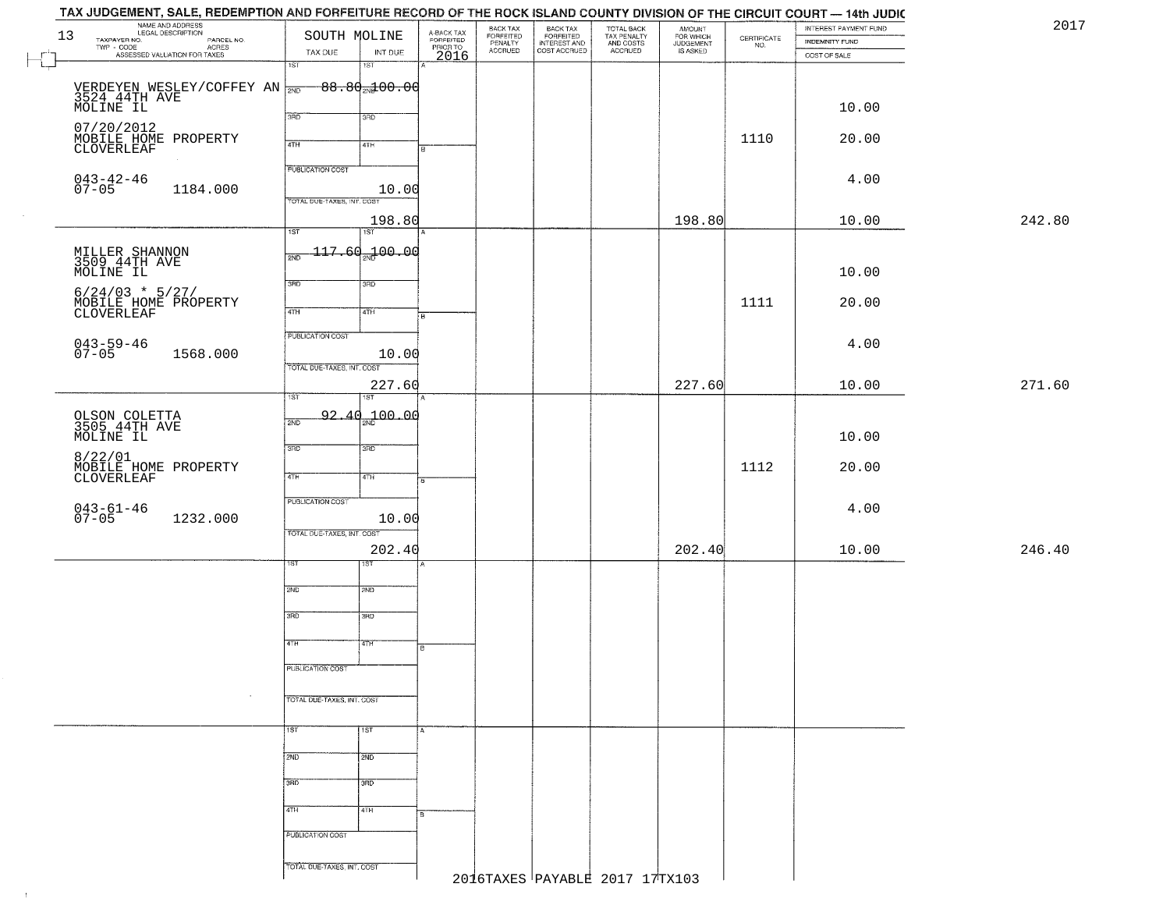|    | TAX JUDGEMENT, SALE, REDEMPTION AND FORFEITURE RECORD OF THE ROCK ISLAND COUNTY DIVISION OF THE CIRCUIT COURT — 14th JUDIC |                            |                                   |                                             |                                 |                                                       |                                                   |                                              |                                                                 |                       |        |
|----|----------------------------------------------------------------------------------------------------------------------------|----------------------------|-----------------------------------|---------------------------------------------|---------------------------------|-------------------------------------------------------|---------------------------------------------------|----------------------------------------------|-----------------------------------------------------------------|-----------------------|--------|
| 13 | NAME AND ADDRESS<br>LEGAL DESCRIPTION                                                                                      | SOUTH MOLINE               |                                   | A-BACK TAX<br>FORFEITED<br>PRIOR TO<br>2016 | BACK TAX                        | BACK TAX<br>FORFEITED<br>INTEREST AND<br>COST ACCRUED | TOTAL BACK<br>TAX PENALTY<br>AND COSTS<br>ACCRUED | AMOUNT<br>FOR WHICH<br>JUDGEMENT<br>IS ASKED |                                                                 | INTEREST PAYMENT FUND | 2017   |
|    | LEGAL DESCRIPTION PARCEL NO.<br>TWP - CODE AGRES<br>ASSESSED VALUATION FOR TAXES                                           |                            |                                   |                                             | FORFEITED<br>PENALTY<br>ACCRUED |                                                       |                                                   |                                              | $\begin{array}{c} \text{CEPTIFICATE} \\ \text{NO.} \end{array}$ | INDEMNITY FUND        |        |
|    |                                                                                                                            | TAX DUE<br>1ST             | INT DUE<br>$\overline{151}$       |                                             |                                 |                                                       |                                                   |                                              |                                                                 | COST OF SALE          |        |
|    |                                                                                                                            |                            |                                   |                                             |                                 |                                                       |                                                   |                                              |                                                                 |                       |        |
|    | VERDEYEN WESLEY/COFFEY AN $\frac{1}{200}$ 88.80 $\frac{1}{200}$ 98.90 $\frac{1}{200}$ 99.90.00                             |                            |                                   |                                             |                                 |                                                       |                                                   |                                              |                                                                 |                       |        |
|    |                                                                                                                            |                            |                                   |                                             |                                 |                                                       |                                                   |                                              |                                                                 | 10.00                 |        |
|    |                                                                                                                            | 390                        | 3RD                               |                                             |                                 |                                                       |                                                   |                                              |                                                                 |                       |        |
|    | 07/20/2012<br>MOBILE HOME PROPERTY                                                                                         |                            |                                   |                                             |                                 |                                                       |                                                   |                                              | 1110                                                            |                       |        |
|    | CLOVERLEAF                                                                                                                 | 4TH                        | 4TH                               |                                             |                                 |                                                       |                                                   |                                              |                                                                 | 20.00                 |        |
|    |                                                                                                                            |                            |                                   |                                             |                                 |                                                       |                                                   |                                              |                                                                 |                       |        |
|    |                                                                                                                            | <b>PUBLICATION COST</b>    |                                   |                                             |                                 |                                                       |                                                   |                                              |                                                                 | 4.00                  |        |
|    | $043 - 42 - 46$<br>07-05<br>1184.000                                                                                       |                            | 10.00                             |                                             |                                 |                                                       |                                                   |                                              |                                                                 |                       |        |
|    |                                                                                                                            | TOTAL DUE-TAXES, INT. COST |                                   |                                             |                                 |                                                       |                                                   |                                              |                                                                 |                       |        |
|    |                                                                                                                            |                            | 198.80                            |                                             |                                 |                                                       |                                                   | 198.80                                       |                                                                 | 10.00                 | 242.80 |
|    |                                                                                                                            | 1ST                        | $\overline{151}$                  |                                             |                                 |                                                       |                                                   |                                              |                                                                 |                       |        |
|    |                                                                                                                            | 2ND                        | $-117.69$ <sub>2N</sub> $-100.00$ |                                             |                                 |                                                       |                                                   |                                              |                                                                 |                       |        |
|    | MILLER SHANNON<br>3509 44TH AVE                                                                                            |                            |                                   |                                             |                                 |                                                       |                                                   |                                              |                                                                 |                       |        |
|    | MOLINE IL                                                                                                                  | 3RD                        | 3RD                               |                                             |                                 |                                                       |                                                   |                                              |                                                                 | 10.00                 |        |
|    | $6/24/03$ * 5/27/                                                                                                          |                            |                                   |                                             |                                 |                                                       |                                                   |                                              |                                                                 |                       |        |
|    | MOBILE HOME PROPERTY<br>CLOVERLEAF                                                                                         | 47H                        | 4TH                               |                                             |                                 |                                                       |                                                   |                                              | 1111                                                            | 20.00                 |        |
|    |                                                                                                                            |                            |                                   |                                             |                                 |                                                       |                                                   |                                              |                                                                 |                       |        |
|    |                                                                                                                            | <b>PUBLICATION COST</b>    |                                   |                                             |                                 |                                                       |                                                   |                                              |                                                                 | 4.00                  |        |
|    | 043-59-46<br>07-05<br>1568.000                                                                                             |                            | 10.00                             |                                             |                                 |                                                       |                                                   |                                              |                                                                 |                       |        |
|    |                                                                                                                            | TOTAL DUE-TAXES, INT. COST |                                   |                                             |                                 |                                                       |                                                   |                                              |                                                                 |                       |        |
|    |                                                                                                                            |                            | 227.60                            |                                             |                                 |                                                       |                                                   | 227.60                                       |                                                                 | 10.00                 | 271.60 |
|    |                                                                                                                            | 1ST                        |                                   |                                             |                                 |                                                       |                                                   |                                              |                                                                 |                       |        |
|    |                                                                                                                            | 2ND                        | $92.40 - 100.00$                  |                                             |                                 |                                                       |                                                   |                                              |                                                                 |                       |        |
|    | OLSON COLETTA<br>3505 44TH AVE<br>MOLINE IL                                                                                |                            |                                   |                                             |                                 |                                                       |                                                   |                                              |                                                                 |                       |        |
|    |                                                                                                                            | 3RD                        | 3RD                               |                                             |                                 |                                                       |                                                   |                                              |                                                                 | 10.00                 |        |
|    | 8/22/01                                                                                                                    |                            |                                   |                                             |                                 |                                                       |                                                   |                                              |                                                                 |                       |        |
|    | MOBILE HOME PROPERTY<br>CLOVERLEAF                                                                                         | 4TH                        | 4TH                               | ख                                           |                                 |                                                       |                                                   |                                              | 1112                                                            | 20.00                 |        |
|    |                                                                                                                            |                            |                                   |                                             |                                 |                                                       |                                                   |                                              |                                                                 |                       |        |
|    |                                                                                                                            | PUBLICATION COST           |                                   |                                             |                                 |                                                       |                                                   |                                              |                                                                 | 4.00                  |        |
|    | $043 - 61 - 46$<br>07-05<br>1232.000                                                                                       |                            | 10.00                             |                                             |                                 |                                                       |                                                   |                                              |                                                                 |                       |        |
|    |                                                                                                                            | TOTAL OUE-TAXES, INT. COST |                                   |                                             |                                 |                                                       |                                                   |                                              |                                                                 |                       |        |
|    |                                                                                                                            |                            | 202.40                            |                                             |                                 |                                                       |                                                   | 202.40                                       |                                                                 | 10.00                 | 246.40 |
|    |                                                                                                                            | 1ST.                       | ड़िंग                             |                                             |                                 |                                                       |                                                   |                                              |                                                                 |                       |        |
|    |                                                                                                                            |                            |                                   |                                             |                                 |                                                       |                                                   |                                              |                                                                 |                       |        |
|    |                                                                                                                            | 2ND                        | 2ND                               |                                             |                                 |                                                       |                                                   |                                              |                                                                 |                       |        |
|    |                                                                                                                            | 3RD                        | 3BD                               |                                             |                                 |                                                       |                                                   |                                              |                                                                 |                       |        |
|    |                                                                                                                            |                            |                                   |                                             |                                 |                                                       |                                                   |                                              |                                                                 |                       |        |
|    |                                                                                                                            | 4TH                        | 'वाम                              | l B                                         |                                 |                                                       |                                                   |                                              |                                                                 |                       |        |
|    |                                                                                                                            |                            |                                   |                                             |                                 |                                                       |                                                   |                                              |                                                                 |                       |        |
|    |                                                                                                                            | PUBLICATION COST           |                                   |                                             |                                 |                                                       |                                                   |                                              |                                                                 |                       |        |
|    |                                                                                                                            |                            |                                   |                                             |                                 |                                                       |                                                   |                                              |                                                                 |                       |        |
|    |                                                                                                                            | TOTAL DUE-TAXES, INT. COST |                                   |                                             |                                 |                                                       |                                                   |                                              |                                                                 |                       |        |
|    |                                                                                                                            |                            |                                   |                                             |                                 |                                                       |                                                   |                                              |                                                                 |                       |        |
|    |                                                                                                                            | 1ST                        | 1ST                               |                                             |                                 |                                                       |                                                   |                                              |                                                                 |                       |        |
|    |                                                                                                                            |                            |                                   |                                             |                                 |                                                       |                                                   |                                              |                                                                 |                       |        |
|    |                                                                                                                            | 2ND                        | 2ND                               |                                             |                                 |                                                       |                                                   |                                              |                                                                 |                       |        |
|    |                                                                                                                            | 3RD                        | 3RD                               |                                             |                                 |                                                       |                                                   |                                              |                                                                 |                       |        |
|    |                                                                                                                            |                            |                                   |                                             |                                 |                                                       |                                                   |                                              |                                                                 |                       |        |
|    |                                                                                                                            | 4TH                        | 4TH                               |                                             |                                 |                                                       |                                                   |                                              |                                                                 |                       |        |
|    |                                                                                                                            |                            |                                   |                                             |                                 |                                                       |                                                   |                                              |                                                                 |                       |        |
|    |                                                                                                                            | PUBLICATION COST           |                                   |                                             |                                 |                                                       |                                                   |                                              |                                                                 |                       |        |
|    |                                                                                                                            |                            |                                   |                                             |                                 |                                                       |                                                   |                                              |                                                                 |                       |        |
|    |                                                                                                                            | TOTAL DUE-TAXES, INT. COST |                                   |                                             |                                 |                                                       |                                                   |                                              |                                                                 |                       |        |
|    |                                                                                                                            |                            |                                   |                                             |                                 |                                                       | 2016TAXES PAYABLE 2017 17TX103                    |                                              |                                                                 |                       |        |
|    |                                                                                                                            |                            |                                   |                                             |                                 |                                                       |                                                   |                                              |                                                                 |                       |        |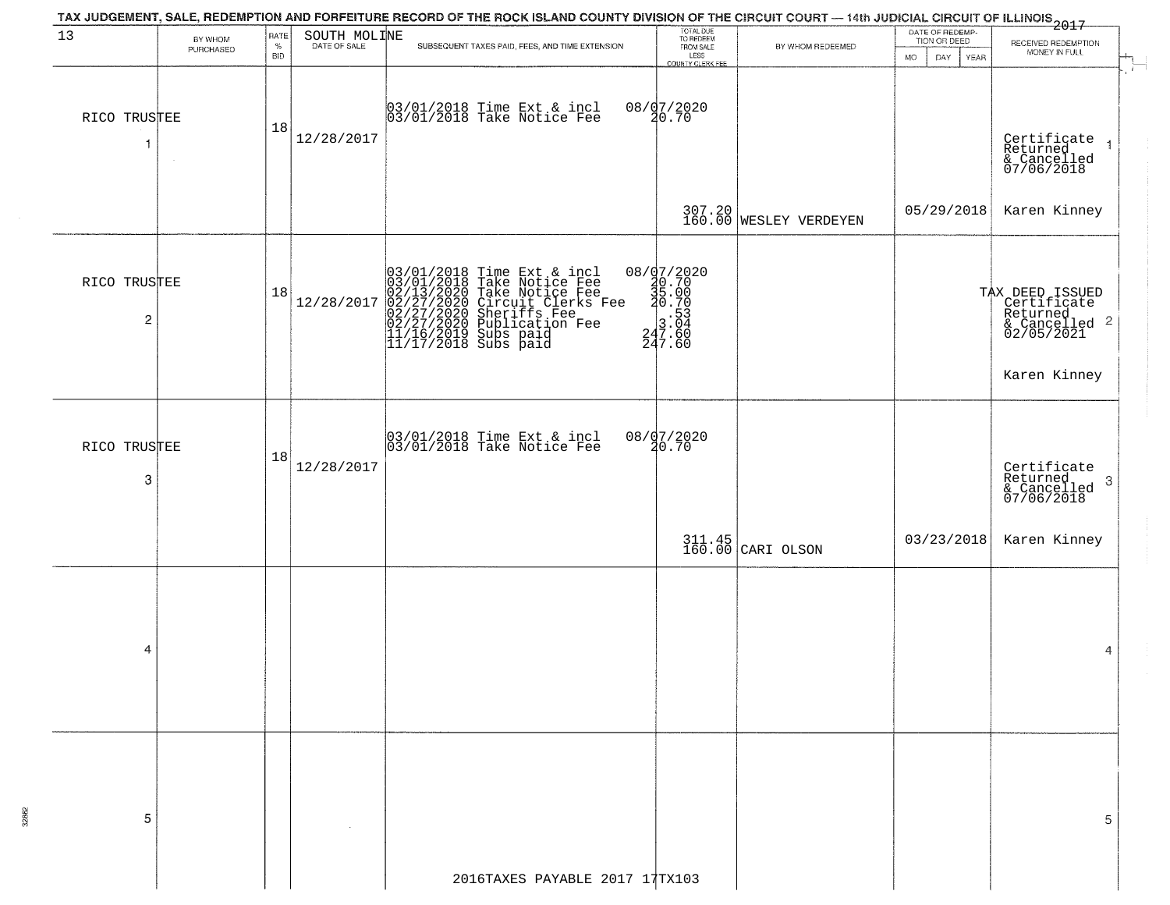|                                         |                      |                            |              | TAX JUDGEMENT, SALE, REDEMPTION AND FORFEITURE RECORD OF THE ROCK ISLAND COUNTY DIVISION OF THE CIRCUIT COURT — 14th JUDICIAL CIRCUIT OF ILLINOIS 2017                                                  |                                                                                                                                                              |                                  |                                                             |                                                                           |
|-----------------------------------------|----------------------|----------------------------|--------------|---------------------------------------------------------------------------------------------------------------------------------------------------------------------------------------------------------|--------------------------------------------------------------------------------------------------------------------------------------------------------------|----------------------------------|-------------------------------------------------------------|---------------------------------------------------------------------------|
| 13                                      | BY WHOM<br>PURCHASED | RATE<br>$\%$<br><b>BID</b> | SOUTH MOLINE | SUBSEQUENT TAXES PAID, FEES, AND TIME EXTENSION.                                                                                                                                                        | TOTAL DUE<br>TO REDEEM<br>FROM SALE<br>LESS<br>COUNTY CLERK FEE                                                                                              | BY WHOM REDEEMED                 | DATE OF REDEMP-<br>TION OR DEED<br>DAY<br>YEAR<br><b>MO</b> | RECEIVED REDEMPTION<br>MONEY IN FULL                                      |
| RICO TRUSTEE<br>1                       |                      | 18                         | 12/28/2017   | 03/01/2018 Time Ext & incl<br>03/01/2018 Take Notice Fee                                                                                                                                                | 08/07/2020<br>20.70                                                                                                                                          |                                  |                                                             | Certificate<br>Returned<br>& Cancelled<br>07/06/2018<br>$\overline{1}$    |
|                                         |                      |                            |              |                                                                                                                                                                                                         |                                                                                                                                                              | 307.20<br>160.00 WESLEY VERDEYEN |                                                             | 05/29/2018 Karen Kinney                                                   |
| RICO TRUSTEE<br>$\overline{\mathbf{c}}$ |                      | 18                         | 12/28/2017   | $03/01/2018$ Time Ext & incl<br>03/01/2018 Take Notice Fee<br>02/13/2020 Take Notice Fee<br>02/27/2020 Circuit Clerks Fee<br>02/27/2020 Sublication Fee<br>11/16/2019 Subs paid<br>11/17/2018 Subs paid | $\begin{array}{r} 08 / \frac{1}{2} \cdot 7 / 2020 \\ 20 \cdot 70 \\ 35 \cdot 00 \\ 20 \cdot 70 \\ 3 \cdot 53 \\ 247 \cdot 60 \\ 247 \cdot 60 \\ \end{array}$ |                                  |                                                             | TAX DEED ISSUED<br>Certificate<br>Returned<br>& Cancelled 2<br>02/05/2021 |
|                                         |                      |                            |              |                                                                                                                                                                                                         |                                                                                                                                                              |                                  |                                                             | Karen Kinney                                                              |
| RICO TRUSTEE<br>3                       |                      | 18                         | 12/28/2017   | 03/01/2018 Time Ext & incl<br>03/01/2018 Take Notice Fee                                                                                                                                                | 08/07/2020<br>20.70                                                                                                                                          |                                  |                                                             | Certificate<br>Returned<br>3<br>& Cancelled<br>07/06/2018                 |
|                                         |                      |                            |              |                                                                                                                                                                                                         |                                                                                                                                                              | $311.45$ CARI OLSON              | 03/23/2018                                                  | Karen Kinney                                                              |
|                                         |                      |                            |              |                                                                                                                                                                                                         |                                                                                                                                                              |                                  |                                                             |                                                                           |
| 4                                       |                      |                            |              |                                                                                                                                                                                                         |                                                                                                                                                              |                                  |                                                             | 4                                                                         |
|                                         |                      |                            |              |                                                                                                                                                                                                         |                                                                                                                                                              |                                  |                                                             |                                                                           |
| 5                                       |                      |                            |              |                                                                                                                                                                                                         |                                                                                                                                                              |                                  |                                                             | 5                                                                         |
|                                         |                      |                            |              | 2016TAXES PAYABLE 2017 17TX103                                                                                                                                                                          |                                                                                                                                                              |                                  |                                                             |                                                                           |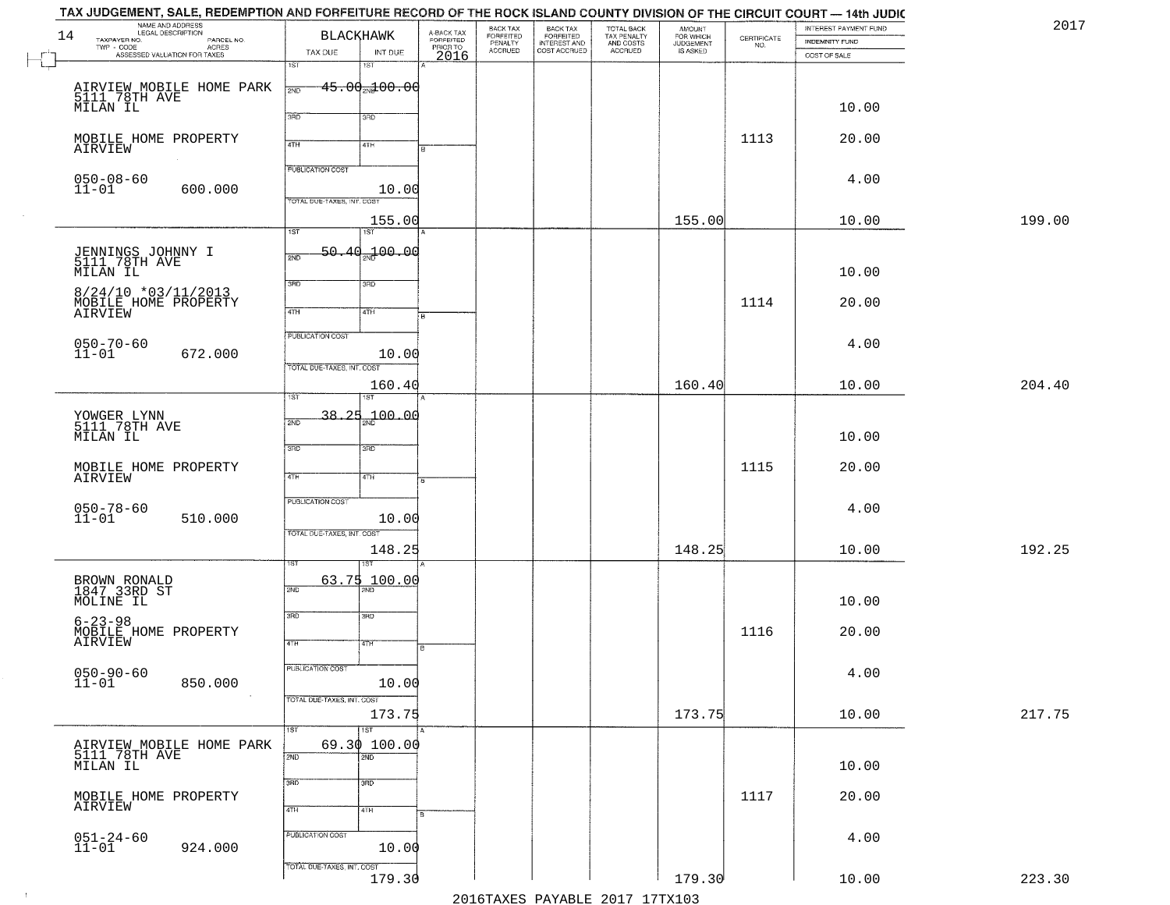| NAME AND ADDRESS<br>LEGAL DESCRIPTION<br>14    |                     | <b>BLACKHAWK</b>                           |         | A-BACK TAX<br>FORFEITED | BACK TAX<br><b>FORFEITED</b> | <b>BACK TAX</b>                           | TOTAL BACK<br>TAX PENALTY<br>AND COSTS<br>ACCRUED | <b>AMOUNT</b>                      |                                                                 | INTEREST PAYMENT FUND | 2017   |
|------------------------------------------------|---------------------|--------------------------------------------|---------|-------------------------|------------------------------|-------------------------------------------|---------------------------------------------------|------------------------------------|-----------------------------------------------------------------|-----------------------|--------|
| TAXPAYER NO.<br>TWP - CODE                     | PARCEL NO.<br>ACRES |                                            |         | PRIOR TO                | PENALTY<br><b>ACCRUED</b>    | FORFEITED<br>INTEREST AND<br>COST ACCRUED |                                                   | FOR WHICH<br>JUDGEMENT<br>IS ASKED | $\begin{array}{c} \text{CERTIFICATE} \\ \text{NO.} \end{array}$ | <b>INDEMNITY FUND</b> |        |
| ASSESSED VALUATION FOR TAXES                   |                     | TAX DUE<br>1ST<br>1ST                      | INT DUE | 2016                    |                              |                                           |                                                   |                                    |                                                                 | COST OF SALE          |        |
|                                                |                     |                                            |         |                         |                              |                                           |                                                   |                                    |                                                                 |                       |        |
| AIRVIEW MOBILE HOME PARK<br>5111.78TH AVE      |                     | <del>15.00<sub>20</sub>100.00</del><br>2ND |         |                         |                              |                                           |                                                   |                                    |                                                                 |                       |        |
| MILAN IL                                       |                     | 3RD                                        |         |                         |                              |                                           |                                                   |                                    |                                                                 | 10.00                 |        |
|                                                |                     | 3RD                                        |         |                         |                              |                                           |                                                   |                                    |                                                                 |                       |        |
| MOBILE HOME PROPERTY<br>AIRVIEW                |                     | 4TH<br>4TH                                 |         |                         |                              |                                           |                                                   |                                    | 1113                                                            | 20.00                 |        |
|                                                |                     |                                            |         |                         |                              |                                           |                                                   |                                    |                                                                 |                       |        |
| $050 - 08 - 60$<br>11-01                       |                     | <b>PUBLICATION COST</b>                    |         |                         |                              |                                           |                                                   |                                    |                                                                 | 4.00                  |        |
|                                                | 600.000             | TOTAL DUE-TAXES, INT. COST                 | 10.00   |                         |                              |                                           |                                                   |                                    |                                                                 |                       |        |
|                                                |                     |                                            | 155.00  |                         |                              |                                           |                                                   | 155.00                             |                                                                 | 10.00                 | 199.00 |
|                                                |                     | 1ST<br>1ST                                 |         |                         |                              |                                           |                                                   |                                    |                                                                 |                       |        |
|                                                |                     | $-50.40$ <sub>2N</sub> $-100.00$           |         |                         |                              |                                           |                                                   |                                    |                                                                 |                       |        |
| JENNINGS JOHNNY I<br>5111 78TH AVE<br>MILAN IL |                     | 2ND                                        |         |                         |                              |                                           |                                                   |                                    |                                                                 | 10.00                 |        |
|                                                |                     | 3BD<br>3RD                                 |         |                         |                              |                                           |                                                   |                                    |                                                                 |                       |        |
| 8/24/10 *03/11/2013<br>MOBILE HOME PROPERTY    |                     |                                            |         |                         |                              |                                           |                                                   |                                    | 1114                                                            | 20.00                 |        |
| AIRVIEW                                        |                     | $\sqrt{47H}$<br>4TH                        |         |                         |                              |                                           |                                                   |                                    |                                                                 |                       |        |
|                                                |                     | PUBLICATION COST                           |         |                         |                              |                                           |                                                   |                                    |                                                                 |                       |        |
| $050 - 70 - 60$<br>11-01                       | 672.000             |                                            | 10.00   |                         |                              |                                           |                                                   |                                    |                                                                 | 4.00                  |        |
|                                                |                     | TOTAL DUE-TAXES, INT. COST                 |         |                         |                              |                                           |                                                   |                                    |                                                                 |                       |        |
|                                                |                     |                                            | 160.40  |                         |                              |                                           |                                                   | 160.40                             |                                                                 | 10.00                 | 204.40 |
|                                                |                     | 1ST                                        |         |                         |                              |                                           |                                                   |                                    |                                                                 |                       |        |
| YOWGER LYNN<br>5111 78TH AVE                   |                     | 38<br>っす<br>2ND                            | 100.00  |                         |                              |                                           |                                                   |                                    |                                                                 |                       |        |
| MILAN IL                                       |                     | 3RD<br>3 <sub>3</sub>                      |         |                         |                              |                                           |                                                   |                                    |                                                                 | 10.00                 |        |
|                                                |                     |                                            |         |                         |                              |                                           |                                                   |                                    |                                                                 |                       |        |
| MOBILE HOME PROPERTY<br>AIRVIEW                |                     | 4TH<br>4TH                                 |         |                         |                              |                                           |                                                   |                                    | 1115                                                            | 20.00                 |        |
|                                                |                     | <b>PUBLICATION COST</b>                    |         |                         |                              |                                           |                                                   |                                    |                                                                 |                       |        |
| $050 - 78 - 60$<br>11-01                       | 510.000             |                                            | 10.00   |                         |                              |                                           |                                                   |                                    |                                                                 | 4.00                  |        |
|                                                |                     | TOTAL OUE-TAXES, INT. COST                 |         |                         |                              |                                           |                                                   |                                    |                                                                 |                       |        |
|                                                |                     |                                            | 148.25  |                         |                              |                                           |                                                   | 148.25                             |                                                                 | 10.00                 | 192.25 |
|                                                |                     |                                            |         |                         |                              |                                           |                                                   |                                    |                                                                 |                       |        |
| BROWN RONALD<br>1847 33RD ST                   |                     | <u>63.75 100.00</u><br>2ND                 |         |                         |                              |                                           |                                                   |                                    |                                                                 |                       |        |
| MOLINE IL                                      |                     |                                            |         |                         |                              |                                           |                                                   |                                    |                                                                 | 10.00                 |        |
| $6 - 23 - 98$                                  |                     | 3RD<br>3BD                                 |         |                         |                              |                                           |                                                   |                                    |                                                                 |                       |        |
| MOBILE HOME PROPERTY<br>AIRVIEW                |                     |                                            |         |                         |                              |                                           |                                                   |                                    | 1116                                                            | 20.00                 |        |
|                                                |                     | 4TH<br>4TH                                 |         |                         |                              |                                           |                                                   |                                    |                                                                 |                       |        |
| $050 - 90 - 60$<br>11-01                       |                     | PUBLICATION COST                           |         |                         |                              |                                           |                                                   |                                    |                                                                 | 4.00                  |        |
|                                                | 850.000             |                                            | 10.00   |                         |                              |                                           |                                                   |                                    |                                                                 |                       |        |
|                                                |                     | TOTAL DUE-TAXES, INT. COST                 |         |                         |                              |                                           |                                                   |                                    |                                                                 |                       |        |
|                                                |                     | $\overline{157}$<br>$\overline{1}$ ST      | 173.75  |                         |                              |                                           |                                                   | 173.75                             |                                                                 | 10.00                 | 217.75 |
|                                                |                     | 69.30100.00                                |         |                         |                              |                                           |                                                   |                                    |                                                                 |                       |        |
| AIRVIEW MOBILE HOME PARK<br>5111 78TH AVE      |                     | 2ND<br>2ND                                 |         |                         |                              |                                           |                                                   |                                    |                                                                 |                       |        |
| MILAN IL                                       |                     |                                            |         |                         |                              |                                           |                                                   |                                    |                                                                 | 10.00                 |        |
| MOBILE HOME PROPERTY                           |                     | 3RD<br>$\overline{3}$ RD                   |         |                         |                              |                                           |                                                   |                                    | 1117                                                            | 20.00                 |        |
| AIRVIEW                                        |                     | 4TH<br>4TH                                 |         |                         |                              |                                           |                                                   |                                    |                                                                 |                       |        |
|                                                |                     |                                            |         |                         |                              |                                           |                                                   |                                    |                                                                 |                       |        |
| $051 - 24 - 60$<br>11-01                       | 924.000             | PUBLICATION COST                           | 10.00   |                         |                              |                                           |                                                   |                                    |                                                                 | 4.00                  |        |
|                                                |                     | TOTAL DUE-TAXES, INT. COST                 |         |                         |                              |                                           |                                                   |                                    |                                                                 |                       |        |
|                                                |                     |                                            | 179.30  |                         |                              |                                           |                                                   | 179.30                             |                                                                 | 10.00                 | 223.30 |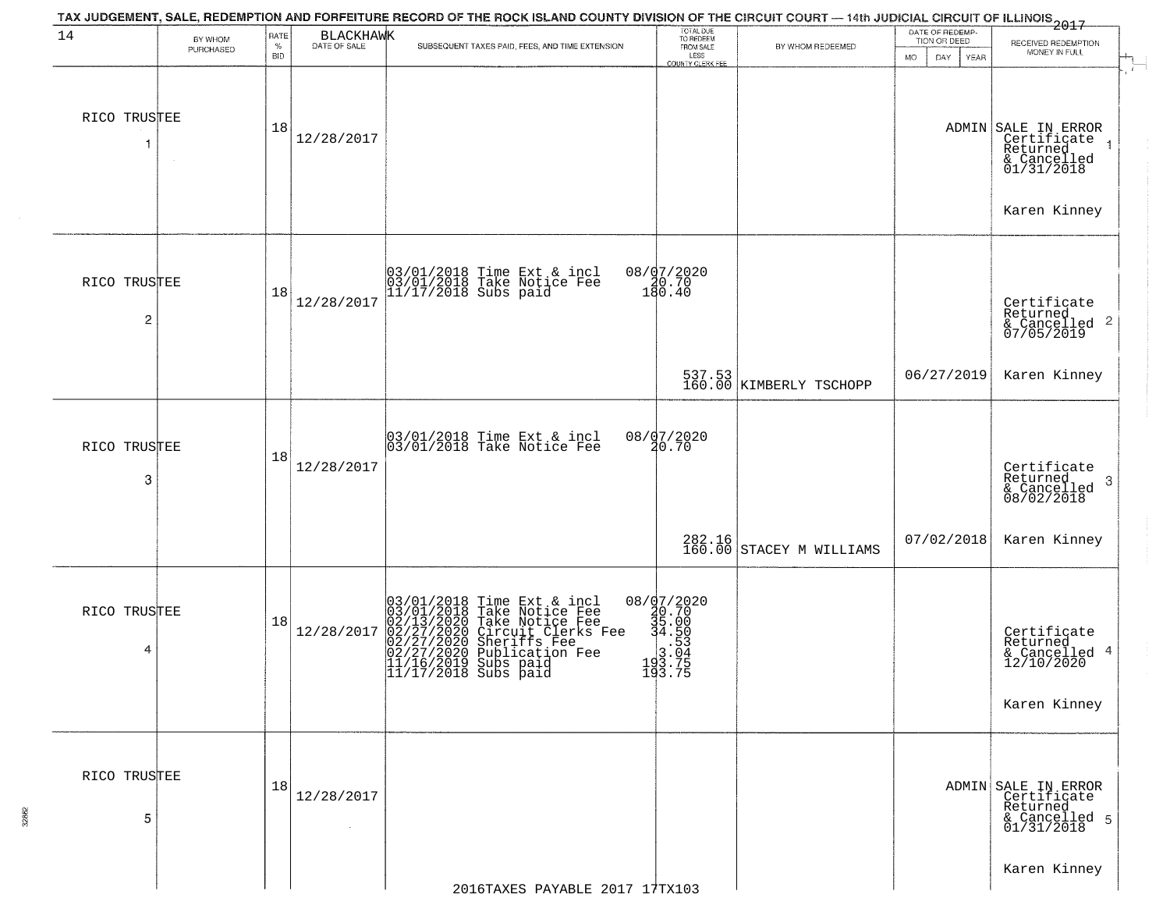|                   |                      |                            |                      | TAX JUDGEMENT, SALE, REDEMPTION AND FORFEITURE RECORD OF THE ROCK ISLAND COUNTY DIVISION OF THE CIRCUIT COURT — 14th JUDICIAL CIRCUIT OF ILLINOIS 2017                                                              |                                                                              |                                    |                                                                    |                                                                                                             |
|-------------------|----------------------|----------------------------|----------------------|---------------------------------------------------------------------------------------------------------------------------------------------------------------------------------------------------------------------|------------------------------------------------------------------------------|------------------------------------|--------------------------------------------------------------------|-------------------------------------------------------------------------------------------------------------|
| 14                | BY WHOM<br>PURCHASED | RATE<br>$\%$<br><b>BID</b> | BLACKHAWK            | SUBSEQUENT TAXES PAID, FEES, AND TIME EXTENSION                                                                                                                                                                     | TOTAL DUE<br>TO REDEEM<br>FROM SALE<br>LESS<br>COUNTY CLERK FEE              | BY WHOM REDEEMED                   | DATE OF REDEMP-<br>TION OR DEED<br><b>MO</b><br>DAY<br><b>YEAR</b> | RECEIVED REDEMPTION<br>MONEY IN FULL                                                                        |
| RICO TRUSTEE      |                      | 18                         | 12/28/2017           |                                                                                                                                                                                                                     |                                                                              |                                    |                                                                    | $\mathbf{r}$<br>ADMIN SALE IN ERROR<br>Certificate<br>Returned<br>& Cancelled<br>01/31/2018<br>Karen Kinney |
| RICO TRUSTEE<br>2 |                      | 18                         | 12/28/2017           | 03/01/2018 Time Ext & incl<br>03/01/2018 Take Notice Fee<br>11/17/2018 Subs paid                                                                                                                                    | 08/07/2020<br>20.70<br>180.40                                                |                                    |                                                                    | Certificate<br>Returned<br>& Cancelled 2<br>07/05/2019                                                      |
|                   |                      |                            |                      |                                                                                                                                                                                                                     |                                                                              | 537.53<br>160.00 KIMBERLY TSCHOPP  | 06/27/2019                                                         | Karen Kinney                                                                                                |
| RICO TRUSTEE<br>3 |                      | 18                         | 12/28/2017           | 03/01/2018 Time Ext & incl<br>03/01/2018 Take Notice Fee                                                                                                                                                            | 08/07/2020<br>20.70                                                          |                                    |                                                                    | Certificate<br>Returned<br>3<br>& Cancelled<br>08/02/2018                                                   |
|                   |                      |                            |                      |                                                                                                                                                                                                                     |                                                                              | 282.16<br>160.00 STACEY M WILLIAMS | 07/02/2018                                                         | Karen Kinney                                                                                                |
| RICO TRUSTEE<br>4 |                      | 18                         | 12/28/2017           | $03/01/2018$ Time Ext & incl<br>$03/01/2018$ Take Notice Fee<br>$02/13/2020$ Take Notice Fee<br>$02/27/2020$ Circuit Clerks Fee<br>$02/27/2020$ Sublication Fee<br>$11/16/2019$ Subs paid<br>$11/17/2018$ Subs paid | 08/d7/2020<br>20.70<br>35.00<br>34.50<br>34.50<br>193.04<br>193.75<br>193.75 |                                    |                                                                    | Certificate<br>Returned<br>& Cancelled 4<br>12/10/2020<br>Karen Kinney                                      |
| RICO TRUSTEE<br>5 |                      | 18                         | 12/28/2017<br>$\sim$ |                                                                                                                                                                                                                     |                                                                              |                                    |                                                                    | ADMIN SALE IN ERROR<br>Certificate<br>Returned<br>& Cancelled 5<br>01/31/2018<br>Karen Kinney               |
|                   |                      |                            |                      | 2016TAXES PAYABLE 2017 17TX103                                                                                                                                                                                      |                                                                              |                                    |                                                                    |                                                                                                             |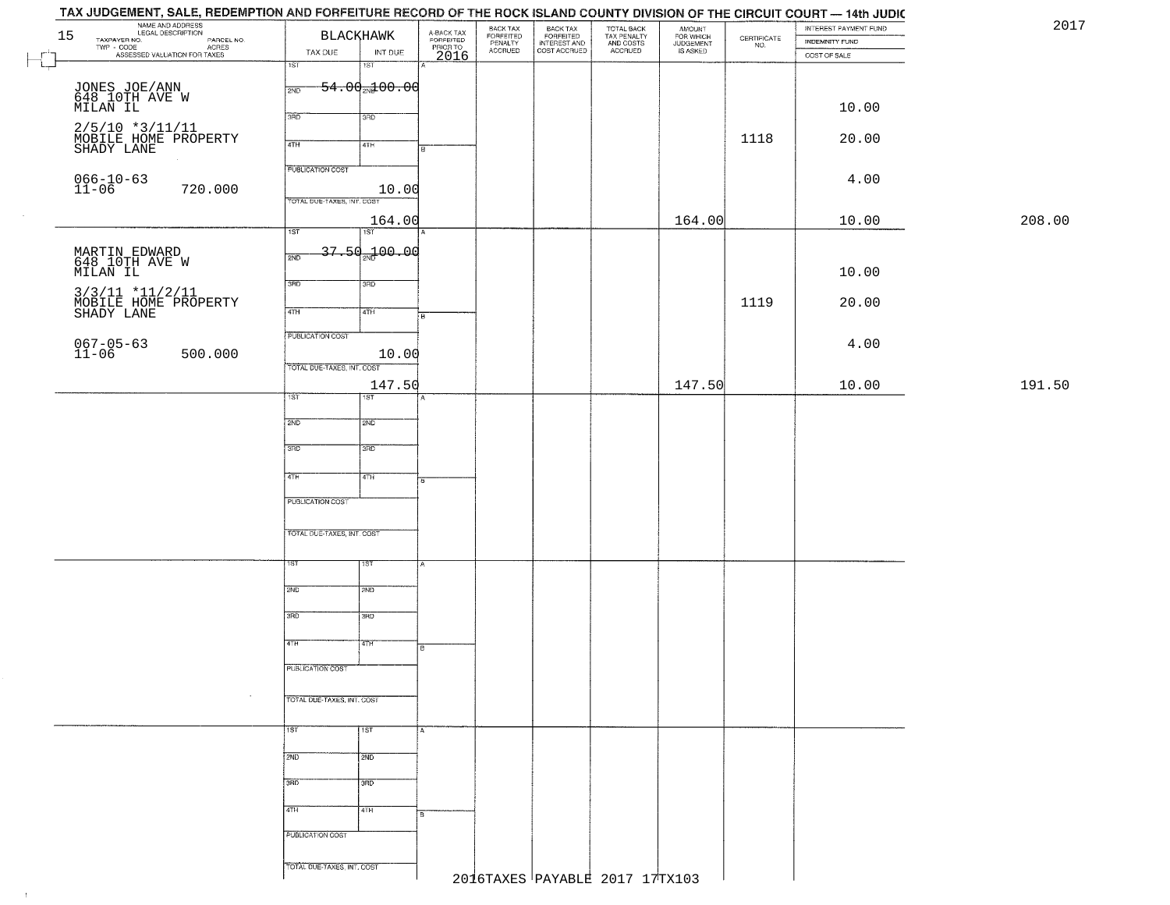| 15                        | NAME AND ADDRESS<br>LEGAL DESCRIPTION<br>TAXPAYER NO.                                           | <b>BLACKHAWK</b>                    | A-BACK TAX<br>FORFEITED<br>PRIOR TO | BACK TAX<br>FORFEITED<br>PENALTY | BACK TAX<br>FORFEITED<br>INTEREST AND | TOTAL BACK<br>TAX PENALTY<br>AND COSTS | AMOUNT<br>FOR WHICH<br>JUDGEMENT | $\begin{array}{c} \text{CERTIFICATE} \\ \text{NO.} \end{array}$ | INTEREST PAYMENT FUND<br>INDEMNITY FUND | 2017   |
|---------------------------|-------------------------------------------------------------------------------------------------|-------------------------------------|-------------------------------------|----------------------------------|---------------------------------------|----------------------------------------|----------------------------------|-----------------------------------------------------------------|-----------------------------------------|--------|
|                           | ECONOMIC DESCRIPTION PARCEL NO.<br>- CODE ACRES<br>- ASSESSED VALUATION FOR TAXES<br>TWP - CODE | TAX DUE<br>INT DUE                  | 2016                                | <b>ACCRUED</b>                   | COST ACCRUED                          | ACCRUED                                | IS ASKED                         |                                                                 | COST OF SALE                            |        |
| $\mathbb{H}^{\mathbb{Z}}$ |                                                                                                 | 1ST<br>18T                          |                                     |                                  |                                       |                                        |                                  |                                                                 |                                         |        |
|                           |                                                                                                 | $54.00 - 00$<br>2ND                 |                                     |                                  |                                       |                                        |                                  |                                                                 |                                         |        |
|                           | JONES JOE/ANN<br>648 10TH AVE W<br>MILAN IL                                                     |                                     |                                     |                                  |                                       |                                        |                                  |                                                                 | 10.00                                   |        |
|                           |                                                                                                 | 3RD<br>3RD                          |                                     |                                  |                                       |                                        |                                  |                                                                 |                                         |        |
|                           | 2/5/10 *3/11/11<br>MOBILE HOME PROPERTY<br>SHADY LANE                                           | 4TH<br>4TH                          | R                                   |                                  |                                       |                                        |                                  | 1118                                                            | 20.00                                   |        |
|                           |                                                                                                 |                                     |                                     |                                  |                                       |                                        |                                  |                                                                 |                                         |        |
|                           | $066 - 10 - 63$<br>11-06                                                                        | <b>PUBLICATION COST</b>             |                                     |                                  |                                       |                                        |                                  |                                                                 | 4.00                                    |        |
|                           | 720.000                                                                                         | 10.00<br>TOTAL DUE-TAXES, INT. COST |                                     |                                  |                                       |                                        |                                  |                                                                 |                                         |        |
|                           |                                                                                                 | 164.00                              |                                     |                                  |                                       |                                        | 164.00                           |                                                                 | 10.00                                   | 208.00 |
|                           |                                                                                                 | 1ST<br>1ST                          |                                     |                                  |                                       |                                        |                                  |                                                                 |                                         |        |
|                           |                                                                                                 | 37.50 <sub>2N</sub> 100.00<br>2ND   |                                     |                                  |                                       |                                        |                                  |                                                                 |                                         |        |
|                           | MARTIN EDWARD<br>648 10TH AVE W<br>MILAN IL                                                     |                                     |                                     |                                  |                                       |                                        |                                  |                                                                 | 10.00                                   |        |
|                           |                                                                                                 | 3RD<br>3RD                          |                                     |                                  |                                       |                                        |                                  |                                                                 |                                         |        |
|                           | 3/3/11 *11/2/11<br>MOBILE HOME PROPERTY<br>SHADY LANE                                           | 47H<br>4TH                          |                                     |                                  |                                       |                                        |                                  | 1119                                                            | 20.00                                   |        |
|                           |                                                                                                 |                                     | Гв                                  |                                  |                                       |                                        |                                  |                                                                 |                                         |        |
|                           | $067 - 05 - 63$<br>11-06                                                                        | PUBLICATION COST                    |                                     |                                  |                                       |                                        |                                  |                                                                 | 4.00                                    |        |
|                           | 500.000                                                                                         | 10.00<br>TOTAL DUE-TAXES, INT. COST |                                     |                                  |                                       |                                        |                                  |                                                                 |                                         |        |
|                           |                                                                                                 | 147.50                              |                                     |                                  |                                       |                                        | 147.50                           |                                                                 | 10.00                                   | 191.50 |
|                           |                                                                                                 | 1ST<br>1ST                          |                                     |                                  |                                       |                                        |                                  |                                                                 |                                         |        |
|                           |                                                                                                 | 2ND<br><b>SMD</b>                   |                                     |                                  |                                       |                                        |                                  |                                                                 |                                         |        |
|                           |                                                                                                 |                                     |                                     |                                  |                                       |                                        |                                  |                                                                 |                                         |        |
|                           |                                                                                                 | 3 <sub>BD</sub><br>3RD              |                                     |                                  |                                       |                                        |                                  |                                                                 |                                         |        |
|                           |                                                                                                 | 4TH<br>4TH                          |                                     |                                  |                                       |                                        |                                  |                                                                 |                                         |        |
|                           |                                                                                                 |                                     | l B.                                |                                  |                                       |                                        |                                  |                                                                 |                                         |        |
|                           |                                                                                                 | PUBLICATION COST                    |                                     |                                  |                                       |                                        |                                  |                                                                 |                                         |        |
|                           |                                                                                                 | TOTAL OUE-TAXES, INT. COST          |                                     |                                  |                                       |                                        |                                  |                                                                 |                                         |        |
|                           |                                                                                                 |                                     |                                     |                                  |                                       |                                        |                                  |                                                                 |                                         |        |
|                           |                                                                                                 | 1ST<br>१९४                          |                                     |                                  |                                       |                                        |                                  |                                                                 |                                         |        |
|                           |                                                                                                 | 2ND<br>2ND                          |                                     |                                  |                                       |                                        |                                  |                                                                 |                                         |        |
|                           |                                                                                                 |                                     |                                     |                                  |                                       |                                        |                                  |                                                                 |                                         |        |
|                           |                                                                                                 | 3RD<br>3BD                          |                                     |                                  |                                       |                                        |                                  |                                                                 |                                         |        |
|                           |                                                                                                 | वाम<br>4TH                          |                                     |                                  |                                       |                                        |                                  |                                                                 |                                         |        |
|                           |                                                                                                 |                                     | в                                   |                                  |                                       |                                        |                                  |                                                                 |                                         |        |
|                           |                                                                                                 | PUBLICATION COST                    |                                     |                                  |                                       |                                        |                                  |                                                                 |                                         |        |
|                           |                                                                                                 | TOTAL DUE-TAXES, INT. COST          |                                     |                                  |                                       |                                        |                                  |                                                                 |                                         |        |
|                           |                                                                                                 |                                     |                                     |                                  |                                       |                                        |                                  |                                                                 |                                         |        |
|                           |                                                                                                 | 1ST<br>1ST                          | IA.                                 |                                  |                                       |                                        |                                  |                                                                 |                                         |        |
|                           |                                                                                                 |                                     |                                     |                                  |                                       |                                        |                                  |                                                                 |                                         |        |
|                           |                                                                                                 | 2ND<br>2ND                          |                                     |                                  |                                       |                                        |                                  |                                                                 |                                         |        |
|                           |                                                                                                 | 3RD<br>$\overline{3}$ RD            |                                     |                                  |                                       |                                        |                                  |                                                                 |                                         |        |
|                           |                                                                                                 | 4TH<br>4TH                          |                                     |                                  |                                       |                                        |                                  |                                                                 |                                         |        |
|                           |                                                                                                 |                                     | l B.                                |                                  |                                       |                                        |                                  |                                                                 |                                         |        |
|                           |                                                                                                 | PUBLICATION COST                    |                                     |                                  |                                       |                                        |                                  |                                                                 |                                         |        |
|                           |                                                                                                 | TOTAL DUE-TAXES, INT. COST          |                                     |                                  |                                       |                                        |                                  |                                                                 |                                         |        |
|                           |                                                                                                 |                                     |                                     |                                  | 2016TAXES PAYABLE 2017 17TX103        |                                        |                                  |                                                                 |                                         |        |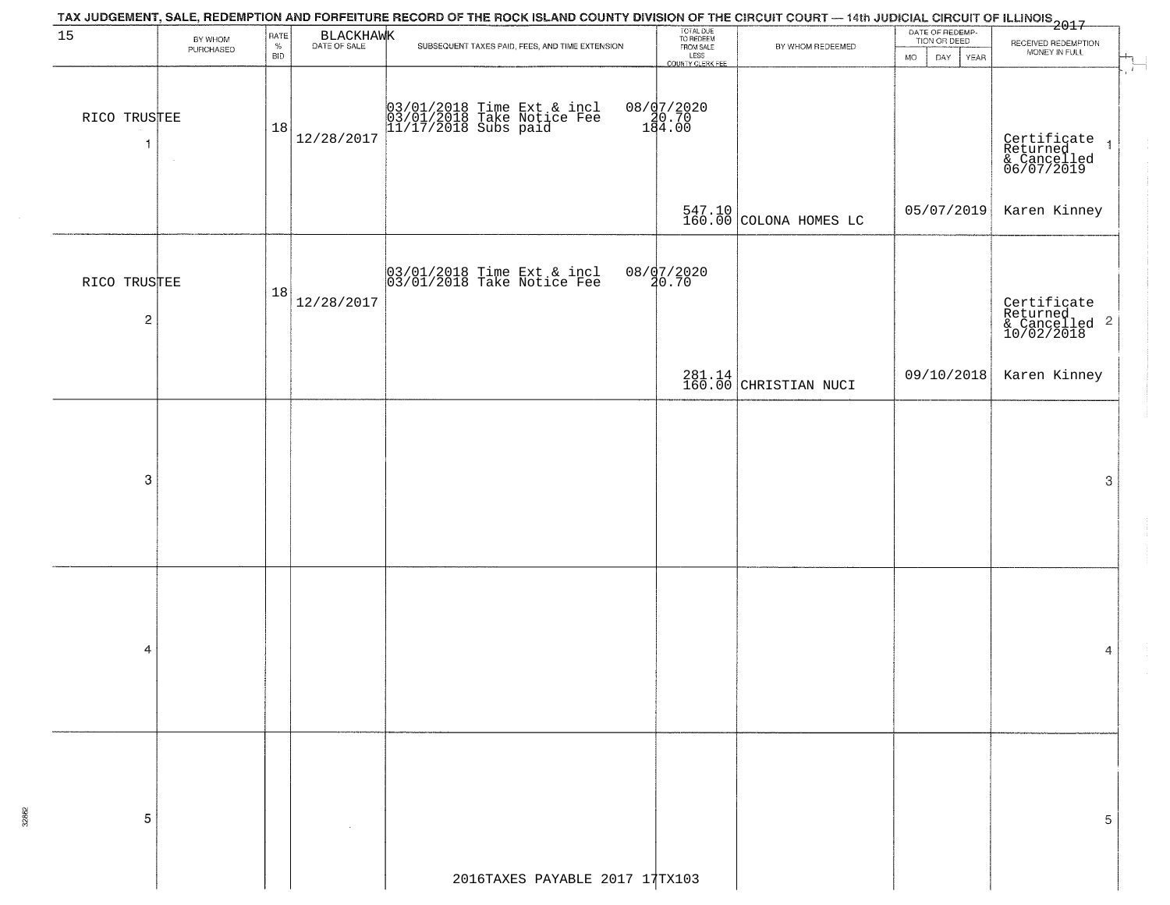|                                |                      |                                                              |            | TAX JUDGEMENT, SALE, REDEMPTION AND FORFEITURE RECORD OF THE ROCK ISLAND COUNTY DIVISION OF THE CIRCUIT COURT — 14th JUDICIAL CIRCUIT OF ILLINOIS<br>2017 - And Carl County of Management County of Management County of Carl Cou |                                                                 |                                 |                                                        |                                                                           |
|--------------------------------|----------------------|--------------------------------------------------------------|------------|-----------------------------------------------------------------------------------------------------------------------------------------------------------------------------------------------------------------------------------|-----------------------------------------------------------------|---------------------------------|--------------------------------------------------------|---------------------------------------------------------------------------|
| 15                             | BY WHOM<br>PURCHASED | $\begin{array}{c}\text{RATE}\\ \% \end{array}$<br><b>BID</b> | BLACKHAWK  | SUBSEQUENT TAXES PAID, FEES, AND TIME EXTENSION                                                                                                                                                                                   | TOTAL DUE<br>TO REDEEM<br>FROM SALE<br>LESS<br>COUNTY CLERK FEE | BY WHOM REDEEMED                | DATE OF REDEMP-<br>TION OR DEED<br>DAY.<br>YEAR<br>MO. | RECEIVED REDEMPTION<br>MONEY IN FULL                                      |
| RICO TRUSTEE<br>-1             |                      | 18                                                           | 12/28/2017 | 03/01/2018 Time Ext & incl<br>03/01/2018 Take Notice Fee<br>11/17/2018 Subs paid                                                                                                                                                  | 08/07/2020<br>180.70<br>184.00                                  |                                 |                                                        | $\mathcal{X}$<br>Certificate 1<br>Returned 1<br>& Cancelled<br>06/07/2019 |
|                                |                      |                                                              |            |                                                                                                                                                                                                                                   |                                                                 | 547.10 COLONA HOMES LC          | 05/07/2019                                             | Karen Kinney                                                              |
| RICO TRUSTEE<br>$\overline{c}$ |                      | 18                                                           | 12/28/2017 | 03/01/2018 Time Ext & incl<br>03/01/2018 Take Notice Fee                                                                                                                                                                          | 08/07/2020<br>20.70                                             |                                 |                                                        | Certificate<br>Returned<br>& Cancelled <sup>2</sup><br>10/02/2018         |
|                                |                      |                                                              |            |                                                                                                                                                                                                                                   |                                                                 | 281.14<br>160.00 CHRISTIAN NUCI | 09/10/2018                                             | Karen Kinney                                                              |
|                                |                      |                                                              |            |                                                                                                                                                                                                                                   |                                                                 |                                 |                                                        |                                                                           |
| $\boldsymbol{3}$               |                      |                                                              |            |                                                                                                                                                                                                                                   |                                                                 |                                 |                                                        | 3                                                                         |
|                                |                      |                                                              |            |                                                                                                                                                                                                                                   |                                                                 |                                 |                                                        |                                                                           |
| 4                              |                      |                                                              |            |                                                                                                                                                                                                                                   |                                                                 |                                 |                                                        | 4                                                                         |
|                                |                      |                                                              |            |                                                                                                                                                                                                                                   |                                                                 |                                 |                                                        |                                                                           |
| 5                              |                      |                                                              |            |                                                                                                                                                                                                                                   |                                                                 |                                 |                                                        | 5                                                                         |
|                                |                      |                                                              |            | 2016TAXES PAYABLE 2017 17TX103                                                                                                                                                                                                    |                                                                 |                                 |                                                        |                                                                           |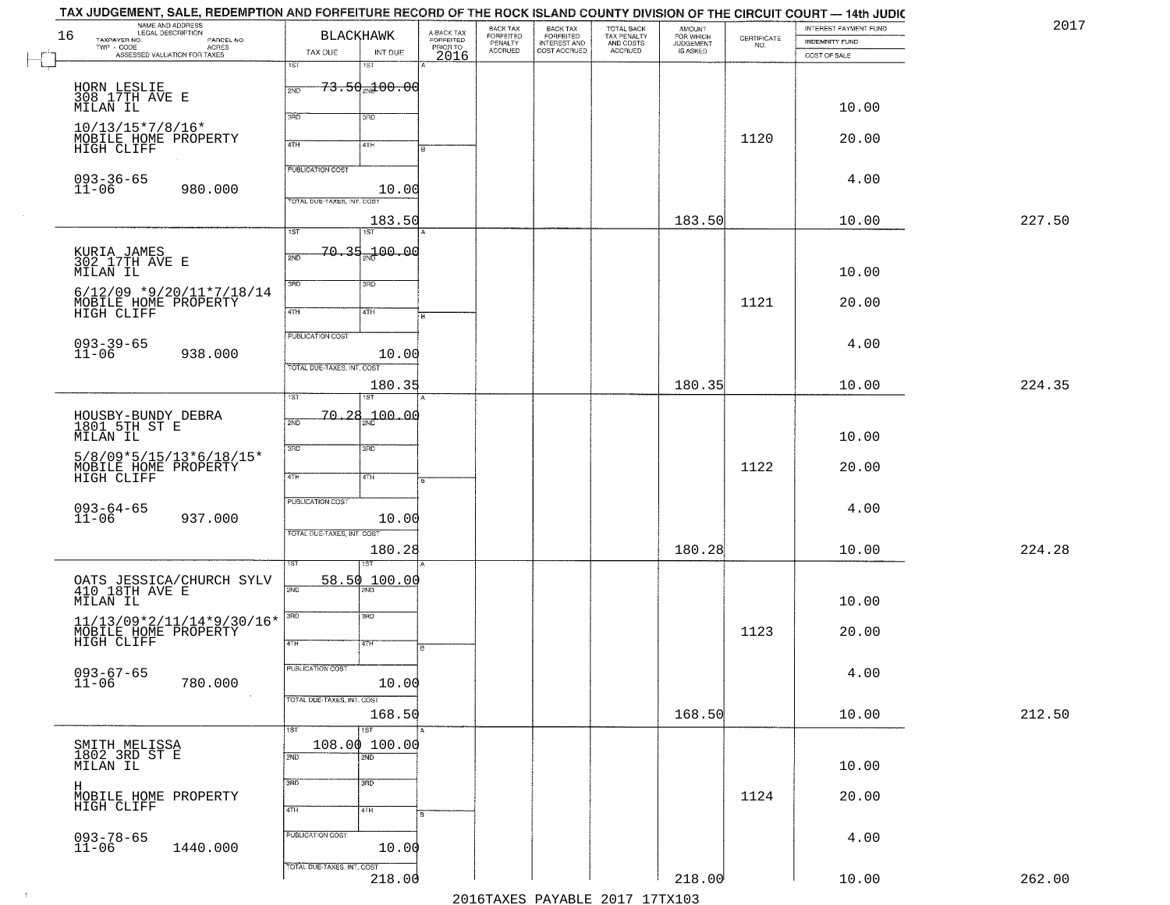|    | TAX JUDGEMENT, SALE, REDEMPTION AND FORFEITURE RECORD OF THE ROCK ISLAND COUNTY DIVISION OF THE CIRCUIT COURT — 14th JUDIC |                                            |                         |                              |                                                       |                                                   |                                    |                                                                 |                       |        |
|----|----------------------------------------------------------------------------------------------------------------------------|--------------------------------------------|-------------------------|------------------------------|-------------------------------------------------------|---------------------------------------------------|------------------------------------|-----------------------------------------------------------------|-----------------------|--------|
| 16 | NAME AND ADDRESS<br>LEGAL DESCRIPTION                                                                                      | <b>BLACKHAWK</b>                           | A-BACK TAX<br>FORFEITED | BACK TAX<br><b>FORFEITED</b> |                                                       |                                                   | <b>AMOUNT</b>                      |                                                                 | INTEREST PAYMENT FUND | 2017   |
|    | TAXPAYER NO.<br>PARCEL NO.<br>TWP - CODE<br>- CODE ACRES<br>ASSESSED VALUATION FOR TAXES                                   |                                            |                         | PENALTY<br>ACCRUED           | BACK TAX<br>FORFEITED<br>INTEREST AND<br>COST ACCRUED | TOTAL BACK<br>TAX PENALTY<br>AND COSTS<br>ACCRUED | FOR WHICH<br>JUDGEMENT<br>IS ASKED | $\begin{array}{c} \text{CEPTIFICATE} \\ \text{NO.} \end{array}$ | <b>INDEMNITY FUND</b> |        |
|    |                                                                                                                            | TAX DUE<br>INT DUE<br>1ST<br>15T           | PRIORTO                 |                              |                                                       |                                                   |                                    |                                                                 | COST OF SALE          |        |
|    |                                                                                                                            |                                            |                         |                              |                                                       |                                                   |                                    |                                                                 |                       |        |
|    | HORN LESLIE<br>308 17TH AVE E                                                                                              | <del>73.50<sub>20</sub>100.00</del><br>2ND |                         |                              |                                                       |                                                   |                                    |                                                                 |                       |        |
|    | MILAN IL                                                                                                                   |                                            |                         |                              |                                                       |                                                   |                                    |                                                                 | 10.00                 |        |
|    |                                                                                                                            | 3RD<br>3RD                                 |                         |                              |                                                       |                                                   |                                    |                                                                 |                       |        |
|    | $10/13/15*7/8/16*$<br>MOBILE HOME PROPERTY                                                                                 |                                            |                         |                              |                                                       |                                                   |                                    | 1120                                                            | 20.00                 |        |
|    | HIGH CLIFF                                                                                                                 | 4TH<br>4TH                                 |                         |                              |                                                       |                                                   |                                    |                                                                 |                       |        |
|    |                                                                                                                            | <b>PUBLICATION COST</b>                    |                         |                              |                                                       |                                                   |                                    |                                                                 |                       |        |
|    | $093 - 36 - 65$                                                                                                            |                                            |                         |                              |                                                       |                                                   |                                    |                                                                 | 4.00                  |        |
|    | $11 - 06$<br>980.000                                                                                                       | 10.00<br>TOTAL DUE-TAXES, INT. COST        |                         |                              |                                                       |                                                   |                                    |                                                                 |                       |        |
|    |                                                                                                                            |                                            |                         |                              |                                                       |                                                   |                                    |                                                                 |                       |        |
|    |                                                                                                                            | 183.50<br>$\overline{1ST}$<br>1ST          |                         |                              |                                                       |                                                   | 183.50                             |                                                                 | 10.00                 | 227.50 |
|    |                                                                                                                            |                                            |                         |                              |                                                       |                                                   |                                    |                                                                 |                       |        |
|    | KURIA JAMES<br>302 17TH AVE E                                                                                              | <del>70.35<sub>20</sub>00.</del> 00<br>2ND |                         |                              |                                                       |                                                   |                                    |                                                                 |                       |        |
|    | MILAN IL                                                                                                                   |                                            |                         |                              |                                                       |                                                   |                                    |                                                                 | 10.00                 |        |
|    | $6/12/09$ *9/20/11*7/18/14                                                                                                 | 3BD<br>3RD                                 |                         |                              |                                                       |                                                   |                                    |                                                                 |                       |        |
|    | MOBILE HOME PROPERTY                                                                                                       |                                            |                         |                              |                                                       |                                                   |                                    | 1121                                                            | 20.00                 |        |
|    | HIGH CLIFF                                                                                                                 | $\overline{47H}$<br>4TH                    |                         |                              |                                                       |                                                   |                                    |                                                                 |                       |        |
|    |                                                                                                                            | PUBLICATION COST                           |                         |                              |                                                       |                                                   |                                    |                                                                 |                       |        |
|    | $093 - 39 - 65$<br>11-06                                                                                                   |                                            |                         |                              |                                                       |                                                   |                                    |                                                                 | 4.00                  |        |
|    | 938.000                                                                                                                    | 10.00<br>TOTAL DUE-TAXES, INT. COST        |                         |                              |                                                       |                                                   |                                    |                                                                 |                       |        |
|    |                                                                                                                            |                                            |                         |                              |                                                       |                                                   |                                    |                                                                 |                       |        |
|    |                                                                                                                            | 180.35<br>1ST<br>ST                        |                         |                              |                                                       |                                                   | 180.35                             |                                                                 | 10.00                 | 224.35 |
|    |                                                                                                                            |                                            |                         |                              |                                                       |                                                   |                                    |                                                                 |                       |        |
|    | HOUSBY-BUNDY DEBRA<br>1801 5TH ST E                                                                                        | 70,28<br>200.00<br>2ND                     |                         |                              |                                                       |                                                   |                                    |                                                                 |                       |        |
|    | MILAN IL                                                                                                                   |                                            |                         |                              |                                                       |                                                   |                                    |                                                                 | 10.00                 |        |
|    | $5/8/09*5/15/13*6/18/15*$                                                                                                  | 3RD<br>3BD                                 |                         |                              |                                                       |                                                   |                                    |                                                                 |                       |        |
|    | MOBILE HOME PROPERTY                                                                                                       |                                            |                         |                              |                                                       |                                                   |                                    | 1122                                                            | 20.00                 |        |
|    | HIGH CLIFF                                                                                                                 | 4TH<br>4TH                                 |                         |                              |                                                       |                                                   |                                    |                                                                 |                       |        |
|    |                                                                                                                            | <b>PUBLICATION COST</b>                    |                         |                              |                                                       |                                                   |                                    |                                                                 |                       |        |
|    | $093 - 64 - 65$<br>11-06<br>937.000                                                                                        | 10.00                                      |                         |                              |                                                       |                                                   |                                    |                                                                 | 4.00                  |        |
|    |                                                                                                                            | TOTAL OUE-TAXES, INT. COST                 |                         |                              |                                                       |                                                   |                                    |                                                                 |                       |        |
|    |                                                                                                                            | 180.28                                     |                         |                              |                                                       |                                                   | 180.28                             |                                                                 | 10.00                 | 224.28 |
|    |                                                                                                                            | इइ                                         |                         |                              |                                                       |                                                   |                                    |                                                                 |                       |        |
|    |                                                                                                                            | 58.50<br>100.00                            |                         |                              |                                                       |                                                   |                                    |                                                                 |                       |        |
|    | OATS JESSICA/CHURCH SYLV<br>410 18TH AVE E                                                                                 | 2ND                                        |                         |                              |                                                       |                                                   |                                    |                                                                 |                       |        |
|    | MILAN IL                                                                                                                   |                                            |                         |                              |                                                       |                                                   |                                    |                                                                 | 10.00                 |        |
|    |                                                                                                                            | 3RD<br>3RD                                 |                         |                              |                                                       |                                                   |                                    |                                                                 |                       |        |
|    | $\begin{array}{c} 11/13/09 * 2/11/14 * 9/30/16 * \\ \text{MOBILE HOME PROPERTY} \\ \text{HIGH CLIFF} \end{array}$          | 4TH<br>4TH                                 |                         |                              |                                                       |                                                   |                                    | 1123                                                            | 20.00                 |        |
|    |                                                                                                                            |                                            |                         |                              |                                                       |                                                   |                                    |                                                                 |                       |        |
|    |                                                                                                                            | PUBLICATION COST                           |                         |                              |                                                       |                                                   |                                    |                                                                 | 4.00                  |        |
|    | 093-67-65<br>11-06<br>780.000                                                                                              | 10.00                                      |                         |                              |                                                       |                                                   |                                    |                                                                 |                       |        |
|    |                                                                                                                            | TOTAL DUE-TAXES, INT. COST                 |                         |                              |                                                       |                                                   |                                    |                                                                 |                       |        |
|    |                                                                                                                            | 168.50                                     |                         |                              |                                                       |                                                   | 168.50                             |                                                                 | 10.00                 | 212.50 |
|    |                                                                                                                            | $\overline{1ST}$<br>1ST                    |                         |                              |                                                       |                                                   |                                    |                                                                 |                       |        |
|    | SMITH MELISSA<br>1802 3RD ST E                                                                                             | 108.00100.00                               |                         |                              |                                                       |                                                   |                                    |                                                                 |                       |        |
|    |                                                                                                                            | $\overline{2ND}$<br>2ND                    |                         |                              |                                                       |                                                   |                                    |                                                                 |                       |        |
|    | MILAN IL                                                                                                                   |                                            |                         |                              |                                                       |                                                   |                                    |                                                                 | 10.00                 |        |
|    | Н                                                                                                                          | 3RD<br>$\overline{3}$ RD                   |                         |                              |                                                       |                                                   |                                    |                                                                 |                       |        |
|    | MOBILE HOME PROPERTY<br>HIGH CLIFF                                                                                         | 4TH<br>4TH                                 |                         |                              |                                                       |                                                   |                                    | 1124                                                            | 20.00                 |        |
|    |                                                                                                                            |                                            |                         |                              |                                                       |                                                   |                                    |                                                                 |                       |        |
|    |                                                                                                                            | PUBLICATION COST                           |                         |                              |                                                       |                                                   |                                    |                                                                 | 4.00                  |        |
|    | $093 - 78 - 65$<br>11-06<br>1440.000                                                                                       | 10.00                                      |                         |                              |                                                       |                                                   |                                    |                                                                 |                       |        |
|    |                                                                                                                            | TOTAL DUE-TAXES, INT. COST                 |                         |                              |                                                       |                                                   |                                    |                                                                 |                       |        |
|    |                                                                                                                            | 218.00                                     |                         |                              |                                                       |                                                   | 218.00                             |                                                                 | 10.00                 | 262.00 |
|    |                                                                                                                            |                                            |                         |                              |                                                       | 2016 TAVEC DAVARLE 2017 17 TV102                  |                                    |                                                                 |                       |        |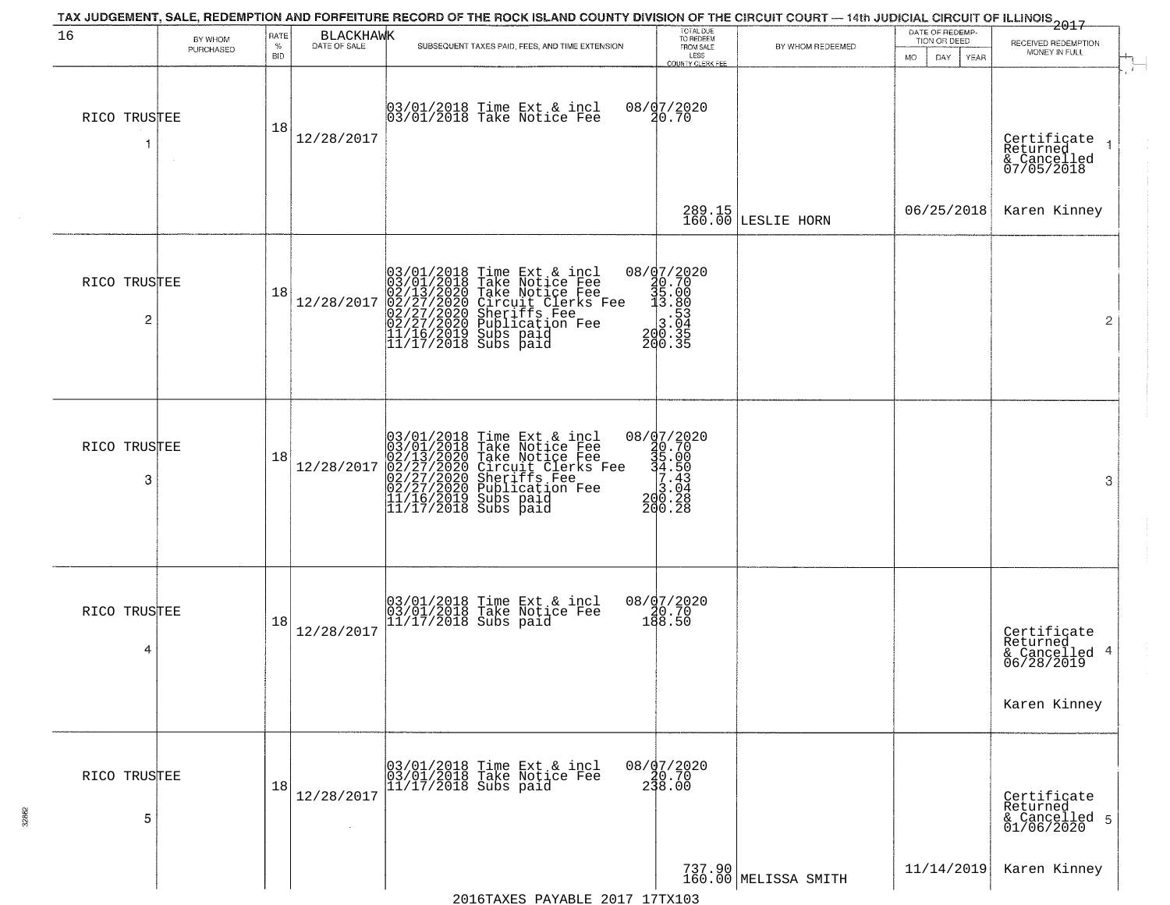| 16                | BY WHOM<br>PURCHASED | RATE<br>$\%$<br><b>BID</b> | BLACKHAWK  | SUBSEQUENT TAXES PAID, FEES, AND TIME EXTENSION                                                                                                                                                                                             | TOTAL DUE<br>TO REDEEM<br>FROM SALE<br>LESS<br>COUNTY CLERK FEE                                                                                         | BY WHOM REDEEMED               | DATE OF REDEMP-<br>TION OR DEED<br>DAY.<br>MO.<br>YEAR | $-2017$<br>RECEIVED REDEMPTION<br>MONEY IN FULL                        |  |
|-------------------|----------------------|----------------------------|------------|---------------------------------------------------------------------------------------------------------------------------------------------------------------------------------------------------------------------------------------------|---------------------------------------------------------------------------------------------------------------------------------------------------------|--------------------------------|--------------------------------------------------------|------------------------------------------------------------------------|--|
| RICO TRUSTEE<br>1 |                      | 18                         | 12/28/2017 | 03/01/2018 Time Ext & incl<br>03/01/2018 Take Notice Fee                                                                                                                                                                                    | 08/07/2020<br>20.70                                                                                                                                     |                                |                                                        | Certificate<br>Returned<br>& Cancelled<br>07/05/2018                   |  |
|                   |                      |                            |            |                                                                                                                                                                                                                                             |                                                                                                                                                         | 289.15<br>160.00 LESLIE HORN   | 06/25/2018                                             | Karen Kinney                                                           |  |
| RICO TRUSTEE<br>2 |                      | 18                         | 12/28/2017 | $03/01/2018$ Time Ext & incl<br>$03/01/2018$ Take Notice Fee<br>$02/13/2020$ Take Notice Fee<br>$02/27/2020$ Circuit Clerks Fee<br>$02/27/2020$ Sublication Fee<br>$02/27/2020$ Publication Fee<br>$11/16/2019$ Subs paid<br>$11/17/2018$ S | ${\footnotesize \begin{matrix} 08 / 97 / 2020 \\ 40 \cdot 70 \\ 35 \cdot 00 \\ 13 \cdot 89 \\ 3 \cdot 53 \\ 200 \cdot 35 \\ 200 \cdot 35 \end{matrix}}$ |                                |                                                        | $\overline{2}$                                                         |  |
| RICO TRUSTEE<br>3 |                      | 18                         | 12/28/2017 | $03/01/2018$ Time Ext & incl<br>03/01/2018 Take Notice Fee<br>02/13/2020 Take Notice Fee<br>02/27/2020 Circuit Clerks Fee<br>02/27/2020 Sublication Fee<br>02/27/2020 Publication Fee<br>11/16/2019 Subs paid<br>11/17/2018 Subs paid       | ${\footnotesize \begin{matrix} 08 / 97 / 2020 \\ 40.70 \\ 45.00 \\ 4.50 \\ 7.43 \\ 20.28 \\ 200.28 \\ 200.28 \end{matrix}}$                             |                                |                                                        | 3                                                                      |  |
| RICO TRUSTEE<br>4 |                      | 18                         | 12/28/2017 | 03/01/2018 Time Ext & incl<br>03/01/2018 Take Notice Fee<br>11/17/2018 Subs paid                                                                                                                                                            | 08/07/2020<br>$\frac{20.70}{188.50}$                                                                                                                    |                                |                                                        | Certificate<br>Returned<br>& Cancelled 4<br>06/28/2019<br>Karen Kinney |  |
| RICO TRUSTEE<br>5 |                      | 18                         | 12/28/2017 | 03/01/2018 Time Ext & incl<br>03/01/2018 Take Notice Fee<br>11/17/2018 Subs paid                                                                                                                                                            | 08/07/2020<br>230.70<br>238.00                                                                                                                          |                                |                                                        | Certificate<br>Returned<br>& Cancelled 5<br>01/06/2020                 |  |
|                   |                      |                            |            | $0.016$ mayng payaptr $0.017$ 17my102                                                                                                                                                                                                       |                                                                                                                                                         | 737.90<br>160.00 MELISSA SMITH | 11/14/2019                                             | Karen Kinney                                                           |  |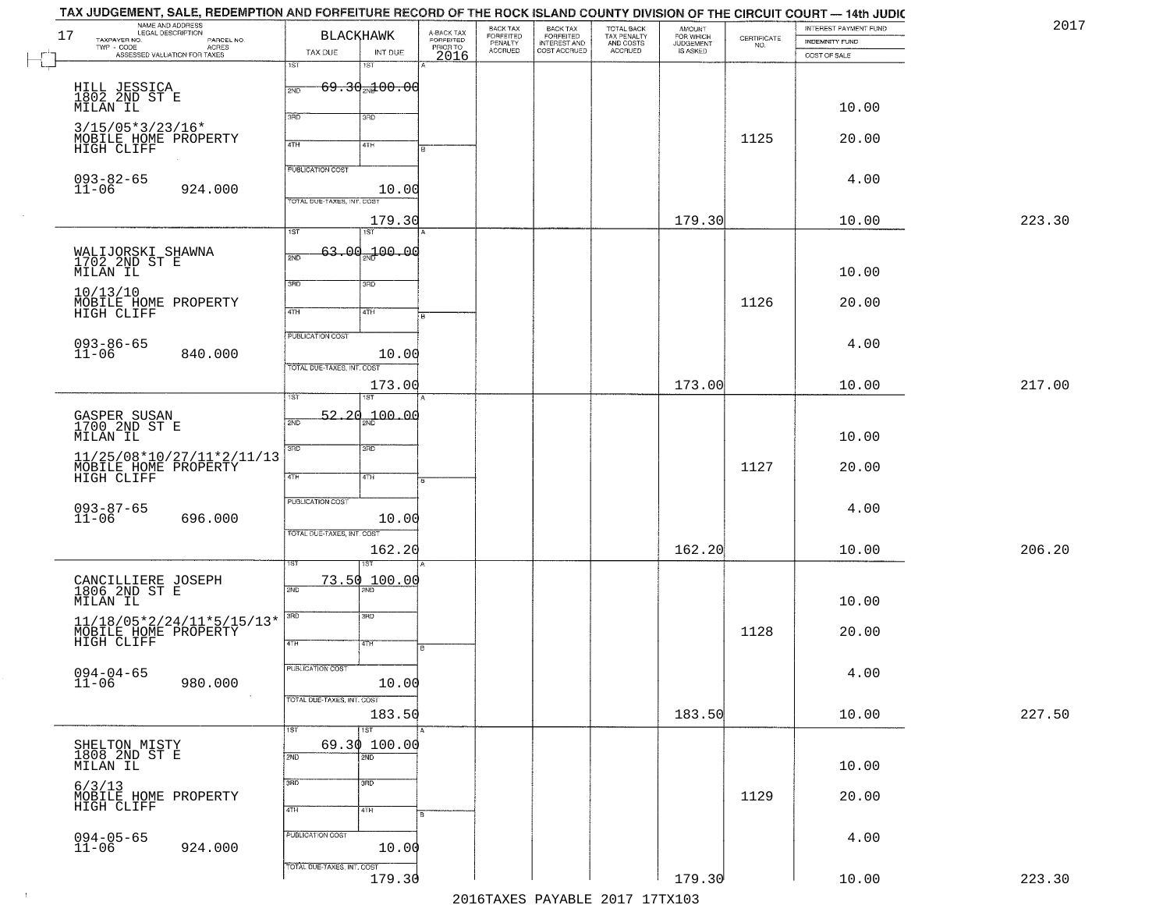| 17 | NAME AND ADDRESS<br>LEGAL DESCRIPTION<br>TAXPAYER NO.<br>PARCEL NO.                                                                          |                            | <b>BLACKHAWK</b>               | A-BACK TAX<br>FORFEITED<br>PRIOR TO<br>2016 | BACK TAX<br>FORFEITED<br>PENALTY<br>ACCRUED | BACK TAX<br>FORFEITED<br>INTEREST AND | TOTAL BACK<br>TAX PENALTY<br>AND COSTS<br>ACCRUED | AMOUNT<br>FOR WHICH<br>JUDGEMENT<br>IS ASKED | $\begin{array}{c} \text{CERTIFICATE} \\ \text{NO.} \end{array}$ | INTEREST PAYMENT FUND<br>INDEMNITY FUND |        |
|----|----------------------------------------------------------------------------------------------------------------------------------------------|----------------------------|--------------------------------|---------------------------------------------|---------------------------------------------|---------------------------------------|---------------------------------------------------|----------------------------------------------|-----------------------------------------------------------------|-----------------------------------------|--------|
|    | TWP - CODE<br>ASSESSED VALUATION FOR TAXES                                                                                                   | TAX DUE                    | INT DUE                        |                                             |                                             | COST ACCRUED                          |                                                   |                                              |                                                                 | COST OF SALE                            |        |
|    |                                                                                                                                              | 1ST                        | 18T                            |                                             |                                             |                                       |                                                   |                                              |                                                                 |                                         |        |
|    | HILL JESSICA<br>1802 2ND ST E                                                                                                                | 2ND                        | $69.30$ <sub>2N</sub> $100.00$ |                                             |                                             |                                       |                                                   |                                              |                                                                 |                                         |        |
|    | MILAN IL                                                                                                                                     | 3BD                        | 3RD                            |                                             |                                             |                                       |                                                   |                                              |                                                                 | 10.00                                   |        |
|    | $3/15/05*3/23/16*$                                                                                                                           |                            |                                |                                             |                                             |                                       |                                                   |                                              | 1125                                                            |                                         |        |
|    | MOBILE HOME PROPERTY<br>HIGH CLIFF                                                                                                           | 4TH                        | 4TH                            |                                             |                                             |                                       |                                                   |                                              |                                                                 | 20.00                                   |        |
|    |                                                                                                                                              | <b>PUBLICATION COST</b>    |                                |                                             |                                             |                                       |                                                   |                                              |                                                                 |                                         |        |
|    | 093-82-65<br>11-06<br>924.000                                                                                                                |                            | 10.00                          |                                             |                                             |                                       |                                                   |                                              |                                                                 | 4.00                                    |        |
|    |                                                                                                                                              | TOTAL DUE-TAXES, INT. COS  |                                |                                             |                                             |                                       |                                                   |                                              |                                                                 |                                         |        |
|    |                                                                                                                                              | $\overline{1ST}$           | 179.30<br>1ST                  |                                             |                                             |                                       |                                                   | 179.30                                       |                                                                 | 10.00                                   | 223.30 |
|    |                                                                                                                                              |                            | $63.00 - 100.00$               |                                             |                                             |                                       |                                                   |                                              |                                                                 |                                         |        |
|    | WALIJORSKI SHAWNA<br>1702 2ND ST E                                                                                                           | 2ND                        |                                |                                             |                                             |                                       |                                                   |                                              |                                                                 |                                         |        |
|    | MILAN IL                                                                                                                                     | 3RD                        | 3RD                            |                                             |                                             |                                       |                                                   |                                              |                                                                 | 10.00                                   |        |
|    | 10/13/10<br>MOBILE HOME PROPERTY                                                                                                             |                            |                                |                                             |                                             |                                       |                                                   |                                              | 1126                                                            | 20.00                                   |        |
|    | HIGH CLIFF                                                                                                                                   | 47H                        | 4TH                            |                                             |                                             |                                       |                                                   |                                              |                                                                 |                                         |        |
|    |                                                                                                                                              | <b>PUBLICATION COST</b>    |                                |                                             |                                             |                                       |                                                   |                                              |                                                                 | 4.00                                    |        |
|    | 093-86-65<br>11-06<br>840.000                                                                                                                | TOTAL DUE-TAXES, INT. COST | 10.00                          |                                             |                                             |                                       |                                                   |                                              |                                                                 |                                         |        |
|    |                                                                                                                                              |                            | 173.00                         |                                             |                                             |                                       |                                                   | 173.00                                       |                                                                 | 10.00                                   | 217.00 |
|    |                                                                                                                                              | īst                        |                                |                                             |                                             |                                       |                                                   |                                              |                                                                 |                                         |        |
|    | GASPER SUSAN<br>1700 2ND ST E                                                                                                                | 2ND                        | 52.20 <sub>2Nd</sub> 00.00     |                                             |                                             |                                       |                                                   |                                              |                                                                 |                                         |        |
|    | MILAN IL                                                                                                                                     |                            |                                |                                             |                                             |                                       |                                                   |                                              |                                                                 | 10.00                                   |        |
|    | 11/25/08*10/27/11*2/11/13                                                                                                                    | 3RD                        | 3 <sub>BD</sub>                |                                             |                                             |                                       |                                                   |                                              |                                                                 |                                         |        |
|    | MOBILE HOME PROPERTY<br>HIGH CLIFF                                                                                                           | 4TH                        | 4TH                            |                                             |                                             |                                       |                                                   |                                              | 1127                                                            | 20.00                                   |        |
|    |                                                                                                                                              | PUBLICATION COST           |                                |                                             |                                             |                                       |                                                   |                                              |                                                                 |                                         |        |
|    | 093-87-65<br>11-06<br>696.000                                                                                                                |                            | 10.00                          |                                             |                                             |                                       |                                                   |                                              |                                                                 | 4.00                                    |        |
|    |                                                                                                                                              | TOTAL OUE-TAXES, INT. COST |                                |                                             |                                             |                                       |                                                   |                                              |                                                                 |                                         |        |
|    |                                                                                                                                              |                            | 162.20<br>ৰে                   |                                             |                                             |                                       |                                                   | 162.20                                       |                                                                 | 10.00                                   | 206.20 |
|    |                                                                                                                                              |                            | 73.50 100.00                   |                                             |                                             |                                       |                                                   |                                              |                                                                 |                                         |        |
|    | CANCILLIERE JOSEPH<br>1806 2ND ST E<br>MILAN IL                                                                                              | 2ND                        |                                |                                             |                                             |                                       |                                                   |                                              |                                                                 | 10.00                                   |        |
|    |                                                                                                                                              | 3RD                        | 3BD                            |                                             |                                             |                                       |                                                   |                                              |                                                                 |                                         |        |
|    | $\begin{array}{lll} 11/18/05{*}2/24/11{*}5/15/13{*} \\ {\tt MOBILE}\ & {\tt HOME}\ & {\tt PROPERTY} \\ {\tt HIGH}\ & {\tt CLIFF}\end{array}$ |                            |                                |                                             |                                             |                                       |                                                   |                                              | 1128                                                            | 20.00                                   |        |
|    |                                                                                                                                              | 4TH                        | वाम                            | в                                           |                                             |                                       |                                                   |                                              |                                                                 |                                         |        |
|    | $094 - 04 - 65$                                                                                                                              | <b>PUBLICATION COST</b>    |                                |                                             |                                             |                                       |                                                   |                                              |                                                                 | 4.00                                    |        |
|    | $11 - 06$<br>980.000<br>$\sim 100$                                                                                                           | TOTAL DUE-TAXES, INT. COST | 10.00                          |                                             |                                             |                                       |                                                   |                                              |                                                                 |                                         |        |
|    |                                                                                                                                              |                            | 183.50                         |                                             |                                             |                                       |                                                   | 183.50                                       |                                                                 | 10.00                                   | 227.50 |
|    |                                                                                                                                              | 1ST                        | $\overline{\text{1ST}}$        |                                             |                                             |                                       |                                                   |                                              |                                                                 |                                         |        |
|    | SHELTON MISTY<br>1808 2ND ST E                                                                                                               | 2ND                        | 69.30 100.00<br>2ND            |                                             |                                             |                                       |                                                   |                                              |                                                                 |                                         |        |
|    | MILAN IL                                                                                                                                     |                            |                                |                                             |                                             |                                       |                                                   |                                              |                                                                 | 10.00                                   |        |
|    | 6/3/13                                                                                                                                       | 3RD                        | 3BD                            |                                             |                                             |                                       |                                                   |                                              | 1129                                                            |                                         |        |
|    | MOBILE HOME PROPERTY<br>HIGH CLIFF                                                                                                           | 4TH                        | 4TH                            |                                             |                                             |                                       |                                                   |                                              |                                                                 | 20.00                                   |        |
|    |                                                                                                                                              |                            |                                |                                             |                                             |                                       |                                                   |                                              |                                                                 |                                         |        |
|    | $094 - 05 - 65$<br>11-06<br>924.000                                                                                                          | PUBLICATION COST           | 10.00                          |                                             |                                             |                                       |                                                   |                                              |                                                                 | 4.00                                    |        |
|    |                                                                                                                                              | TOTAL DUE-TAXES, INT. COST |                                |                                             |                                             |                                       |                                                   |                                              |                                                                 |                                         |        |
|    |                                                                                                                                              |                            | 179.30                         |                                             |                                             |                                       |                                                   | 179.30                                       |                                                                 | 10.00                                   | 223.30 |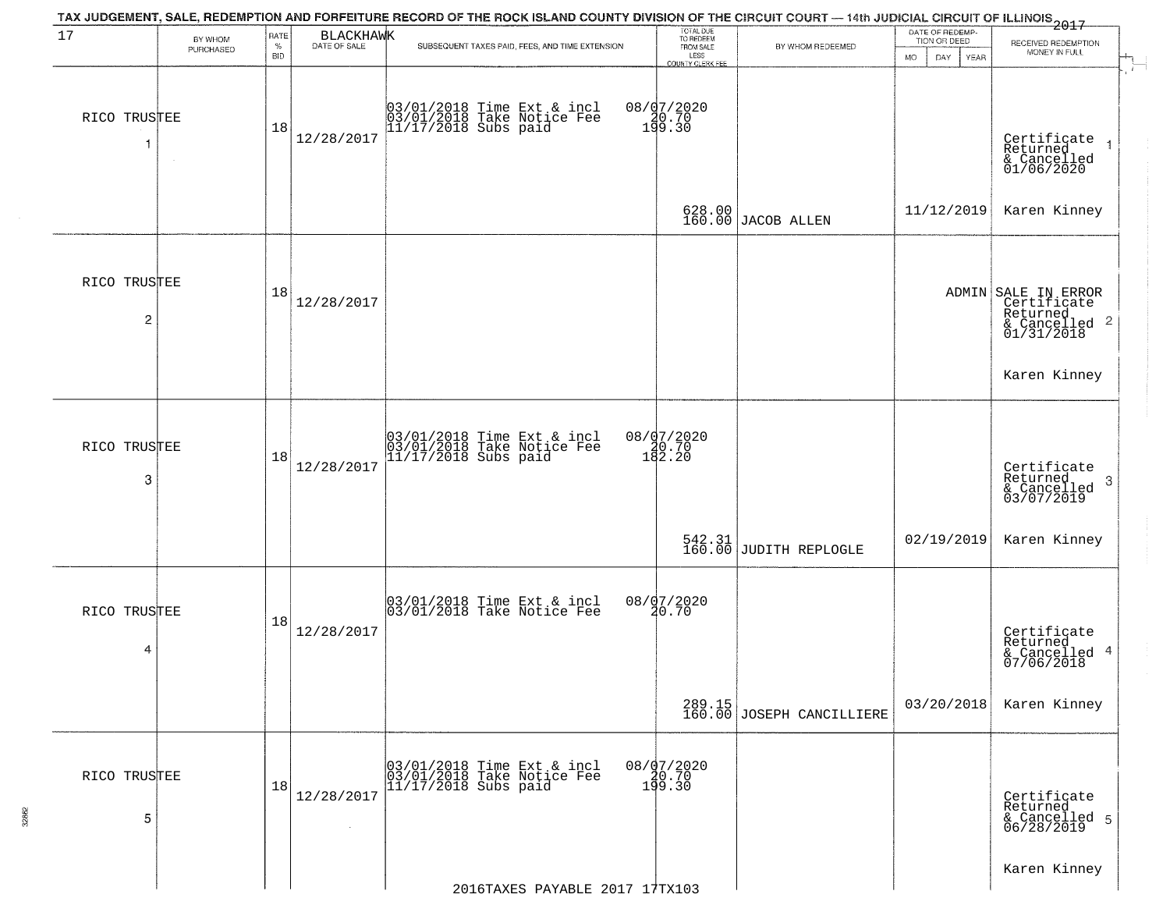| 17                | BY WHOM   | RATE               | BLACKHAWK<br>DATE OF SALE | TAX JUDGEMENT, SALE, REDEMPTION AND FORFEITURE RECORD OF THE ROCK ISLAND COUNTY DIVISION OF THE CIRCUIT COURT — 14th JUDICIAL CIRCUIT OF ILLINOIS 2017 | TOTAL DUE<br>TO REDEEM                       |                                     | DATE OF REDEMP-<br>TION OR DEED |                                                                               |
|-------------------|-----------|--------------------|---------------------------|--------------------------------------------------------------------------------------------------------------------------------------------------------|----------------------------------------------|-------------------------------------|---------------------------------|-------------------------------------------------------------------------------|
|                   | PURCHASED | $\%$<br><b>BID</b> |                           | SUBSEQUENT TAXES PAID, FEES, AND TIME EXTENSION                                                                                                        | FROM SALE<br>LESS<br><b>COUNTY CLERK FEE</b> | BY WHOM REDEEMED                    | MO.<br>DAY.<br>YEAR             | RECEIVED REDEMPTION<br>MONEY IN FULL                                          |
| RICO TRUSTEE<br>1 | $\sim$    | 18                 | 12/28/2017                | 03/01/2018 Time Ext & incl<br>03/01/2018 Take Notice Fee<br>11/17/2018 Subs paid                                                                       | 08/07/2020<br>08.70<br>199.30                |                                     |                                 | Certificate<br>Returned<br>& Cancelled<br>01/06/2020                          |
|                   |           |                    |                           |                                                                                                                                                        |                                              | 628.00 JACOB ALLEN                  | 11/12/2019                      | Karen Kinney                                                                  |
| RICO TRUSTEE<br>2 |           | 18                 | 12/28/2017                |                                                                                                                                                        |                                              |                                     |                                 | ADMIN SALE IN ERROR<br>Certificate<br>Returned<br>& Cancelled 2<br>01/31/2018 |
|                   |           |                    |                           |                                                                                                                                                        |                                              |                                     |                                 | Karen Kinney                                                                  |
| RICO TRUSTEE<br>3 |           | 18                 | 12/28/2017                | 03/01/2018 Time Ext & incl<br>03/01/2018 Take Notice Fee<br>11/17/2018 Subs paid                                                                       | 08/07/2020<br>180.70<br>182.20               |                                     |                                 | Certificate<br>Returned<br>3<br>& Cancelled<br>03/07/2019                     |
|                   |           |                    |                           |                                                                                                                                                        |                                              | 542.31<br>160.00 JUDITH REPLOGLE    | 02/19/2019                      | Karen Kinney                                                                  |
| RICO TRUSTEE<br>4 |           | 18                 | 12/28/2017                | 03/01/2018 Time Ext & incl<br>03/01/2018 Take Notice Fee                                                                                               | 08/07/2020<br>20.70                          |                                     |                                 | Certificate<br>Returned<br>& Cancelled 4<br>07/06/2018                        |
|                   |           |                    |                           |                                                                                                                                                        |                                              | 289.15<br>160.00 JOSEPH CANCILLIERE | 03/20/2018                      | Karen Kinney                                                                  |
| RICO TRUSTEE<br>5 |           | 18                 | 12/28/2017                | 03/01/2018 Time Ext & incl<br>03/01/2018 Take Notice Fee<br>11/17/2018 Subs paid                                                                       | $08/07/2020$<br>$40.70$<br>199.30            |                                     |                                 | Certificate<br>Returned<br>& Cancelled 5<br>06/28/2019                        |
|                   |           |                    |                           | 2016TAXES PAYABLE 2017 17TX103                                                                                                                         |                                              |                                     |                                 | Karen Kinney                                                                  |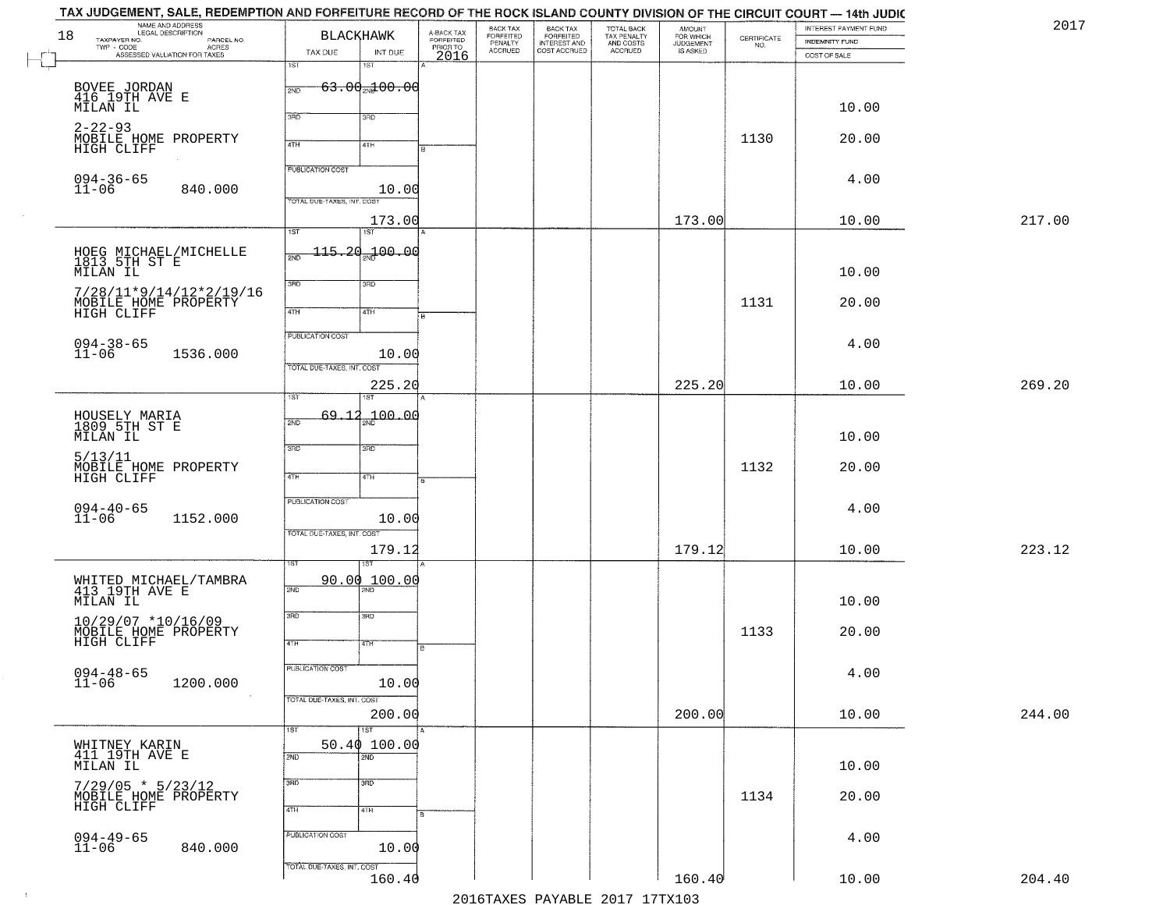|        | INTEREST PAYMENT FUND<br><b>INDEMNITY FUND</b> | CERTIFICATE<br>NO. | <b>AMOUNT</b><br>FOR WHICH<br>JUDGEMENT<br>IS ASKED | TOTAL BACK<br>TAX PENALTY<br>AND COSTS<br>ACCRUED | BACK TAX<br>FORFEITED<br>INTEREST AND<br>COST ACCRUED | BACK TAX<br>FORFEITED<br>PENALTY<br>ACCRUED | A-BACK TAX<br>FORFEITED | <b>BLACKHAWK</b>                      |                                   | NAME AND ADDRESS<br>LEGAL DESCRIPTION<br>TAXPAYER NO.<br>PARCEL NO. |
|--------|------------------------------------------------|--------------------|-----------------------------------------------------|---------------------------------------------------|-------------------------------------------------------|---------------------------------------------|-------------------------|---------------------------------------|-----------------------------------|---------------------------------------------------------------------|
|        | COST OF SALE                                   |                    |                                                     |                                                   |                                                       |                                             | PRIORTO                 | INT DUE<br>1ST                        | TAX DUE<br>1ST                    | TWP - CODE<br>- CODE ACRES<br>ASSESSED VALUATION FOR TAXES          |
|        |                                                |                    |                                                     |                                                   |                                                       |                                             |                         | $63.00$ <sub>2N</sub> $100.00$        | 2ND                               |                                                                     |
|        | 10.00                                          |                    |                                                     |                                                   |                                                       |                                             |                         |                                       |                                   | BOVEE JORDAN<br>416 19TH AVE E<br>MILAN IL                          |
|        | 20.00                                          | 1130               |                                                     |                                                   |                                                       |                                             |                         | 3RD                                   | 3BD                               | $2 - 22 - 93$<br>MOBILE HOME PROPERTY                               |
|        |                                                |                    |                                                     |                                                   |                                                       |                                             |                         | 4TH                                   | 4TH                               | HIGH CLIFF                                                          |
|        | 4.00                                           |                    |                                                     |                                                   |                                                       |                                             |                         |                                       | <b>PUBLICATION COST</b>           | $094 - 36 - 65$<br>$11 - 06$                                        |
|        |                                                |                    |                                                     |                                                   |                                                       |                                             |                         | 10.00                                 | TOTAL DUE-TAXES, INT. COST        | 840.000                                                             |
| 217.00 | 10.00                                          |                    | 173.00                                              |                                                   |                                                       |                                             |                         | 173.00<br>$\overline{1ST}$            | $\overline{1ST}$                  |                                                                     |
|        | 10.00                                          |                    |                                                     |                                                   |                                                       |                                             |                         | <del>115.20<sub>30</sub>1</del> 00.00 | 2ND                               | HOEG MICHAEL/MICHELLE<br>1813 5TH ST E<br>MILAN IL                  |
|        | 20.00                                          | 1131               |                                                     |                                                   |                                                       |                                             |                         | 3RD                                   | 3RD                               | $7/28/11*9/14/12*2/19/16$                                           |
|        |                                                |                    |                                                     |                                                   |                                                       |                                             |                         | 4TH                                   | $\sqrt{47H}$                      | MOBILE HOME PROPERTY<br>HIGH CLIFF                                  |
|        | 4.00                                           |                    |                                                     |                                                   |                                                       |                                             |                         |                                       | <b>PUBLICATION COST</b>           | $094 - 38 - 65$<br>$11 - 06$                                        |
|        |                                                |                    |                                                     |                                                   |                                                       |                                             |                         | 10.00                                 | TOTAL DUE-TAXES, INT. COST        | 1536.000                                                            |
| 269.20 | 10.00                                          |                    | 225.20                                              |                                                   |                                                       |                                             |                         | 225.20                                | ist.                              |                                                                     |
|        | 10.00                                          |                    |                                                     |                                                   |                                                       |                                             |                         | 00.04 مهر                             | $69 - 12$<br>2ND                  | HOUSELY MARIA<br>1809 5TH ST E<br>MILAN IL                          |
|        | 20.00                                          | 1132               |                                                     |                                                   |                                                       |                                             |                         | 3 <sub>BD</sub>                       | 3BD                               | 5/13/11<br>MOBILE HOME PROPERTY                                     |
|        |                                                |                    |                                                     |                                                   |                                                       |                                             |                         | 4TH                                   | 4TH                               | HIGH CLIFF                                                          |
|        | 4.00                                           |                    |                                                     |                                                   |                                                       |                                             |                         | 10.00                                 | PUBLICATION COST                  | $094 - 40 - 65$<br>11-06<br>1152.000                                |
|        |                                                |                    |                                                     |                                                   |                                                       |                                             |                         |                                       | TOTAL OUE-TAXES, INT. COST        |                                                                     |
| 223.12 | 10.00                                          |                    | 179.12                                              |                                                   |                                                       |                                             |                         | 179.12                                |                                   |                                                                     |
|        | 10.00                                          |                    |                                                     |                                                   |                                                       |                                             |                         | 90.00 100.00                          | 2ND                               | WHITED MICHAEL/TAMBRA<br>413 19TH AVE E<br>MILAN IL                 |
|        | 20.00                                          | 1133               |                                                     |                                                   |                                                       |                                             |                         | 3RD<br>47H                            | 3RD<br>4TH                        | 10/29/07 *10/16/09<br>MOBILE HOME PROPERTY<br>HIGH CLIFF            |
|        | 4.00                                           |                    |                                                     |                                                   |                                                       |                                             |                         | 10.00                                 | <b>PUBLICATION COST</b>           | $094 - 48 - 65$<br>$11 - 06$<br>1200.000                            |
| 244.00 | 10.00                                          |                    | 200.00                                              |                                                   |                                                       |                                             |                         | 200.00<br>$\overline{1ST}$            | TOTAL DUE-TAXES, INT. COST<br>1ST |                                                                     |
|        | 10.00                                          |                    |                                                     |                                                   |                                                       |                                             |                         | 50.40100.00<br>2ND                    | 2ND                               | WHITNEY KARIN<br>411 19TH AVE E<br>MILAN IL                         |
|        | 20.00                                          | 1134               |                                                     |                                                   |                                                       |                                             |                         | 3 <sub>RD</sub><br>4TH                | 3RD<br>4TH                        | $7/29/05 * 5/23/12$<br>MOBILE HOME PROPERTY<br>HIGH CLIFF           |
|        | 4.00                                           |                    |                                                     |                                                   |                                                       |                                             |                         | 10.00                                 | PUBLICATION COST                  | $094 - 49 - 65$<br>11-06<br>840.000                                 |
|        |                                                |                    |                                                     |                                                   |                                                       |                                             |                         |                                       | TOTAL DUE-TAXES, INT. COST        |                                                                     |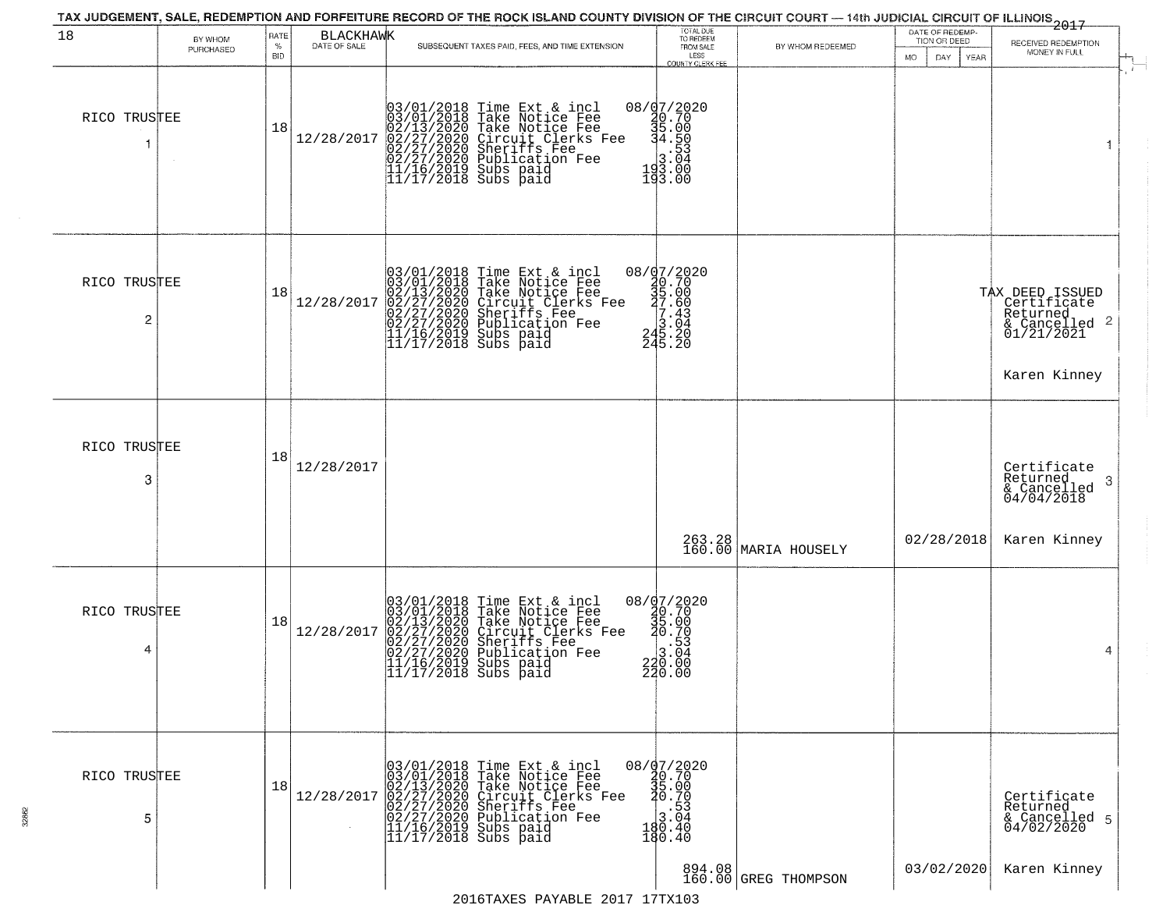| 18                | BY WHOM   | RATE               | BLACKHAWK  |                                                                                                                                                                                                                                                                                                                                                              | TOTAL DUE<br>TO REDEEM                                                                                                     |                      | DATE OF REDEMP-<br>TION OR DEED | 2017                                                                                                      |
|-------------------|-----------|--------------------|------------|--------------------------------------------------------------------------------------------------------------------------------------------------------------------------------------------------------------------------------------------------------------------------------------------------------------------------------------------------------------|----------------------------------------------------------------------------------------------------------------------------|----------------------|---------------------------------|-----------------------------------------------------------------------------------------------------------|
|                   | PURCHASED | $\%$<br><b>BID</b> |            | SUBSEQUENT TAXES PAID, FEES, AND TIME EXTENSION                                                                                                                                                                                                                                                                                                              | FROM SALE<br>LESS                                                                                                          | BY WHOM REDEEMED     | <b>MO</b><br>DAY<br>YEAR        | RECEIVED REDEMPTION<br>MONEY IN FULL                                                                      |
| RICO TRUSTEE      |           | 18                 |            | $[03/01/2018 \text{ Time Ext & incl} \newline [03/01/2018 \text{ Take Notice Free} \newline [02/13/2020 \text{ Take Notice Free} \newline [02/13/2020 \text{ Circle Note Free} \newline [02/27/2020 \text{ ShernifS Free} \newline [02/27/2020 \text{ ShernifS Free} \newline [12/16/2019 \text{ Subs paid} \newline [11/17/2018 \text{ Subs paid} \newline$ | COUNTY CLERK FEE<br>08/07/2020<br>30.70<br>34.500<br>3.503<br>3.040<br>43.000<br>193.00                                    |                      |                                 | $\mathcal{F}$ .<br>1                                                                                      |
| RICO TRUSTEE<br>2 |           | 18                 | 12/28/2017 | $03/01/2018$ Time Ext & incl<br>03/01/2018 Take Notice Fee<br>02/13/2020 Take Notice Fee<br>02/27/2020 Circuit Clerks Fee<br>02/27/2020 Sublication Fee<br>11/16/2019 Subs paid<br>11/17/2018 Subs paid                                                                                                                                                      | ${\footnotesize \begin{matrix} 08 / 97 / 2020 \\ 40.70 \\ 35.00 \\ 7.60 \\ 7.60 \\ 3.04 \\ 245.20 \\ 245.20 \end{matrix}}$ |                      |                                 | TAX DEED ISSUED<br>  Certificate<br>  Returned<br>$\frac{1}{2}$ Cancelled 2<br>01/21/2021<br>Karen Kinney |
| RICO TRUSTEE<br>3 |           | 18                 | 12/28/2017 |                                                                                                                                                                                                                                                                                                                                                              |                                                                                                                            | 263.28 MARIA HOUSELY | 02/28/2018                      | Certificate<br>Returned<br>& Cancelled<br>04/04/2018<br>-3<br>Karen Kinney                                |
| RICO TRUSTEE<br>4 |           | 18                 | 12/28/2017 | $03/01/2018$ Time Ext & incl<br>03/01/2018 Take Notice Fee<br>02/13/2020 Take Notice Fee<br>02/27/2020 Circuit Clerks Fee<br>02/27/2020 Sublication Fee<br>02/27/2020 Publication Fee<br>11/16/2019 Subs paid<br>11/17/2018 Subs paid                                                                                                                        | $08 / \frac{07}{20.70}$<br>30.70<br>35.00<br>30.70<br>$\frac{1}{3}.\overline{0}\overline{3}$<br>220.00<br>220.00           |                      |                                 | 4                                                                                                         |
| RICO TRUSTEE<br>5 |           | 18                 | 12/28/2017 | 03/01/2018 Time Ext & incl<br>03/01/2018 Take Notice Fee<br>02/13/2020 Take Notice Fee<br>02/27/2020 Circuit Clerks Fee<br>02/27/2020 Sheriffs Fee<br>02/27/2020 Publication Fee<br>11/16/2019 Subs paid<br>11/17/2018 Subs paid                                                                                                                             | 08/07/2020<br>20.70<br>35.00<br>20.70<br>$\begin{array}{r} 18.53 \\ 3.04 \\ 190.40 \end{array}$<br>180.40                  |                      | 03/02/2020                      | Certificate<br>Returned<br>& Cancelled 5<br>04/02/2020                                                    |
|                   |           |                    |            | $2016$ TAYEC DAVARLE $2017$ 17TY103                                                                                                                                                                                                                                                                                                                          | 894.08                                                                                                                     | 160.00 GREG THOMPSON |                                 | Karen Kinney                                                                                              |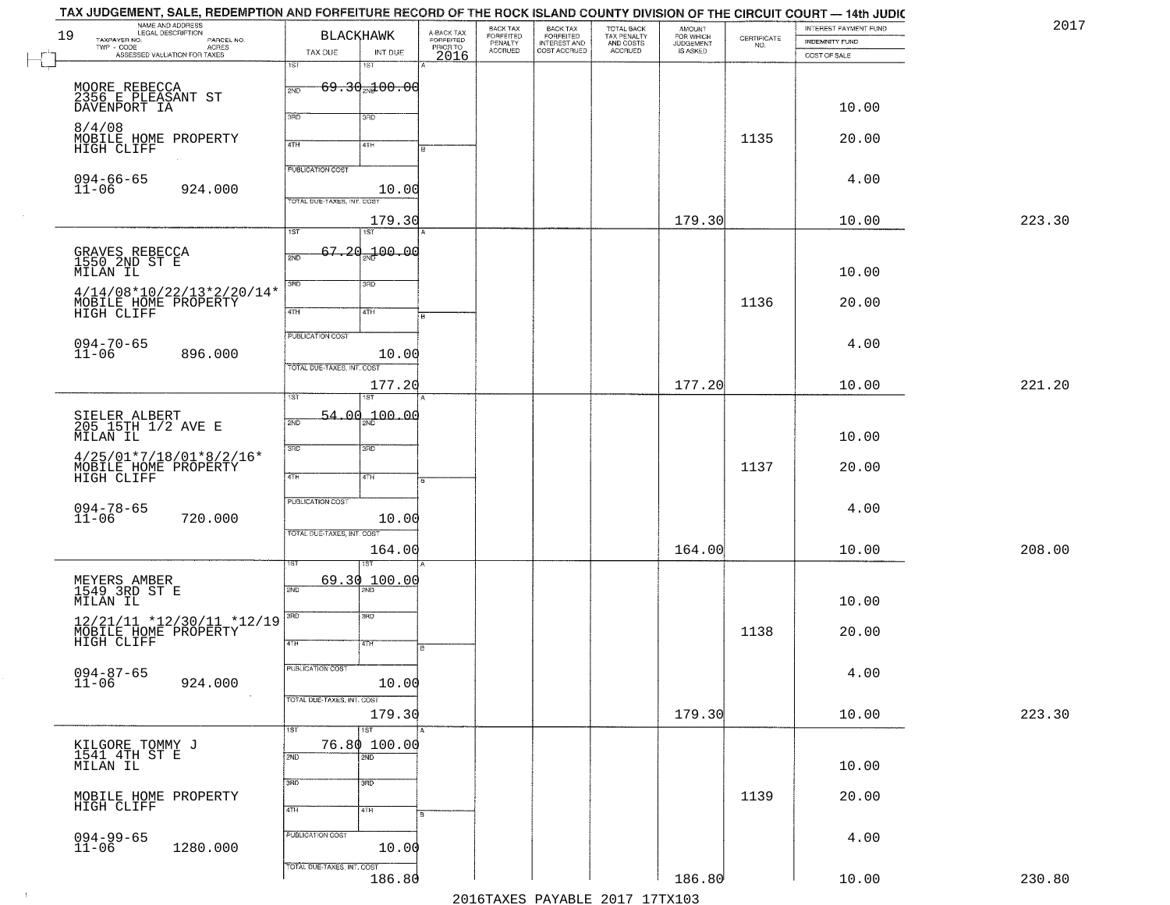| 2017   | INTEREST PAYMENT FUND<br><b>INDEMNITY FUND</b> | CERTIFICATE | <b>AMOUNT</b><br>FOR WHICH<br>JUDGEMENT<br>IS ASKED | TOTAL BACK<br>TAX PENALTY<br>AND COSTS<br>ACCRUED | BACK TAX<br>FORFEITED<br>INTEREST AND<br>COST ACCRUED | BACK TAX<br>FORFEITED<br>PENALTY<br>ACCRUED | A-BACK TAX<br>FORFEITED |                                | <b>BLACKHAWK</b>           | NAME AND ADDRESS<br>LEGAL DESCRIPTION<br>TAXPAYER NO.<br>PARCEL NO. | 19        |
|--------|------------------------------------------------|-------------|-----------------------------------------------------|---------------------------------------------------|-------------------------------------------------------|---------------------------------------------|-------------------------|--------------------------------|----------------------------|---------------------------------------------------------------------|-----------|
|        | COST OF SALE                                   | NO.         |                                                     |                                                   |                                                       |                                             | PRIORTO                 | INT DUE<br>1ST                 | TAX DUE<br>1ST             | TWP - CODE<br>- CODE ACRES<br>ASSESSED VALUATION FOR TAXES          |           |
|        |                                                |             |                                                     |                                                   |                                                       |                                             |                         | $69.30$ <sub>2N</sub> $100.00$ | 2ND                        | MOORE REBECCA<br>2356 E PLEASANT ST                                 |           |
|        | 10.00                                          |             |                                                     |                                                   |                                                       |                                             |                         | 3RD                            | 3BD                        | DAVENPORT IA                                                        |           |
|        | 20.00                                          | 1135        |                                                     |                                                   |                                                       |                                             |                         | 4TH                            | 4TH                        | 8/4/08<br>MOBILE HOME PROPERTY<br>HIGH CLIFF                        |           |
|        | 4.00                                           |             |                                                     |                                                   |                                                       |                                             |                         | 10.00                          | <b>PUBLICATION COST</b>    | $094 - 66 - 65$<br>924.000                                          | $11 - 06$ |
| 223.30 | 10.00                                          |             | 179.30                                              |                                                   |                                                       |                                             |                         | 179.30                         | TOTAL DUE-TAXES, INT. COST |                                                                     |           |
|        |                                                |             |                                                     |                                                   |                                                       |                                             |                         | 1ST                            | $\overline{1ST}$           |                                                                     |           |
|        | 10.00                                          |             |                                                     |                                                   |                                                       |                                             |                         | 67.20 <sub>2N</sub> 100.00     | 2ND                        | GRAVES REBECCA<br>1550 2ND ST E<br>MILAN IL                         |           |
|        | 20.00                                          | 1136        |                                                     |                                                   |                                                       |                                             |                         | 3RD<br>4TH                     | 3RD<br>$\sqrt{47H}$        | $4/14/08*10/22/13*2/20/14*$<br>MOBILE HOME PROPERTY<br>HIGH CLIFF   |           |
|        | 4.00                                           |             |                                                     |                                                   |                                                       |                                             |                         |                                | <b>PUBLICATION COST</b>    | $094 - 70 - 65$                                                     |           |
|        |                                                |             |                                                     |                                                   |                                                       |                                             |                         | 10.00                          | TOTAL DUE-TAXES, INT. COST | 896.000                                                             | $11 - 06$ |
| 221.20 | 10.00                                          |             | 177.20                                              |                                                   |                                                       |                                             |                         | 177.20                         | ist                        |                                                                     |           |
|        | 10.00                                          |             |                                                     |                                                   |                                                       |                                             |                         | <sub>2N</sub> 100.00           | ـ00<br>54.<br>2ND          | SIELER ALBERT<br>205 15TH 1/2 AVE E<br>MILAN IL                     |           |
|        | 20.00                                          | 1137        |                                                     |                                                   |                                                       |                                             |                         | 3 <sub>BD</sub>                | 3BD                        | $4/25/01*7/18/01*8/2/16*$<br>MOBILE HOME PROPERTY                   |           |
|        |                                                |             |                                                     |                                                   |                                                       |                                             |                         | 4TH                            | 4TH                        | HIGH CLIFF                                                          |           |
|        | 4.00                                           |             |                                                     |                                                   |                                                       |                                             |                         | 10.00                          | PUBLICATION COST           | 094-78-65<br>11-06<br>720.000                                       |           |
| 208.00 | 10.00                                          |             | 164.00                                              |                                                   |                                                       |                                             |                         | 164.00                         | TOTAL OUE-TAXES, INT. COST |                                                                     |           |
|        |                                                |             |                                                     |                                                   |                                                       |                                             |                         | 100.00                         | 69.30<br>2ND               | MEYERS AMBER<br>1549 3RD ST E                                       |           |
|        | 10.00                                          |             |                                                     |                                                   |                                                       |                                             |                         | 3BD                            | 3RD                        | MILAN IL                                                            |           |
|        | 20.00                                          | 1138        |                                                     |                                                   |                                                       |                                             |                         | वाम                            | 4TH                        | 12/21/11 *12/30/11 *12/19<br>MOBĪLE HOMĒ PROPĒRTY<br>HIGH CLIFF     |           |
|        | 4.00                                           |             |                                                     |                                                   |                                                       |                                             |                         | 10.00                          | PUBLICATION COST           | 094-87-65<br>11-06<br>924.000                                       |           |
| 223.30 | 10.00                                          |             | 179.30                                              |                                                   |                                                       |                                             |                         | 179.30                         | TOTAL DUE-TAXES, INT. COST |                                                                     |           |
|        |                                                |             |                                                     |                                                   |                                                       |                                             |                         | 1ST<br>76.80 100.00            | 1ST                        |                                                                     |           |
|        | 10.00                                          |             |                                                     |                                                   |                                                       |                                             |                         | 2ND                            | 2ND                        | KILGORE TOMMY J<br>1541 4TH ST E<br>MILAN IL                        |           |
|        | 20.00                                          | 1139        |                                                     |                                                   |                                                       |                                             |                         | 3 <sub>RD</sub><br>4TH         | 3RD<br>4TH                 | MOBILE HOME PROPERTY<br>HIGH CLIFF                                  |           |
|        | 4.00                                           |             |                                                     |                                                   |                                                       |                                             |                         |                                | PUBLICATION COST           | 094-99-65<br>11-06                                                  |           |
|        |                                                |             |                                                     |                                                   |                                                       |                                             |                         | 10.00                          | TOTAL DUE-TAXES, INT. COST | 1280.000                                                            |           |
| 230.80 | 10.00                                          |             | 186.80                                              | 2016 TAVES DAVARIE 2017 17 TAV102                 |                                                       |                                             |                         | 186.80                         |                            |                                                                     |           |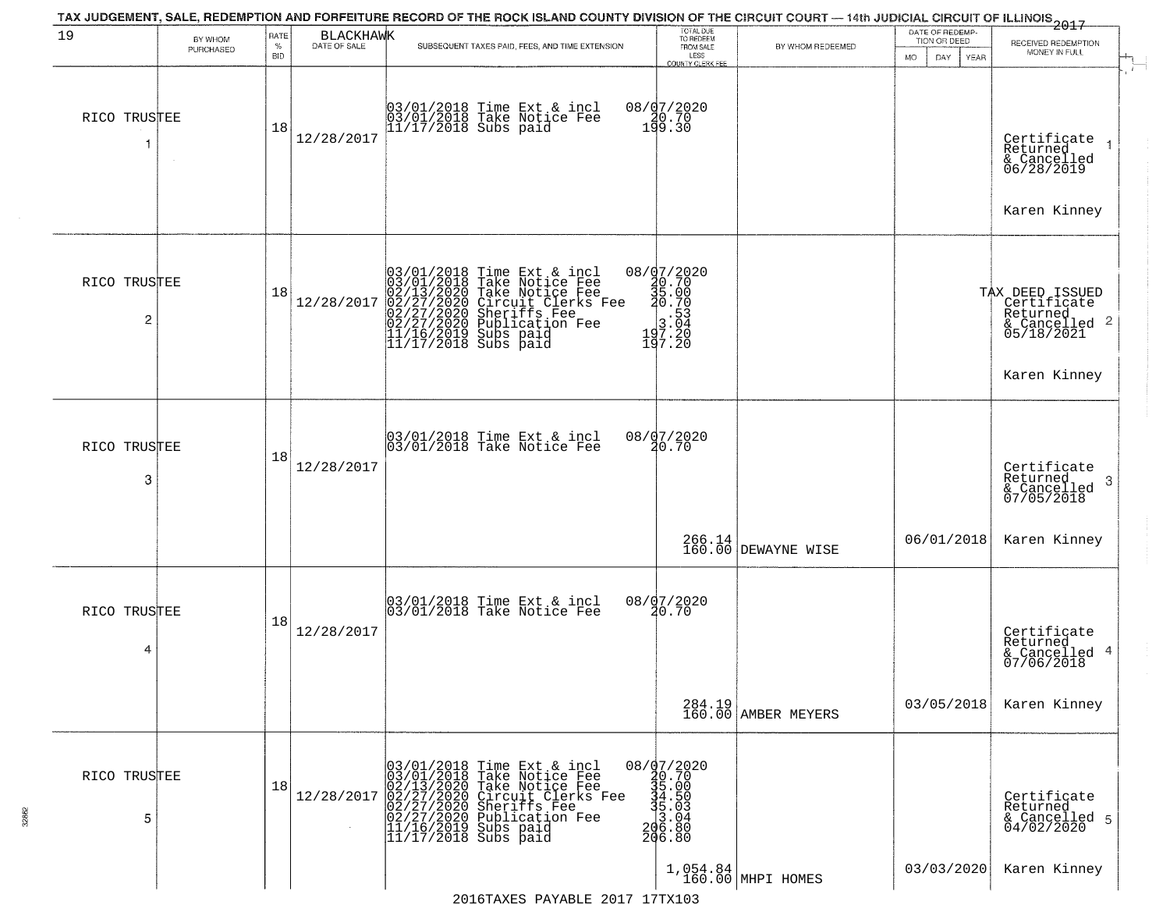| 19                | BY WHOM<br>PURCHASED | RATE<br>$\%$<br><b>BID</b> | BLACKHAWK  | TAX JUDGEMENT, SALE, REDEMPTION AND FORFEITURE RECORD OF THE ROCK ISLAND COUNTY DIVISION OF THE CIRCUIT COURT — 14th JUDICIAL CIRCUIT OF ILLINOIS 2017<br>SUBSEQUENT TAXES PAID, FEES, AND TIME EXTENSION | TOTAL DUE<br>TO REDEEM<br>FROM SALE<br>LESS<br>COUNTY CLERK FEE                                                                      | BY WHOM REDEEMED              | DATE OF REDEMP-<br>TION OR DEED<br><b>MO</b><br>DAY<br>YEAR | RECEIVED REDEMPTION<br>MONEY IN FULL                                                      |
|-------------------|----------------------|----------------------------|------------|-----------------------------------------------------------------------------------------------------------------------------------------------------------------------------------------------------------|--------------------------------------------------------------------------------------------------------------------------------------|-------------------------------|-------------------------------------------------------------|-------------------------------------------------------------------------------------------|
| RICO TRUSTEE      | $\sim$               | 18                         | 12/28/2017 | 03/01/2018 Time Ext & incl<br>03/01/2018 Take Notice Fee<br>11/17/2018 Subs paid                                                                                                                          | 08/07/2020<br>190.70<br>199.30                                                                                                       |                               |                                                             | Certificate<br>Returned<br>& Cancelled<br>06/28/2019<br>Karen Kinney                      |
| RICO TRUSTEE<br>2 |                      | 18                         | 12/28/2017 | $03/01/2018$ Time Ext & incl<br>03/01/2018 Take Notice Fee<br>02/13/2020 Take Notice Fee<br>02/27/2020 Circuit Clerks Fee<br>02/27/2020 Sublication Fee<br>11/16/2019 Subs paid<br>11/17/2018 Subs paid   | 08/07/2020<br>$\frac{20.70}{35.00}$<br>$\frac{20.70}{30.70}$<br>$\begin{array}{r} 3.53 \\ 3.04 \\ 197.20 \\ 197.20 \end{array}$      |                               |                                                             | TAX DEED ISSUED<br>Certificate<br>Returned<br>& Cancelled 2<br>05/18/2021<br>Karen Kinney |
| RICO TRUSTEE<br>3 |                      | 18                         | 12/28/2017 | 03/01/2018 Time Ext & incl<br>03/01/2018 Take Notice Fee                                                                                                                                                  | 08/07/2020<br>20.70                                                                                                                  |                               |                                                             | Certificate<br>Returned<br>-3<br>& Cancelled<br>07/05/2018                                |
|                   |                      |                            |            |                                                                                                                                                                                                           | 266.14<br>160.00                                                                                                                     | <b>DEWAYNE WISE</b>           | 06/01/2018                                                  | Karen Kinney                                                                              |
| RICO TRUSTEE<br>4 |                      | 18                         | 12/28/2017 | 03/01/2018 Time Ext & incl<br>03/01/2018 Take Notice Fee                                                                                                                                                  | 08/07/2020<br>20.70                                                                                                                  |                               |                                                             | Certificate<br>Returned<br>& Cancelled 4<br>07/06/2018                                    |
|                   |                      |                            |            |                                                                                                                                                                                                           |                                                                                                                                      | 284.19<br>160.00 AMBER MEYERS | 03/05/2018                                                  | Karen Kinney                                                                              |
| RICO TRUSTEE<br>5 |                      | 18                         | 12/28/2017 | 03/01/2018 Time Ext & incl<br>03/01/2018 Take Notice Fee<br>02/13/2020 Take Notice Fee<br>02/27/2020 Circuit Clerks Fee<br>02/27/2020 Sublication Fee<br>11/16/2019 Subs paid<br>11/17/2018 Subs paid     | $\begin{array}{r} 08 / \frac{1}{2} 7 / 2020 \\ 30.70 \\ 35.00 \\ -34.50 \\ 4.50 \\ -1.50 \\ -206.80 \\ 206.80 \\ 206.80 \end{array}$ |                               |                                                             | Certificate<br>Returned<br>& Cancelled 5<br>04/02/2020                                    |
|                   |                      |                            |            |                                                                                                                                                                                                           |                                                                                                                                      | 1,054.84<br>160.00 MHPI HOMES | 03/03/2020                                                  | Karen Kinney                                                                              |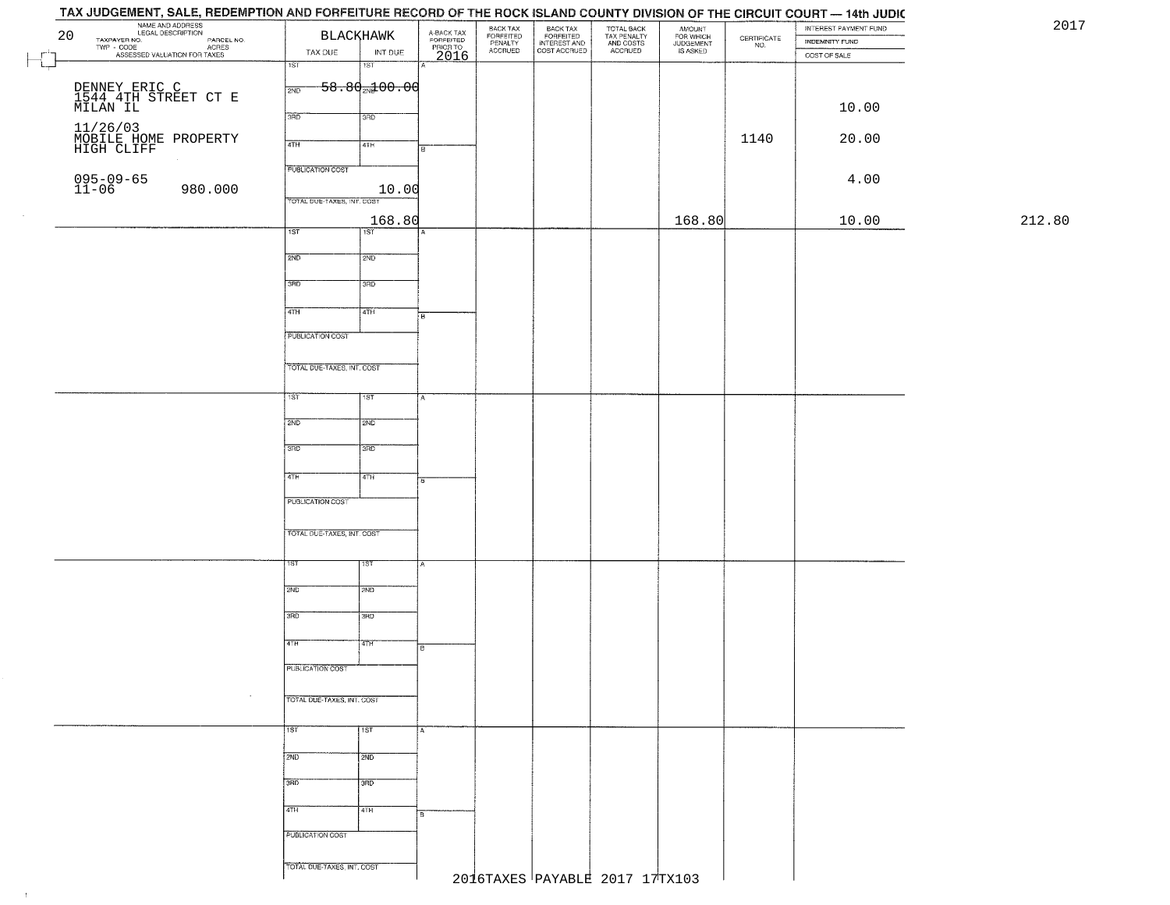## TAX JUDGEMENT, SALE, REDEMPTION AND FORFEITURE RECORD OF THE ROCK ISLAND COUNTY DIVISION OF THE CIRCUIT COURT - 14th JUDIC **EXAMPLE AND ADDRESS**<br>
TAXPAVER NO. LEGAL DESCRIPTION<br>
TWP - CODE COAL DESCRIPTION<br>
PASSESSED VALUATION FOR TAXES<br>
TAX DUE INT DU BACK TAX<br>FORFEITED<br>INTEREST AND<br>COST ACCRUED TOTAL BACK<br>TAX PENALTY<br>AND COSTS AMOUNT<br>FOR WHICH<br>JUDGEMENT<br>IS ASKED BACK TAX INTEREST PAYMENT FUND FORFEITED<br>PENALTY<br>ACCRUED  $\begin{array}{c} \text{CEPTIFICATE} \\ \text{NO.} \end{array}$ INDEMNITY FUND INT DUE TAX DUE ACCRUED COST OF SALE 2016  $\Box$ নে 'ST  $-58.80$ <sub>2N</sub> $100.00$ DENNEY ERIC C 1544 4TH STREET CT E MILAN IL 10.00 11/26/03<br>MOBILE HOME PROPERTY<br>HIGH CLIFF 1140 20.00 20.00 PM 20.00 20 20:00 PM 20.00 PM 20.00 PM 20.00 PM 20.00 PM 20.00 PM 20.00 PM 20.00 PM 20.00 PM 20 **PUBLICATION COST** 095-09-6511-06 980.000 10.00 4.00 TOTAL DUE-TAXES, INT. COST 168.80 168.80 10.00 212.80 $1ST$ 1ST<sup>1</sup>  $2ND$ 12ND 3RD 3RD  $\overline{47H}$ 4TH **FUBLICATION COST** TOTAL DUE-TAXES, INT. COST TST ST  $2ND$ **SMD**  $3BD$ 3RD  $4TH$  $4TH$ PUBLICATION COST TOTAL OUE-TAXES, INT. COST 2ND **T2ND** 3RD tarao 4TH īΤH PUBLICATION COST TOTAL DUE-TAXES, INT. COST 1ST 1ST  $2ND$  $\frac{1}{2ND}$ 3RD 3RD 4TH 4TH **PUBLICATION COST** TOTAL DUE-TAXES, INT. COST 2016TAXES PAYABLE 2017 17TX103

 $\pm 1$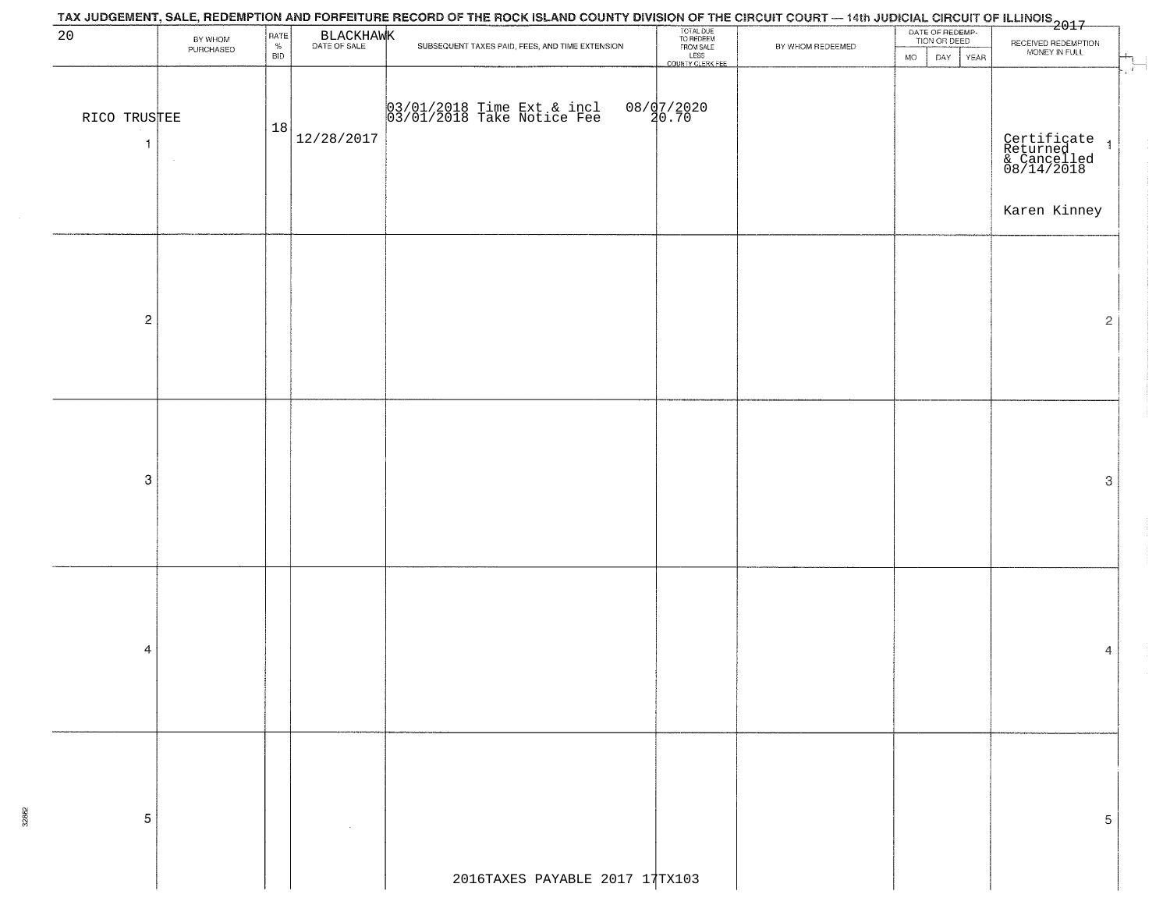|                                | TAX JUDGEMENT, SALE, REDEMPTION AND FORFEITURE RECORD OF THE ROCK ISLAND COUNTY DIVISION OF THE CIRCUIT COURT — 14th JUDICIAL CIRCUIT OF ILLINOIS<br>The contract of the contract of the contract of the contract of the contract |                            |            |                                                          |                                                                 |                  |                                                      |                                                                        |  |  |  |  |
|--------------------------------|-----------------------------------------------------------------------------------------------------------------------------------------------------------------------------------------------------------------------------------|----------------------------|------------|----------------------------------------------------------|-----------------------------------------------------------------|------------------|------------------------------------------------------|------------------------------------------------------------------------|--|--|--|--|
| 20                             | BY WHOM<br>PURCHASED                                                                                                                                                                                                              | RATE<br>$\%$<br><b>BID</b> | BLACKHAWK  | SUBSEQUENT TAXES PAID, FEES, AND TIME EXTENSION          | TOTAL DUE<br>TO REDEEM<br>FROM SALE<br>LESS<br>COUNTY CLERK FEE | BY WHOM REDEEMED | DATE OF REDEMP-<br>TION OR DEED<br>DAY<br>YEAR<br>MO | RECEIVED REDEMPTION<br>MONEY IN FULL<br>$H_{\frac{1}{2}+}$             |  |  |  |  |
| RICO TRUSTEE<br>$\overline{1}$ |                                                                                                                                                                                                                                   | 18                         | 12/28/2017 | 03/01/2018 Time Ext & incl<br>03/01/2018 Take Notice Fee | 08/07/2020<br>20.70                                             |                  |                                                      | Certificate<br>Returned 1<br>& Cancelled<br>08/14/2018<br>Karen Kinney |  |  |  |  |
| $\sqrt{2}$                     |                                                                                                                                                                                                                                   |                            |            |                                                          |                                                                 |                  |                                                      | $\overline{2}$                                                         |  |  |  |  |
| 3                              |                                                                                                                                                                                                                                   |                            |            |                                                          |                                                                 |                  |                                                      | 3                                                                      |  |  |  |  |
| 4                              |                                                                                                                                                                                                                                   |                            |            |                                                          |                                                                 |                  |                                                      | 4                                                                      |  |  |  |  |
| 5                              |                                                                                                                                                                                                                                   |                            |            | 2016TAXES PAYABLE 2017 17TX103                           |                                                                 |                  |                                                      | 5                                                                      |  |  |  |  |
|                                |                                                                                                                                                                                                                                   |                            |            |                                                          |                                                                 |                  |                                                      |                                                                        |  |  |  |  |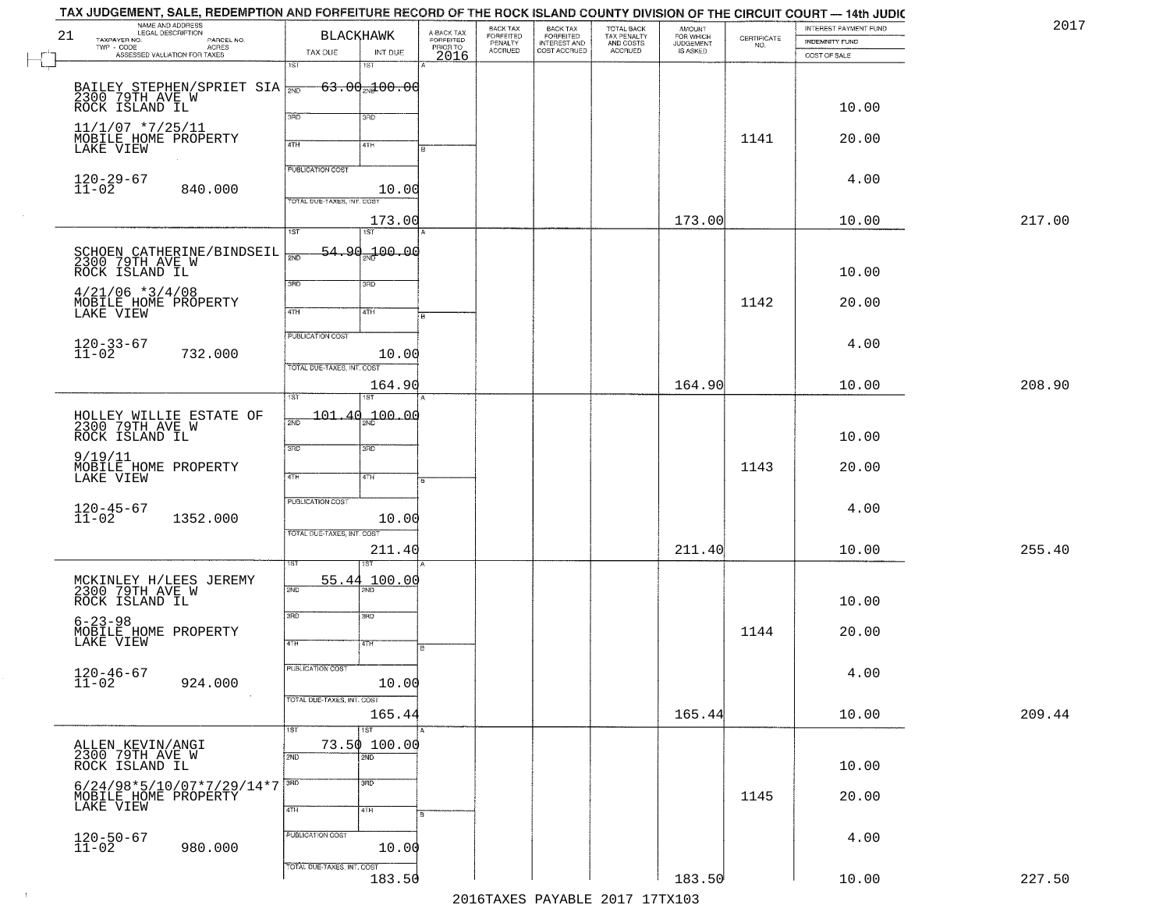|    | TAX JUDGEMENT, SALE, REDEMPTION AND FORFEITURE RECORD OF THE ROCK ISLAND COUNTY DIVISION OF THE CIRCUIT COURT — 14th JUDIC |                                             |                         |                                 |                                                       |                                                   |                                    |                    |                       |        |
|----|----------------------------------------------------------------------------------------------------------------------------|---------------------------------------------|-------------------------|---------------------------------|-------------------------------------------------------|---------------------------------------------------|------------------------------------|--------------------|-----------------------|--------|
|    | NAME AND ADDRESS<br>LEGAL DESCRIPTION                                                                                      |                                             |                         | BACK TAX                        |                                                       |                                                   | <b>AMOUNT</b>                      |                    | INTEREST PAYMENT FUND | 2017   |
| 21 | TAXPAYER NO.<br>PARCEL NO.<br>TWP - CODE                                                                                   | BLACKHAWK                                   | A-BACK TAX<br>FORFEITED | FORFEITED<br>PENALTY<br>ACCRUED | BACK TAX<br>FORFEITED<br>INTEREST AND<br>COST ACCRUED | TOTAL BACK<br>TAX PENALTY<br>AND COSTS<br>ACCRUED | FOR WHICH<br>JUDGEMENT<br>IS ASKED | CERTIFICATE<br>NO. | <b>INDEMNITY FUND</b> |        |
|    | - CODE ACRES<br>ASSESSED VALUATION FOR TAXES                                                                               | TAX DUE                                     | PRIORTO<br>INT DUE      |                                 |                                                       |                                                   |                                    |                    | COST OF SALE          |        |
|    |                                                                                                                            | $\overline{1ST}$<br>1ST                     |                         |                                 |                                                       |                                                   |                                    |                    |                       |        |
|    |                                                                                                                            |                                             |                         |                                 |                                                       |                                                   |                                    |                    |                       |        |
|    | BAILEY STEPHEN/SPRIET SIA 780 63.00 3100.00                                                                                |                                             |                         |                                 |                                                       |                                                   |                                    |                    |                       |        |
|    | ROCK ISLAND IL                                                                                                             | 3RD<br>3BD                                  |                         |                                 |                                                       |                                                   |                                    |                    | 10.00                 |        |
|    | $11/1/07$ *7/25/11                                                                                                         |                                             |                         |                                 |                                                       |                                                   |                                    |                    |                       |        |
|    | MOBILE HOME PROPERTY                                                                                                       | 4TH<br>4TH                                  |                         |                                 |                                                       |                                                   |                                    | 1141               | 20.00                 |        |
|    | LAKE VIEW                                                                                                                  |                                             |                         |                                 |                                                       |                                                   |                                    |                    |                       |        |
|    |                                                                                                                            | <b>PUBLICATION COST</b>                     |                         |                                 |                                                       |                                                   |                                    |                    |                       |        |
|    | 120-29-67<br>11-02                                                                                                         |                                             |                         |                                 |                                                       |                                                   |                                    |                    | 4.00                  |        |
|    | 840.000                                                                                                                    | TOTAL DUE-TAXES, INT. COST                  | 10.00                   |                                 |                                                       |                                                   |                                    |                    |                       |        |
|    |                                                                                                                            |                                             |                         |                                 |                                                       |                                                   |                                    |                    |                       |        |
|    |                                                                                                                            | $\overline{1ST}$<br>$\overline{1ST}$        | 173.00                  |                                 |                                                       |                                                   | 173.00                             |                    | 10.00                 | 217.00 |
|    |                                                                                                                            |                                             |                         |                                 |                                                       |                                                   |                                    |                    |                       |        |
|    | SCHOEN CATHERINE/BINDSEIL<br>2300 79TH AVE W                                                                               | <del>54.90<sub>20</sub>1</del> 00.00<br>2ND |                         |                                 |                                                       |                                                   |                                    |                    |                       |        |
|    | ROCK ISLAND IL                                                                                                             |                                             |                         |                                 |                                                       |                                                   |                                    |                    | 10.00                 |        |
|    |                                                                                                                            | 3BD<br>3RD                                  |                         |                                 |                                                       |                                                   |                                    |                    |                       |        |
|    | $4/21/06$ *3/4/08<br>MOBILE HOME PROPERTY                                                                                  |                                             |                         |                                 |                                                       |                                                   |                                    | 1142               | 20.00                 |        |
|    | LAKE VIEW                                                                                                                  | $\overline{47H}$<br>4TH                     |                         |                                 |                                                       |                                                   |                                    |                    |                       |        |
|    |                                                                                                                            |                                             |                         |                                 |                                                       |                                                   |                                    |                    |                       |        |
|    |                                                                                                                            | PUBLICATION COST                            |                         |                                 |                                                       |                                                   |                                    |                    | 4.00                  |        |
|    | $120 - 33 - 67$<br>$11 - 02$<br>732.000                                                                                    |                                             | 10.00                   |                                 |                                                       |                                                   |                                    |                    |                       |        |
|    |                                                                                                                            | TOTAL DUE-TAXES, INT. COST                  |                         |                                 |                                                       |                                                   |                                    |                    |                       |        |
|    |                                                                                                                            |                                             | 164.90                  |                                 |                                                       |                                                   | 164.90                             |                    | 10.00                 | 208.90 |
|    |                                                                                                                            | 1ST                                         |                         |                                 |                                                       |                                                   |                                    |                    |                       |        |
|    |                                                                                                                            | 101.40                                      | 100.00                  |                                 |                                                       |                                                   |                                    |                    |                       |        |
|    | HOLLEY WILLIE ESTATE OF<br>2300 79TH AVE W                                                                                 | 2ND                                         |                         |                                 |                                                       |                                                   |                                    |                    |                       |        |
|    | ROCK ISLAND IL                                                                                                             | 3RD<br>3BD                                  |                         |                                 |                                                       |                                                   |                                    |                    | 10.00                 |        |
|    | 9/19/11                                                                                                                    |                                             |                         |                                 |                                                       |                                                   |                                    |                    |                       |        |
|    | MOBILE HOME PROPERTY<br>LAKE VIEW                                                                                          | 4TH<br>4TH                                  |                         |                                 |                                                       |                                                   |                                    | 1143               | 20.00                 |        |
|    |                                                                                                                            |                                             |                         |                                 |                                                       |                                                   |                                    |                    |                       |        |
|    |                                                                                                                            | <b>PUBLICATION COST</b>                     |                         |                                 |                                                       |                                                   |                                    |                    |                       |        |
|    | $120 - 45 - 67$<br>$11 - 02$<br>1352.000                                                                                   |                                             | 10.00                   |                                 |                                                       |                                                   |                                    |                    | 4.00                  |        |
|    |                                                                                                                            | TOTAL OUE-TAXES, INT. COST                  |                         |                                 |                                                       |                                                   |                                    |                    |                       |        |
|    |                                                                                                                            |                                             | 211.40                  |                                 |                                                       |                                                   | 211.40                             |                    | 10.00                 | 255.40 |
|    |                                                                                                                            |                                             |                         |                                 |                                                       |                                                   |                                    |                    |                       |        |
|    |                                                                                                                            |                                             |                         |                                 |                                                       |                                                   |                                    |                    |                       |        |
|    | MCKINLEY H/LEES JEREMY<br>2300 79TH AVE W                                                                                  | 55.44<br>2ND                                | 100.00                  |                                 |                                                       |                                                   |                                    |                    |                       |        |
|    | ROCK ISLAND IL                                                                                                             |                                             |                         |                                 |                                                       |                                                   |                                    |                    | 10.00                 |        |
|    | $6 - 23 - 98$                                                                                                              | 3RD<br>3HD                                  |                         |                                 |                                                       |                                                   |                                    |                    |                       |        |
|    |                                                                                                                            |                                             |                         |                                 |                                                       |                                                   |                                    | 1144               | 20.00                 |        |
|    | MOBILE HOME PROPERTY<br>LAKE VIEW                                                                                          | 4TH<br>4TH                                  |                         |                                 |                                                       |                                                   |                                    |                    |                       |        |
|    |                                                                                                                            |                                             |                         |                                 |                                                       |                                                   |                                    |                    |                       |        |
|    | $120 - 46 - 67$<br>$11 - 02$                                                                                               | PUBLICATION COST                            |                         |                                 |                                                       |                                                   |                                    |                    | 4.00                  |        |
|    | 924.000                                                                                                                    |                                             | 10.00                   |                                 |                                                       |                                                   |                                    |                    |                       |        |
|    |                                                                                                                            | TOTAL DUE-TAXES, INT. COST                  |                         |                                 |                                                       |                                                   |                                    |                    |                       |        |
|    |                                                                                                                            |                                             | 165.44                  |                                 |                                                       |                                                   | 165.44                             |                    | 10.00                 | 209.44 |
|    |                                                                                                                            | $\overline{1}$ ST<br>1ST                    |                         |                                 |                                                       |                                                   |                                    |                    |                       |        |
|    | ALLEN KEVIN/ANGI<br>2300 79TH AVE W                                                                                        | 73.50 100.00                                |                         |                                 |                                                       |                                                   |                                    |                    |                       |        |
|    | ROCK ISLAND IL                                                                                                             | 2ND<br>2ND                                  |                         |                                 |                                                       |                                                   |                                    |                    | 10.00                 |        |
|    |                                                                                                                            |                                             |                         |                                 |                                                       |                                                   |                                    |                    |                       |        |
|    | 6/24/98*5/10/07*7/29/14*7                                                                                                  | $\overline{3}$ RD<br>3BD                    |                         |                                 |                                                       |                                                   |                                    |                    |                       |        |
|    | MOBILE HOME PROPERTY                                                                                                       | 4TH                                         |                         |                                 |                                                       |                                                   |                                    | 1145               | 20.00                 |        |
|    |                                                                                                                            | 4TH                                         |                         |                                 |                                                       |                                                   |                                    |                    |                       |        |
|    |                                                                                                                            | PUBLICATION COST                            |                         |                                 |                                                       |                                                   |                                    |                    | 4.00                  |        |
|    | $120 - 50 - 67$<br>$11 - 02$<br>980.000                                                                                    |                                             | 10.00                   |                                 |                                                       |                                                   |                                    |                    |                       |        |
|    |                                                                                                                            | TOTAL DUE-TAXES, INT. COST                  |                         |                                 |                                                       |                                                   |                                    |                    |                       |        |
|    |                                                                                                                            |                                             | 183.50                  |                                 |                                                       |                                                   | 183.50                             |                    | 10.00                 | 227.50 |
|    |                                                                                                                            |                                             |                         |                                 |                                                       | 2016 TAVEC DAVARLE 2017 17 TV102                  |                                    |                    |                       |        |
|    |                                                                                                                            |                                             |                         |                                 |                                                       |                                                   |                                    |                    |                       |        |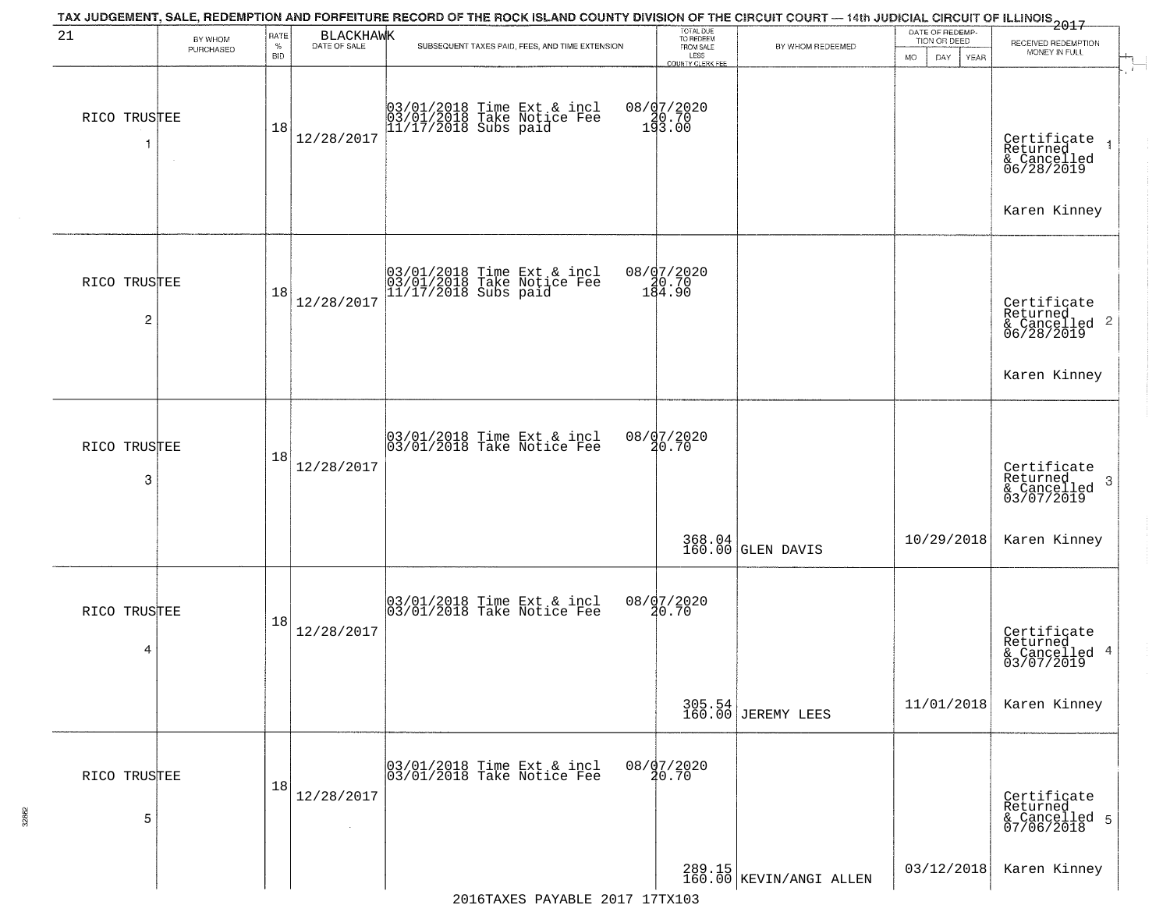| 21                             | BY WHOM<br>PURCHASED | RATE<br>$\%$<br><b>BID</b> | BLACKHAWK  | SUBSEQUENT TAXES PAID, FEES, AND TIME EXTENSION                                  | TOTAL DUE<br>TO REDEEM<br>FROM SALE<br>LESS       | BY WHOM REDEEMED             | DATE OF REDEMP-<br>TION OR DEED<br>DAY. | 2017<br>RECEIVED REDEMPTION<br>MONEY IN FULL                                       |
|--------------------------------|----------------------|----------------------------|------------|----------------------------------------------------------------------------------|---------------------------------------------------|------------------------------|-----------------------------------------|------------------------------------------------------------------------------------|
| RICO TRUSTEE                   |                      | 18                         | 12/28/2017 | 03/01/2018 Time Ext & incl<br>03/01/2018 Take Notice Fee<br>11/17/2018 Subs paid | COUNTY CLERK FEE<br>08/07/2020<br>20.70<br>193.00 |                              | MO.<br>YEAR                             | T<br>Certificate<br>Returned<br>& Cancelled<br>06/28/2019<br>Karen Kinney          |
| RICO TRUSTEE<br>$\overline{c}$ |                      | 18                         | 12/28/2017 | 03/01/2018 Time Ext & incl<br>03/01/2018 Take Notice Fee<br>11/17/2018 Subs paid | 08/07/2020<br>10.70<br>184.90                     |                              |                                         | Certificate<br>Returned<br>$\frac{1}{2}$ Cancelled 2<br>06/28/2019<br>Karen Kinney |
| RICO TRUSTEE<br>3              |                      | 18                         | 12/28/2017 | $\begin{array}{c} 03/01/2018 \\ 03/01/2018 \\ \end{array}$ Take Notice Fee       | 08/07/2020<br>20.70                               |                              |                                         | Certificate<br>Returned<br>& Cancelled<br>03/07/2019<br>3                          |
|                                |                      |                            |            |                                                                                  |                                                   | 368.04<br>160.00 GLEN DAVIS  | 10/29/2018                              | Karen Kinney                                                                       |
| RICO TRUSTEE<br>4              |                      | 18                         | 12/28/2017 | 03/01/2018 Time Ext & incl<br>03/01/2018 Take Notice Fee                         | 08/07/2020<br>20.70                               |                              |                                         | Certificate<br>Returned<br>& Cancelled 4<br>03/07/2019                             |
|                                |                      |                            |            |                                                                                  |                                                   | 305.54<br>160.00 JEREMY LEES | 11/01/2018                              | Karen Kinney                                                                       |
| RICO TRUSTEE<br>5              |                      | 18                         | 12/28/2017 | 03/01/2018 Time Ext & incl<br>03/01/2018 Take Notice Fee                         | $08/\frac{97}{20.70}$                             |                              |                                         | Certificate<br>Returned<br>& Cancelled 5<br>07/06/2018                             |
|                                |                      |                            |            | $0.017 - 17$ mysi                                                                |                                                   | $289.15$ KEVIN/ANGI ALLEN    | 03/12/2018                              | Karen Kinney                                                                       |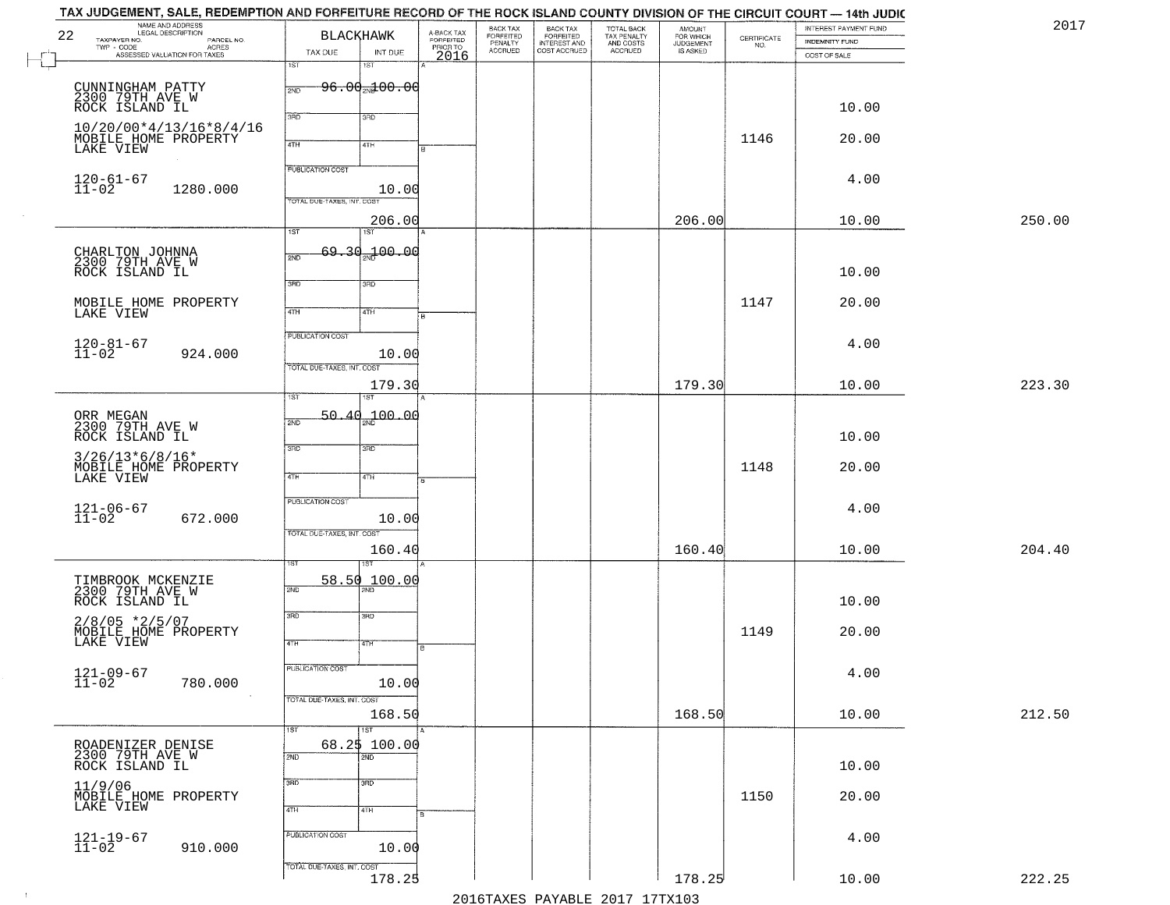| NAME AND ADDRESS<br>22<br>TAXPAYER NO.<br>PARCEL NO.   | <b>BLACKHAWK</b>           |                                     |                                             | BACK TAX<br>FORFEITED<br>PENALTY<br>ACCRUED | BACK TAX<br>FORFEITED<br>INTEREST AND | TOTAL BACK<br>TAX PENALTY<br>AND COSTS<br>ACCRUED | AMOUNT<br>FOR WHICH<br>JUDGEMENT<br>IS ASKED | $\begin{array}{c} \text{CERTIFICATE} \\ \text{NO.} \end{array}$ | INTEREST PAYMENT FUND<br>INDEMNITY FUND |        |
|--------------------------------------------------------|----------------------------|-------------------------------------|---------------------------------------------|---------------------------------------------|---------------------------------------|---------------------------------------------------|----------------------------------------------|-----------------------------------------------------------------|-----------------------------------------|--------|
| TWP - CODE<br>ASSESSED VALUATION FOR TAXES             | TAX DUE                    | INT DUE                             | A-BACK TAX<br>FORFEITED<br>PRIOR TO<br>2016 |                                             | COST ACCRUED                          |                                                   |                                              |                                                                 | COST OF SALE                            |        |
|                                                        | 1ST                        | 18T                                 |                                             |                                             |                                       |                                                   |                                              |                                                                 |                                         |        |
| CUNNINGHAM PATTY<br>2300 79TH AVE W                    | 2ND                        | <del>96.00<sub>20</sub>100.00</del> |                                             |                                             |                                       |                                                   |                                              |                                                                 |                                         |        |
| ROCK ISLAND IL                                         |                            |                                     |                                             |                                             |                                       |                                                   |                                              |                                                                 | 10.00                                   |        |
| 10/20/00*4/13/16*8/4/16                                | 3RD                        | 3RD                                 |                                             |                                             |                                       |                                                   |                                              |                                                                 |                                         |        |
| MOBILE HOME PROPERTY<br>LAKE VIEW                      | 4TH                        | 4TH                                 |                                             |                                             |                                       |                                                   |                                              | 1146                                                            | 20.00                                   |        |
|                                                        |                            |                                     |                                             |                                             |                                       |                                                   |                                              |                                                                 |                                         |        |
| $120 - 61 - 67$<br>$11 - 02$                           | <b>PUBLICATION COST</b>    |                                     |                                             |                                             |                                       |                                                   |                                              |                                                                 | 4.00                                    |        |
| 1280.000                                               | TOTAL DUE-TAXES, INT. COS  | 10.00                               |                                             |                                             |                                       |                                                   |                                              |                                                                 |                                         |        |
|                                                        |                            | 206.00                              |                                             |                                             |                                       |                                                   | 206.00                                       |                                                                 | 10.00                                   | 250.00 |
|                                                        | $\overline{1ST}$           | 1ST                                 |                                             |                                             |                                       |                                                   |                                              |                                                                 |                                         |        |
| CHARLTON JOHNNA<br>2300 79TH AVE W                     | 2ND                        | 69.30.100.00                        |                                             |                                             |                                       |                                                   |                                              |                                                                 |                                         |        |
| ROCK ISLAND IL                                         |                            |                                     |                                             |                                             |                                       |                                                   |                                              |                                                                 | 10.00                                   |        |
|                                                        | $\overline{3\text{RD}}$    | 3RD                                 |                                             |                                             |                                       |                                                   |                                              |                                                                 |                                         |        |
| MOBILE HOME PROPERTY                                   | 47H                        | 4TH                                 |                                             |                                             |                                       |                                                   |                                              | 1147                                                            | 20.00                                   |        |
| LAKE VIEW                                              |                            |                                     |                                             |                                             |                                       |                                                   |                                              |                                                                 |                                         |        |
|                                                        | <b>PUBLICATION COST</b>    |                                     |                                             |                                             |                                       |                                                   |                                              |                                                                 | 4.00                                    |        |
| $120 - 81 - 67$<br>$11 - 02$<br>924.000                |                            | 10.00                               |                                             |                                             |                                       |                                                   |                                              |                                                                 |                                         |        |
|                                                        | TOTAL DUE-TAXES, INT. COST |                                     |                                             |                                             |                                       |                                                   |                                              |                                                                 |                                         |        |
|                                                        | īst                        | 179.30                              |                                             |                                             |                                       |                                                   | 179.30                                       |                                                                 | 10.00                                   | 223.30 |
|                                                        | 50.<br>$\Delta \Omega$     | 700.00                              |                                             |                                             |                                       |                                                   |                                              |                                                                 |                                         |        |
| ORR MEGAN<br>2300 79TH AVE W<br>ROCK ISLAND IL         | 2ND                        |                                     |                                             |                                             |                                       |                                                   |                                              |                                                                 | 10.00                                   |        |
|                                                        | 3RD                        | 3 <sub>BD</sub>                     |                                             |                                             |                                       |                                                   |                                              |                                                                 |                                         |        |
| $3/26/13*6/8/16*$<br>MOBILE HOME PROPERTY<br>LAKE VIEW |                            |                                     |                                             |                                             |                                       |                                                   |                                              | 1148                                                            | 20.00                                   |        |
|                                                        | 4TH                        | 4TH                                 |                                             |                                             |                                       |                                                   |                                              |                                                                 |                                         |        |
|                                                        | PUBLICATION COST           |                                     |                                             |                                             |                                       |                                                   |                                              |                                                                 | 4.00                                    |        |
| $121 - 06 - 67$<br>$11 - 02$<br>672.000                |                            | 10.00                               |                                             |                                             |                                       |                                                   |                                              |                                                                 |                                         |        |
|                                                        | TOTAL OUE-TAXES, INT. COST |                                     |                                             |                                             |                                       |                                                   |                                              |                                                                 |                                         |        |
|                                                        |                            | 160.40                              |                                             |                                             |                                       |                                                   | 160.40                                       |                                                                 | 10.00                                   | 204.40 |
| TIMBROOK MCKENZIE                                      |                            | 58.50 100.00                        |                                             |                                             |                                       |                                                   |                                              |                                                                 |                                         |        |
| 2300 79TH AVE W                                        | 2ND                        |                                     |                                             |                                             |                                       |                                                   |                                              |                                                                 |                                         |        |
| ROCK ISLAND IL                                         | 3RD                        | 3BD                                 |                                             |                                             |                                       |                                                   |                                              |                                                                 | 10.00                                   |        |
| $2/8/05$ *2/5/07<br>MOBILE HOME PROPERTY               |                            |                                     |                                             |                                             |                                       |                                                   |                                              | 1149                                                            | 20.00                                   |        |
| LAKE VIEW                                              | 4TH                        | 47H                                 | в                                           |                                             |                                       |                                                   |                                              |                                                                 |                                         |        |
|                                                        | <b>PUBLICATION COST</b>    |                                     |                                             |                                             |                                       |                                                   |                                              |                                                                 | 4.00                                    |        |
| $121 - 09 - 67$<br>$11 - 02$<br>780.000                |                            | 10.00                               |                                             |                                             |                                       |                                                   |                                              |                                                                 |                                         |        |
|                                                        | TOTAL DUE-TAXES, INT. COST |                                     |                                             |                                             |                                       |                                                   |                                              |                                                                 |                                         |        |
|                                                        |                            | 168.50                              |                                             |                                             |                                       |                                                   | 168.50                                       |                                                                 | 10.00                                   | 212.50 |
| ROADENIZER DENISE                                      | 1ST                        | $\overline{151}$<br>68.2\$ 100.00   |                                             |                                             |                                       |                                                   |                                              |                                                                 |                                         |        |
| 2300 79TH AVE W<br>ROCK ISLAND IL                      | 2ND                        | 2ND                                 |                                             |                                             |                                       |                                                   |                                              |                                                                 |                                         |        |
|                                                        | 3RD                        | 3 <sub>BD</sub>                     |                                             |                                             |                                       |                                                   |                                              |                                                                 | 10.00                                   |        |
| 11/9/06                                                |                            |                                     |                                             |                                             |                                       |                                                   |                                              | 1150                                                            | 20.00                                   |        |
| NOBILE HOME PROPERTY<br>MOBILE HOME PROPERTY           | 4TH                        | 4TH                                 |                                             |                                             |                                       |                                                   |                                              |                                                                 |                                         |        |
|                                                        | PUBLICATION COST           |                                     |                                             |                                             |                                       |                                                   |                                              |                                                                 |                                         |        |
| $121 - 19 - 67$<br>$11 - 02$<br>910.000                |                            | 10.00                               |                                             |                                             |                                       |                                                   |                                              |                                                                 | 4.00                                    |        |
|                                                        | TOTAL DUE-TAXES, INT. COST |                                     |                                             |                                             |                                       |                                                   |                                              |                                                                 |                                         |        |
|                                                        |                            | 178.25                              |                                             |                                             |                                       |                                                   | 178.25                                       |                                                                 | 10.00                                   |        |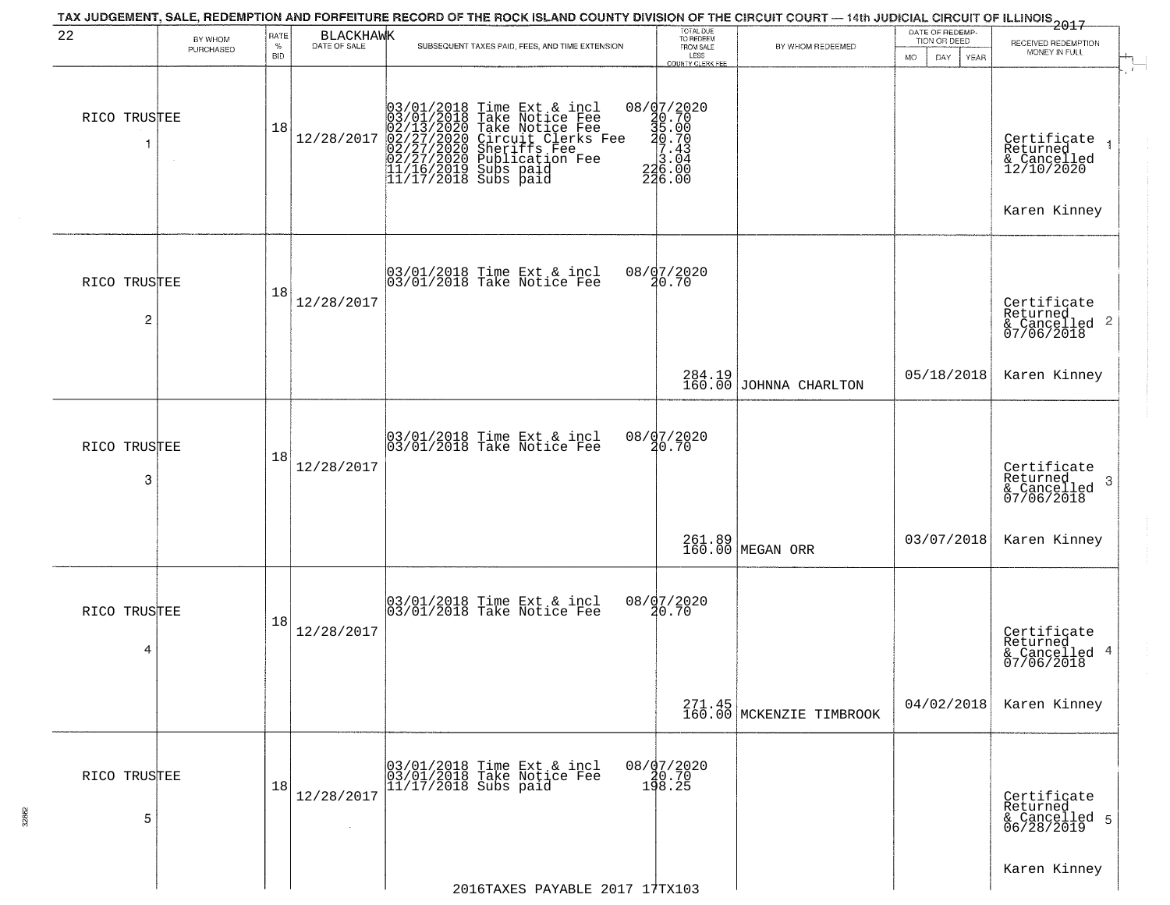| 22                | BY WHOM<br>PURCHASED | RATE<br>$\%$<br><b>BID</b> | BLACKHAWK  | TAX JUDGEMENT, SALE, REDEMPTION AND FORFEITURE RECORD OF THE ROCK ISLAND COUNTY DIVISION OF THE CIRCUIT COURT — 14th JUDICIAL CIRCUIT OF ILLINOIS 2017<br>SUBSEQUENT TAXES PAID, FEES, AND TIME EXTENSION | TOTAL DUE<br>TO REDEEM<br>FROM SALE<br>LESS<br>COUNTY CLERK FEE                                                                                                              | BY WHOM REDEEMED                   | DATE OF REDEMP-<br>TION OR DEED<br><b>MO</b><br>DAY<br><b>YEAR</b> | RECEIVED REDEMPTION<br>MONEY IN FULL                                 |
|-------------------|----------------------|----------------------------|------------|-----------------------------------------------------------------------------------------------------------------------------------------------------------------------------------------------------------|------------------------------------------------------------------------------------------------------------------------------------------------------------------------------|------------------------------------|--------------------------------------------------------------------|----------------------------------------------------------------------|
| RICO TRUSTEE      | $\sim$               | 18                         | 12/28/2017 | $03/01/2018$ Time Ext & incl<br>03/01/2018 Take Notice Fee<br>02/13/2020 Take Notice Fee<br>02/27/2020 Circuit Clerks Fee<br>02/27/2020 Sublication Fee<br>11/16/2019 Subs paid<br>11/17/2018 Subs paid   | $\begin{array}{r} 08 / \frac{1}{2} \cdot 7 / 2020 \\ 20 \cdot 70 \\ 35 \cdot 00 \\ 20 \cdot 70 \\ 3 \cdot 04 \\ 226 \cdot 00 \\ 246 \cdot 00 \\ 246 \cdot 00 \\ \end{array}$ |                                    |                                                                    | Certificate<br>Returned<br>& Cancelled<br>12/10/2020<br>Karen Kinney |
| RICO TRUSTEE<br>2 |                      | 18                         | 12/28/2017 | 03/01/2018 Time Ext & incl<br>03/01/2018 Take Notice Fee                                                                                                                                                  | 08/07/2020<br>20.70                                                                                                                                                          |                                    |                                                                    | Certificate<br>Returned<br>& Cancelled 2<br>07/06/2018               |
|                   |                      |                            |            |                                                                                                                                                                                                           | 284.19<br>160.00                                                                                                                                                             | JOHNNA CHARLTON                    | 05/18/2018                                                         | Karen Kinney                                                         |
| RICO TRUSTEE<br>3 |                      | 18                         | 12/28/2017 | 03/01/2018 Time Ext & incl<br>03/01/2018 Take Notice Fee                                                                                                                                                  | 08/97/2020<br>20.70                                                                                                                                                          |                                    |                                                                    | Certificate<br>Returned<br>- 3<br>& Cancelled<br>07/06/2018          |
|                   |                      |                            |            |                                                                                                                                                                                                           |                                                                                                                                                                              | 261.89<br>160.00 MEGAN ORR         | 03/07/2018                                                         | Karen Kinney                                                         |
| RICO TRUSTEE<br>4 |                      | 18                         | 12/28/2017 | 03/01/2018 Time Ext & incl<br>03/01/2018 Take Notice Fee                                                                                                                                                  | 08/07/2020<br>20.70                                                                                                                                                          |                                    |                                                                    | Certificate<br>Returned<br>& Cancelled 4<br>07/06/2018               |
|                   |                      |                            |            |                                                                                                                                                                                                           |                                                                                                                                                                              | 271.45<br>160.00 MCKENZIE TIMBROOK | 04/02/2018                                                         | Karen Kinney                                                         |
| RICO TRUSTEE<br>5 |                      | 18                         | 12/28/2017 | 03/01/2018 Time Ext & incl<br>03/01/2018 Take Notice Fee<br>11/17/2018 Subs paid                                                                                                                          | 08/07/2020<br>08.70<br>198.25                                                                                                                                                |                                    |                                                                    | Certificate<br>Returned<br>& Cancelled 5<br>06/28/2019               |
|                   |                      |                            |            | 2016TAXES PAYABLE 2017 17TX103                                                                                                                                                                            |                                                                                                                                                                              |                                    |                                                                    | Karen Kinney                                                         |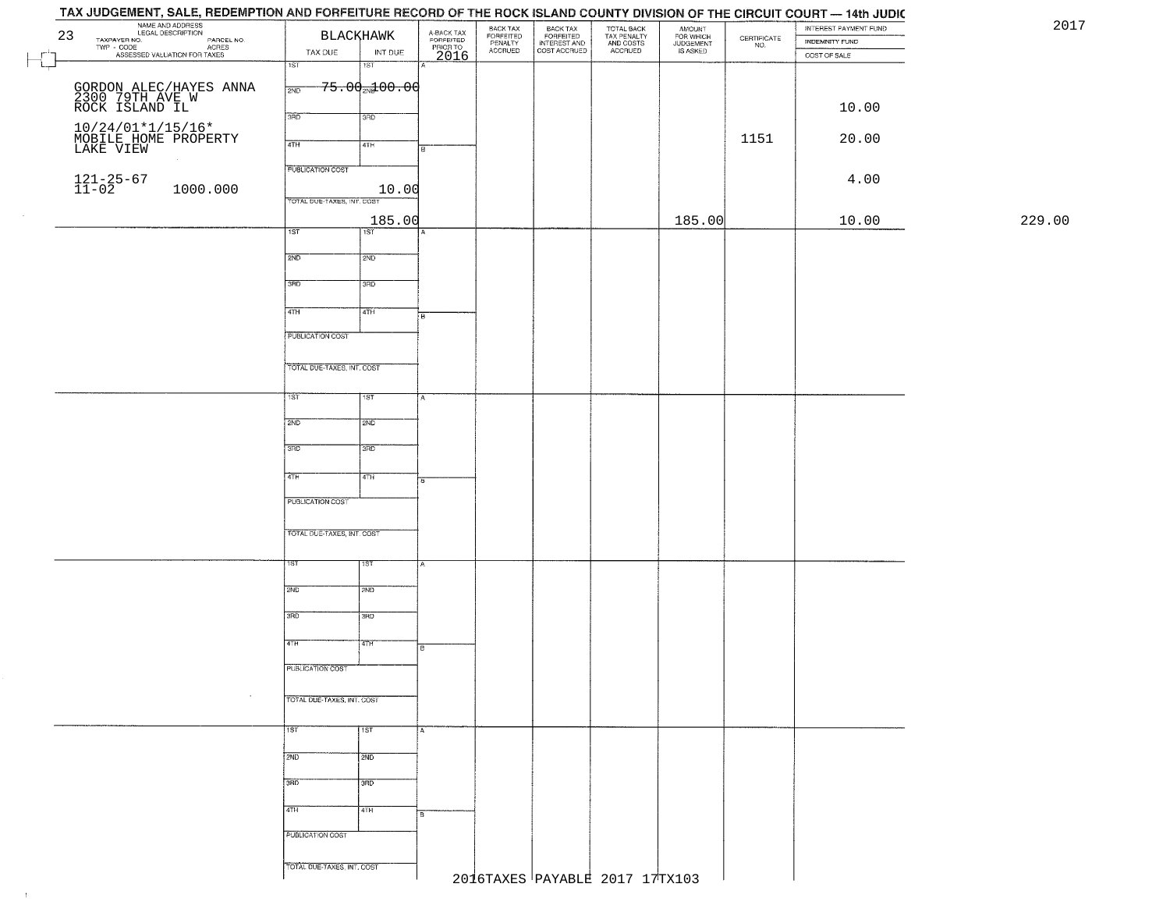## TAX JUDGEMENT, SALE, REDEMPTION AND FORFEITURE RECORD OF THE ROCK ISLAND COUNTY DIVISION OF THE CIRCUIT COURT - 14th JUDIC

|    | TAX 00DOCMENT, OALE, HEDEMITTION AND FONEETONE NEGOND OF THE NOON (SEAND GOUNTT DIVISION OF THE URGUIT GOUNT - 1481 JUDIC |                            |                    |                                             |                                 |                                           |                                                   |                                              |                                                                 | INTEREST PAYMENT FUND | 20     |
|----|---------------------------------------------------------------------------------------------------------------------------|----------------------------|--------------------|---------------------------------------------|---------------------------------|-------------------------------------------|---------------------------------------------------|----------------------------------------------|-----------------------------------------------------------------|-----------------------|--------|
| 23 | NAME AND ADDRESS<br>TAXPAYER LEGAL DESCRIPTION<br>TWP - CODE PARCEL NO.<br>ASSESSED VALUATION FOR TAXES                   |                            | BLACKHAWK          | A-BACK TAX<br>FORFEITED<br>PRIOR TO<br>2016 | BACK TAX                        | <b>BACK TAX</b>                           | TOTAL BACK<br>TAX PENALTY<br>AND COSTS<br>ACCRUED | AMOUNT<br>FOR WHICH<br>JUDGEMENT<br>IS ASKED |                                                                 |                       |        |
|    |                                                                                                                           |                            |                    |                                             | FORFEITED<br>PENALTY<br>ACCRUED | FORFEITED<br>INTEREST AND<br>COST ACCRUED |                                                   |                                              | $\begin{array}{c} \text{CERTIFICATE} \\ \text{NO.} \end{array}$ | INDEMNITY FUND        |        |
|    |                                                                                                                           | TAX DUE                    | INT DUE            |                                             |                                 |                                           |                                                   |                                              |                                                                 | COST OF SALE          |        |
|    |                                                                                                                           | 1ST                        | 1ST                |                                             |                                 |                                           |                                                   |                                              |                                                                 |                       |        |
|    |                                                                                                                           |                            |                    |                                             |                                 |                                           |                                                   |                                              |                                                                 |                       |        |
|    | GORDON ALEC/HAYES ANNA<br>2300 79TH AVE W<br>ROCK ISLAND IL                                                               | 2ND                        | $75.00_{20}100.00$ |                                             |                                 |                                           |                                                   |                                              |                                                                 |                       |        |
|    |                                                                                                                           |                            |                    |                                             |                                 |                                           |                                                   |                                              |                                                                 |                       |        |
|    |                                                                                                                           | 3BD                        | 3RD                |                                             |                                 |                                           |                                                   |                                              |                                                                 | 10.00                 |        |
|    |                                                                                                                           |                            |                    |                                             |                                 |                                           |                                                   |                                              |                                                                 |                       |        |
|    | 10/24/01*1/15/16*<br>MOBILE HOME PROPERTY<br>LAKE VIEW                                                                    |                            |                    |                                             |                                 |                                           |                                                   |                                              | 1151                                                            | 20.00                 |        |
|    |                                                                                                                           | 4TH                        | 4TH                |                                             |                                 |                                           |                                                   |                                              |                                                                 |                       |        |
|    |                                                                                                                           |                            |                    |                                             |                                 |                                           |                                                   |                                              |                                                                 |                       |        |
|    |                                                                                                                           | <b>PUBLICATION COST</b>    |                    |                                             |                                 |                                           |                                                   |                                              |                                                                 |                       |        |
|    |                                                                                                                           |                            |                    |                                             |                                 |                                           |                                                   |                                              |                                                                 | 4.00                  |        |
|    | $121 - 25 - 67$<br>$11 - 02$<br>1000.000                                                                                  |                            | 10.00              |                                             |                                 |                                           |                                                   |                                              |                                                                 |                       |        |
|    |                                                                                                                           | TOTAL DUE-TAXES, INT. COST |                    |                                             |                                 |                                           |                                                   |                                              |                                                                 |                       |        |
|    |                                                                                                                           |                            |                    |                                             |                                 |                                           |                                                   |                                              |                                                                 |                       |        |
|    |                                                                                                                           |                            | 185.00             |                                             |                                 |                                           |                                                   | 185.00                                       |                                                                 | 10.00                 | 229.00 |
|    |                                                                                                                           | 1ST                        | $\overline{1ST}$   |                                             |                                 |                                           |                                                   |                                              |                                                                 |                       |        |
|    |                                                                                                                           |                            |                    |                                             |                                 |                                           |                                                   |                                              |                                                                 |                       |        |
|    |                                                                                                                           | 2ND                        | 2ND                |                                             |                                 |                                           |                                                   |                                              |                                                                 |                       |        |
|    |                                                                                                                           |                            |                    |                                             |                                 |                                           |                                                   |                                              |                                                                 |                       |        |
|    |                                                                                                                           |                            |                    |                                             |                                 |                                           |                                                   |                                              |                                                                 |                       |        |
|    |                                                                                                                           | 3RD                        | 3RD                |                                             |                                 |                                           |                                                   |                                              |                                                                 |                       |        |
|    |                                                                                                                           |                            |                    |                                             |                                 |                                           |                                                   |                                              |                                                                 |                       |        |
|    |                                                                                                                           | $\sqrt{47H}$               | 4TH                |                                             |                                 |                                           |                                                   |                                              |                                                                 |                       |        |
|    |                                                                                                                           |                            |                    | B.                                          |                                 |                                           |                                                   |                                              |                                                                 |                       |        |
|    |                                                                                                                           |                            |                    |                                             |                                 |                                           |                                                   |                                              |                                                                 |                       |        |
|    |                                                                                                                           | <b>PUBLICATION COST</b>    |                    |                                             |                                 |                                           |                                                   |                                              |                                                                 |                       |        |
|    |                                                                                                                           |                            |                    |                                             |                                 |                                           |                                                   |                                              |                                                                 |                       |        |
|    |                                                                                                                           | TOTAL DUE-TAXES, INT. COST |                    |                                             |                                 |                                           |                                                   |                                              |                                                                 |                       |        |
|    |                                                                                                                           |                            |                    |                                             |                                 |                                           |                                                   |                                              |                                                                 |                       |        |
|    |                                                                                                                           |                            |                    |                                             |                                 |                                           |                                                   |                                              |                                                                 |                       |        |
|    |                                                                                                                           | 757                        | 1ST                |                                             |                                 |                                           |                                                   |                                              |                                                                 |                       |        |
|    |                                                                                                                           |                            |                    |                                             |                                 |                                           |                                                   |                                              |                                                                 |                       |        |
|    |                                                                                                                           | 2ND                        | 2ND                |                                             |                                 |                                           |                                                   |                                              |                                                                 |                       |        |
|    |                                                                                                                           |                            |                    |                                             |                                 |                                           |                                                   |                                              |                                                                 |                       |        |
|    |                                                                                                                           |                            |                    |                                             |                                 |                                           |                                                   |                                              |                                                                 |                       |        |
|    |                                                                                                                           | 3RD                        | 3 <sub>3</sub>     |                                             |                                 |                                           |                                                   |                                              |                                                                 |                       |        |
|    |                                                                                                                           |                            |                    |                                             |                                 |                                           |                                                   |                                              |                                                                 |                       |        |
|    |                                                                                                                           | 4TH                        |                    |                                             |                                 |                                           |                                                   |                                              |                                                                 |                       |        |
|    |                                                                                                                           |                            | 4TH                |                                             |                                 |                                           |                                                   |                                              |                                                                 |                       |        |
|    |                                                                                                                           |                            |                    |                                             |                                 |                                           |                                                   |                                              |                                                                 |                       |        |
|    |                                                                                                                           | PUBLICATION COST           |                    |                                             |                                 |                                           |                                                   |                                              |                                                                 |                       |        |
|    |                                                                                                                           |                            |                    |                                             |                                 |                                           |                                                   |                                              |                                                                 |                       |        |
|    |                                                                                                                           |                            |                    |                                             |                                 |                                           |                                                   |                                              |                                                                 |                       |        |
|    |                                                                                                                           | TOTAL OUE-TAXES, INT. COST |                    |                                             |                                 |                                           |                                                   |                                              |                                                                 |                       |        |
|    |                                                                                                                           |                            |                    |                                             |                                 |                                           |                                                   |                                              |                                                                 |                       |        |
|    |                                                                                                                           | 1ST.                       | 15T                | A                                           |                                 |                                           |                                                   |                                              |                                                                 |                       |        |
|    |                                                                                                                           |                            |                    |                                             |                                 |                                           |                                                   |                                              |                                                                 |                       |        |
|    |                                                                                                                           |                            |                    |                                             |                                 |                                           |                                                   |                                              |                                                                 |                       |        |
|    |                                                                                                                           | 2ND                        | 2ND                |                                             |                                 |                                           |                                                   |                                              |                                                                 |                       |        |
|    |                                                                                                                           |                            |                    |                                             |                                 |                                           |                                                   |                                              |                                                                 |                       |        |
|    |                                                                                                                           | 3RD                        | 3BD                |                                             |                                 |                                           |                                                   |                                              |                                                                 |                       |        |
|    |                                                                                                                           |                            |                    |                                             |                                 |                                           |                                                   |                                              |                                                                 |                       |        |
|    |                                                                                                                           | 4TH                        | 77H                |                                             |                                 |                                           |                                                   |                                              |                                                                 |                       |        |
|    |                                                                                                                           |                            |                    | в                                           |                                 |                                           |                                                   |                                              |                                                                 |                       |        |
|    |                                                                                                                           |                            |                    |                                             |                                 |                                           |                                                   |                                              |                                                                 |                       |        |
|    |                                                                                                                           | PUBLICATION COST           |                    |                                             |                                 |                                           |                                                   |                                              |                                                                 |                       |        |
|    |                                                                                                                           |                            |                    |                                             |                                 |                                           |                                                   |                                              |                                                                 |                       |        |
|    | $\sim$                                                                                                                    |                            |                    |                                             |                                 |                                           |                                                   |                                              |                                                                 |                       |        |
|    |                                                                                                                           | TOTAL DUE-TAXES, INT. COST |                    |                                             |                                 |                                           |                                                   |                                              |                                                                 |                       |        |
|    |                                                                                                                           |                            |                    |                                             |                                 |                                           |                                                   |                                              |                                                                 |                       |        |
|    |                                                                                                                           | 1ST                        | 1st                |                                             |                                 |                                           |                                                   |                                              |                                                                 |                       |        |
|    |                                                                                                                           |                            |                    |                                             |                                 |                                           |                                                   |                                              |                                                                 |                       |        |
|    |                                                                                                                           |                            |                    |                                             |                                 |                                           |                                                   |                                              |                                                                 |                       |        |
|    |                                                                                                                           | 2ND                        | 2ND                |                                             |                                 |                                           |                                                   |                                              |                                                                 |                       |        |
|    |                                                                                                                           |                            |                    |                                             |                                 |                                           |                                                   |                                              |                                                                 |                       |        |
|    |                                                                                                                           | 3BD                        | 3HD                |                                             |                                 |                                           |                                                   |                                              |                                                                 |                       |        |
|    |                                                                                                                           |                            |                    |                                             |                                 |                                           |                                                   |                                              |                                                                 |                       |        |
|    |                                                                                                                           | 4TH                        |                    |                                             |                                 |                                           |                                                   |                                              |                                                                 |                       |        |
|    |                                                                                                                           |                            | 4TH                | R                                           |                                 |                                           |                                                   |                                              |                                                                 |                       |        |
|    |                                                                                                                           |                            |                    |                                             |                                 |                                           |                                                   |                                              |                                                                 |                       |        |
|    |                                                                                                                           | PUBLICATION COST           |                    |                                             |                                 |                                           |                                                   |                                              |                                                                 |                       |        |
|    |                                                                                                                           |                            |                    |                                             |                                 |                                           |                                                   |                                              |                                                                 |                       |        |
|    |                                                                                                                           | TOTAL DUE-TAXES, INT. COST |                    |                                             |                                 |                                           |                                                   |                                              |                                                                 |                       |        |
|    |                                                                                                                           |                            |                    |                                             |                                 |                                           | 2016TAXES PAYABLE 2017 17TX103                    |                                              |                                                                 |                       |        |
|    |                                                                                                                           |                            |                    |                                             |                                 |                                           |                                                   |                                              |                                                                 |                       |        |
|    |                                                                                                                           |                            |                    |                                             |                                 |                                           |                                                   |                                              |                                                                 |                       |        |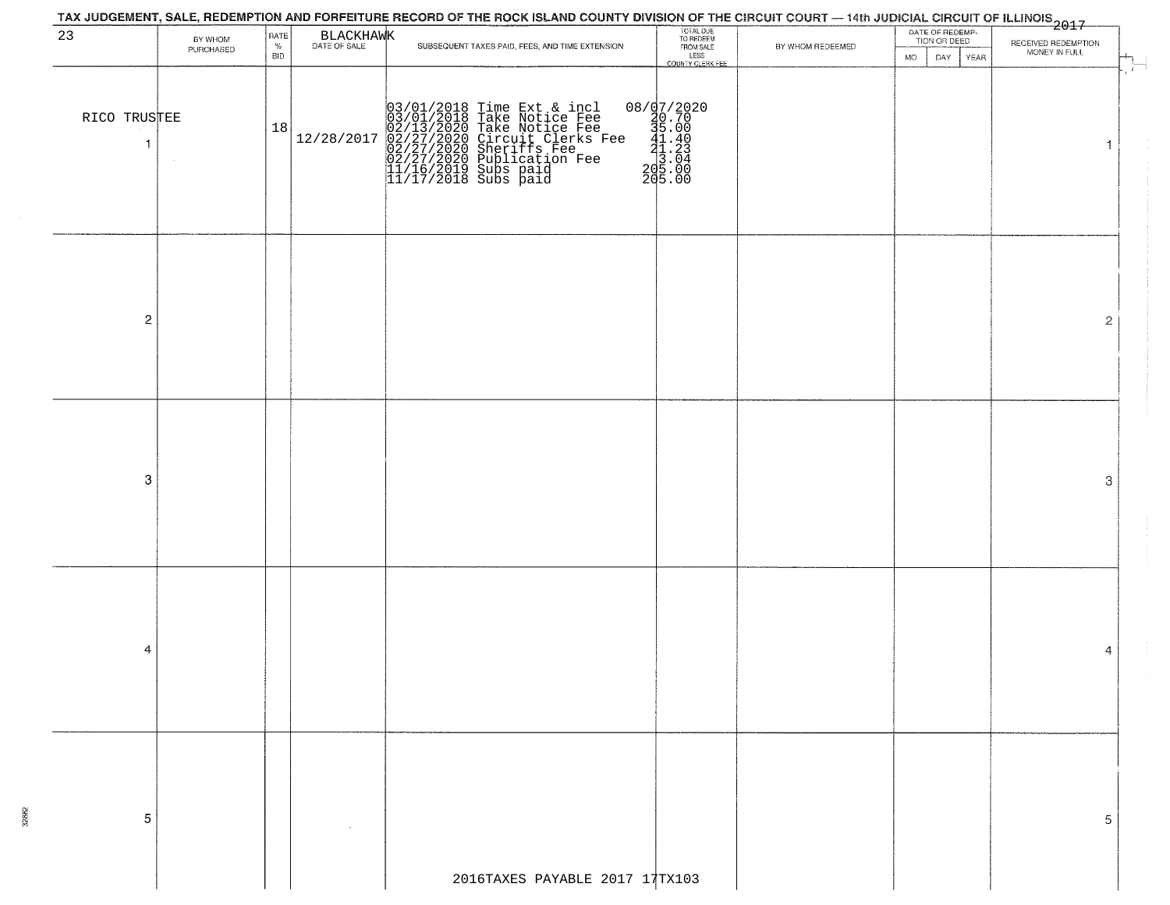## TOTAL DUE<br>TO REDEEM<br>FROM SALE<br>LESS 2017 DATE OF REDEMP-<br>TION OR DEED 23 BY WHOM PATE BLACKHAMK RECEIVED REDEMPTION SUBSEQUENT TAXES PAID, FEES, AND TIME EXTENSION BY WHOM REDEEMED PURCHASED MONEY IN FULL **BID** MO. DAY YEAR **COUNTY CLERK FEE** 11/16/2019 Subs paid 205.00 11/17/2018 Subs paid 205.00 RICO TRUSTEE (18/01/2018 Time Ext & incl 08/07/2020<br>10.70 18 12/28/2017 02/13/2018 Take Notice Fee 15.00<br>12/28/2017 02/27/2020 Sheriffs Fee 15.00<br>12/28/2017 02/27/2020 Sheriffs Fee 41.40<br>13.04  $\overline{\mathbf{1}}$  $\overline{1}$  $\overline{\mathbf{c}}$  $\overline{2}$ 3 3  $\overline{4}$ 4 5 5 2016TAXES PAYABLE 2017 17TX103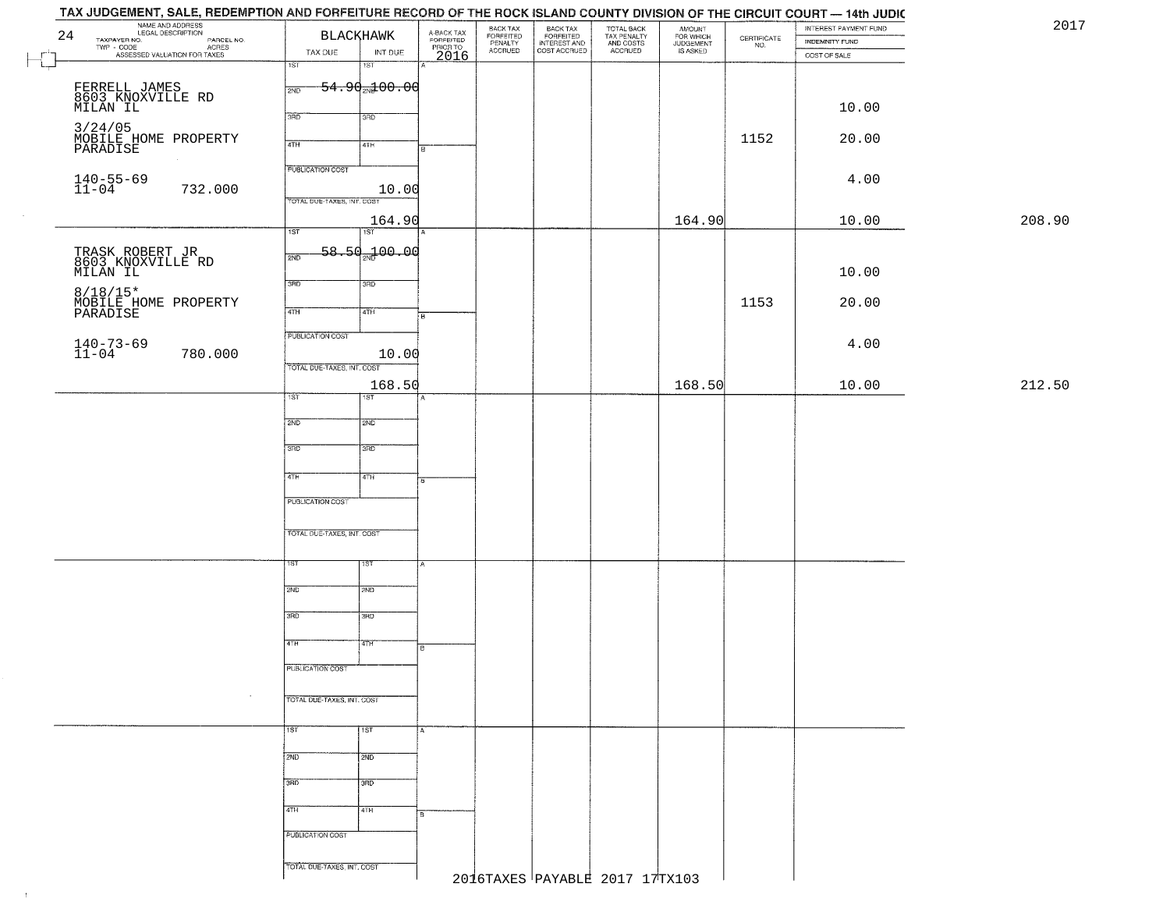| 24<br>TAXPAYER NO.<br>TWP - CODE | NAME AND ADDRESS<br>LEGAL DESCRIPTION<br>PARCEL NO.<br>ACRES | <b>BLACKHAWK</b><br>TAX DUE<br>INT DUE | A-BACK TAX<br>FORFEITED<br>PRIOR TO | BACK TAX<br>FORFEITED<br>PENALTY<br><b>ACCRUED</b> | BACK TAX<br>FORFEITED<br>INTEREST AND<br>COST ACCRUED | TOTAL BACK<br>TAX PENALTY<br>AND COSTS<br>ACCRUED | AMOUNT<br>FOR WHICH<br>JUDGEMENT<br>IS ASKED | $\begin{array}{c} \text{CERTIFICATE} \\ \text{NO.} \end{array}$ | INTEREST PAYMENT FUND<br><b>INDEMNITY FUND</b> | 2017   |
|----------------------------------|--------------------------------------------------------------|----------------------------------------|-------------------------------------|----------------------------------------------------|-------------------------------------------------------|---------------------------------------------------|----------------------------------------------|-----------------------------------------------------------------|------------------------------------------------|--------|
| $\vdash$                         | ASSESSED VALUATION FOR TAXES                                 | 1ST<br>18T                             | 2016                                |                                                    |                                                       |                                                   |                                              |                                                                 | COST OF SALE                                   |        |
|                                  |                                                              | $54.90 + 00.00$<br>2ND                 |                                     |                                                    |                                                       |                                                   |                                              |                                                                 |                                                |        |
|                                  | FERRELL JAMES<br>8603 KNOXVILLE RD<br>MILAN IL               |                                        |                                     |                                                    |                                                       |                                                   |                                              |                                                                 | 10.00                                          |        |
|                                  |                                                              | 3RD<br>3RD                             |                                     |                                                    |                                                       |                                                   |                                              |                                                                 |                                                |        |
|                                  | 3/24/05<br>MOBILE HOME PROPERTY<br>PARADISE                  | 4TH<br>4TH                             | R                                   |                                                    |                                                       |                                                   |                                              | 1152                                                            | 20.00                                          |        |
|                                  |                                                              | <b>PUBLICATION COST</b>                |                                     |                                                    |                                                       |                                                   |                                              |                                                                 |                                                |        |
| $140 - 55 - 69$<br>11-04         | 732.000                                                      | 10.00                                  |                                     |                                                    |                                                       |                                                   |                                              |                                                                 | 4.00                                           |        |
|                                  |                                                              | TOTAL DUE-TAXES, INT. COST             |                                     |                                                    |                                                       |                                                   |                                              |                                                                 |                                                |        |
|                                  |                                                              | 164.90<br>1ST<br>1ST                   |                                     |                                                    |                                                       |                                                   | 164.90                                       |                                                                 | 10.00                                          | 208.90 |
|                                  |                                                              | $58.50 + 00.00$                        |                                     |                                                    |                                                       |                                                   |                                              |                                                                 |                                                |        |
|                                  | TRASK ROBERT JR<br>8603 KNOXVILLE RD<br>MILAN IL             | 2ND                                    |                                     |                                                    |                                                       |                                                   |                                              |                                                                 | 10.00                                          |        |
|                                  |                                                              | 3RD<br>3RD                             |                                     |                                                    |                                                       |                                                   |                                              |                                                                 |                                                |        |
| PARADISE                         | 8/18/15*<br>MOBILE HOME PROPERTY                             | 47H<br>4TH                             | Гв                                  |                                                    |                                                       |                                                   |                                              | 1153                                                            | 20.00                                          |        |
|                                  |                                                              | PUBLICATION COST                       |                                     |                                                    |                                                       |                                                   |                                              |                                                                 |                                                |        |
| $140 - 73 - 69$<br>$11 - 04$     | 780.000                                                      | 10.00                                  |                                     |                                                    |                                                       |                                                   |                                              |                                                                 | 4.00                                           |        |
|                                  |                                                              | TOTAL DUE-TAXES, INT. COST             |                                     |                                                    |                                                       |                                                   |                                              |                                                                 |                                                |        |
|                                  |                                                              | 168.50<br>1ST<br>1ST                   |                                     |                                                    |                                                       |                                                   | 168.50                                       |                                                                 | 10.00                                          | 212.50 |
|                                  |                                                              |                                        |                                     |                                                    |                                                       |                                                   |                                              |                                                                 |                                                |        |
|                                  |                                                              | 2ND<br>2ND                             |                                     |                                                    |                                                       |                                                   |                                              |                                                                 |                                                |        |
|                                  |                                                              | 3 <sub>BD</sub><br>3RD                 |                                     |                                                    |                                                       |                                                   |                                              |                                                                 |                                                |        |
|                                  |                                                              | 4TH<br>4TH                             | l B.                                |                                                    |                                                       |                                                   |                                              |                                                                 |                                                |        |
|                                  |                                                              | PUBLICATION COST                       |                                     |                                                    |                                                       |                                                   |                                              |                                                                 |                                                |        |
|                                  |                                                              |                                        |                                     |                                                    |                                                       |                                                   |                                              |                                                                 |                                                |        |
|                                  |                                                              | TOTAL OUE-TAXES, INT. COST             |                                     |                                                    |                                                       |                                                   |                                              |                                                                 |                                                |        |
|                                  |                                                              | 1ST<br>१९४                             |                                     |                                                    |                                                       |                                                   |                                              |                                                                 |                                                |        |
|                                  |                                                              |                                        |                                     |                                                    |                                                       |                                                   |                                              |                                                                 |                                                |        |
|                                  |                                                              | 2ND<br>2ND                             |                                     |                                                    |                                                       |                                                   |                                              |                                                                 |                                                |        |
|                                  |                                                              | 3RD<br>3BD                             |                                     |                                                    |                                                       |                                                   |                                              |                                                                 |                                                |        |
|                                  |                                                              | वाम<br>4TH                             |                                     |                                                    |                                                       |                                                   |                                              |                                                                 |                                                |        |
|                                  |                                                              |                                        | в                                   |                                                    |                                                       |                                                   |                                              |                                                                 |                                                |        |
|                                  |                                                              | PUBLICATION COST                       |                                     |                                                    |                                                       |                                                   |                                              |                                                                 |                                                |        |
|                                  |                                                              | TOTAL DUE-TAXES, INT. COST             |                                     |                                                    |                                                       |                                                   |                                              |                                                                 |                                                |        |
|                                  |                                                              | 1ST<br>1ST                             | IA.                                 |                                                    |                                                       |                                                   |                                              |                                                                 |                                                |        |
|                                  |                                                              |                                        |                                     |                                                    |                                                       |                                                   |                                              |                                                                 |                                                |        |
|                                  |                                                              | 2ND<br>2ND                             |                                     |                                                    |                                                       |                                                   |                                              |                                                                 |                                                |        |
|                                  |                                                              | 3RD<br>$\overline{3}$ RD               |                                     |                                                    |                                                       |                                                   |                                              |                                                                 |                                                |        |
|                                  |                                                              | 4TH<br>4TH                             |                                     |                                                    |                                                       |                                                   |                                              |                                                                 |                                                |        |
|                                  |                                                              |                                        | l B.                                |                                                    |                                                       |                                                   |                                              |                                                                 |                                                |        |
|                                  |                                                              | PUBLICATION COST                       |                                     |                                                    |                                                       |                                                   |                                              |                                                                 |                                                |        |
|                                  |                                                              | TOTAL DUE-TAXES, INT. COST             |                                     | 2016TAXES PAYABLE 2017 17TX103                     |                                                       |                                                   |                                              |                                                                 |                                                |        |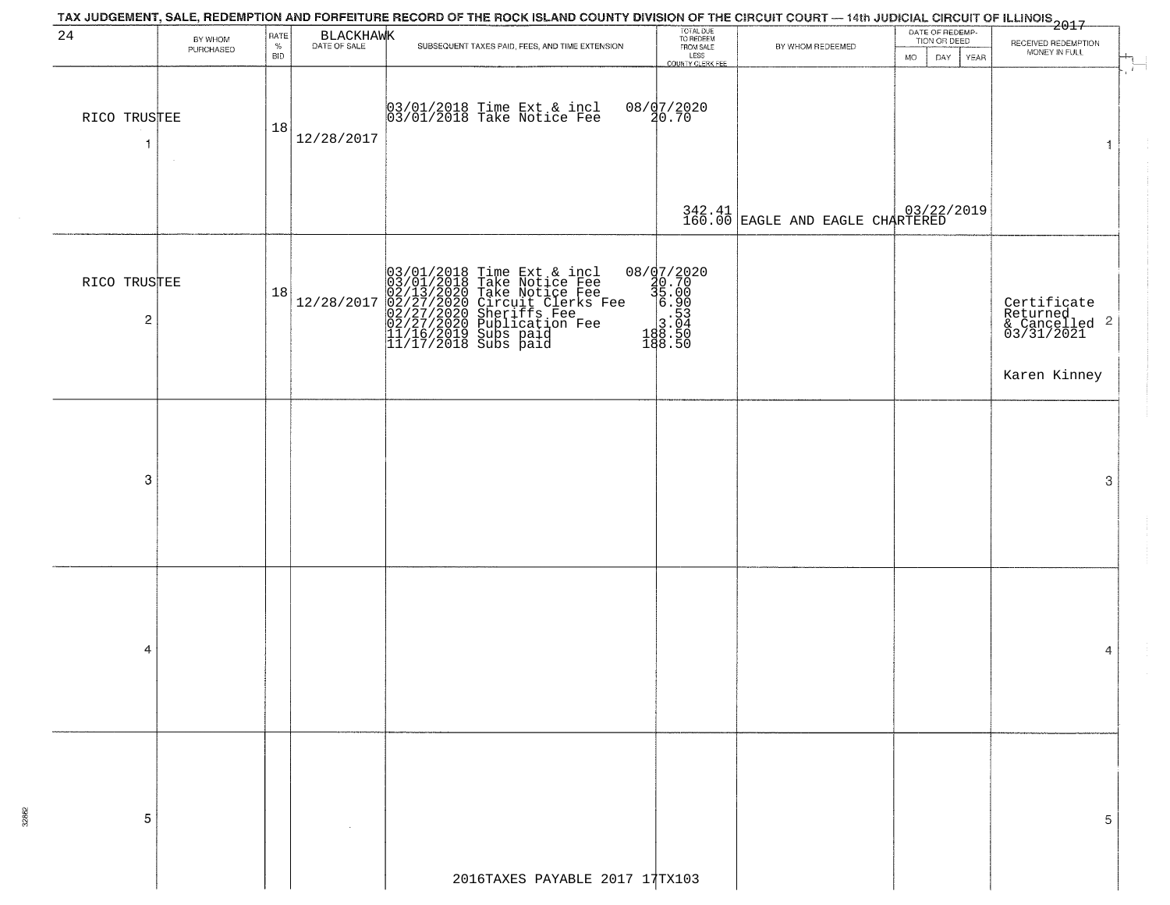|                                         |                      |                            |            | TAX JUDGEMENT, SALE, REDEMPTION AND FORFEITURE RECORD OF THE ROCK ISLAND COUNTY DIVISION OF THE CIRCUIT COURT — 14th JUDICIAL CIRCUIT OF ILLINOIS 2017                                                  |                                                                                                                            |                                  |                                                        |                                                                   |
|-----------------------------------------|----------------------|----------------------------|------------|---------------------------------------------------------------------------------------------------------------------------------------------------------------------------------------------------------|----------------------------------------------------------------------------------------------------------------------------|----------------------------------|--------------------------------------------------------|-------------------------------------------------------------------|
| 24                                      | BY WHOM<br>PURCHASED | RATE<br>$\%$<br><b>BID</b> | BLACKHAWK  | SUBSEQUENT TAXES PAID, FEES, AND TIME EXTENSION                                                                                                                                                         | TOTAL DUE<br>TO REDEEM<br>FROM SALE<br>LESS<br>COUNTY CLERK FEE                                                            | BY WHOM REDEEMED                 | DATE OF REDEMP-<br>TION OR DEED<br>DAY.<br>YEAR<br>MO. | RECEIVED REDEMPTION<br>MONEY IN FULL                              |
| RICO TRUSTEE<br>-1                      |                      | 18                         | 12/28/2017 | 03/01/2018 Time Ext & incl<br>03/01/2018 Take Notice Fee                                                                                                                                                | 08/07/2020<br>20.70                                                                                                        |                                  |                                                        | $\mathbf{f}$<br>d,                                                |
|                                         |                      |                            |            |                                                                                                                                                                                                         |                                                                                                                            | 342.41 EAGLE AND EAGLE CHARTERED |                                                        |                                                                   |
| RICO TRUSTEE<br>$\overline{\mathbf{c}}$ |                      | 18                         | 12/28/2017 | $03/01/2018$ Time Ext & incl<br>03/01/2018 Take Notice Fee<br>02/13/2020 Take Notice Fee<br>02/27/2020 Circuit Clerks Fee<br>02/27/2020 Sublication Fee<br>11/16/2019 Subs paid<br>11/17/2018 Subs paid | $\begin{array}{r} 08 / \frac{97}{2020} \\ 20.70 \\ 35.00 \\ -8.90 \\ 3.04 \\ 18.50 \\ 18.50 \\ 18.50 \\ 18.50 \end{array}$ |                                  |                                                        | Certificate<br>Returned<br>& Cancelled <sup>2</sup><br>03/31/2021 |
|                                         |                      |                            |            |                                                                                                                                                                                                         |                                                                                                                            |                                  |                                                        | Karen Kinney                                                      |
|                                         |                      |                            |            |                                                                                                                                                                                                         |                                                                                                                            |                                  |                                                        |                                                                   |
| 3                                       |                      |                            |            |                                                                                                                                                                                                         |                                                                                                                            |                                  |                                                        | 3                                                                 |
|                                         |                      |                            |            |                                                                                                                                                                                                         |                                                                                                                            |                                  |                                                        |                                                                   |
| 4                                       |                      |                            |            |                                                                                                                                                                                                         |                                                                                                                            |                                  |                                                        | 4                                                                 |
|                                         |                      |                            |            |                                                                                                                                                                                                         |                                                                                                                            |                                  |                                                        |                                                                   |
| 5                                       |                      |                            |            |                                                                                                                                                                                                         |                                                                                                                            |                                  |                                                        | 5                                                                 |
|                                         |                      |                            |            | 2016TAXES PAYABLE 2017 17TX103                                                                                                                                                                          |                                                                                                                            |                                  |                                                        |                                                                   |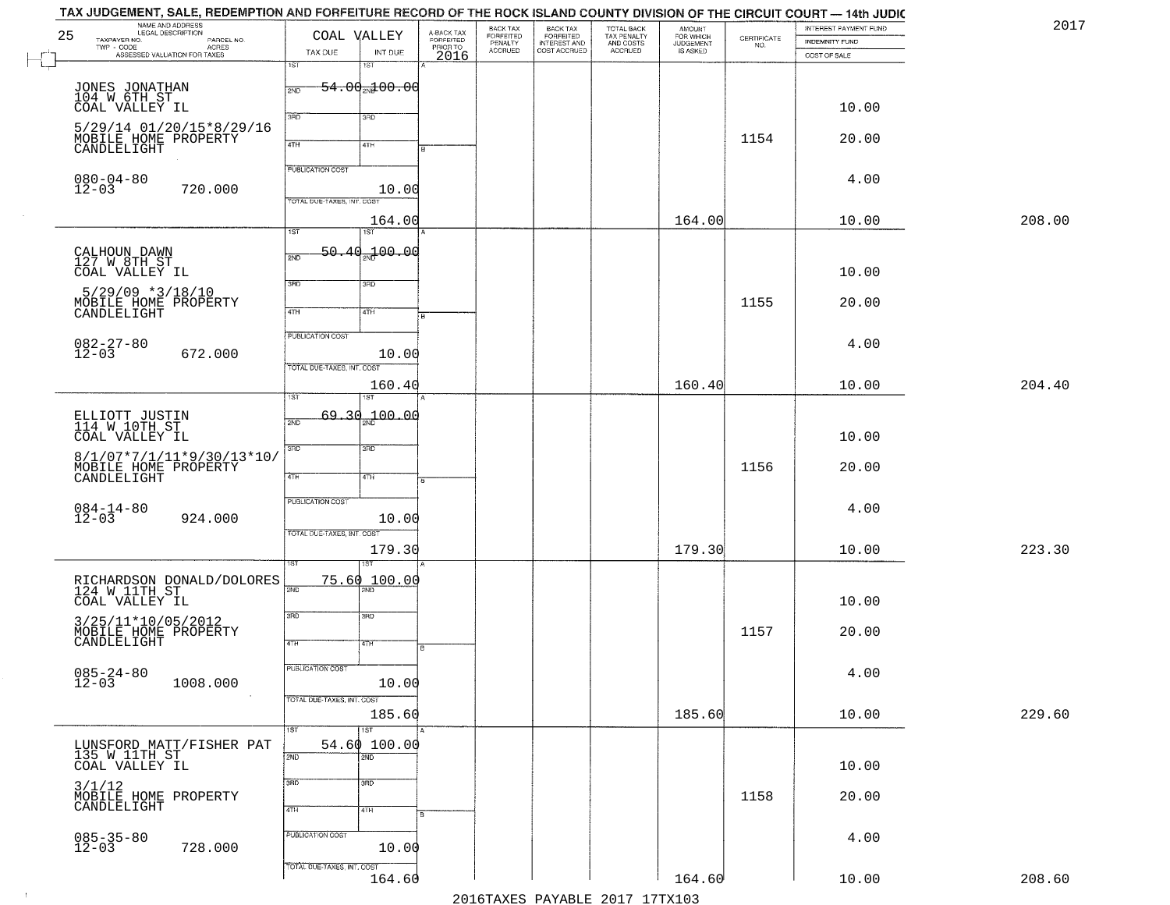|    | TAX JUDGEMENT, SALE, REDEMPTION AND FORFEITURE RECORD OF THE ROCK ISLAND COUNTY DIVISION OF THE CIRCUIT COURT — 14th JUDIC |                                   |                            |                         |                                 |                                                       |                                                   |                                    |             |                                         | 2017   |
|----|----------------------------------------------------------------------------------------------------------------------------|-----------------------------------|----------------------------|-------------------------|---------------------------------|-------------------------------------------------------|---------------------------------------------------|------------------------------------|-------------|-----------------------------------------|--------|
| 25 | NAME AND ADDRESS<br>LEGAL DESCRIPTION<br>TAXPAYER NO.<br>PARCEL NO.                                                        | COAL VALLEY                       |                            | A-BACK TAX<br>FORFEITED | BACK TAX                        | BACK TAX<br>FORFEITED<br>INTEREST AND<br>COST ACCRUED | TOTAL BACK<br>TAX PENALTY<br>AND COSTS<br>ACCRUED | <b>AMOUNT</b>                      | CERTIFICATE | INTEREST PAYMENT FUND<br>INDEMNITY FUND |        |
|    | TWP - CODE<br>- CODE ACRES<br>ASSESSED VALUATION FOR TAXES                                                                 | TAX DUE                           | INT DUE                    | PRIORTO<br>2016         | FORFEITED<br>PENALTY<br>ACCRUED |                                                       |                                                   | FOR WHICH<br>JUDGEMENT<br>IS ASKED | NO.         | COST OF SALE                            |        |
|    |                                                                                                                            | 1ST                               | 1ST                        |                         |                                 |                                                       |                                                   |                                    |             |                                         |        |
|    | JONES JONATHAN<br>104 W 6TH ST                                                                                             | 2ND                               | $-54.00$ $-00.00$          |                         |                                 |                                                       |                                                   |                                    |             |                                         |        |
|    | COAL VALLEY IL                                                                                                             |                                   |                            |                         |                                 |                                                       |                                                   |                                    |             | 10.00                                   |        |
|    | 5/29/14 01/20/15*8/29/16                                                                                                   | 3RD                               | 3RD                        |                         |                                 |                                                       |                                                   |                                    |             |                                         |        |
|    | MOBILE HOME PROPERTY                                                                                                       | 4TH                               | 4TH                        |                         |                                 |                                                       |                                                   |                                    | 1154        | 20.00                                   |        |
|    | CANDLELIGHT                                                                                                                |                                   |                            |                         |                                 |                                                       |                                                   |                                    |             |                                         |        |
|    | $080 - 04 - 80$                                                                                                            | PUBLICATION COST                  |                            |                         |                                 |                                                       |                                                   |                                    |             | 4.00                                    |        |
|    | $12 - 03$<br>720.000                                                                                                       | TOTAL DUE-TAXES, INT. COST        | 10.00                      |                         |                                 |                                                       |                                                   |                                    |             |                                         |        |
|    |                                                                                                                            |                                   |                            |                         |                                 |                                                       |                                                   | 164.00                             |             | 10.00                                   | 208.00 |
|    |                                                                                                                            | $\overline{1ST}$                  | 164.00<br>1ST              |                         |                                 |                                                       |                                                   |                                    |             |                                         |        |
|    |                                                                                                                            | 50.<br>40.<br>2ND                 | 700.00                     |                         |                                 |                                                       |                                                   |                                    |             |                                         |        |
|    | CALHOUN DAWN<br>127 W 8TH ST<br>COAL VALLEY IL                                                                             |                                   |                            |                         |                                 |                                                       |                                                   |                                    |             | 10.00                                   |        |
|    | $5/29/09$ *3/18/10                                                                                                         | 3RD                               | 3RD                        |                         |                                 |                                                       |                                                   |                                    |             |                                         |        |
|    | MOBILE HOME PROPERTY                                                                                                       | $\overline{47H}$                  |                            |                         |                                 |                                                       |                                                   |                                    | 1155        | 20.00                                   |        |
|    | CANDLELIGHT                                                                                                                |                                   | 4TH                        |                         |                                 |                                                       |                                                   |                                    |             |                                         |        |
|    |                                                                                                                            | PUBLICATION COST                  |                            |                         |                                 |                                                       |                                                   |                                    |             | 4.00                                    |        |
|    | $082 - 27 - 80$<br>12-03<br>672.000                                                                                        |                                   | 10.00                      |                         |                                 |                                                       |                                                   |                                    |             |                                         |        |
|    |                                                                                                                            | <b>TOTAL DUE-TAXES, INT. COST</b> |                            |                         |                                 |                                                       |                                                   | 160.40                             |             |                                         | 204.40 |
|    |                                                                                                                            | ist                               | 160.40                     |                         |                                 |                                                       |                                                   |                                    |             | 10.00                                   |        |
|    | ELLIOTT JUSTIN<br>114 W 10TH_ST_                                                                                           | -34<br>69.                        | 00.04 مهر                  |                         |                                 |                                                       |                                                   |                                    |             |                                         |        |
|    | COAL VALLEY IL                                                                                                             | 2ND                               |                            |                         |                                 |                                                       |                                                   |                                    |             | 10.00                                   |        |
|    | 8/1/07*7/1/11*9/30/13*10/                                                                                                  | 3RD                               | 3RD                        |                         |                                 |                                                       |                                                   |                                    |             |                                         |        |
|    | MOBILE HOME PROPERTY                                                                                                       |                                   |                            |                         |                                 |                                                       |                                                   |                                    | 1156        | 20.00                                   |        |
|    | CANDLELIGHT                                                                                                                | 4TH                               | 4TH                        |                         |                                 |                                                       |                                                   |                                    |             |                                         |        |
|    |                                                                                                                            | PUBLICATION COST                  |                            |                         |                                 |                                                       |                                                   |                                    |             | 4.00                                    |        |
|    | $084 - 14 - 80$<br>12-03<br>924.000                                                                                        |                                   | 10.00                      |                         |                                 |                                                       |                                                   |                                    |             |                                         |        |
|    |                                                                                                                            | TOTAL OUE-TAXES, INT. COST        |                            |                         |                                 |                                                       |                                                   |                                    |             |                                         |        |
|    |                                                                                                                            |                                   | 179.30                     |                         |                                 |                                                       |                                                   | 179.30                             |             | 10.00                                   | 223.30 |
|    |                                                                                                                            |                                   | 75.60 100.00               |                         |                                 |                                                       |                                                   |                                    |             |                                         |        |
|    | RICHARDSON DONALD/DOLORES<br>124 W 11TH ST<br>COAL VALLEY IL                                                               | 2ND                               |                            |                         |                                 |                                                       |                                                   |                                    |             | 10.00                                   |        |
|    |                                                                                                                            | 3RD                               | 3RD                        |                         |                                 |                                                       |                                                   |                                    |             |                                         |        |
|    | 3/25/11*10/05/2012<br>MOBILE HOME PROPERTY<br>CANDLELIGHT                                                                  |                                   |                            |                         |                                 |                                                       |                                                   |                                    | 1157        | 20.00                                   |        |
|    |                                                                                                                            | 4TH                               | 47H                        |                         |                                 |                                                       |                                                   |                                    |             |                                         |        |
|    |                                                                                                                            | <b>PUBLICATION COST</b>           |                            |                         |                                 |                                                       |                                                   |                                    |             | 4.00                                    |        |
|    | $085 - 24 - 80$<br>12-03<br>1008.000                                                                                       |                                   | 10.00                      |                         |                                 |                                                       |                                                   |                                    |             |                                         |        |
|    |                                                                                                                            | TOTAL DUE-TAXES, INT. COST        |                            |                         |                                 |                                                       |                                                   |                                    |             |                                         |        |
|    |                                                                                                                            | 1ST                               | 185.60<br>$\overline{1ST}$ |                         |                                 |                                                       |                                                   | 185.60                             |             | 10.00                                   | 229.60 |
|    | LUNSFORD MATT/FISHER PAT                                                                                                   |                                   | 54.60100.00                |                         |                                 |                                                       |                                                   |                                    |             |                                         |        |
|    | 135 W 11TH ST<br>COAL VALLEY IL                                                                                            | 2ND                               | 2ND                        |                         |                                 |                                                       |                                                   |                                    |             | 10.00                                   |        |
|    |                                                                                                                            | 3RD                               | 3 <sub>RD</sub>            |                         |                                 |                                                       |                                                   |                                    |             |                                         |        |
|    | 3/1/12<br>MOBILE HOME PROPERTY<br>CANDLELIGHT                                                                              |                                   |                            |                         |                                 |                                                       |                                                   |                                    | 1158        | 20.00                                   |        |
|    |                                                                                                                            | 4TH                               | 4TH                        |                         |                                 |                                                       |                                                   |                                    |             |                                         |        |
|    |                                                                                                                            | PUBLICATION COST                  |                            |                         |                                 |                                                       |                                                   |                                    |             | 4.00                                    |        |
|    | $085 - 35 - 80$<br>12-03<br>728.000                                                                                        |                                   | 10.00                      |                         |                                 |                                                       |                                                   |                                    |             |                                         |        |
|    |                                                                                                                            | TOTAL DUE-TAXES, INT. COST        |                            |                         |                                 |                                                       |                                                   |                                    |             |                                         |        |
|    |                                                                                                                            |                                   | 164.60                     |                         |                                 |                                                       |                                                   | 164.60                             |             | 10.00                                   | 208.60 |
|    |                                                                                                                            |                                   |                            |                         |                                 |                                                       | 2016 TAVES DAVARIE 2017 17 TAV102                 |                                    |             |                                         |        |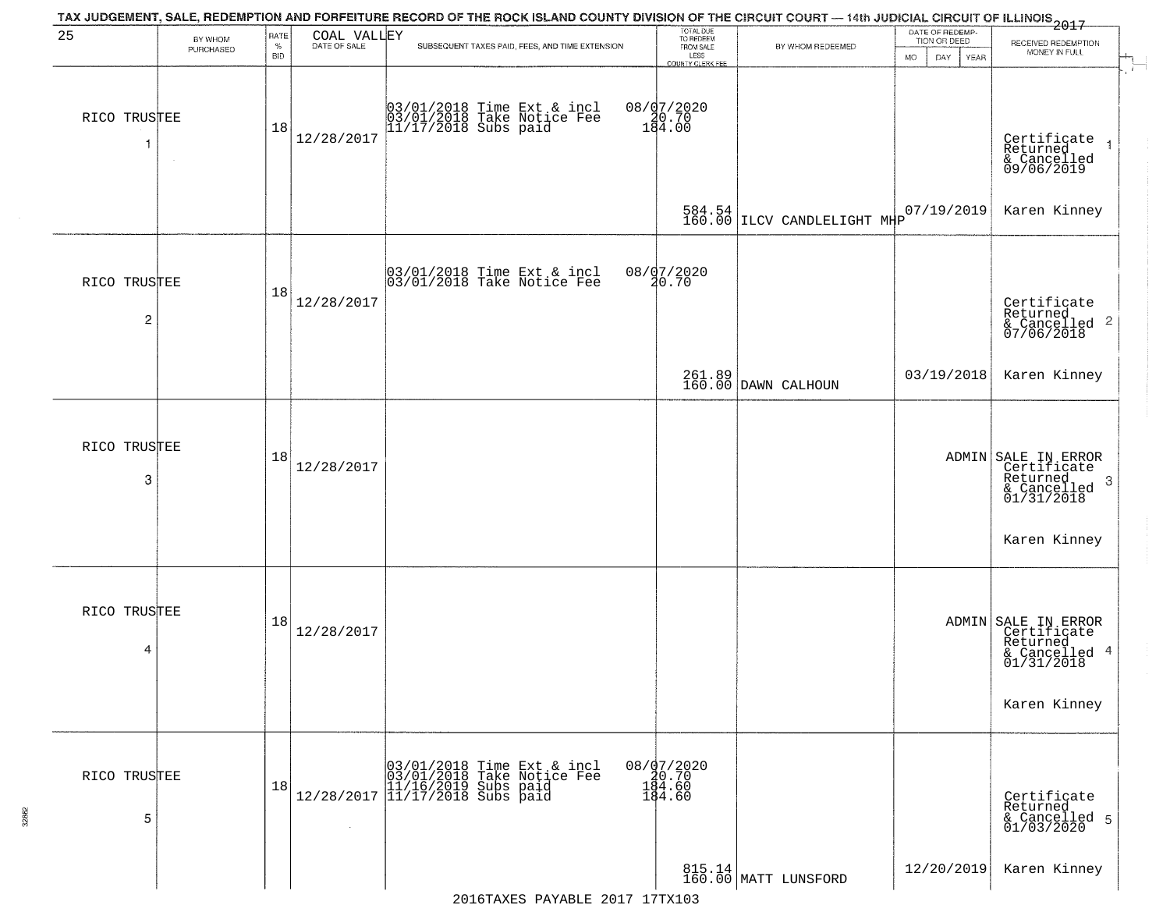| 25                             | BY WHOM   | RATE               |                | TAX JUDGEMENT, SALE, REDEMPTION AND FORFEITURE RECORD OF THE ROCK ISLAND COUNTY DIVISION OF THE CIRCUIT COURT — 14th JUDICIAL CIRCUIT OF ILLINOIS 2017   | TOTAL DUE<br>TO REDEEM<br>FROM SALE     |                                   | DATE OF REDEMP-<br>TION OR DEED |                                                                                  |
|--------------------------------|-----------|--------------------|----------------|----------------------------------------------------------------------------------------------------------------------------------------------------------|-----------------------------------------|-----------------------------------|---------------------------------|----------------------------------------------------------------------------------|
|                                | PURCHASED | $\%$<br><b>BID</b> | COAL VALLEY    | SUBSEQUENT TAXES PAID, FEES, AND TIME EXTENSION                                                                                                          | LESS<br>COUNTY CLERK FEE                | BY WHOM REDEEMED                  | MO.<br>DAY<br>YEAR              | RECEIVED REDEMPTION<br>MONEY IN FULL                                             |
| RICO TRUSTEE                   |           | 18                 | 12/28/2017     | 03/01/2018 Time Ext & incl<br>03/01/2018 Take Notice Fee<br>11/17/2018 Subs paid                                                                         | 08/97/2020<br>184.00                    |                                   |                                 | Certificate<br>Returned<br>& Cancelled<br>09/06/2019                             |
|                                |           |                    |                |                                                                                                                                                          |                                         | $584.54$ $ $ LLCV CANDLELIGHT MHP | 07/19/2019                      | Karen Kinney                                                                     |
| RICO TRUSTEE<br>$\overline{c}$ |           | 18                 | 12/28/2017     | 03/01/2018 Time Ext & incl<br>03/01/2018 Take Notice Fee                                                                                                 | 08/07/2020<br>20.70                     |                                   |                                 | Certificate<br>Returned<br>$& \text{Cancelled}$ 2<br>$07/06/2018$                |
|                                |           |                    |                |                                                                                                                                                          |                                         | 261.89<br>160.00 DAWN CALHOUN     | 03/19/2018                      | Karen Kinney                                                                     |
| RICO TRUSTEE<br>3              |           | 18                 | 12/28/2017     |                                                                                                                                                          |                                         |                                   |                                 | ADMIN SALE IN ERROR<br>Certificate<br>Returned<br>3<br>& Cancelled<br>01/31/2018 |
|                                |           |                    |                |                                                                                                                                                          |                                         |                                   |                                 | Karen Kinney                                                                     |
| RICO TRUSTEE<br>4              |           | 18                 | 12/28/2017     |                                                                                                                                                          |                                         |                                   |                                 | ADMIN SALE IN ERROR<br>Certificate<br>Returned<br>& Cancelled 4<br>01/31/2018    |
|                                |           |                    |                |                                                                                                                                                          |                                         |                                   |                                 | Karen Kinney                                                                     |
| RICO TRUSTEE<br>5              |           | 18                 | $\sim 10^{-1}$ | $[03/01/2018 \t\t Time \t\t Ext & incl \\ [03/01/2018 \t\t Take Notice Free \\ [11/16/2019 \t\ Subs paid \\ [12/28/2017 \t\t] 11/17/2018 \t\ Subs paid]$ | 08/07/2020<br>08.70<br>194.60<br>184.60 |                                   |                                 | Certificate<br>Returned<br>& Cancelled 5<br>01/03/2020                           |
|                                |           |                    |                |                                                                                                                                                          |                                         | 815.14<br>160.00 MATT LUNSFORD    | 12/20/2019                      | Karen Kinney                                                                     |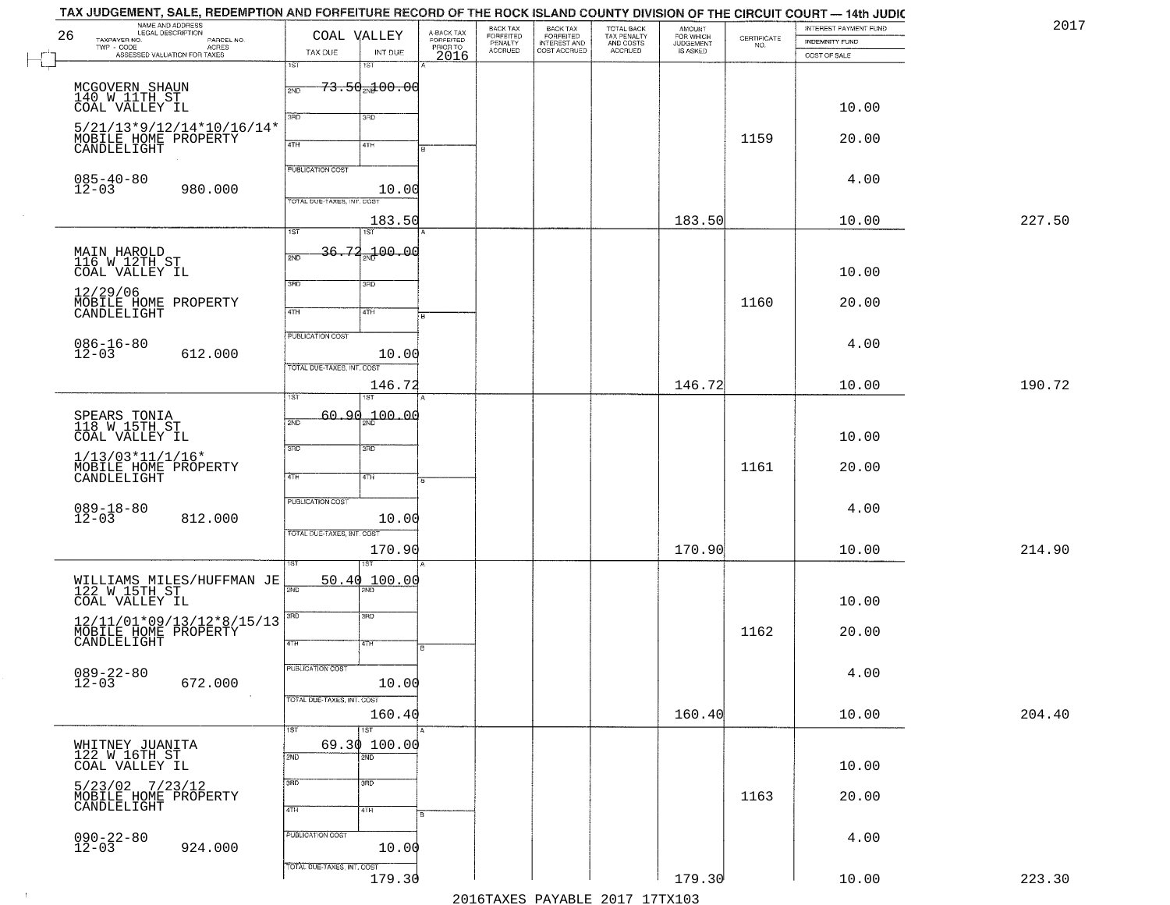|    | TAX JUDGEMENT, SALE, REDEMPTION AND FORFEITURE RECORD OF THE ROCK ISLAND COUNTY DIVISION OF THE CIRCUIT COURT — 14th JUDIC<br>NAME AND ADDRESS<br>LEGAL DESCRIPTION |                                            |           |                                             | BACK TAX                        |                                                       |                                                   | <b>AMOUNT</b>                      |                                                                 | INTEREST PAYMENT FUND | 2017   |
|----|---------------------------------------------------------------------------------------------------------------------------------------------------------------------|--------------------------------------------|-----------|---------------------------------------------|---------------------------------|-------------------------------------------------------|---------------------------------------------------|------------------------------------|-----------------------------------------------------------------|-----------------------|--------|
| 26 | TAXPAYER NO.<br>PARCEL NO.<br>$\mathsf{TWP} \, \cdot \, \mathsf{CODE}$                                                                                              | COAL VALLEY                                |           | A-BACK TAX<br>FORFEITED<br>PRIOR TO<br>2016 | FORFEITED<br>PENALTY<br>ACCRUED | BACK TAX<br>FORFEITED<br>INTEREST AND<br>COST ACCRUED | TOTAL BACK<br>TAX PENALTY<br>AND COSTS<br>ACCRUED | FOR WHICH<br>JUDGEMENT<br>IS ASKED | $\begin{array}{c} \text{CERTIFICATE} \\ \text{NO.} \end{array}$ | INDEMNITY FUND        |        |
|    | - CODE<br>ACRES<br>ASSESSED VALUATION FOR TAXES                                                                                                                     | TAX DUE<br>1ST<br>1ST                      | INT DUE   |                                             |                                 |                                                       |                                                   |                                    |                                                                 | COST OF SALE          |        |
|    |                                                                                                                                                                     |                                            |           |                                             |                                 |                                                       |                                                   |                                    |                                                                 |                       |        |
|    | MCGOVERN SHAUN<br>140 W 11TH ST                                                                                                                                     | <del>73.50<sub>20</sub>100.00</del><br>2ND |           |                                             |                                 |                                                       |                                                   |                                    |                                                                 |                       |        |
|    | COAL VALLEY IL                                                                                                                                                      | 3RD<br>3RD                                 |           |                                             |                                 |                                                       |                                                   |                                    |                                                                 | 10.00                 |        |
|    | 5/21/13*9/12/14*10/16/14*<br>MOBILE HOME PROPERTY                                                                                                                   |                                            |           |                                             |                                 |                                                       |                                                   |                                    | 1159                                                            | 20.00                 |        |
|    | CANDLELIGHT                                                                                                                                                         | 4TH<br>41H                                 |           |                                             |                                 |                                                       |                                                   |                                    |                                                                 |                       |        |
|    |                                                                                                                                                                     | <b>PUBLICATION COST</b>                    |           |                                             |                                 |                                                       |                                                   |                                    |                                                                 |                       |        |
|    | $085 - 40 - 80$<br>12-03<br>980.000                                                                                                                                 |                                            | 10.00     |                                             |                                 |                                                       |                                                   |                                    |                                                                 | 4.00                  |        |
|    |                                                                                                                                                                     | TOTAL DUE-TAXES, INT. COST                 |           |                                             |                                 |                                                       |                                                   |                                    |                                                                 |                       |        |
|    |                                                                                                                                                                     | $\overline{1ST}$<br>1ST                    | 183.50    |                                             |                                 |                                                       |                                                   | 183.50                             |                                                                 | 10.00                 | 227.50 |
|    |                                                                                                                                                                     | $36 - 77$                                  |           |                                             |                                 |                                                       |                                                   |                                    |                                                                 |                       |        |
|    | MAIN HAROLD<br>116 W 12TH ST                                                                                                                                        | 2ND                                        | 2ND 00.00 |                                             |                                 |                                                       |                                                   |                                    |                                                                 |                       |        |
|    | COAL VALLEY IL                                                                                                                                                      | 3RD<br>3RD                                 |           |                                             |                                 |                                                       |                                                   |                                    |                                                                 | 10.00                 |        |
|    | 12/29/06                                                                                                                                                            |                                            |           |                                             |                                 |                                                       |                                                   |                                    | 1160                                                            | 20.00                 |        |
|    | MOBILE HOME PROPERTY<br>CANDLELIGHT                                                                                                                                 | 47H<br>4TH                                 |           |                                             |                                 |                                                       |                                                   |                                    |                                                                 |                       |        |
|    |                                                                                                                                                                     | PUBLICATION COST                           |           |                                             |                                 |                                                       |                                                   |                                    |                                                                 |                       |        |
|    | $086 - 16 - 80$<br>12-03<br>612.000                                                                                                                                 |                                            | 10.00     |                                             |                                 |                                                       |                                                   |                                    |                                                                 | 4.00                  |        |
|    |                                                                                                                                                                     | TOTAL DUE-TAXES, INT. COST                 |           |                                             |                                 |                                                       |                                                   |                                    |                                                                 |                       |        |
|    |                                                                                                                                                                     | ist<br>1ST                                 | 146.72    |                                             |                                 |                                                       |                                                   | 146.72                             |                                                                 | 10.00                 | 190.72 |
|    |                                                                                                                                                                     |                                            |           |                                             |                                 |                                                       |                                                   |                                    |                                                                 |                       |        |
|    | SPEARS TONIA<br>118 W 15TH ST                                                                                                                                       | 60.90 <sub>am</sub> 100.00<br>2ND          |           |                                             |                                 |                                                       |                                                   |                                    |                                                                 |                       |        |
|    | COAL VALLEY IL                                                                                                                                                      | 3RD<br>3 <sub>3</sub>                      |           |                                             |                                 |                                                       |                                                   |                                    |                                                                 | 10.00                 |        |
|    | $1/13/03*11/1/16*$                                                                                                                                                  |                                            |           |                                             |                                 |                                                       |                                                   |                                    | 1161                                                            | 20.00                 |        |
|    | MOBILE HOME PROPERTY<br>CANDLELIGHT                                                                                                                                 | 4TH<br>4TH                                 |           |                                             |                                 |                                                       |                                                   |                                    |                                                                 |                       |        |
|    |                                                                                                                                                                     | <b>PUBLICATION COST</b>                    |           |                                             |                                 |                                                       |                                                   |                                    |                                                                 |                       |        |
|    | $089 - 18 - 80$<br>12-03<br>812.000                                                                                                                                 |                                            | 10.00     |                                             |                                 |                                                       |                                                   |                                    |                                                                 | 4.00                  |        |
|    |                                                                                                                                                                     | TOTAL OUE-TAXES, INT. COST                 |           |                                             |                                 |                                                       |                                                   |                                    |                                                                 |                       |        |
|    |                                                                                                                                                                     |                                            | 170.90    |                                             |                                 |                                                       |                                                   | 170.90                             |                                                                 | 10.00                 | 214.90 |
|    |                                                                                                                                                                     | ख़                                         |           |                                             |                                 |                                                       |                                                   |                                    |                                                                 |                       |        |
|    | WILLIAMS MILES/HUFFMAN JE<br>122 W 15TH ST                                                                                                                          | 50.40<br>2ND                               | 100.00    |                                             |                                 |                                                       |                                                   |                                    |                                                                 |                       |        |
|    | COAL VALLEY IL                                                                                                                                                      | 3BD<br>3RD                                 |           |                                             |                                 |                                                       |                                                   |                                    |                                                                 | 10.00                 |        |
|    | $\begin{array}{c} 12/11/01*09/13/12*8/15/13\\ \text{MOBILE HOME PROPERTY}\\ \text{CANDLELIGHT} \end{array}$                                                         |                                            |           |                                             |                                 |                                                       |                                                   |                                    | 1162                                                            | 20.00                 |        |
|    |                                                                                                                                                                     | 4TH<br>4TH                                 |           |                                             |                                 |                                                       |                                                   |                                    |                                                                 |                       |        |
|    |                                                                                                                                                                     | PUBLICATION COST                           |           |                                             |                                 |                                                       |                                                   |                                    |                                                                 |                       |        |
|    | $089 - 22 - 80$<br>12-03<br>672.000                                                                                                                                 |                                            | 10.00     |                                             |                                 |                                                       |                                                   |                                    |                                                                 | 4.00                  |        |
|    | $\sim 100$                                                                                                                                                          | TOTAL DUE-TAXES, INT. COST                 |           |                                             |                                 |                                                       |                                                   |                                    |                                                                 |                       |        |
|    |                                                                                                                                                                     |                                            | 160.40    |                                             |                                 |                                                       |                                                   | 160.40                             |                                                                 | 10.00                 | 204.40 |
|    |                                                                                                                                                                     | $\overline{151}$<br>1ST                    |           |                                             |                                 |                                                       |                                                   |                                    |                                                                 |                       |        |
|    | WHITNEY JUANITA<br>122 W 16TH ST                                                                                                                                    | 69.30 100.00<br>2ND<br>$\overline{2ND}$    |           |                                             |                                 |                                                       |                                                   |                                    |                                                                 |                       |        |
|    | COAL VALLEY IL                                                                                                                                                      |                                            |           |                                             |                                 |                                                       |                                                   |                                    |                                                                 | 10.00                 |        |
|    | 5/23/02 7/23/12<br>MOBILE HOME PROPERTY<br>CANDLELIGHT                                                                                                              | 3RD<br>3 <sub>BD</sub>                     |           |                                             |                                 |                                                       |                                                   |                                    | 1163                                                            | 20.00                 |        |
|    |                                                                                                                                                                     | 4TH<br>4TH                                 |           |                                             |                                 |                                                       |                                                   |                                    |                                                                 |                       |        |
|    |                                                                                                                                                                     | PUBLICATION COST                           |           |                                             |                                 |                                                       |                                                   |                                    |                                                                 |                       |        |
|    | $090 - 22 - 80$<br>12-03<br>924.000                                                                                                                                 |                                            | 10.00     |                                             |                                 |                                                       |                                                   |                                    |                                                                 | 4.00                  |        |
|    |                                                                                                                                                                     | TOTAL DUE-TAXES, INT. COST                 |           |                                             |                                 |                                                       |                                                   |                                    |                                                                 |                       |        |
|    |                                                                                                                                                                     |                                            | 179.30    |                                             |                                 |                                                       |                                                   | 179.30                             |                                                                 | 10.00                 | 223.30 |
|    |                                                                                                                                                                     |                                            |           |                                             |                                 |                                                       | 2016 TAVEC DAVARLE 2017 17 TV102                  |                                    |                                                                 |                       |        |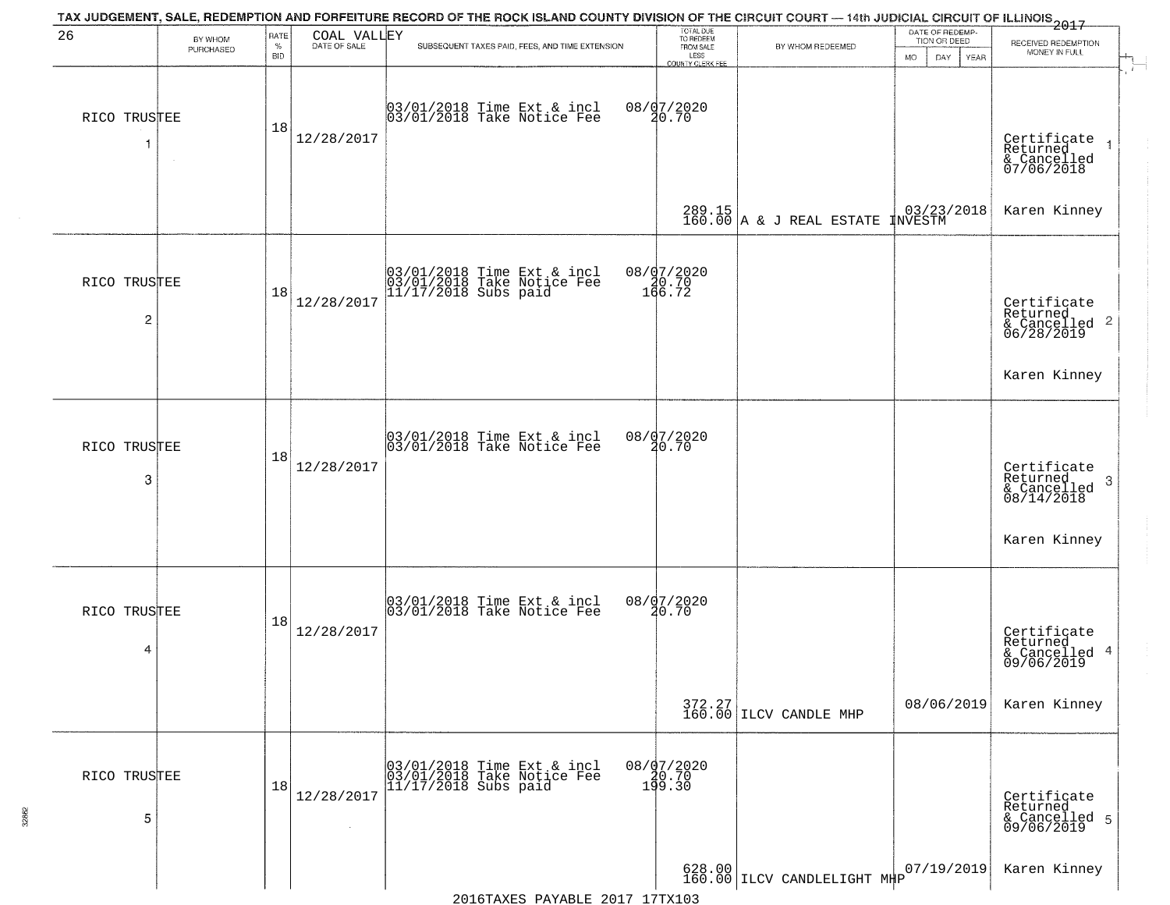| 26                             |                      | RATE               | COAL VALLEY  | TAX JUDGEMENT, SALE, REDEMPTION AND FORFEITURE RECORD OF THE ROCK ISLAND COUNTY DIVISION OF THE CIRCUIT COURT — 14th JUDICIAL CIRCUIT OF ILLINOIS 2017 | TOTAL DUE<br>TO REDEEM                         |                                                                      | DATE OF REDEMP-                     |                                                           |
|--------------------------------|----------------------|--------------------|--------------|--------------------------------------------------------------------------------------------------------------------------------------------------------|------------------------------------------------|----------------------------------------------------------------------|-------------------------------------|-----------------------------------------------------------|
|                                | BY WHOM<br>PURCHASED | $\%$<br><b>BID</b> | DATE OF SALE | SUBSEQUENT TAXES PAID, FEES, AND TIME EXTENSION                                                                                                        | FROM SALE<br>LESS                              | BY WHOM REDEEMED                                                     | TION OR DEED<br>MO.<br>DAY.<br>YEAR | RECEIVED REDEMPTION<br>MONEY IN FULL                      |
| RICO TRUSTEE<br>1              | $\sim$               | 18                 | 12/28/2017   | 03/01/2018 Time Ext & incl<br>03/01/2018 Take Notice Fee                                                                                               | <b>COUNTY CLERK FEE</b><br>08/07/2020<br>20.70 |                                                                      |                                     | Certificate<br>Returned<br>& Cancelled<br>07/06/2018      |
|                                |                      |                    |              |                                                                                                                                                        |                                                | 289.15<br>160.00 A & J REAL ESTATE INVESTM                           |                                     | Karen Kinney                                              |
| RICO TRUSTEE<br>$\overline{c}$ |                      | 18                 | 12/28/2017   | 03/01/2018 Time Ext & incl<br>03/01/2018 Take Notice Fee<br>11/17/2018 Subs paid                                                                       | 08/07/2020<br>20.70<br>166.72                  |                                                                      |                                     | Certificate<br>Returned<br>& Cancelled 2<br>06/28/2019    |
|                                |                      |                    |              |                                                                                                                                                        |                                                |                                                                      |                                     | Karen Kinney                                              |
| RICO TRUSTEE<br>3              |                      | 18                 | 12/28/2017   | 03/01/2018 Time Ext & incl<br>03/01/2018 Take Notice Fee                                                                                               | 08/07/2020<br>20.70                            |                                                                      |                                     | Certificate<br>Returned<br>3<br>& Cancelled<br>08/14/2018 |
|                                |                      |                    |              |                                                                                                                                                        |                                                |                                                                      |                                     | Karen Kinney                                              |
| RICO TRUSTEE<br>4              |                      | 18                 | 12/28/2017   | 03/01/2018 Time Ext & incl<br>03/01/2018 Take Notice Fee                                                                                               | 08/07/2020<br>20.70                            |                                                                      |                                     | Certificate<br>Returned<br>& Cancelled 4<br>09/06/2019    |
|                                |                      |                    |              |                                                                                                                                                        |                                                | 372.27<br>160.00 ILCV CANDLE MHP                                     | 08/06/2019                          | Karen Kinney                                              |
| RICO TRUSTEE<br>5              |                      | 18                 | 12/28/2017   | 03/01/2018 Time Ext & incl<br>03/01/2018 Take Notice Fee<br>11/17/2018 Subs paid                                                                       | 08/07/2020<br>08.70<br>199.30                  |                                                                      |                                     | Certificate<br>Returned<br>& Cancelled 5<br>09/06/2019    |
|                                |                      |                    |              |                                                                                                                                                        |                                                | $\begin{array}{c} 628.00 \\ 160.00 \end{array}$ ILCV CANDLELIGHT M#P | 07/19/2019                          | Karen Kinney                                              |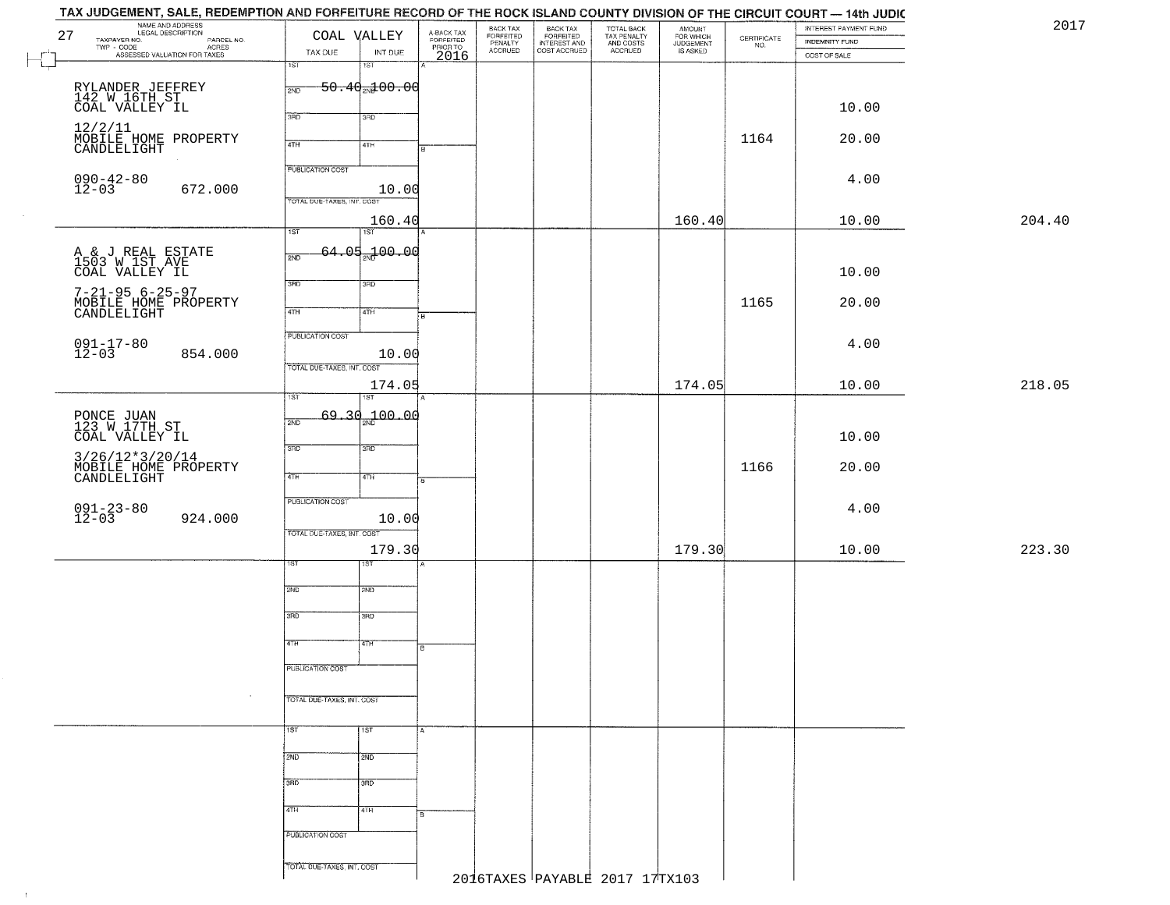| 27                           | NAME AND ADDRESS<br>LEGAL DESCRIPTION<br>TAXPAYER NO.<br>PARCEL NO.<br>ACRES<br>TWP - CODE<br>ASSESSED VALUATION FOR TAXES | COAL VALLEY<br>TAX DUE<br>INT DUE                       | A-BACK TAX<br>FORFEITED<br>PRIOR TO | BACK TAX<br>FORFEITED<br>PENALTY<br><b>ACCRUED</b> | BACK TAX<br>FORFEITED<br>INTEREST AND<br>COST ACCRUED | TOTAL BACK<br>TAX PENALTY<br>AND COSTS<br>ACCRUED | AMOUNT<br>FOR WHICH<br><b>JUDGEMENT</b><br><b>IS ASKED</b> | $\begin{array}{c} \text{CERTIFICATE} \\ \text{NO.} \end{array}$ | INTEREST PAYMENT FUND<br><b>INDEMNITY FUND</b> | 2017   |
|------------------------------|----------------------------------------------------------------------------------------------------------------------------|---------------------------------------------------------|-------------------------------------|----------------------------------------------------|-------------------------------------------------------|---------------------------------------------------|------------------------------------------------------------|-----------------------------------------------------------------|------------------------------------------------|--------|
| $\vdash \Box$                |                                                                                                                            | 1ST<br>1ST                                              | 2016                                |                                                    |                                                       |                                                   |                                                            |                                                                 | COST OF SALE                                   |        |
|                              |                                                                                                                            | $50.40$ <sub>2N</sub> $100.00$<br>2ND                   |                                     |                                                    |                                                       |                                                   |                                                            |                                                                 |                                                |        |
|                              | RYLANDER JEFFREY<br>142 W 16TH ST<br>COAL VALLEY IL                                                                        | 3RD<br>3RD                                              |                                     |                                                    |                                                       |                                                   |                                                            |                                                                 | 10.00                                          |        |
|                              | 12/2/11<br>MOBILE HOME PROPERTY<br>CANDLELIGHT                                                                             |                                                         |                                     |                                                    |                                                       |                                                   |                                                            | 1164                                                            | 20.00                                          |        |
|                              |                                                                                                                            | 4TH<br>4TH                                              | B                                   |                                                    |                                                       |                                                   |                                                            |                                                                 |                                                |        |
| $090 - 42 - 80$<br>12-03     |                                                                                                                            | <b>PUBLICATION COST</b>                                 |                                     |                                                    |                                                       |                                                   |                                                            |                                                                 | 4.00                                           |        |
|                              | 672.000                                                                                                                    | 10.00<br>TOTAL DUE-TAXES, INT. COST                     |                                     |                                                    |                                                       |                                                   |                                                            |                                                                 |                                                |        |
|                              |                                                                                                                            | 160.40                                                  |                                     |                                                    |                                                       |                                                   | 160.40                                                     |                                                                 | 10.00                                          | 204.40 |
|                              |                                                                                                                            | $\overline{1ST}$<br>$\overline{1ST}$<br>$64.05 + 00.00$ |                                     |                                                    |                                                       |                                                   |                                                            |                                                                 |                                                |        |
|                              | A & J REAL ESTATE<br>1503 W 1ST AVE<br>COAL VALLEY IL                                                                      | 2ND                                                     |                                     |                                                    |                                                       |                                                   |                                                            |                                                                 | 10.00                                          |        |
|                              |                                                                                                                            | 3RD<br>3HD                                              |                                     |                                                    |                                                       |                                                   |                                                            |                                                                 |                                                |        |
|                              | 7-21-95 6-25-97<br>MOBILE HOME PROPERTY<br>CANDLELIGHT                                                                     | 47H<br>4TH                                              | B                                   |                                                    |                                                       |                                                   |                                                            | 1165                                                            | 20.00                                          |        |
|                              |                                                                                                                            | PUBLICATION COST                                        |                                     |                                                    |                                                       |                                                   |                                                            |                                                                 |                                                |        |
| $091 - 17 - 80$<br>$12 - 03$ | 854.000                                                                                                                    | 10.00                                                   |                                     |                                                    |                                                       |                                                   |                                                            |                                                                 | 4.00                                           |        |
|                              |                                                                                                                            | TOTAL DUE-TAXES, INT. COST<br>174.05                    |                                     |                                                    |                                                       |                                                   | 174.05                                                     |                                                                 | 10.00                                          | 218.05 |
|                              |                                                                                                                            | ist<br>1ST                                              |                                     |                                                    |                                                       |                                                   |                                                            |                                                                 |                                                |        |
|                              | PONCE JUAN<br>123 W 17TH ST                                                                                                | 69.30 <sub>2Nd</sub> 00.00<br>2ND                       |                                     |                                                    |                                                       |                                                   |                                                            |                                                                 |                                                |        |
|                              | COAL VALLEY IL                                                                                                             | 3 <sub>BD</sub><br>3RD                                  |                                     |                                                    |                                                       |                                                   |                                                            |                                                                 | 10.00                                          |        |
|                              | 3/26/12*3/20/14<br>MOBILE HOME PROPERTY<br>CANDLELIGHT                                                                     |                                                         |                                     |                                                    |                                                       |                                                   |                                                            | 1166                                                            | 20.00                                          |        |
|                              |                                                                                                                            | 4TH<br>4TH                                              | B.                                  |                                                    |                                                       |                                                   |                                                            |                                                                 |                                                |        |
| $091 - 23 - 80$<br>12-03     | 924.000                                                                                                                    | <b>PUBLICATION COST</b><br>10.00                        |                                     |                                                    |                                                       |                                                   |                                                            |                                                                 | 4.00                                           |        |
|                              |                                                                                                                            | TOTAL OUE-TAXES, INT. COST                              |                                     |                                                    |                                                       |                                                   |                                                            |                                                                 |                                                |        |
|                              |                                                                                                                            | 179.30<br>ख़ा<br>ΙSΤ                                    |                                     |                                                    |                                                       |                                                   | 179.30                                                     |                                                                 | 10.00                                          | 223.30 |
|                              |                                                                                                                            |                                                         |                                     |                                                    |                                                       |                                                   |                                                            |                                                                 |                                                |        |
|                              |                                                                                                                            | 2ND<br>2ND                                              |                                     |                                                    |                                                       |                                                   |                                                            |                                                                 |                                                |        |
|                              |                                                                                                                            | 3RD<br>3BD                                              |                                     |                                                    |                                                       |                                                   |                                                            |                                                                 |                                                |        |
|                              |                                                                                                                            | 4TH<br>4TH                                              | R                                   |                                                    |                                                       |                                                   |                                                            |                                                                 |                                                |        |
|                              |                                                                                                                            | PUBLICATION COST                                        |                                     |                                                    |                                                       |                                                   |                                                            |                                                                 |                                                |        |
|                              | $\sim$                                                                                                                     |                                                         |                                     |                                                    |                                                       |                                                   |                                                            |                                                                 |                                                |        |
|                              |                                                                                                                            | TOTAL DUE-TAXES, INT. COST                              |                                     |                                                    |                                                       |                                                   |                                                            |                                                                 |                                                |        |
|                              |                                                                                                                            | 1ST<br>1ST                                              | $\mathbf{A}$                        |                                                    |                                                       |                                                   |                                                            |                                                                 |                                                |        |
|                              |                                                                                                                            | 2ND<br>2ND                                              |                                     |                                                    |                                                       |                                                   |                                                            |                                                                 |                                                |        |
|                              |                                                                                                                            | 3BD<br>3BD                                              |                                     |                                                    |                                                       |                                                   |                                                            |                                                                 |                                                |        |
|                              |                                                                                                                            |                                                         |                                     |                                                    |                                                       |                                                   |                                                            |                                                                 |                                                |        |
|                              |                                                                                                                            | 4TH<br>4TH                                              | 8                                   |                                                    |                                                       |                                                   |                                                            |                                                                 |                                                |        |
|                              |                                                                                                                            | PUBLICATION COST                                        |                                     |                                                    |                                                       |                                                   |                                                            |                                                                 |                                                |        |
|                              |                                                                                                                            | TOTAL DUE-TAXES, INT. COST                              |                                     | 2016TAXES PAYABLE 2017 17TX103                     |                                                       |                                                   |                                                            |                                                                 |                                                |        |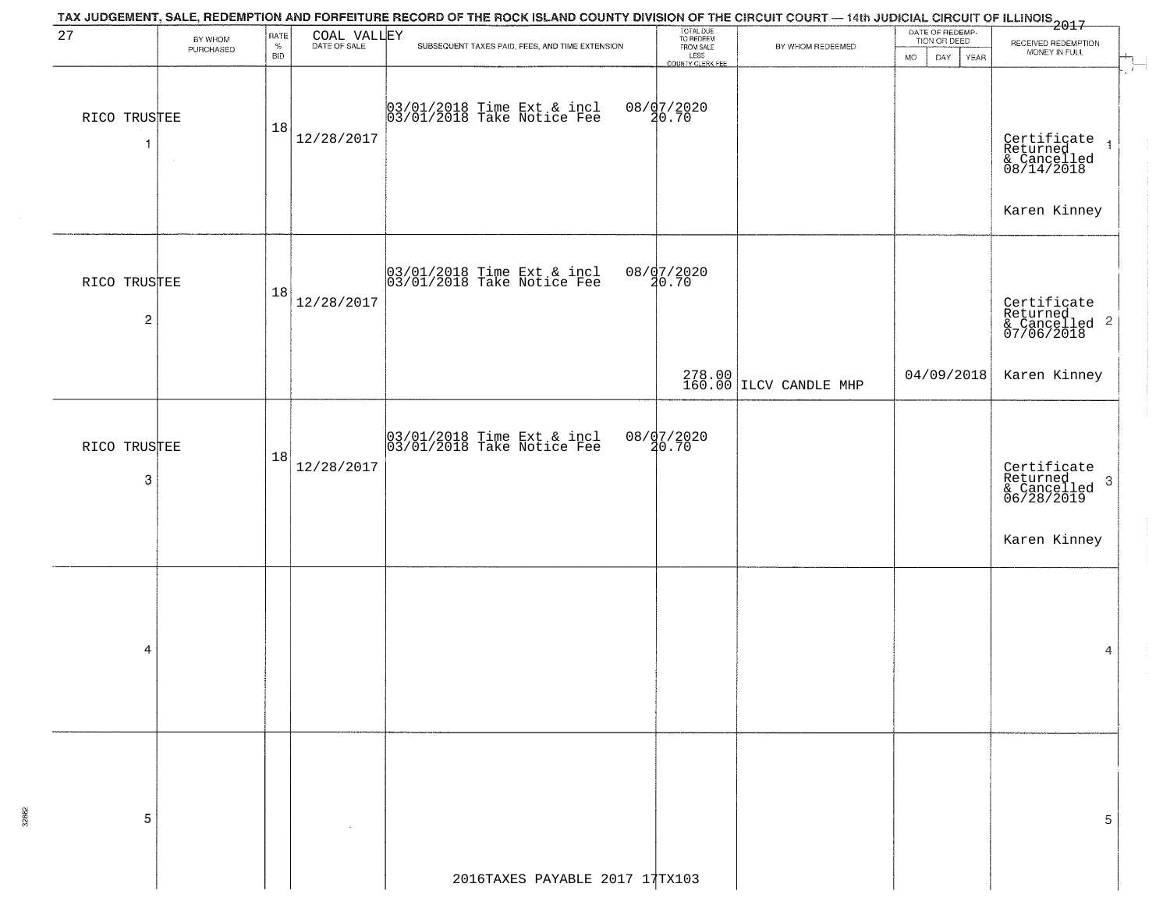|                             |                      |                            |             | TAX JUDGEMENT, SALE, REDEMPTION AND FORFEITURE RECORD OF THE ROCK ISLAND COUNTY DIVISION OF THE CIRCUIT COURT — 14th JUDICIAL CIRCUIT OF ILLINOIS 2017 |                                                                 |                                  |                                                       |                                                                   |
|-----------------------------|----------------------|----------------------------|-------------|--------------------------------------------------------------------------------------------------------------------------------------------------------|-----------------------------------------------------------------|----------------------------------|-------------------------------------------------------|-------------------------------------------------------------------|
| 27                          | BY WHOM<br>PURCHASED | RATE<br>$\%$<br><b>BID</b> | COAL VALLEY | SUBSEQUENT TAXES PAID, FEES, AND TIME EXTENSION                                                                                                        | TOTAL DUE<br>TO REDEEM<br>FROM SALE<br>LESS<br>COUNTY CLERK FEE | BY WHOM REDEEMED                 | DATE OF REDEMP-<br>TION OR DEED<br>DAY<br>YEAR<br>MO. | RECEIVED REDEMPTION<br>MONEY IN FULL<br>÷                         |
| RICO TRUSTEE<br>-1          |                      | 18                         | 12/28/2017  | 03/01/2018 Time Ext & incl<br>03/01/2018 Take Notice Fee                                                                                               | 08/07/2020<br>20.70                                             |                                  |                                                       | Certificate 1<br>Returned 1<br>& Cancelled<br>08/14/2018          |
|                             |                      |                            |             |                                                                                                                                                        |                                                                 |                                  |                                                       | Karen Kinney                                                      |
| RICO TRUSTEE<br>$\mathbf 2$ |                      | 18                         | 12/28/2017  | 03/01/2018 Time Ext & incl<br>03/01/2018 Take Notice Fee                                                                                               | 08/07/2020<br>20.70                                             |                                  |                                                       | Certificate<br>Returned<br>& Cancelled <sup>2</sup><br>07/06/2018 |
|                             |                      |                            |             |                                                                                                                                                        |                                                                 | 278.00<br>160.00 ILCV CANDLE MHP | 04/09/2018                                            | Karen Kinney                                                      |
| RICO TRUSTEE<br>$\mbox{3}$  |                      | 18                         | 12/28/2017  | 03/01/2018 Time Ext & incl<br>03/01/2018 Take Notice Fee                                                                                               | 08/07/2020<br>20.70                                             |                                  |                                                       | Certificate<br>Returned<br>& Cancelled<br>06/28/2019<br>3         |
|                             |                      |                            |             |                                                                                                                                                        |                                                                 |                                  |                                                       | Karen Kinney                                                      |
| 4                           |                      |                            |             |                                                                                                                                                        |                                                                 |                                  |                                                       | 4                                                                 |
| 5                           |                      |                            |             |                                                                                                                                                        |                                                                 |                                  |                                                       | 5                                                                 |
|                             |                      |                            |             | 2016TAXES PAYABLE 2017 17TX103                                                                                                                         |                                                                 |                                  |                                                       |                                                                   |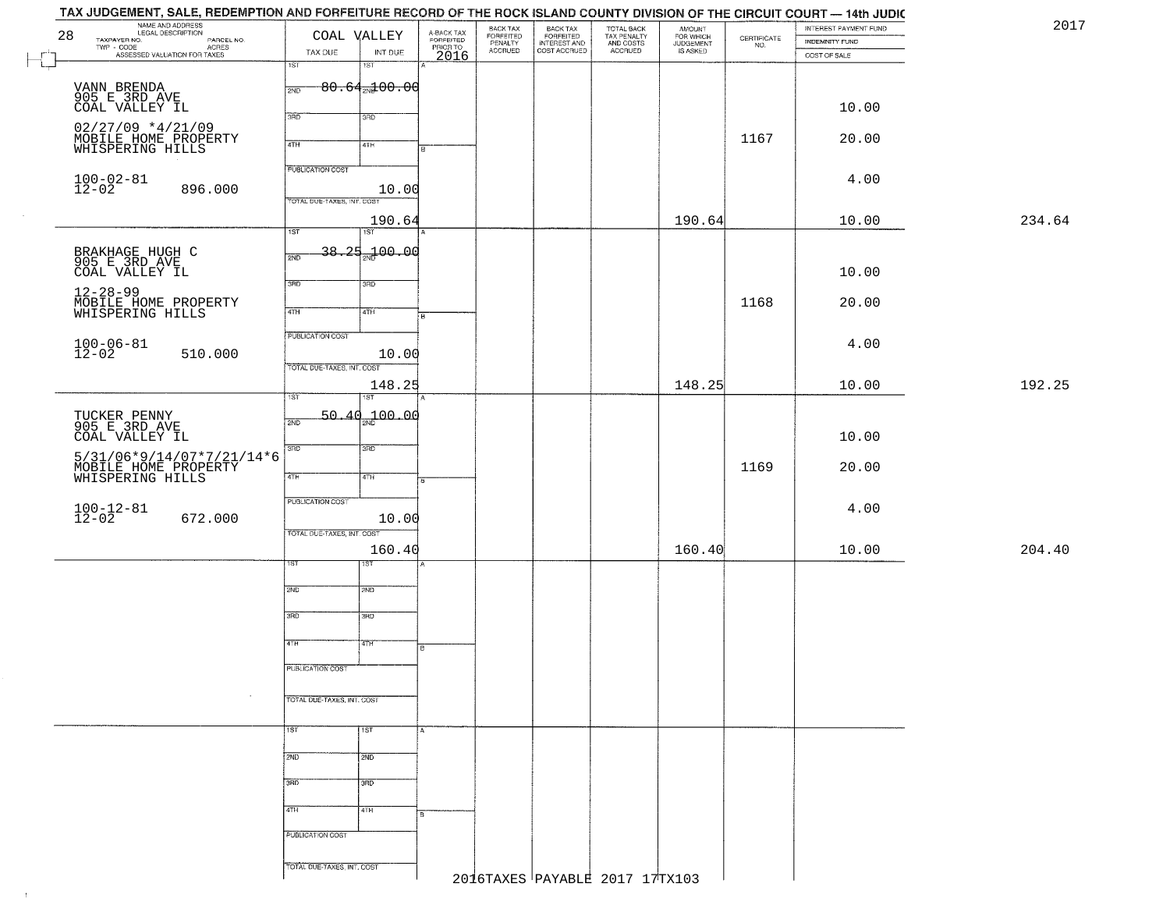| NAME AND ADDRESS<br>LEGAL DESCRIPTION |                                                                                                                                                                                                                                                                                                                                                                                                                                                                                                                 |                                                                                                                              |                                                                                                                                                                                     |                                                                                                                                                                                                                     |                                  |                                                       |                                                   |                                              | INTEREST PAYMENT FUND                                                                       | 2017                                                                                       |
|---------------------------------------|-----------------------------------------------------------------------------------------------------------------------------------------------------------------------------------------------------------------------------------------------------------------------------------------------------------------------------------------------------------------------------------------------------------------------------------------------------------------------------------------------------------------|------------------------------------------------------------------------------------------------------------------------------|-------------------------------------------------------------------------------------------------------------------------------------------------------------------------------------|---------------------------------------------------------------------------------------------------------------------------------------------------------------------------------------------------------------------|----------------------------------|-------------------------------------------------------|---------------------------------------------------|----------------------------------------------|---------------------------------------------------------------------------------------------|--------------------------------------------------------------------------------------------|
|                                       | TAX DUE                                                                                                                                                                                                                                                                                                                                                                                                                                                                                                         | INT DUE                                                                                                                      |                                                                                                                                                                                     | <b>ACCRUED</b>                                                                                                                                                                                                      |                                  |                                                       |                                                   |                                              |                                                                                             |                                                                                            |
|                                       | $\overline{1ST}$                                                                                                                                                                                                                                                                                                                                                                                                                                                                                                | $1S$ T                                                                                                                       |                                                                                                                                                                                     |                                                                                                                                                                                                                     |                                  |                                                       |                                                   |                                              |                                                                                             |                                                                                            |
|                                       | 2ND                                                                                                                                                                                                                                                                                                                                                                                                                                                                                                             |                                                                                                                              |                                                                                                                                                                                     |                                                                                                                                                                                                                     |                                  |                                                       |                                                   |                                              |                                                                                             |                                                                                            |
|                                       |                                                                                                                                                                                                                                                                                                                                                                                                                                                                                                                 |                                                                                                                              |                                                                                                                                                                                     |                                                                                                                                                                                                                     |                                  |                                                       |                                                   |                                              |                                                                                             |                                                                                            |
|                                       | 3RD                                                                                                                                                                                                                                                                                                                                                                                                                                                                                                             | 3RD                                                                                                                          |                                                                                                                                                                                     |                                                                                                                                                                                                                     |                                  |                                                       |                                                   |                                              |                                                                                             |                                                                                            |
|                                       | 4TH                                                                                                                                                                                                                                                                                                                                                                                                                                                                                                             | 4TH                                                                                                                          |                                                                                                                                                                                     |                                                                                                                                                                                                                     |                                  |                                                       |                                                   | 1167                                         | 20.00                                                                                       |                                                                                            |
|                                       |                                                                                                                                                                                                                                                                                                                                                                                                                                                                                                                 |                                                                                                                              |                                                                                                                                                                                     |                                                                                                                                                                                                                     |                                  |                                                       |                                                   |                                              |                                                                                             |                                                                                            |
|                                       |                                                                                                                                                                                                                                                                                                                                                                                                                                                                                                                 |                                                                                                                              |                                                                                                                                                                                     |                                                                                                                                                                                                                     |                                  |                                                       |                                                   |                                              | 4.00                                                                                        |                                                                                            |
|                                       |                                                                                                                                                                                                                                                                                                                                                                                                                                                                                                                 |                                                                                                                              |                                                                                                                                                                                     |                                                                                                                                                                                                                     |                                  |                                                       |                                                   |                                              |                                                                                             |                                                                                            |
|                                       |                                                                                                                                                                                                                                                                                                                                                                                                                                                                                                                 |                                                                                                                              |                                                                                                                                                                                     |                                                                                                                                                                                                                     |                                  |                                                       |                                                   |                                              |                                                                                             | 234.64                                                                                     |
|                                       | $\overline{1ST}$                                                                                                                                                                                                                                                                                                                                                                                                                                                                                                | 1ST                                                                                                                          |                                                                                                                                                                                     |                                                                                                                                                                                                                     |                                  |                                                       |                                                   |                                              |                                                                                             |                                                                                            |
|                                       | 2ND                                                                                                                                                                                                                                                                                                                                                                                                                                                                                                             |                                                                                                                              |                                                                                                                                                                                     |                                                                                                                                                                                                                     |                                  |                                                       |                                                   |                                              |                                                                                             |                                                                                            |
|                                       |                                                                                                                                                                                                                                                                                                                                                                                                                                                                                                                 |                                                                                                                              |                                                                                                                                                                                     |                                                                                                                                                                                                                     |                                  |                                                       |                                                   |                                              | 10.00                                                                                       |                                                                                            |
|                                       |                                                                                                                                                                                                                                                                                                                                                                                                                                                                                                                 |                                                                                                                              |                                                                                                                                                                                     |                                                                                                                                                                                                                     |                                  |                                                       |                                                   |                                              |                                                                                             |                                                                                            |
|                                       | $\sqrt{47H}$                                                                                                                                                                                                                                                                                                                                                                                                                                                                                                    | 4TH                                                                                                                          |                                                                                                                                                                                     |                                                                                                                                                                                                                     |                                  |                                                       |                                                   | 1168                                         |                                                                                             |                                                                                            |
|                                       |                                                                                                                                                                                                                                                                                                                                                                                                                                                                                                                 |                                                                                                                              |                                                                                                                                                                                     |                                                                                                                                                                                                                     |                                  |                                                       |                                                   |                                              |                                                                                             |                                                                                            |
|                                       |                                                                                                                                                                                                                                                                                                                                                                                                                                                                                                                 |                                                                                                                              |                                                                                                                                                                                     |                                                                                                                                                                                                                     |                                  |                                                       |                                                   |                                              | 4.00                                                                                        |                                                                                            |
|                                       |                                                                                                                                                                                                                                                                                                                                                                                                                                                                                                                 |                                                                                                                              |                                                                                                                                                                                     |                                                                                                                                                                                                                     |                                  |                                                       |                                                   |                                              |                                                                                             |                                                                                            |
|                                       |                                                                                                                                                                                                                                                                                                                                                                                                                                                                                                                 |                                                                                                                              |                                                                                                                                                                                     |                                                                                                                                                                                                                     |                                  |                                                       | 148.25                                            |                                              |                                                                                             | 192.25                                                                                     |
|                                       | 1ST                                                                                                                                                                                                                                                                                                                                                                                                                                                                                                             | 187                                                                                                                          |                                                                                                                                                                                     |                                                                                                                                                                                                                     |                                  |                                                       |                                                   |                                              |                                                                                             |                                                                                            |
|                                       | 2ND                                                                                                                                                                                                                                                                                                                                                                                                                                                                                                             |                                                                                                                              |                                                                                                                                                                                     |                                                                                                                                                                                                                     |                                  |                                                       |                                                   |                                              |                                                                                             |                                                                                            |
|                                       |                                                                                                                                                                                                                                                                                                                                                                                                                                                                                                                 |                                                                                                                              |                                                                                                                                                                                     |                                                                                                                                                                                                                     |                                  |                                                       |                                                   |                                              | 10.00                                                                                       |                                                                                            |
|                                       |                                                                                                                                                                                                                                                                                                                                                                                                                                                                                                                 |                                                                                                                              |                                                                                                                                                                                     |                                                                                                                                                                                                                     |                                  |                                                       |                                                   |                                              |                                                                                             |                                                                                            |
|                                       | 4TH                                                                                                                                                                                                                                                                                                                                                                                                                                                                                                             | 4TH                                                                                                                          |                                                                                                                                                                                     |                                                                                                                                                                                                                     |                                  |                                                       |                                                   |                                              |                                                                                             |                                                                                            |
|                                       |                                                                                                                                                                                                                                                                                                                                                                                                                                                                                                                 |                                                                                                                              |                                                                                                                                                                                     |                                                                                                                                                                                                                     |                                  |                                                       |                                                   |                                              |                                                                                             |                                                                                            |
|                                       |                                                                                                                                                                                                                                                                                                                                                                                                                                                                                                                 |                                                                                                                              |                                                                                                                                                                                     |                                                                                                                                                                                                                     |                                  |                                                       |                                                   |                                              |                                                                                             |                                                                                            |
|                                       |                                                                                                                                                                                                                                                                                                                                                                                                                                                                                                                 |                                                                                                                              |                                                                                                                                                                                     |                                                                                                                                                                                                                     |                                  |                                                       |                                                   |                                              |                                                                                             |                                                                                            |
|                                       |                                                                                                                                                                                                                                                                                                                                                                                                                                                                                                                 |                                                                                                                              |                                                                                                                                                                                     |                                                                                                                                                                                                                     |                                  |                                                       |                                                   |                                              | 10.00                                                                                       | 204.40                                                                                     |
|                                       | sт                                                                                                                                                                                                                                                                                                                                                                                                                                                                                                              | १९४                                                                                                                          |                                                                                                                                                                                     |                                                                                                                                                                                                                     |                                  |                                                       |                                                   |                                              |                                                                                             |                                                                                            |
|                                       | 2ND                                                                                                                                                                                                                                                                                                                                                                                                                                                                                                             | 2ND                                                                                                                          |                                                                                                                                                                                     |                                                                                                                                                                                                                     |                                  |                                                       |                                                   |                                              |                                                                                             |                                                                                            |
|                                       |                                                                                                                                                                                                                                                                                                                                                                                                                                                                                                                 |                                                                                                                              |                                                                                                                                                                                     |                                                                                                                                                                                                                     |                                  |                                                       |                                                   |                                              |                                                                                             |                                                                                            |
|                                       |                                                                                                                                                                                                                                                                                                                                                                                                                                                                                                                 |                                                                                                                              |                                                                                                                                                                                     |                                                                                                                                                                                                                     |                                  |                                                       |                                                   |                                              |                                                                                             |                                                                                            |
|                                       | 4TH                                                                                                                                                                                                                                                                                                                                                                                                                                                                                                             | 47H                                                                                                                          | B                                                                                                                                                                                   |                                                                                                                                                                                                                     |                                  |                                                       |                                                   |                                              |                                                                                             |                                                                                            |
|                                       | PUBLICATION COST                                                                                                                                                                                                                                                                                                                                                                                                                                                                                                |                                                                                                                              |                                                                                                                                                                                     |                                                                                                                                                                                                                     |                                  |                                                       |                                                   |                                              |                                                                                             |                                                                                            |
|                                       |                                                                                                                                                                                                                                                                                                                                                                                                                                                                                                                 |                                                                                                                              |                                                                                                                                                                                     |                                                                                                                                                                                                                     |                                  |                                                       |                                                   |                                              |                                                                                             |                                                                                            |
| $\sim$                                |                                                                                                                                                                                                                                                                                                                                                                                                                                                                                                                 |                                                                                                                              |                                                                                                                                                                                     |                                                                                                                                                                                                                     |                                  |                                                       |                                                   |                                              |                                                                                             |                                                                                            |
|                                       |                                                                                                                                                                                                                                                                                                                                                                                                                                                                                                                 |                                                                                                                              |                                                                                                                                                                                     |                                                                                                                                                                                                                     |                                  |                                                       |                                                   |                                              |                                                                                             |                                                                                            |
|                                       |                                                                                                                                                                                                                                                                                                                                                                                                                                                                                                                 |                                                                                                                              |                                                                                                                                                                                     |                                                                                                                                                                                                                     |                                  |                                                       |                                                   |                                              |                                                                                             |                                                                                            |
|                                       | 2ND                                                                                                                                                                                                                                                                                                                                                                                                                                                                                                             | 2ND                                                                                                                          |                                                                                                                                                                                     |                                                                                                                                                                                                                     |                                  |                                                       |                                                   |                                              |                                                                                             |                                                                                            |
|                                       |                                                                                                                                                                                                                                                                                                                                                                                                                                                                                                                 |                                                                                                                              |                                                                                                                                                                                     |                                                                                                                                                                                                                     |                                  |                                                       |                                                   |                                              |                                                                                             |                                                                                            |
|                                       |                                                                                                                                                                                                                                                                                                                                                                                                                                                                                                                 |                                                                                                                              |                                                                                                                                                                                     |                                                                                                                                                                                                                     |                                  |                                                       |                                                   |                                              |                                                                                             |                                                                                            |
|                                       | 4TH                                                                                                                                                                                                                                                                                                                                                                                                                                                                                                             | 4TH                                                                                                                          |                                                                                                                                                                                     |                                                                                                                                                                                                                     |                                  |                                                       |                                                   |                                              |                                                                                             |                                                                                            |
|                                       | PUBLICATION COST                                                                                                                                                                                                                                                                                                                                                                                                                                                                                                |                                                                                                                              |                                                                                                                                                                                     |                                                                                                                                                                                                                     |                                  |                                                       |                                                   |                                              |                                                                                             |                                                                                            |
|                                       |                                                                                                                                                                                                                                                                                                                                                                                                                                                                                                                 |                                                                                                                              |                                                                                                                                                                                     |                                                                                                                                                                                                                     |                                  |                                                       |                                                   |                                              |                                                                                             |                                                                                            |
|                                       |                                                                                                                                                                                                                                                                                                                                                                                                                                                                                                                 |                                                                                                                              |                                                                                                                                                                                     |                                                                                                                                                                                                                     |                                  |                                                       |                                                   |                                              |                                                                                             |                                                                                            |
| TAXPAYER NO.                          | PAYER NO.<br>- CODE AGRES<br>- ASSESSED VALUATION FOR TAXES<br>VANN BRENDA<br>905 E 3RD AVE<br>COAL VALLEY IL<br>$02/27/09$ *4/21/09<br>MOBILE HOME PROPERTY<br>WHISPERING HILLS<br>$100 - 02 - 81$<br>12-02<br>896.000<br>BRAKHAGE HUGH C<br>905 E 3RD AVE<br>COAL VALLEY IL<br>MOBILE HOME PROPERTY<br>WHISPERING HILLS<br>$100 - 06 - 81$<br>12-02<br>510.000<br>TUCKER PENNY<br>905 E 3RD AVE<br>COAL VALLEY IL<br>5/31/06*9/14/07*7/21/14*6<br>MOBILE HOME PROPERTY<br>$100 - 12 - 81$<br>12-02<br>672.000 | <b>PUBLICATION COST</b><br>3RD<br><b>PUBLICATION COST</b><br>3 <sub>BD</sub><br><b>PUBLICATION COST</b><br>3RD<br>1ST<br>3RD | COAL VALLEY<br>TOTAL DUE-TAXES, INT. COST<br>3RD<br>TOTAL DUE-TAXES, INT. COST<br>3RD<br>TOTAL OUE-TAXES, INT. COST<br>$\overline{3BD}$<br>TOTAL DUE-TAXES, INT. COST<br>1ST<br>3RD | A-BACK TAX<br>FORFEITED<br>PRIOR TO<br>2016<br>$80.64$ <sub>2N</sub> $200.00$<br>10.00<br>190.64<br>38.25 <sub>37</sub> 00.00<br>$\overline{B}$<br>10.00<br>148.25<br>50.40 <sub>2N</sub> 100.00<br>10.00<br>160.40 | BACK TAX<br>FORFEITED<br>PENALTY | BACK TAX<br>FORFEITED<br>INTEREST AND<br>COST ACCRUED | TOTAL BACK<br>TAX PENALTY<br>AND COSTS<br>ACCRUED | AMOUNT<br>FOR WHICH<br>JUDGEMENT<br>IS ASKED | $\begin{array}{c} \text{CEPTIFICATE} \\ \text{NO.} \end{array}$<br>190.64<br>1169<br>160.40 | <b>INDEMNITY FUND</b><br>COST OF SALE<br>10.00<br>10.00<br>20.00<br>10.00<br>20.00<br>4.00 |

 $\sim 4\%$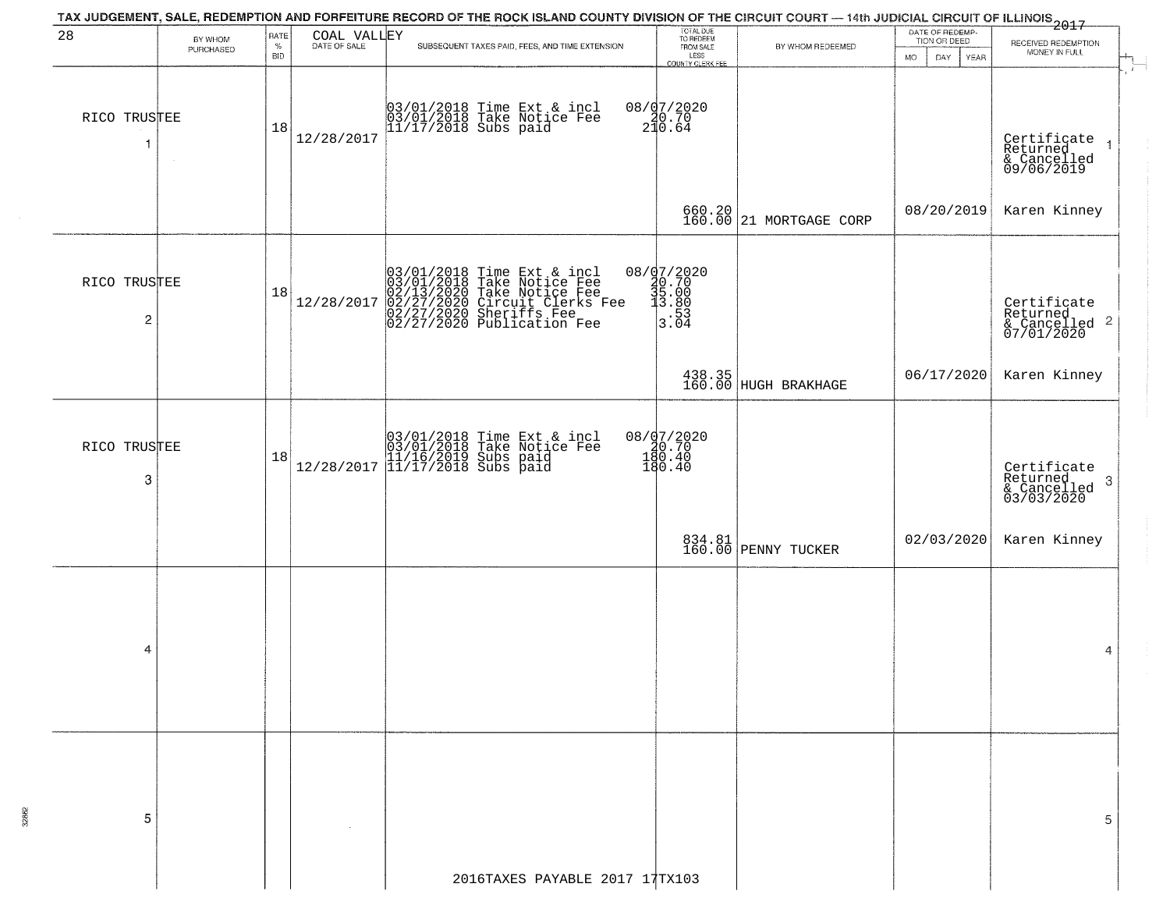|                   |                      |                            |             | TAX JUDGEMENT, SALE, REDEMPTION AND FORFEITURE RECORD OF THE ROCK ISLAND COUNTY DIVISION OF THE CIRCUIT COURT — 14th JUDICIAL CIRCUIT OF ILLINOIS 2017                             |                                                                                                        |                                   |                                                               |                                                                       |
|-------------------|----------------------|----------------------------|-------------|------------------------------------------------------------------------------------------------------------------------------------------------------------------------------------|--------------------------------------------------------------------------------------------------------|-----------------------------------|---------------------------------------------------------------|-----------------------------------------------------------------------|
| 28                | BY WHOM<br>PURCHASED | RATE<br>$\%$<br><b>BID</b> | COAL VALLEY | SUBSEQUENT TAXES PAID, FEES, AND TIME EXTENSION                                                                                                                                    | TOTAL DUE<br>TO REDEEM<br>FROM SALE<br>LESS<br>COUNTY CLERK FEE                                        | BY WHOM REDEEMED                  | DATE OF REDEMP-<br>TION OR DEED<br>MO.<br>DAY.<br><b>YEAR</b> | RECEIVED REDEMPTION<br>MONEY IN FULL                                  |
| RICO TRUSTEE<br>1 |                      | 18                         | 12/28/2017  | 03/01/2018 Time Ext & incl<br>03/01/2018 Take Notice Fee<br>11/17/2018 Subs paid                                                                                                   | $08 / 07 / 2020$<br>20.70<br>210.64                                                                    |                                   |                                                               | Certificate<br>Returned<br>& Cancelled<br>09/06/2019<br>$\rightarrow$ |
|                   |                      |                            |             |                                                                                                                                                                                    |                                                                                                        | 660.20<br>160.00 21 MORTGAGE CORP | 08/20/2019                                                    | Karen Kinney                                                          |
| RICO TRUSTEE<br>2 |                      | 18                         | 12/28/2017  | $03/01/2018$ Time Ext & incl<br>03/01/2018 Take Notice Fee<br>02/13/2020 Take Notice Fee<br>02/27/2020 Circuit Clerks Fee<br>02/27/2020 Sheriffs Fee<br>02/27/2020 Publication Fee | $\begin{array}{r} 08 / \frac{07}{20.70} \\ 20.70 \\ 35.00 \\ \text{=} \quad 13.80 \\ 3.04 \end{array}$ |                                   |                                                               | Certificate<br>Returned<br>& Cancelled 2<br>07/01/2020                |
|                   |                      |                            |             |                                                                                                                                                                                    |                                                                                                        | 438.35<br>160.00 HUGH BRAKHAGE    | 06/17/2020                                                    | Karen Kinney                                                          |
| RICO TRUSTEE<br>3 |                      | 18                         |             | $[03/01/2018 \t\t Time Ext & incl03/01/2018 \tTake Notice Free11/16/2019 Subs paid12/28/2017 [11/17/2018 Subs paid$                                                                | 08/07/2020<br>20.70<br>180.40<br>180.40                                                                |                                   |                                                               | Certificate<br>Returned<br>3<br>& Cancelled<br>03/03/2020             |
|                   |                      |                            |             |                                                                                                                                                                                    |                                                                                                        | 834.81<br>160.00 PENNY TUCKER     | 02/03/2020                                                    | Karen Kinney                                                          |
| 4                 |                      |                            |             |                                                                                                                                                                                    |                                                                                                        |                                   |                                                               | 4                                                                     |
| 5                 |                      |                            |             |                                                                                                                                                                                    |                                                                                                        |                                   |                                                               | 5                                                                     |
|                   |                      |                            |             | 2016TAXES PAYABLE 2017 17TX103                                                                                                                                                     |                                                                                                        |                                   |                                                               |                                                                       |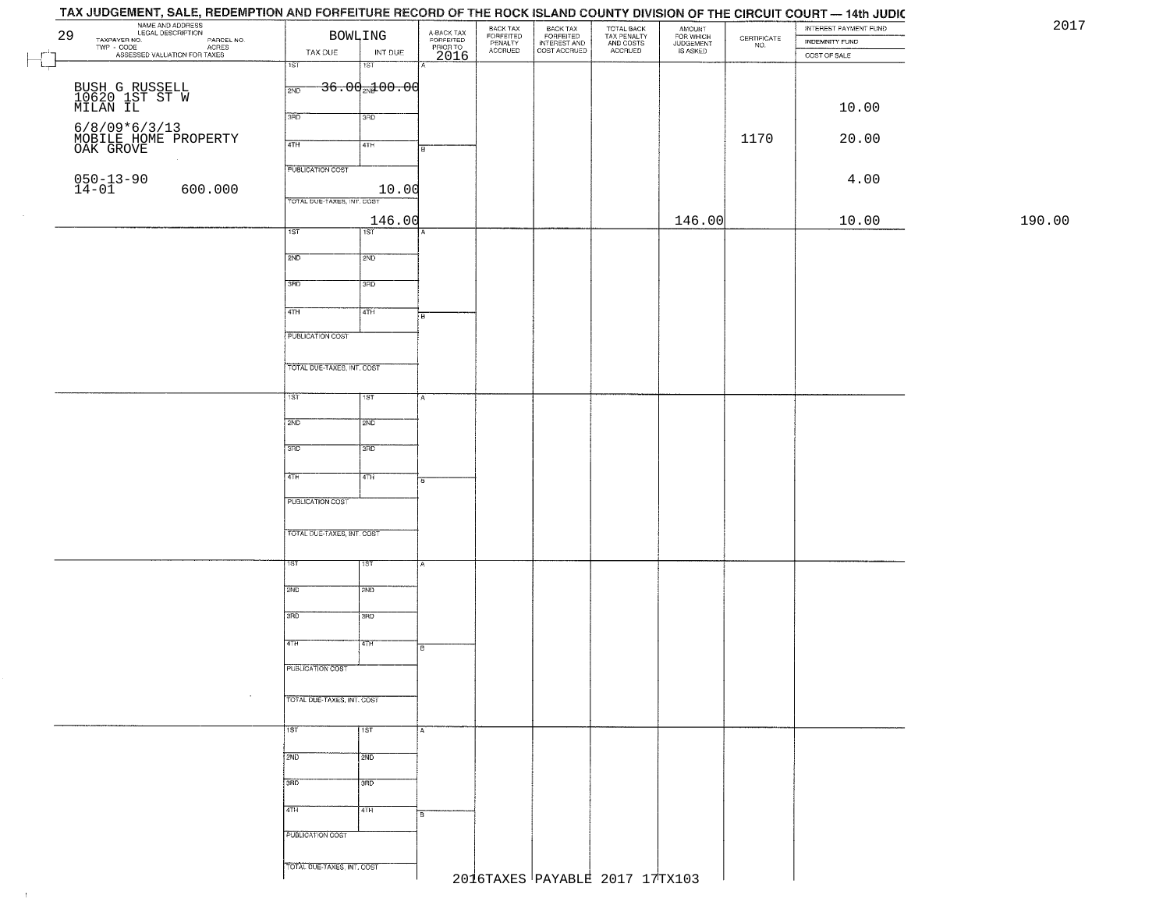| NAME AND ADDRESS<br>29                                                                    | <b>BOWLING</b>              |                             | A-BACK TAX<br>FORFEITED |                                             |                                                       |                                                   |                                              |                                                                 | INTEREST PAYMENT FUND |        |
|-------------------------------------------------------------------------------------------|-----------------------------|-----------------------------|-------------------------|---------------------------------------------|-------------------------------------------------------|---------------------------------------------------|----------------------------------------------|-----------------------------------------------------------------|-----------------------|--------|
| TAXPAYER NO.<br>PARER NO.<br>- CODE ACRES<br>- ASSESSED VALUATION FOR TAXES<br>TWP - CODE |                             |                             |                         | BACK TAX<br>FORFEITED<br>PENALTY<br>ACCRUED | BACK TAX<br>FORFEITED<br>INTEREST AND<br>COST ACCRUED | TOTAL BACK<br>TAX PENALTY<br>AND COSTS<br>ACCRUED | AMOUNT<br>FOR WHICH<br>JUDGEMENT<br>IS ASKED | $\begin{array}{c} \text{CERTIFICATE} \\ \text{NO.} \end{array}$ | INDEMNITY FUND        |        |
|                                                                                           | TAX DUE<br>$\overline{1ST}$ | INT DUE<br>$\overline{181}$ | PRIOR TO<br>2016        |                                             |                                                       |                                                   |                                              |                                                                 | COST OF SALE          |        |
|                                                                                           |                             |                             |                         |                                             |                                                       |                                                   |                                              |                                                                 |                       |        |
| BUSH G RUSSELL<br>10620 1ST ST W<br>MILAN IL                                              | 2ND                         | $36.00 \text{ m}100.00$     |                         |                                             |                                                       |                                                   |                                              |                                                                 |                       |        |
|                                                                                           |                             |                             |                         |                                             |                                                       |                                                   |                                              |                                                                 | 10.00                 |        |
|                                                                                           | 3RD                         | 3RD                         |                         |                                             |                                                       |                                                   |                                              |                                                                 |                       |        |
| 6/8/09*6/3/13<br>MOBILE HOME PROPERTY<br>OAK GROVE                                        |                             |                             |                         |                                             |                                                       |                                                   |                                              | 1170                                                            | 20.00                 |        |
|                                                                                           | 4TH                         | 4TH                         |                         |                                             |                                                       |                                                   |                                              |                                                                 |                       |        |
|                                                                                           | <b>PUBLICATION COST</b>     |                             |                         |                                             |                                                       |                                                   |                                              |                                                                 |                       |        |
| $050 - 13 - 90$<br>14-01                                                                  |                             |                             |                         |                                             |                                                       |                                                   |                                              |                                                                 | 4.00                  |        |
| 600.000                                                                                   | TOTAL DUE-TAXES, INT. COST  | 10.00                       |                         |                                             |                                                       |                                                   |                                              |                                                                 |                       |        |
|                                                                                           |                             |                             |                         |                                             |                                                       |                                                   |                                              |                                                                 |                       |        |
|                                                                                           | 1ST                         | 146.00<br>$\overline{1ST}$  |                         |                                             |                                                       |                                                   | 146.00                                       |                                                                 | 10.00                 | 190.00 |
|                                                                                           |                             |                             |                         |                                             |                                                       |                                                   |                                              |                                                                 |                       |        |
|                                                                                           | 2ND                         | 2ND                         |                         |                                             |                                                       |                                                   |                                              |                                                                 |                       |        |
|                                                                                           |                             |                             |                         |                                             |                                                       |                                                   |                                              |                                                                 |                       |        |
|                                                                                           | 3RD                         | 3RD                         |                         |                                             |                                                       |                                                   |                                              |                                                                 |                       |        |
|                                                                                           | $\sqrt{47H}$                | 4TH                         |                         |                                             |                                                       |                                                   |                                              |                                                                 |                       |        |
|                                                                                           |                             |                             | в                       |                                             |                                                       |                                                   |                                              |                                                                 |                       |        |
|                                                                                           | <b>PUBLICATION COST</b>     |                             |                         |                                             |                                                       |                                                   |                                              |                                                                 |                       |        |
|                                                                                           |                             |                             |                         |                                             |                                                       |                                                   |                                              |                                                                 |                       |        |
|                                                                                           | TOTAL DUE-TAXES, INT. COST  |                             |                         |                                             |                                                       |                                                   |                                              |                                                                 |                       |        |
|                                                                                           |                             |                             |                         |                                             |                                                       |                                                   |                                              |                                                                 |                       |        |
|                                                                                           | ist"                        | 1ST                         |                         |                                             |                                                       |                                                   |                                              |                                                                 |                       |        |
|                                                                                           |                             |                             |                         |                                             |                                                       |                                                   |                                              |                                                                 |                       |        |
|                                                                                           | 2ND                         | 2ND                         |                         |                                             |                                                       |                                                   |                                              |                                                                 |                       |        |
|                                                                                           | 3 <sub>BD</sub>             | 3 <sub>3</sub>              |                         |                                             |                                                       |                                                   |                                              |                                                                 |                       |        |
|                                                                                           |                             |                             |                         |                                             |                                                       |                                                   |                                              |                                                                 |                       |        |
|                                                                                           | 4TH                         | 4TH                         |                         |                                             |                                                       |                                                   |                                              |                                                                 |                       |        |
|                                                                                           |                             |                             |                         |                                             |                                                       |                                                   |                                              |                                                                 |                       |        |
|                                                                                           | PUBLICATION COST            |                             |                         |                                             |                                                       |                                                   |                                              |                                                                 |                       |        |
|                                                                                           |                             |                             |                         |                                             |                                                       |                                                   |                                              |                                                                 |                       |        |
|                                                                                           | TOTAL OUE-TAXES, INT. COST  |                             |                         |                                             |                                                       |                                                   |                                              |                                                                 |                       |        |
|                                                                                           |                             |                             |                         |                                             |                                                       |                                                   |                                              |                                                                 |                       |        |
|                                                                                           | 1ST                         | 1ST                         |                         |                                             |                                                       |                                                   |                                              |                                                                 |                       |        |
|                                                                                           | 2ND                         | SMD                         |                         |                                             |                                                       |                                                   |                                              |                                                                 |                       |        |
|                                                                                           |                             |                             |                         |                                             |                                                       |                                                   |                                              |                                                                 |                       |        |
|                                                                                           | 3RD                         | 3BD                         |                         |                                             |                                                       |                                                   |                                              |                                                                 |                       |        |
|                                                                                           |                             |                             |                         |                                             |                                                       |                                                   |                                              |                                                                 |                       |        |
|                                                                                           | 4TH                         | 47H                         |                         |                                             |                                                       |                                                   |                                              |                                                                 |                       |        |
|                                                                                           | PUBLICATION COST            |                             |                         |                                             |                                                       |                                                   |                                              |                                                                 |                       |        |
|                                                                                           |                             |                             |                         |                                             |                                                       |                                                   |                                              |                                                                 |                       |        |
| $\sim$                                                                                    | TOTAL DUE-TAXES, INT. COST  |                             |                         |                                             |                                                       |                                                   |                                              |                                                                 |                       |        |
|                                                                                           |                             |                             |                         |                                             |                                                       |                                                   |                                              |                                                                 |                       |        |
|                                                                                           | 1ST <sup>-</sup>            | ∏тsт                        | А                       |                                             |                                                       |                                                   |                                              |                                                                 |                       |        |
|                                                                                           |                             |                             |                         |                                             |                                                       |                                                   |                                              |                                                                 |                       |        |
|                                                                                           | 2ND                         | 2ND                         |                         |                                             |                                                       |                                                   |                                              |                                                                 |                       |        |
|                                                                                           |                             |                             |                         |                                             |                                                       |                                                   |                                              |                                                                 |                       |        |
|                                                                                           | 3BD                         | ਤਿਸ਼ਨ                       |                         |                                             |                                                       |                                                   |                                              |                                                                 |                       |        |
|                                                                                           | 4TH                         | 4TH                         |                         |                                             |                                                       |                                                   |                                              |                                                                 |                       |        |
|                                                                                           |                             |                             |                         |                                             |                                                       |                                                   |                                              |                                                                 |                       |        |
|                                                                                           | PUBLICATION COST            |                             |                         |                                             |                                                       |                                                   |                                              |                                                                 |                       |        |
|                                                                                           |                             |                             |                         |                                             |                                                       |                                                   |                                              |                                                                 |                       |        |
|                                                                                           | TOTAL DUE-TAXES, INT. COST  |                             |                         |                                             |                                                       |                                                   |                                              |                                                                 |                       |        |
|                                                                                           |                             |                             |                         |                                             |                                                       | 2016TAXES PAYABLE 2017 17TX103                    |                                              |                                                                 |                       |        |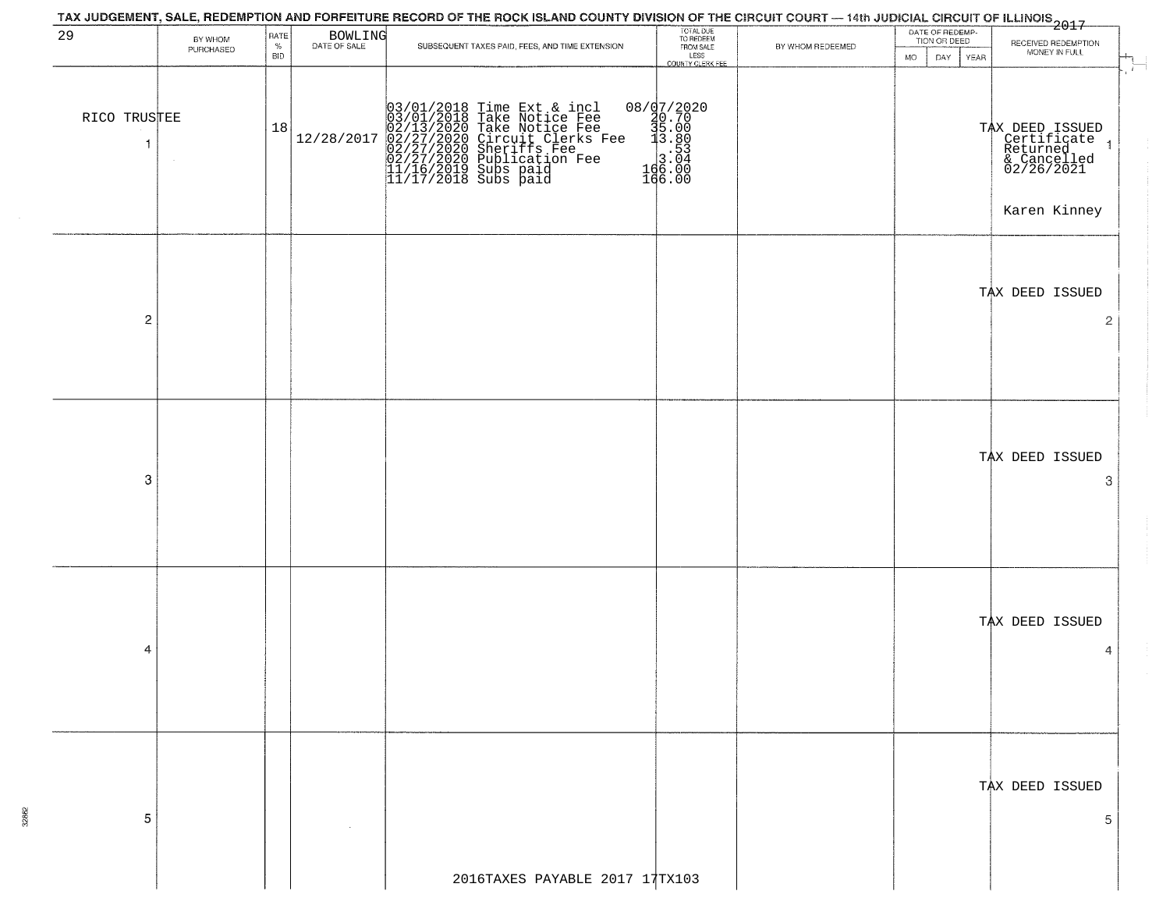|                              |                      |                            |                         | TAX JUDGEMENT, SALE, REDEMPTION AND FORFEITURE RECORD OF THE ROCK ISLAND COUNTY DIVISION OF THE CIRCUIT COURT — 14th JUDICIAL CIRCUIT OF ILLINOIS 2017                                                                                      |                                                                                                                                                                                                                                                                                                                                |                  |                                                             |                                                                                         |
|------------------------------|----------------------|----------------------------|-------------------------|---------------------------------------------------------------------------------------------------------------------------------------------------------------------------------------------------------------------------------------------|--------------------------------------------------------------------------------------------------------------------------------------------------------------------------------------------------------------------------------------------------------------------------------------------------------------------------------|------------------|-------------------------------------------------------------|-----------------------------------------------------------------------------------------|
| 29                           | BY WHOM<br>PURCHASED | RATE<br>$\%$<br><b>BID</b> | BOWLING<br>DATE OF SALE | SUBSEQUENT TAXES PAID, FEES, AND TIME EXTENSION                                                                                                                                                                                             | TOTAL DUE<br>TO REDEEM<br>FROM SALE<br>LESS<br>COUNTY CLERK FEE                                                                                                                                                                                                                                                                | BY WHOM REDEEMED | DATE OF REDEMP-<br>TION OR DEED<br><b>MO</b><br>DAY<br>YEAR | RECEIVED REDEMPTION<br>MONEY IN FULL                                                    |
| RICO TRUSTEE<br>$\mathbf{1}$ |                      | 18                         | 12/28/2017              | $03/01/2018$ Time Ext & incl<br>$03/01/2018$ Take Notice Fee<br>$02/13/2020$ Take Notice Fee<br>$02/27/2020$ Circuit Clerks Fee<br>$02/27/2020$ Sublication Fee<br>$02/27/2020$ Publication Fee<br>$11/16/2019$ Subs paid<br>$11/17/2018$ S | $[ \begin{smallmatrix} 0 & 8 & / & 9 & / & 2 & 0 & 2 & 0 \\ 2 & 0 & 0 & 7 & 0 & 0 & 0 \\ 3 & 0 & 0 & 0 & 0 & 0 & 0 \\ 1 & 0 & 0 & 0 & 0 & 0 & 0 \\ 1 & 0 & 0 & 0 & 0 & 0 & 0 \\ 1 & 0 & 0 & 0 & 0 & 0 & 0 \\ 1 & 0 & 0 & 0 & 0 & 0 & 0 \\ 0 & 0 & 0 & 0 & 0 & 0 & 0 \\ 0 & 0 & 0 & 0 & 0 & 0 & 0 \\ 0 & 0 & 0 & 0 & 0 & 0 & 0$ |                  |                                                             | TAX DEED ISSUED<br>Certificate<br>Returned<br>& Cancelled<br>02/26/2021<br>Karen Kinney |
| $\overline{2}$               |                      |                            |                         |                                                                                                                                                                                                                                             |                                                                                                                                                                                                                                                                                                                                |                  |                                                             | TAX DEED ISSUED<br>$\overline{2}$                                                       |
| 3                            |                      |                            |                         |                                                                                                                                                                                                                                             |                                                                                                                                                                                                                                                                                                                                |                  |                                                             | TAX DEED ISSUED<br>3                                                                    |
| 4                            |                      |                            |                         |                                                                                                                                                                                                                                             |                                                                                                                                                                                                                                                                                                                                |                  |                                                             | TAX DEED ISSUED<br>4                                                                    |
| 5                            |                      |                            |                         |                                                                                                                                                                                                                                             |                                                                                                                                                                                                                                                                                                                                |                  |                                                             | TAX DEED ISSUED<br>5                                                                    |
|                              |                      |                            |                         | 2016TAXES PAYABLE 2017 17TX103                                                                                                                                                                                                              |                                                                                                                                                                                                                                                                                                                                |                  |                                                             |                                                                                         |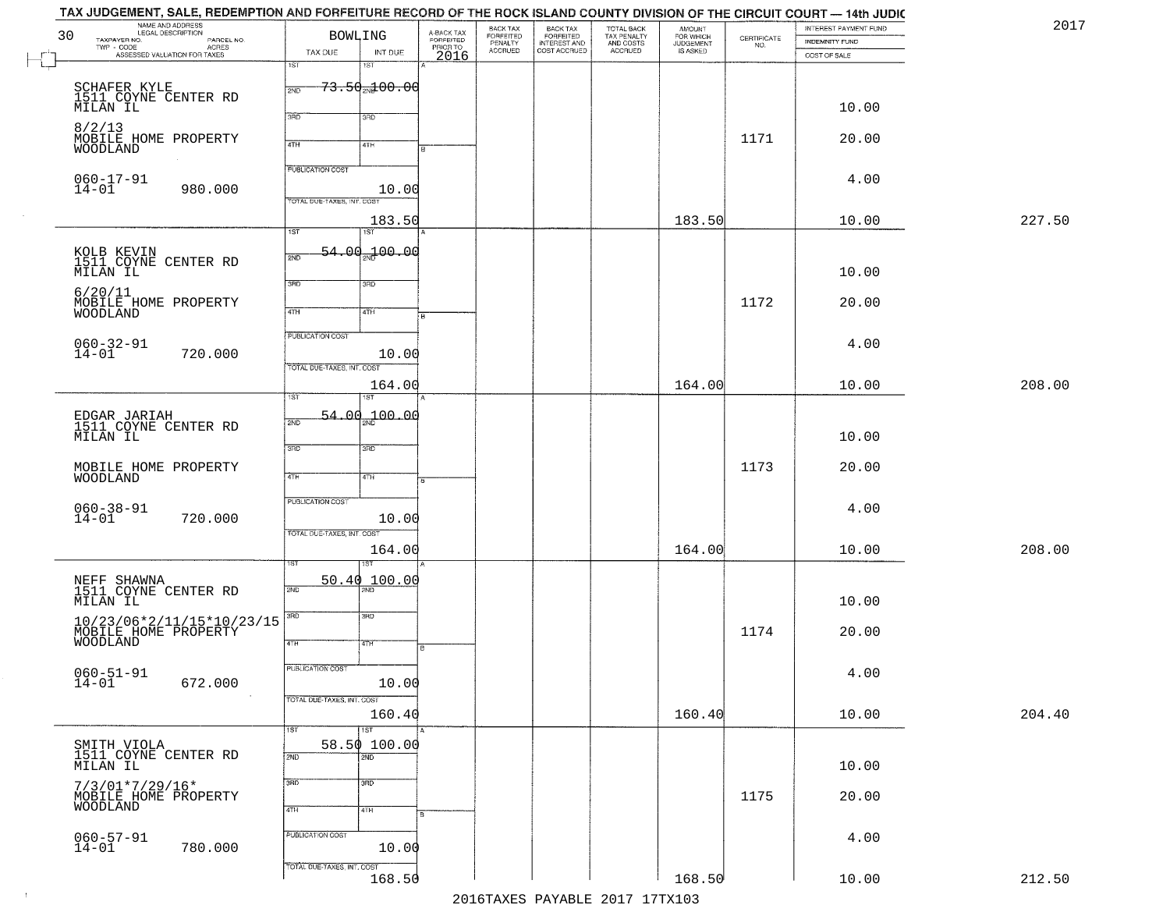|        | INTEREST PAYMENT FUND<br><b>INDEMNITY FUND</b> | $\begin{array}{c} \text{CERTIFICATE} \\ \text{NO.} \end{array}$ | AMOUNT<br>FOR WHICH<br>JUDGEMENT<br>IS ASKED | TOTAL BACK<br>TAX PENALTY<br>AND COSTS<br>ACCRUED | BACK TAX<br>FORFEITED<br>INTEREST AND<br>COST ACCRUED | BACK TAX<br>FORFEITED<br>PENALTY<br>ACCRUED |                                             | <b>BOWLING</b>                      |                            | NAME AND ADDRESS                                                                              | 30                           |
|--------|------------------------------------------------|-----------------------------------------------------------------|----------------------------------------------|---------------------------------------------------|-------------------------------------------------------|---------------------------------------------|---------------------------------------------|-------------------------------------|----------------------------|-----------------------------------------------------------------------------------------------|------------------------------|
|        | COST OF SALE                                   |                                                                 |                                              |                                                   |                                                       |                                             | A-BACK TAX<br>FORFEITED<br>PRIOR TO<br>2016 | INT DUE                             | TAX DUE                    | TAXPAYER NO. LEGAL DESCRIPTION PARCEL NO.<br>TWP - CODE AGRES<br>ASSESSED VALUATION FOR TAXES |                              |
|        |                                                |                                                                 |                                              |                                                   |                                                       |                                             |                                             | 1ST                                 | 1ST                        |                                                                                               |                              |
|        |                                                |                                                                 |                                              |                                                   |                                                       |                                             |                                             | <del>73.50<sub>2N</sub>100.00</del> | 2ND                        | SCHAFER KYLE<br>1511 COYNE CENTER RD                                                          |                              |
|        | 10.00                                          |                                                                 |                                              |                                                   |                                                       |                                             |                                             | 3RD                                 | 3BD                        |                                                                                               | MILAN IL                     |
|        | 20.00                                          | 1171                                                            |                                              |                                                   |                                                       |                                             |                                             | 4TH                                 | 4TH                        | MOBILE HOME PROPERTY                                                                          | 8/2/13                       |
|        |                                                |                                                                 |                                              |                                                   |                                                       |                                             |                                             |                                     |                            |                                                                                               | WOODLAND                     |
|        | 4.00                                           |                                                                 |                                              |                                                   |                                                       |                                             |                                             |                                     | <b>PUBLICATION COST</b>    |                                                                                               | $060 - 17 - 91$              |
|        |                                                |                                                                 |                                              |                                                   |                                                       |                                             |                                             | 10.00                               | TOTAL DUE-TAXES, INT. COST | 980.000                                                                                       | $14 - 01$                    |
| 227.50 | 10.00                                          |                                                                 | 183.50                                       |                                                   |                                                       |                                             |                                             | 183.50                              | $\overline{1ST}$           |                                                                                               |                              |
|        |                                                |                                                                 |                                              |                                                   |                                                       |                                             |                                             | 1ST<br>.00.100.00                   | 54                         |                                                                                               |                              |
|        | 10.00                                          |                                                                 |                                              |                                                   |                                                       |                                             |                                             |                                     | 2ND                        | KOLB KEVIN<br>1511 COYNE CENTER RD                                                            | MILAN IL                     |
|        |                                                |                                                                 |                                              |                                                   |                                                       |                                             |                                             | 3RD                                 | 3RD                        |                                                                                               | 6/20/11                      |
|        | 20.00                                          | 1172                                                            |                                              |                                                   |                                                       |                                             |                                             | 4TH                                 | 47H                        | MOBILE HOME PROPERTY                                                                          | <b>WOODLAND</b>              |
|        |                                                |                                                                 |                                              |                                                   |                                                       |                                             |                                             |                                     | PUBLICATION COST           |                                                                                               |                              |
|        | 4.00                                           |                                                                 |                                              |                                                   |                                                       |                                             |                                             | 10.00                               |                            | 720.000                                                                                       | $060 - 32 - 91$<br>14-01     |
|        |                                                |                                                                 |                                              |                                                   |                                                       |                                             |                                             |                                     | TOTAL DUE-TAXES, INT. COST |                                                                                               |                              |
| 208.00 | 10.00                                          |                                                                 | 164.00                                       |                                                   |                                                       |                                             |                                             | 164.00                              | īst                        |                                                                                               |                              |
|        |                                                |                                                                 |                                              |                                                   |                                                       |                                             |                                             | 04 - 04 مهر <mark>04 - 04</mark>    | 54.                        |                                                                                               |                              |
|        | 10.00                                          |                                                                 |                                              |                                                   |                                                       |                                             |                                             |                                     | 2ND                        | EDGAR JARIAH<br>1511 COYNE CENTER RD                                                          | MILAN IL                     |
|        |                                                |                                                                 |                                              |                                                   |                                                       |                                             |                                             | 3 <sub>3</sub>                      | 3RD                        |                                                                                               |                              |
|        | 20.00                                          | 1173                                                            |                                              |                                                   |                                                       |                                             |                                             | 4TH                                 | 4TH                        | MOBILE HOME PROPERTY                                                                          | WOODLAND                     |
|        |                                                |                                                                 |                                              |                                                   |                                                       |                                             |                                             |                                     | PUBLICATION COST           |                                                                                               |                              |
|        | 4.00                                           |                                                                 |                                              |                                                   |                                                       |                                             |                                             | 10.00                               |                            | 720.000                                                                                       | $060 - 38 - 91$<br>14-01     |
|        |                                                |                                                                 |                                              |                                                   |                                                       |                                             |                                             |                                     | TOTAL OUE-TAXES, INT. COST |                                                                                               |                              |
| 208.00 | 10.00                                          |                                                                 | 164.00                                       |                                                   |                                                       |                                             |                                             | 164.00                              |                            |                                                                                               |                              |
|        |                                                |                                                                 |                                              |                                                   |                                                       |                                             |                                             | 50.40 100.00                        |                            | NEFF SHAWNA<br>1511 COYNE CENTER RD                                                           |                              |
|        | 10.00                                          |                                                                 |                                              |                                                   |                                                       |                                             |                                             |                                     | 2ND                        |                                                                                               | MILAN IL                     |
|        |                                                |                                                                 |                                              |                                                   |                                                       |                                             |                                             | 3BD                                 | 3RD                        |                                                                                               |                              |
|        | 20.00                                          | 1174                                                            |                                              |                                                   |                                                       |                                             | в                                           | 47H                                 | 4TH                        | 10/23/06*2/11/15*10/23/15<br>MOBILE HOME PROPERTY<br>WOODLAND                                 |                              |
|        |                                                |                                                                 |                                              |                                                   |                                                       |                                             |                                             |                                     | <b>PUBLICATION COST</b>    |                                                                                               |                              |
|        | 4.00                                           |                                                                 |                                              |                                                   |                                                       |                                             |                                             | 10.00                               |                            | 672.000                                                                                       | $060 - 51 - 91$<br>$14 - 01$ |
|        |                                                |                                                                 |                                              |                                                   |                                                       |                                             |                                             |                                     | TOTAL DUE-TAXES, INT. COST | $\sim 100$                                                                                    |                              |
| 204.40 | 10.00                                          |                                                                 | 160.40                                       |                                                   |                                                       |                                             |                                             | 160.40<br>$\overline{1ST}$          | 1ST                        |                                                                                               |                              |
|        |                                                |                                                                 |                                              |                                                   |                                                       |                                             |                                             | 58.50 100.00                        |                            | SMITH VIOLA<br>1511 COYNE CENTER RD                                                           |                              |
|        | 10.00                                          |                                                                 |                                              |                                                   |                                                       |                                             |                                             | 2ND                                 | 2ND                        |                                                                                               | MILAN IL                     |
|        | 20.00                                          | 1175                                                            |                                              |                                                   |                                                       |                                             |                                             | 3 <sub>BD</sub>                     | 3RD                        |                                                                                               | $7/3/01*7/29/16*$            |
|        |                                                |                                                                 |                                              |                                                   |                                                       |                                             |                                             | 4TH                                 | 4TH                        | MOBILE HOME PROPERTY                                                                          | WOODLAND                     |
|        | 4.00                                           |                                                                 |                                              |                                                   |                                                       |                                             |                                             |                                     | PUBLICATION COST           |                                                                                               | $060 - 57 - 91$              |
|        |                                                |                                                                 |                                              |                                                   |                                                       |                                             |                                             | 10.00                               |                            | 780.000                                                                                       | $14 - 01$                    |
|        |                                                |                                                                 |                                              |                                                   |                                                       |                                             |                                             |                                     |                            |                                                                                               |                              |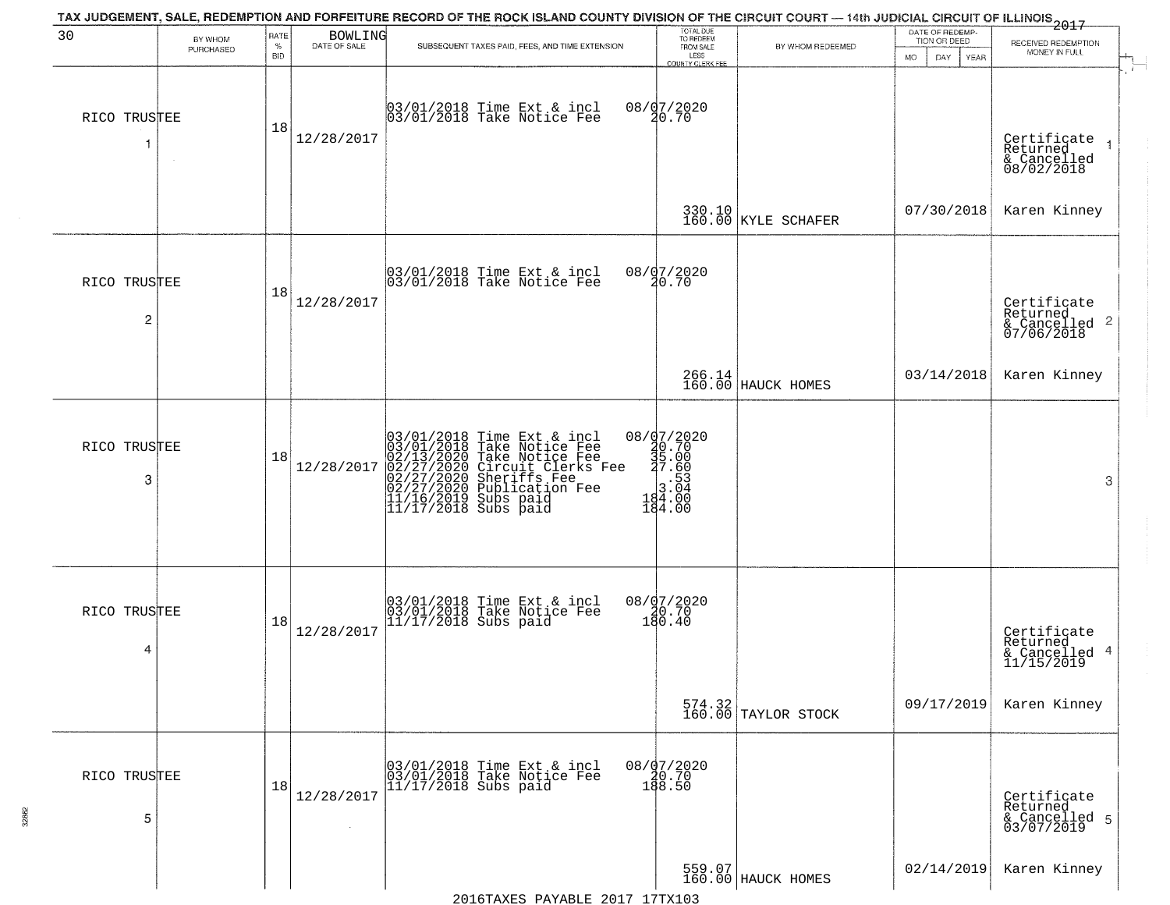| 30                | BY WHOM<br>PURCHASED | RATE<br>$\%$<br><b>BID</b> | BOWLING<br>DATE OF SALE | TAX JUDGEMENT, SALE, REDEMPTION AND FORFEITURE RECORD OF THE ROCK ISLAND COUNTY DIVISION OF THE CIRCUIT COURT - 14th JUDICIAL CIRCUIT OF ILLINOIS 2017<br>SUBSEQUENT TAXES PAID, FEES, AND TIME EXTENSION           | TOTAL DUE<br>TO REDEEM<br>FROM SALE                                               | BY WHOM REDEEMED                                             | DATE OF REDEMP<br>TION OR DEED<br>MO.<br>DAY.<br>YEAR | RECEIVED REDEMPTION<br>MONEY IN FULL                   |
|-------------------|----------------------|----------------------------|-------------------------|---------------------------------------------------------------------------------------------------------------------------------------------------------------------------------------------------------------------|-----------------------------------------------------------------------------------|--------------------------------------------------------------|-------------------------------------------------------|--------------------------------------------------------|
| RICO TRUSTEE<br>1 | $\sim$               | 18                         | 12/28/2017              | 03/01/2018 Time Ext & incl<br>03/01/2018 Take Notice Fee                                                                                                                                                            | LESS<br>COUNTY CLERK FEE<br>08/07/2020<br>20.70                                   |                                                              |                                                       | Certificate<br>Returned<br>& Cancelled<br>08/02/2018   |
|                   |                      |                            |                         |                                                                                                                                                                                                                     |                                                                                   | 330.10<br>160.00 KYLE SCHAFER                                | 07/30/2018                                            | Karen Kinney                                           |
| RICO TRUSTEE<br>2 |                      | 18                         | 12/28/2017              | 03/01/2018 Time Ext & incl<br>03/01/2018 Take Notice Fee                                                                                                                                                            | 08/07/2020<br>20.70                                                               |                                                              |                                                       | Certificate<br>Returned<br>& Cancelled 2<br>07/06/2018 |
|                   |                      |                            |                         |                                                                                                                                                                                                                     |                                                                                   | 266.14<br>160.00 HAUCK HOMES                                 | 03/14/2018                                            | Karen Kinney                                           |
| RICO TRUSTEE<br>3 |                      | 18                         | 12/28/2017              | $03/01/2018$ Time Ext & incl<br>$03/01/2018$ Take Notice Fee<br>$02/13/2020$ Take Notice Fee<br>$02/27/2020$ Circuit Clerks Fee<br>$02/27/2020$ Sublication Fee<br>$01/16/2019$ Subs paid<br>$11/17/2018$ Subs paid | $28 / \frac{97 / 2020}{36.70}$ $29.700$ $3.0000$ $3.0404.000$ $484.000$<br>184.00 |                                                              |                                                       | 3                                                      |
| RICO TRUSTEE<br>4 |                      | 18                         | 12/28/2017              | 03/01/2018 Time Ext & incl<br>03/01/2018 Take Notice Fee<br>11/17/2018 Subs paid                                                                                                                                    | 08/07/2020<br>10.70<br>180.40                                                     |                                                              |                                                       | Certificate<br>Returned<br>& Cancelled 4<br>11/15/2019 |
|                   |                      |                            |                         |                                                                                                                                                                                                                     |                                                                                   | $\begin{array}{c} 574.32 \\ 160.00 \end{array}$ TAYLOR STOCK | 09/17/2019                                            | Karen Kinney                                           |
| RICO TRUSTEE<br>5 |                      | 18                         | 12/28/2017              | 03/01/2018 Time Ext & incl<br>03/01/2018 Take Notice Fee<br>11/17/2018 Subs paid                                                                                                                                    | 08/07/2020<br>08.70<br>188.50                                                     |                                                              |                                                       | Certificate<br>Returned<br>& Cancelled 5<br>03/07/2019 |
|                   |                      |                            |                         |                                                                                                                                                                                                                     |                                                                                   | 559.07<br>160.00 HAUCK HOMES                                 | 02/14/2019                                            | Karen Kinney                                           |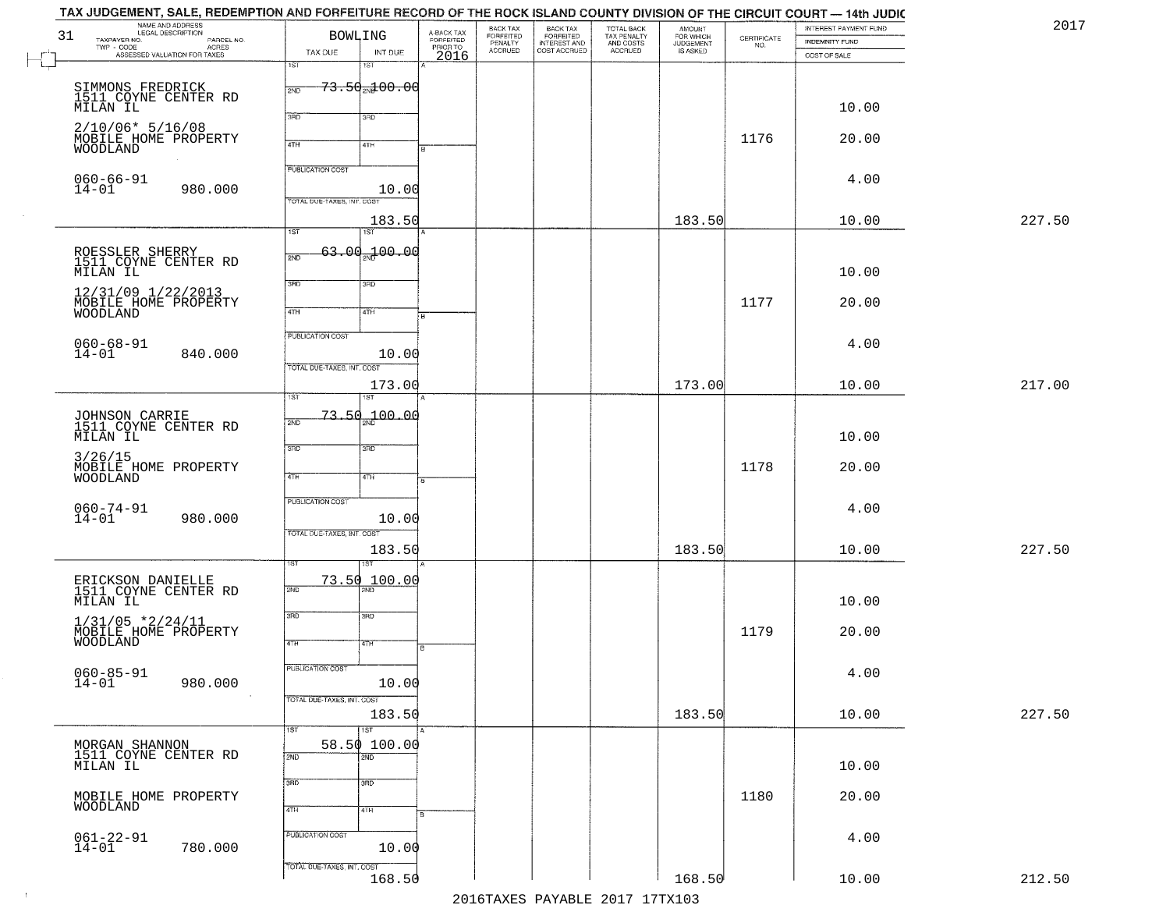|        | INTEREST PAYMENT FUND<br><b>INDEMNITY FUND</b> | $\begin{array}{c} \text{CERTIFICATE} \\ \text{NO.} \end{array}$ | AMOUNT<br>FOR WHICH<br>JUDGEMENT<br>IS ASKED | TOTAL BACK<br>TAX PENALTY<br>AND COSTS<br>ACCRUED | <b>BACK TAX</b><br>FORFEITED<br>INTEREST AND | BACK TAX<br>FORFEITED<br>PENALTY<br>ACCRUED |                                             | BOWLING                             |                            | NAME AND ADDRESS<br>TAXPAYER NO.<br>PARCEL NO.         | 31 |
|--------|------------------------------------------------|-----------------------------------------------------------------|----------------------------------------------|---------------------------------------------------|----------------------------------------------|---------------------------------------------|---------------------------------------------|-------------------------------------|----------------------------|--------------------------------------------------------|----|
|        | COST OF SALE                                   |                                                                 |                                              |                                                   | COST ACCRUED                                 |                                             | A-BACK TAX<br>FORFEITED<br>PRIOR TO<br>2016 | INT DUE                             | TAX DUE                    | TWP - CODE<br>ASSESSED VALUATION FOR TAXES             |    |
|        |                                                |                                                                 |                                              |                                                   |                                              |                                             |                                             | 18T                                 | 1ST                        |                                                        |    |
|        |                                                |                                                                 |                                              |                                                   |                                              |                                             |                                             | <del>73.50<sub>20</sub>100.00</del> | 2ND                        | SIMMONS FREDRICK<br>1511 COYNE CENTER RD               |    |
|        | 10.00                                          |                                                                 |                                              |                                                   |                                              |                                             |                                             | 3RD                                 | 3RD                        | MILAN IL                                               |    |
|        | 20.00                                          | 1176                                                            |                                              |                                                   |                                              |                                             |                                             |                                     |                            | $2/10/06* 5/16/08$<br>MOBILE HOME PROPERTY             |    |
|        |                                                |                                                                 |                                              |                                                   |                                              |                                             |                                             | 4TH                                 | 4TH                        | WOODLAND                                               |    |
|        | 4.00                                           |                                                                 |                                              |                                                   |                                              |                                             |                                             |                                     | <b>PUBLICATION COST</b>    | $060 - 66 - 91$                                        |    |
|        |                                                |                                                                 |                                              |                                                   |                                              |                                             |                                             | 10.00                               | TOTAL DUE-TAXES, INT. COS  | $14 - 01$<br>980.000                                   |    |
| 227.50 | 10.00                                          |                                                                 | 183.50                                       |                                                   |                                              |                                             |                                             | 183.50                              |                            |                                                        |    |
|        |                                                |                                                                 |                                              |                                                   |                                              |                                             |                                             | 1ST                                 | $\overline{1ST}$           |                                                        |    |
|        |                                                |                                                                 |                                              |                                                   |                                              |                                             |                                             | $63.00 - 100.00$                    | 2ND                        | ROESSLER SHERRY<br>1511 COYNE CENTER RD                |    |
|        | 10.00                                          |                                                                 |                                              |                                                   |                                              |                                             |                                             |                                     |                            | MILAN IL                                               |    |
|        |                                                |                                                                 |                                              |                                                   |                                              |                                             |                                             | 3RD                                 | 3RD                        | 12/31/09 1/22/2013                                     |    |
|        | 20.00                                          | 1177                                                            |                                              |                                                   |                                              |                                             |                                             | 4TH                                 | $\sqrt{47H}$               | MOBILE HOME PROPERTY<br><b>WOODLAND</b>                |    |
|        |                                                |                                                                 |                                              |                                                   |                                              |                                             |                                             |                                     | PUBLICATION COST           |                                                        |    |
|        | 4.00                                           |                                                                 |                                              |                                                   |                                              |                                             |                                             | 10.00                               |                            | $060 - 68 - 91$<br>14-01<br>840.000                    |    |
|        |                                                |                                                                 |                                              |                                                   |                                              |                                             |                                             |                                     | TOTAL DUE-TAXES, INT. COST |                                                        |    |
| 217.00 | 10.00                                          |                                                                 | 173.00                                       |                                                   |                                              |                                             |                                             | 173.00                              | īst                        |                                                        |    |
|        |                                                |                                                                 |                                              |                                                   |                                              |                                             |                                             | $-73.50 - 00.00$                    |                            |                                                        |    |
|        | 10.00                                          |                                                                 |                                              |                                                   |                                              |                                             |                                             |                                     | 2ND                        | JOHNSON CARRIE<br>1511 COYNE CENTER RD<br>MILAN IL     |    |
|        |                                                |                                                                 |                                              |                                                   |                                              |                                             |                                             | 3 <sub>3</sub>                      | 3RD                        | 3/26/15                                                |    |
|        | 20.00                                          | 1178                                                            |                                              |                                                   |                                              |                                             |                                             | 4TH                                 | 4TH                        | MOBILE HOME PROPERTY<br><b>WOODLAND</b>                |    |
|        |                                                |                                                                 |                                              |                                                   |                                              |                                             |                                             |                                     |                            |                                                        |    |
|        | 4.00                                           |                                                                 |                                              |                                                   |                                              |                                             |                                             | 10.00                               | PUBLICATION COST           | $060 - 74 - 91$<br>$14 - 01$<br>980.000                |    |
|        |                                                |                                                                 |                                              |                                                   |                                              |                                             |                                             |                                     | TOTAL OUE-TAXES, INT. COST |                                                        |    |
| 227.50 | 10.00                                          |                                                                 | 183.50                                       |                                                   |                                              |                                             |                                             | 183.50                              |                            |                                                        |    |
|        |                                                |                                                                 |                                              |                                                   |                                              |                                             |                                             | ৰে<br>73.50 100.00                  |                            |                                                        |    |
|        |                                                |                                                                 |                                              |                                                   |                                              |                                             |                                             |                                     | 2ND                        | ERICKSON DANIELLE<br>1511 COYNE CENTER RD              |    |
|        | 10.00                                          |                                                                 |                                              |                                                   |                                              |                                             |                                             | 3BD                                 | 3RD                        | MILAN IL                                               |    |
|        | 20.00                                          | 1179                                                            |                                              |                                                   |                                              |                                             |                                             |                                     |                            | $1/31/05$ *2/24/11<br>MOBILE HOME PROPERTY<br>WOODLAND |    |
|        |                                                |                                                                 |                                              |                                                   |                                              |                                             | в                                           | 47H                                 | 4TH                        |                                                        |    |
|        | 4.00                                           |                                                                 |                                              |                                                   |                                              |                                             |                                             |                                     | <b>PUBLICATION COST</b>    | $060 - 85 - 91$                                        |    |
|        |                                                |                                                                 |                                              |                                                   |                                              |                                             |                                             | 10.00                               | TOTAL DUE-TAXES, INT. COST | $14 - 01$<br>980.000                                   |    |
| 227.50 | 10.00                                          |                                                                 | 183.50                                       |                                                   |                                              |                                             |                                             | 183.50                              |                            |                                                        |    |
|        |                                                |                                                                 |                                              |                                                   |                                              |                                             |                                             | $\overline{1ST}$                    | 1ST                        |                                                        |    |
|        |                                                |                                                                 |                                              |                                                   |                                              |                                             |                                             | 58.50 100.00<br>2ND                 | 2ND                        | MORGAN SHANNON<br>1511 COYNE CENTER RD                 |    |
|        | 10.00                                          |                                                                 |                                              |                                                   |                                              |                                             |                                             |                                     |                            | MILAN IL                                               |    |
|        | 20.00                                          | 1180                                                            |                                              |                                                   |                                              |                                             |                                             | 3 <sub>BD</sub>                     | 3RD                        | MOBILE HOME PROPERTY                                   |    |
|        |                                                |                                                                 |                                              |                                                   |                                              |                                             |                                             | 4TH                                 | 4TH                        | WOODLAND                                               |    |
|        | 4.00                                           |                                                                 |                                              |                                                   |                                              |                                             |                                             |                                     | PUBLICATION COST           |                                                        |    |
|        |                                                |                                                                 |                                              |                                                   |                                              |                                             |                                             | 10.00                               |                            | $061 - 22 - 91$<br>14-01<br>780.000                    |    |
|        |                                                |                                                                 |                                              |                                                   |                                              |                                             |                                             |                                     | TOTAL DUE-TAXES, INT. COST |                                                        |    |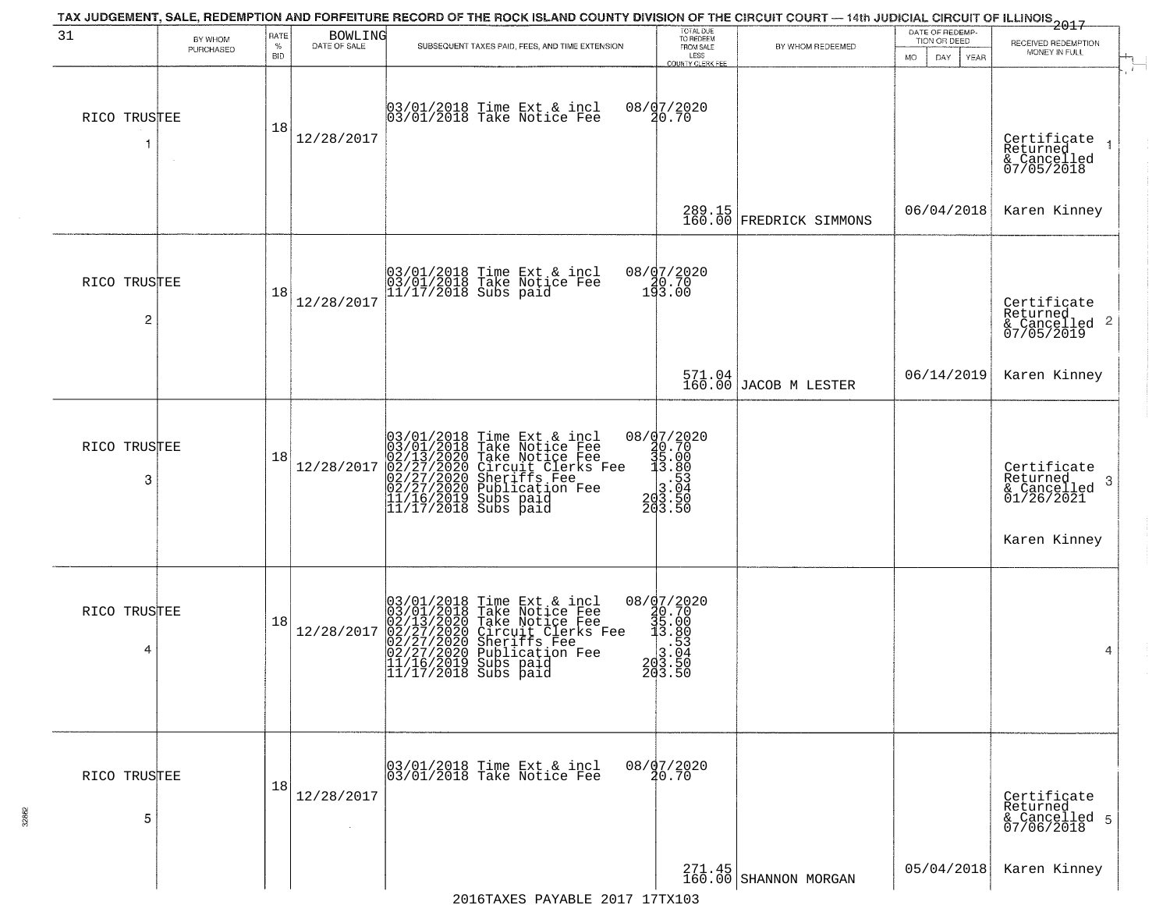| 31                 | BY WHOM   | RATE        | BOWLING<br>DATE OF SALE | TAX JUDGEMENT, SALE, REDEMPTION AND FORFEITURE RECORD OF THE ROCK ISLAND COUNTY DIVISION OF THE CIRCUIT COURT - 14th JUDICIAL CIRCUIT OF ILLINOIS 2017                                                                                      | TOTAL DUE<br>TO REDEEM                                                                              |                                   | DATE OF REDEMP-<br>TION OR DEED |                                                                            |
|--------------------|-----------|-------------|-------------------------|---------------------------------------------------------------------------------------------------------------------------------------------------------------------------------------------------------------------------------------------|-----------------------------------------------------------------------------------------------------|-----------------------------------|---------------------------------|----------------------------------------------------------------------------|
|                    | PURCHASED | $\%$<br>BID |                         | SUBSEQUENT TAXES PAID, FEES, AND TIME EXTENSION                                                                                                                                                                                             | FROM SALE<br>LESS<br>COUNTY CLERK FEE                                                               | BY WHOM REDEEMED                  | MO.<br>DAY.<br><b>YEAR</b>      | RECEIVED REDEMPTION<br>MONEY IN FULL                                       |
| RICO TRUSTEE<br>-1 |           | 18          | 12/28/2017              | 03/01/2018 Time Ext & incl<br>03/01/2018 Take Notice Fee                                                                                                                                                                                    | 08/07/2020<br>20.70                                                                                 |                                   |                                 | Certificate<br>Returned<br>& Cancelled<br>07/05/2018                       |
|                    |           |             |                         |                                                                                                                                                                                                                                             |                                                                                                     | 289.15<br>160.00 FREDRICK SIMMONS | 06/04/2018                      | Karen Kinney                                                               |
| RICO TRUSTEE<br>2  |           | 18          | 12/28/2017              | 03/01/2018 Time Ext & incl<br>03/01/2018 Take Notice Fee<br>11/17/2018 Subs paid                                                                                                                                                            | 08/07/2020<br>$\begin{smallmatrix} 7 & 30 & 70 \\ 193 & 00 \end{smallmatrix}$                       |                                   |                                 | Certificate<br>Returned<br>& Cancelled 2<br>07/05/2019                     |
|                    |           |             |                         |                                                                                                                                                                                                                                             |                                                                                                     | 571.04<br>160.00 JACOB M LESTER   | 06/14/2019                      | Karen Kinney                                                               |
| RICO TRUSTEE<br>3  |           | 18          | 12/28/2017              | $03/01/2018$ Time Ext & incl<br>$03/01/2018$ Take Notice Fee<br>$02/13/2020$ Take Notice Fee<br>$02/27/2020$ Circuit Clerks Fee<br>$02/27/2020$ Sublication Fee<br>$02/27/2020$ Publication Fee<br>$11/16/2019$ Subs paid<br>$11/17/2018$ S | ${\footnotesize \begin{matrix} 08/97/2020\\ 40.70\\ 35.00\\ 13.80\\ 203.50\\ 203.50 \end{matrix} }$ |                                   |                                 | Certifiçate<br>Returned<br>-3<br>& Cancelled<br>01/26/2021<br>Karen Kinney |
| RICO TRUSTEE<br>4  |           | 18          | 12/28/2017              | $03/01/2018$ Time Ext & incl<br>03/01/2018 Take Notice Fee<br>02/13/2020 Take Notice Fee<br>02/27/2020 Circuit Clerks Fee<br>02/27/2020 Sheriffs Fee<br>02/27/2020 Publication Fee<br>11/17/2018 Subs paid<br>11/17/2018 Subs paid          | 08/07/2020<br>30.70<br>35.00<br>3.80<br>3.53<br>203.54<br>203.50<br>203.50                          |                                   |                                 | 4                                                                          |
| RICO TRUSTEE<br>5  |           | 18          | 12/28/2017              | 03/01/2018 Time Ext & incl<br>03/01/2018 Take Notice Fee                                                                                                                                                                                    | 08/07/2020                                                                                          |                                   |                                 | Certificate<br>Returned<br>& Cancelled 5<br>07/06/2018                     |
|                    |           |             |                         |                                                                                                                                                                                                                                             |                                                                                                     |                                   | 05/04/2018                      | Karen Kinney                                                               |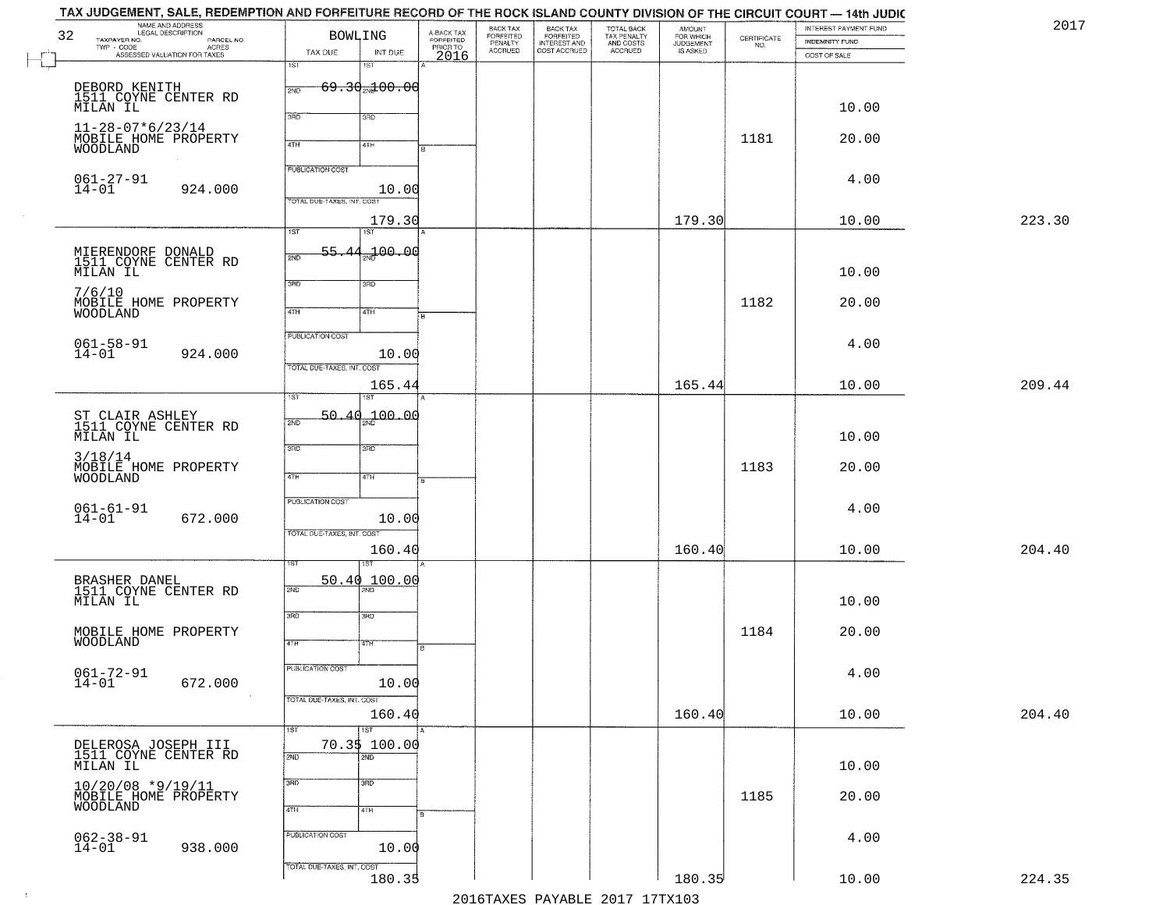|        | INTEREST PAYMENT FUND<br><b>INDEMNITY FUND</b> | CERTIFICATE<br>NO. | <b>AMOUNT</b><br>FOR WHICH<br>JUDGEMENT<br>IS ASKED | TOTAL BACK<br>TAX PENALTY<br>AND COSTS<br>ACCRUED | BACK TAX<br>FORFEITED<br>INTEREST AND<br>COST ACCRUED | BACK TAX<br>FORFEITED<br>PENALTY<br>ACCRUED | A-BACK TAX<br>FORFEITED | <b>BOWLING</b>                 |                               | NAME AND ADDRESS<br>LEGAL DESCRIPTION<br>TAXPAYER NO.<br>PARCEL NO.<br>TWP - CODE | 32 |
|--------|------------------------------------------------|--------------------|-----------------------------------------------------|---------------------------------------------------|-------------------------------------------------------|---------------------------------------------|-------------------------|--------------------------------|-------------------------------|-----------------------------------------------------------------------------------|----|
|        | COST OF SALE                                   |                    |                                                     |                                                   |                                                       |                                             | PRIORTO<br>2016         | INT DUE<br>1ST                 | TAX DUE<br>1ST                | - CODE ACRES<br>ASSESSED VALUATION FOR TAXES                                      |    |
|        |                                                |                    |                                                     |                                                   |                                                       |                                             |                         | $69.30$ <sub>2N</sub> $200.00$ | 2ND                           |                                                                                   |    |
|        | 10.00                                          |                    |                                                     |                                                   |                                                       |                                             |                         | 3RD                            | 3BD                           | DEBORD KENITH<br>1511 COYNE CENTER RD<br>MILAN IL                                 |    |
|        | 20.00                                          | 1181               |                                                     |                                                   |                                                       |                                             |                         |                                |                               | $11 - 28 - 07 * 6 / 23 / 14$<br>MOBILE HOME PROPERTY                              |    |
|        |                                                |                    |                                                     |                                                   |                                                       |                                             |                         | 4TH                            | 4TH                           | WOODLAND                                                                          |    |
|        | 4.00                                           |                    |                                                     |                                                   |                                                       |                                             |                         |                                | <b>PUBLICATION COST</b>       | $061 - 27 - 91$                                                                   |    |
|        |                                                |                    |                                                     |                                                   |                                                       |                                             |                         | 10.00                          | TOTAL DUE-TAXES, INT. COST    | $14 - 01$<br>924.000                                                              |    |
| 223.30 | 10.00                                          |                    | 179.30                                              |                                                   |                                                       |                                             |                         | 179.30<br>1ST                  | $\overline{1ST}$              |                                                                                   |    |
|        |                                                |                    |                                                     |                                                   |                                                       |                                             |                         | 2ND 00.00                      | 55.44<br>2ND                  | MIERENDORF DONALD<br>1511 COYNE CENTER RD                                         |    |
|        | 10.00                                          |                    |                                                     |                                                   |                                                       |                                             |                         | 3RD                            | 3RD                           | MILAN IL                                                                          |    |
|        | 20.00                                          | 1182               |                                                     |                                                   |                                                       |                                             |                         |                                |                               | 7/6/10<br>MOBILE HOME PROPERTY                                                    |    |
|        |                                                |                    |                                                     |                                                   |                                                       |                                             |                         | 4TH                            | $\overline{47H}$              | WOODLAND                                                                          |    |
|        | 4.00                                           |                    |                                                     |                                                   |                                                       |                                             |                         | 10.00                          | <b>PUBLICATION COST</b>       | $061 - 58 - 91$<br>14-01<br>924.000                                               |    |
|        |                                                |                    |                                                     |                                                   |                                                       |                                             |                         |                                | TOTAL DUE-TAXES, INT. COST    |                                                                                   |    |
| 209.44 | 10.00                                          |                    | 165.44                                              |                                                   |                                                       |                                             |                         | 165.44                         | ist.                          |                                                                                   |    |
|        |                                                |                    |                                                     |                                                   |                                                       |                                             |                         | 00.04 مهر                      | 50.<br>$\Delta \Omega$<br>2ND | ST CLAIR ASHLEY<br>1511 COYNE CENTER RD                                           |    |
|        | 10.00                                          |                    |                                                     |                                                   |                                                       |                                             |                         | 3 <sub>BD</sub>                | 3BD                           | MILAN IL                                                                          |    |
|        | 20.00                                          | 1183               |                                                     |                                                   |                                                       |                                             |                         | 4TH                            | 4TH                           | 3/18/14<br>MOBILE HOME PROPERTY                                                   |    |
|        |                                                |                    |                                                     |                                                   |                                                       |                                             |                         |                                | PUBLICATION COST              | <b>WOODLAND</b>                                                                   |    |
|        | 4.00                                           |                    |                                                     |                                                   |                                                       |                                             |                         | 10.00                          |                               | $061 - 61 - 91$<br>14-01<br>672.000                                               |    |
| 204.40 | 10.00                                          |                    | 160.40                                              |                                                   |                                                       |                                             |                         | 160.40                         | TOTAL OUE-TAXES, INT. COST    |                                                                                   |    |
|        |                                                |                    |                                                     |                                                   |                                                       |                                             |                         | īšT                            |                               |                                                                                   |    |
|        |                                                |                    |                                                     |                                                   |                                                       |                                             |                         | 50.40 100.00                   | 2ND                           | BRASHER DANEL<br>1511 COYNE CENTER RD                                             |    |
|        | 10.00                                          |                    |                                                     |                                                   |                                                       |                                             |                         | 3HD                            | 3RD                           | MILAN IL                                                                          |    |
|        | 20.00                                          | 1184               |                                                     |                                                   |                                                       |                                             |                         | 47H                            | 4TH                           | MOBILE HOME PROPERTY<br>WOODLAND                                                  |    |
|        |                                                |                    |                                                     |                                                   |                                                       |                                             |                         |                                | <b>PUBLICATION COST</b>       |                                                                                   |    |
|        | 4.00                                           |                    |                                                     |                                                   |                                                       |                                             |                         | 10.00                          |                               | $061 - 72 - 91$<br>672.000<br>14-01                                               |    |
| 204.40 | 10.00                                          |                    | 160.40                                              |                                                   |                                                       |                                             |                         | 160.40                         | TOTAL DUE-TAXES, INT. COST    |                                                                                   |    |
|        |                                                |                    |                                                     |                                                   |                                                       |                                             |                         | 1ST                            | 1ST                           |                                                                                   |    |
|        | 10.00                                          |                    |                                                     |                                                   |                                                       |                                             |                         | 70.3\$ 100.00<br>2ND           | 2ND                           | DELEROSA JOSEPH III<br>1511 COYNE CENTER RD<br>MILAN IL                           |    |
|        |                                                |                    |                                                     |                                                   |                                                       |                                             |                         | 3 <sub>RD</sub>                | 3RD                           | $10/20/08$ *9/19/11                                                               |    |
|        | 20.00                                          | 1185               |                                                     |                                                   |                                                       |                                             |                         | 4TH                            | 4TH                           | MOBILE HOME PROPERTY<br><b>WOODLAND</b>                                           |    |
|        | 4.00                                           |                    |                                                     |                                                   |                                                       |                                             |                         |                                | PUBLICATION COST              |                                                                                   |    |
|        |                                                |                    |                                                     |                                                   |                                                       |                                             |                         | 10.00                          |                               | $062 - 38 - 91$<br>14-01<br>938.000                                               |    |
|        | 10.00                                          |                    | 180.35                                              |                                                   |                                                       |                                             |                         | 180.35                         | TOTAL DUE-TAXES, INT. COST    |                                                                                   |    |